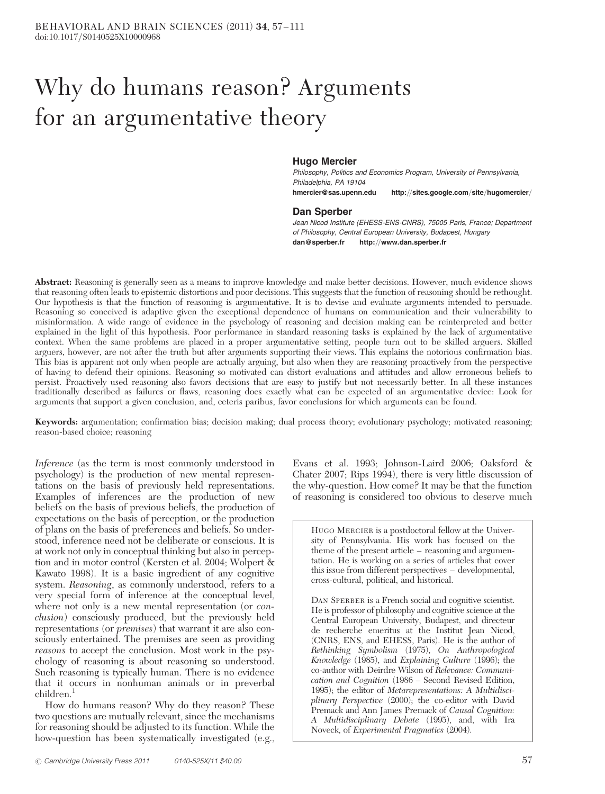# Why do humans reason? Arguments for an argumentative theory

## Hugo Mercier

Philosophy, Politics and Economics Program, University of Pennsylvania, Philadelphia, PA 19104 hmercier@sas.upenn.edu http://sites.google.com/site/hugomercier/

#### Dan Sperber

Jean Nicod Institute (EHESS-ENS-CNRS), 75005 Paris, France; Department of Philosophy, Central European University, Budapest, Hungary dan@sperber.fr http://www.dan.sperber.fr

Abstract: Reasoning is generally seen as a means to improve knowledge and make better decisions. However, much evidence shows that reasoning often leads to epistemic distortions and poor decisions. This suggests that the function of reasoning should be rethought. Our hypothesis is that the function of reasoning is argumentative. It is to devise and evaluate arguments intended to persuade. Reasoning so conceived is adaptive given the exceptional dependence of humans on communication and their vulnerability to misinformation. A wide range of evidence in the psychology of reasoning and decision making can be reinterpreted and better explained in the light of this hypothesis. Poor performance in standard reasoning tasks is explained by the lack of argumentative context. When the same problems are placed in a proper argumentative setting, people turn out to be skilled arguers. Skilled arguers, however, are not after the truth but after arguments supporting their views. This explains the notorious confirmation bias. This bias is apparent not only when people are actually arguing, but also when they are reasoning proactively from the perspective of having to defend their opinions. Reasoning so motivated can distort evaluations and attitudes and allow erroneous beliefs to persist. Proactively used reasoning also favors decisions that are easy to justify but not necessarily better. In all these instances traditionally described as failures or flaws, reasoning does exactly what can be expected of an argumentative device: Look for arguments that support a given conclusion, and, ceteris paribus, favor conclusions for which arguments can be found.

Keywords: argumentation; confirmation bias; decision making; dual process theory; evolutionary psychology; motivated reasoning; reason-based choice; reasoning

Inference (as the term is most commonly understood in psychology) is the production of new mental representations on the basis of previously held representations. Examples of inferences are the production of new beliefs on the basis of previous beliefs, the production of expectations on the basis of perception, or the production of plans on the basis of preferences and beliefs. So understood, inference need not be deliberate or conscious. It is at work not only in conceptual thinking but also in perception and in motor control (Kersten et al. 2004; Wolpert & Kawato 1998). It is a basic ingredient of any cognitive system. Reasoning, as commonly understood, refers to a very special form of inference at the conceptual level, where not only is a new mental representation (or *con*clusion) consciously produced, but the previously held representations (or premises) that warrant it are also consciously entertained. The premises are seen as providing reasons to accept the conclusion. Most work in the psychology of reasoning is about reasoning so understood. Such reasoning is typically human. There is no evidence that it occurs in nonhuman animals or in preverbal children.

How do humans reason? Why do they reason? These two questions are mutually relevant, since the mechanisms for reasoning should be adjusted to its function. While the how-question has been systematically investigated (e.g.,

Evans et al. 1993; Johnson-Laird 2006; Oaksford & Chater 2007; Rips 1994), there is very little discussion of the why-question. How come? It may be that the function of reasoning is considered too obvious to deserve much

HUGO MERCIER is a postdoctoral fellow at the University of Pennsylvania. His work has focused on the theme of the present article – reasoning and argumentation. He is working on a series of articles that cover this issue from different perspectives – developmental, cross-cultural, political, and historical.

DAN SPERBER is a French social and cognitive scientist. He is professor of philosophy and cognitive science at the Central European University, Budapest, and directeur de recherche emeritus at the Institut Jean Nicod, (CNRS, ENS, and EHESS, Paris). He is the author of Rethinking Symbolism (1975), On Anthropological Knowledge (1985), and Explaining Culture (1996); the co-author with Deirdre Wilson of Relevance: Communication and Cognition (1986 – Second Revised Edition, 1995); the editor of Metarepresentations: A Multidisciplinary Perspective (2000); the co-editor with David Premack and Ann James Premack of Causal Cognition: A Multidisciplinary Debate (1995), and, with Ira Noveck, of Experimental Pragmatics (2004).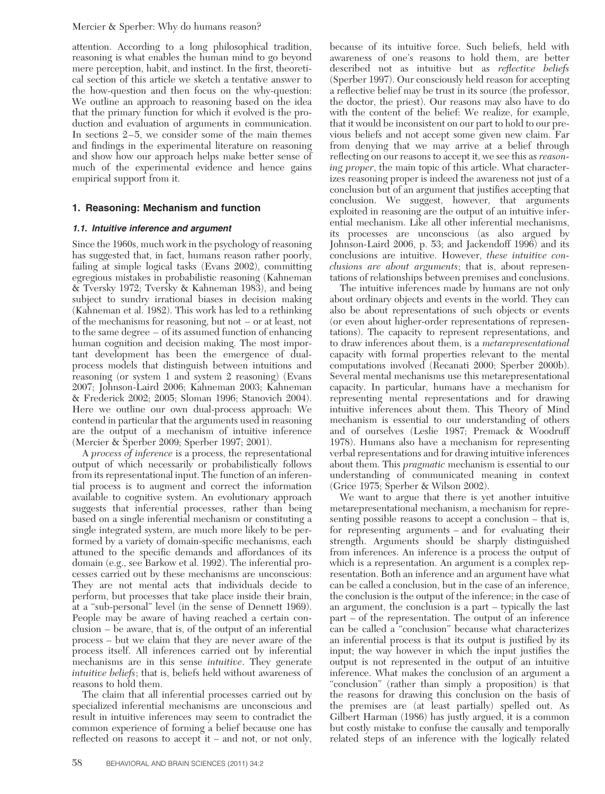## Mercier & Sperber: Why do humans reason?

attention. According to a long philosophical tradition, reasoning is what enables the human mind to go beyond mere perception, habit, and instinct. In the first, theoretical section of this article we sketch a tentative answer to the how-question and then focus on the why-question: We outline an approach to reasoning based on the idea that the primary function for which it evolved is the production and evaluation of arguments in communication. In sections  $2-5$ , we consider some of the main themes and findings in the experimental literature on reasoning and show how our approach helps make better sense of much of the experimental evidence and hence gains empirical support from it.

## 1. Reasoning: Mechanism and function

## 1.1. Intuitive inference and argument

Since the 1960s, much work in the psychology of reasoning has suggested that, in fact, humans reason rather poorly, failing at simple logical tasks (Evans 2002), committing egregious mistakes in probabilistic reasoning (Kahneman & Tversky 1972; Tversky & Kahneman 1983), and being subject to sundry irrational biases in decision making (Kahneman et al. 1982). This work has led to a rethinking of the mechanisms for reasoning, but not – or at least, not to the same degree – of its assumed function of enhancing human cognition and decision making. The most important development has been the emergence of dualprocess models that distinguish between intuitions and reasoning (or system 1 and system 2 reasoning) (Evans 2007; Johnson-Laird 2006; Kahneman 2003; Kahneman & Frederick 2002; 2005; Sloman 1996; Stanovich 2004). Here we outline our own dual-process approach: We contend in particular that the arguments used in reasoning are the output of a mechanism of intuitive inference (Mercier & Sperber 2009; Sperber 1997; 2001).

A process of inference is a process, the representational output of which necessarily or probabilistically follows from its representational input. The function of an inferential process is to augment and correct the information available to cognitive system. An evolutionary approach suggests that inferential processes, rather than being based on a single inferential mechanism or constituting a single integrated system, are much more likely to be performed by a variety of domain-specific mechanisms, each attuned to the specific demands and affordances of its domain (e.g., see Barkow et al. 1992). The inferential processes carried out by these mechanisms are unconscious: They are not mental acts that individuals decide to perform, but processes that take place inside their brain, at a "sub-personal" level (in the sense of Dennett 1969). People may be aware of having reached a certain conclusion – be aware, that is, of the output of an inferential process – but we claim that they are never aware of the process itself. All inferences carried out by inferential mechanisms are in this sense *intuitive*. They generate intuitive beliefs; that is, beliefs held without awareness of reasons to hold them.

The claim that all inferential processes carried out by specialized inferential mechanisms are unconscious and result in intuitive inferences may seem to contradict the common experience of forming a belief because one has reflected on reasons to accept it – and not, or not only, because of its intuitive force. Such beliefs, held with awareness of one's reasons to hold them, are better described not as intuitive but as reflective beliefs (Sperber 1997). Our consciously held reason for accepting a reflective belief may be trust in its source (the professor, the doctor, the priest). Our reasons may also have to do with the content of the belief: We realize, for example, that it would be inconsistent on our part to hold to our previous beliefs and not accept some given new claim. Far from denying that we may arrive at a belief through reflecting on our reasons to accept it, we see this as reasoning proper, the main topic of this article. What characterizes reasoning proper is indeed the awareness not just of a conclusion but of an argument that justifies accepting that conclusion. We suggest, however, that arguments exploited in reasoning are the output of an intuitive inferential mechanism. Like all other inferential mechanisms, its processes are unconscious (as also argued by Johnson-Laird 2006, p. 53; and Jackendoff 1996) and its conclusions are intuitive. However, these intuitive conclusions are about arguments; that is, about representations of relationships between premises and conclusions.

The intuitive inferences made by humans are not only about ordinary objects and events in the world. They can also be about representations of such objects or events (or even about higher-order representations of representations). The capacity to represent representations, and to draw inferences about them, is a metarepresentational capacity with formal properties relevant to the mental computations involved (Recanati 2000; Sperber 2000b). Several mental mechanisms use this metarepresentational capacity. In particular, humans have a mechanism for representing mental representations and for drawing intuitive inferences about them. This Theory of Mind mechanism is essential to our understanding of others and of ourselves (Leslie 1987; Premack & Woodruff 1978). Humans also have a mechanism for representing verbal representations and for drawing intuitive inferences about them. This *pragmatic* mechanism is essential to our understanding of communicated meaning in context (Grice 1975; Sperber & Wilson 2002).

We want to argue that there is yet another intuitive metarepresentational mechanism, a mechanism for representing possible reasons to accept a conclusion – that is, for representing arguments – and for evaluating their strength. Arguments should be sharply distinguished from inferences. An inference is a process the output of which is a representation. An argument is a complex representation. Both an inference and an argument have what can be called a conclusion, but in the case of an inference, the conclusion is the output of the inference; in the case of an argument, the conclusion is a part – typically the last part – of the representation. The output of an inference can be called a "conclusion" because what characterizes an inferential process is that its output is justified by its input; the way however in which the input justifies the output is not represented in the output of an intuitive inference. What makes the conclusion of an argument a "conclusion" (rather than simply a proposition) is that the reasons for drawing this conclusion on the basis of the premises are (at least partially) spelled out. As Gilbert Harman (1986) has justly argued, it is a common but costly mistake to confuse the causally and temporally related steps of an inference with the logically related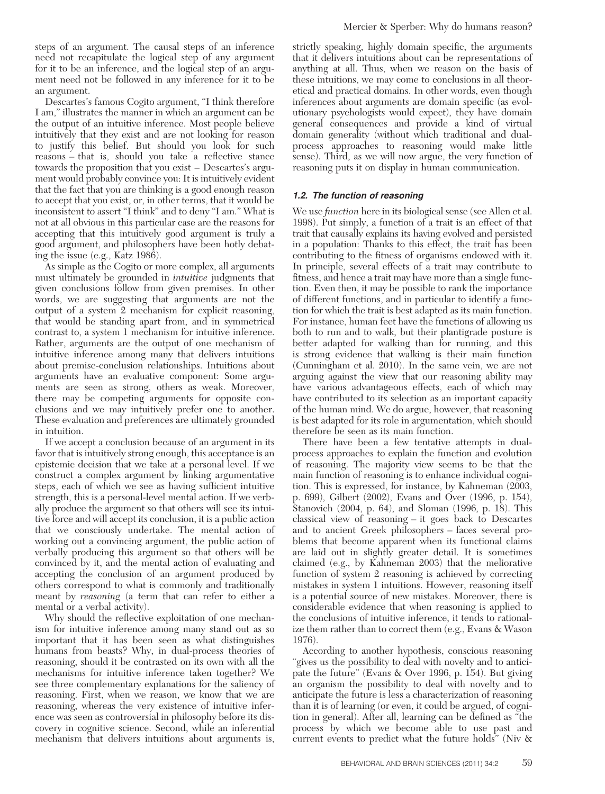steps of an argument. The causal steps of an inference need not recapitulate the logical step of any argument for it to be an inference, and the logical step of an argument need not be followed in any inference for it to be an argument.

Descartes's famous Cogito argument, "I think therefore I am," illustrates the manner in which an argument can be the output of an intuitive inference. Most people believe intuitively that they exist and are not looking for reason to justify this belief. But should you look for such reasons – that is, should you take a reflective stance towards the proposition that you exist – Descartes's argument would probably convince you: It is intuitively evident that the fact that you are thinking is a good enough reason to accept that you exist, or, in other terms, that it would be inconsistent to assert "I think" and to deny "I am." What is not at all obvious in this particular case are the reasons for accepting that this intuitively good argument is truly a good argument, and philosophers have been hotly debating the issue (e.g., Katz 1986).

As simple as the Cogito or more complex, all arguments must ultimately be grounded in *intuitive* judgments that given conclusions follow from given premises. In other words, we are suggesting that arguments are not the output of a system 2 mechanism for explicit reasoning, that would be standing apart from, and in symmetrical contrast to, a system 1 mechanism for intuitive inference. Rather, arguments are the output of one mechanism of intuitive inference among many that delivers intuitions about premise-conclusion relationships. Intuitions about arguments have an evaluative component: Some arguments are seen as strong, others as weak. Moreover, there may be competing arguments for opposite conclusions and we may intuitively prefer one to another. These evaluation and preferences are ultimately grounded in intuition.

If we accept a conclusion because of an argument in its favor that is intuitively strong enough, this acceptance is an epistemic decision that we take at a personal level. If we construct a complex argument by linking argumentative steps, each of which we see as having sufficient intuitive strength, this is a personal-level mental action. If we verbally produce the argument so that others will see its intuitive force and will accept its conclusion, it is a public action that we consciously undertake. The mental action of working out a convincing argument, the public action of verbally producing this argument so that others will be convinced by it, and the mental action of evaluating and accepting the conclusion of an argument produced by others correspond to what is commonly and traditionally meant by reasoning (a term that can refer to either a mental or a verbal activity).

Why should the reflective exploitation of one mechanism for intuitive inference among many stand out as so important that it has been seen as what distinguishes humans from beasts? Why, in dual-process theories of reasoning, should it be contrasted on its own with all the mechanisms for intuitive inference taken together? We see three complementary explanations for the saliency of reasoning. First, when we reason, we know that we are reasoning, whereas the very existence of intuitive inference was seen as controversial in philosophy before its discovery in cognitive science. Second, while an inferential mechanism that delivers intuitions about arguments is,

strictly speaking, highly domain specific, the arguments that it delivers intuitions about can be representations of anything at all. Thus, when we reason on the basis of these intuitions, we may come to conclusions in all theoretical and practical domains. In other words, even though inferences about arguments are domain specific (as evolutionary psychologists would expect), they have domain general consequences and provide a kind of virtual domain generality (without which traditional and dualprocess approaches to reasoning would make little sense). Third, as we will now argue, the very function of reasoning puts it on display in human communication.

## 1.2. The function of reasoning

We use *function* here in its biological sense (see Allen et al. 1998). Put simply, a function of a trait is an effect of that trait that causally explains its having evolved and persisted in a population: Thanks to this effect, the trait has been contributing to the fitness of organisms endowed with it. In principle, several effects of a trait may contribute to fitness, and hence a trait may have more than a single function. Even then, it may be possible to rank the importance of different functions, and in particular to identify a function for which the trait is best adapted as its main function. For instance, human feet have the functions of allowing us both to run and to walk, but their plantigrade posture is better adapted for walking than for running, and this is strong evidence that walking is their main function (Cunningham et al. 2010). In the same vein, we are not arguing against the view that our reasoning ability may have various advantageous effects, each of which may have contributed to its selection as an important capacity of the human mind. We do argue, however, that reasoning is best adapted for its role in argumentation, which should therefore be seen as its main function.

There have been a few tentative attempts in dualprocess approaches to explain the function and evolution of reasoning. The majority view seems to be that the main function of reasoning is to enhance individual cognition. This is expressed, for instance, by Kahneman (2003, p. 699), Gilbert (2002), Evans and Over (1996, p. 154), Stanovich (2004, p. 64), and Sloman (1996, p. 18). This classical view of reasoning – it goes back to Descartes and to ancient Greek philosophers – faces several problems that become apparent when its functional claims are laid out in slightly greater detail. It is sometimes claimed (e.g., by Kahneman 2003) that the meliorative function of system 2 reasoning is achieved by correcting mistakes in system 1 intuitions. However, reasoning itself is a potential source of new mistakes. Moreover, there is considerable evidence that when reasoning is applied to the conclusions of intuitive inference, it tends to rationalize them rather than to correct them (e.g., Evans & Wason 1976).

According to another hypothesis, conscious reasoning "gives us the possibility to deal with novelty and to anticipate the future" (Evans & Over 1996, p. 154). But giving an organism the possibility to deal with novelty and to anticipate the future is less a characterization of reasoning than it is of learning (or even, it could be argued, of cognition in general). After all, learning can be defined as "the process by which we become able to use past and current events to predict what the future holds" (Niv &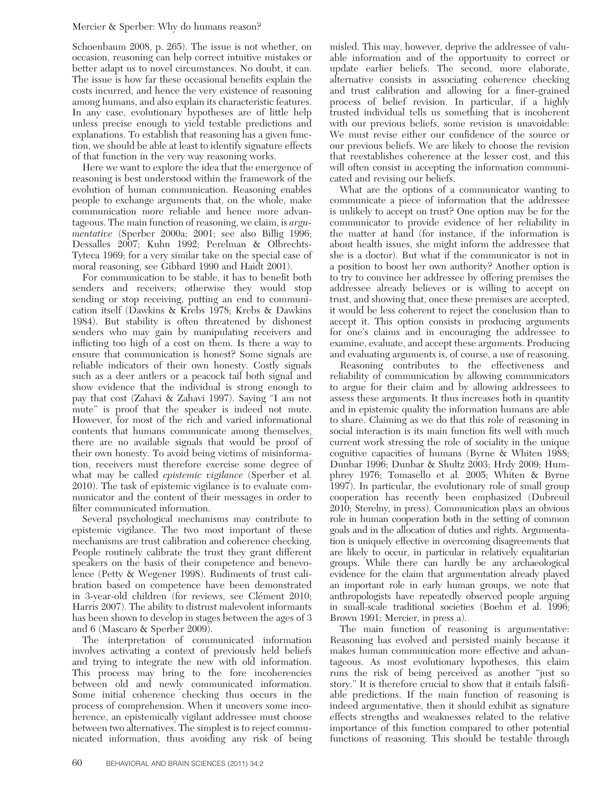## Mercier & Sperber: Why do humans reason?

Schoenbaum 2008, p. 265). The issue is not whether, on occasion, reasoning can help correct intuitive mistakes or better adapt us to novel circumstances. No doubt, it can. The issue is how far these occasional benefits explain the costs incurred, and hence the very existence of reasoning among humans, and also explain its characteristic features. In any case, evolutionary hypotheses are of little help unless precise enough to yield testable predictions and explanations. To establish that reasoning has a given function, we should be able at least to identify signature effects of that function in the very way reasoning works.

Here we want to explore the idea that the emergence of reasoning is best understood within the framework of the evolution of human communication. Reasoning enables people to exchange arguments that, on the whole, make communication more reliable and hence more advantageous. The main function of reasoning, we claim, is argumentative (Sperber 2000a; 2001; see also Billig 1996; Dessalles 2007; Kuhn 1992; Perelman & Olbrechts-Tyteca 1969; for a very similar take on the special case of moral reasoning, see Gibbard 1990 and Haidt 2001).

For communication to be stable, it has to benefit both senders and receivers; otherwise they would stop sending or stop receiving, putting an end to communication itself (Dawkins & Krebs 1978; Krebs & Dawkins 1984). But stability is often threatened by dishonest senders who may gain by manipulating receivers and inflicting too high of a cost on them. Is there a way to ensure that communication is honest? Some signals are reliable indicators of their own honesty. Costly signals such as a deer antlers or a peacock tail both signal and show evidence that the individual is strong enough to pay that cost (Zahavi & Zahavi 1997). Saying "I am not mute" is proof that the speaker is indeed not mute. However, for most of the rich and varied informational contents that humans communicate among themselves, there are no available signals that would be proof of their own honesty. To avoid being victims of misinformation, receivers must therefore exercise some degree of what may be called *epistemic vigilance* (Sperber et al. 2010). The task of epistemic vigilance is to evaluate communicator and the content of their messages in order to filter communicated information.

Several psychological mechanisms may contribute to epistemic vigilance. The two most important of these mechanisms are trust calibration and coherence checking. People routinely calibrate the trust they grant different speakers on the basis of their competence and benevolence (Petty & Wegener 1998). Rudiments of trust calibration based on competence have been demonstrated in 3-year-old children (for reviews, see Clément 2010; Harris 2007). The ability to distrust malevolent informants has been shown to develop in stages between the ages of 3 and 6 (Mascaro & Sperber 2009).

The interpretation of communicated information involves activating a context of previously held beliefs and trying to integrate the new with old information. This process may bring to the fore incoherencies between old and newly communicated information. Some initial coherence checking thus occurs in the process of comprehension. When it uncovers some incoherence, an epistemically vigilant addressee must choose between two alternatives. The simplest is to reject communicated information, thus avoiding any risk of being

misled. This may, however, deprive the addressee of valuable information and of the opportunity to correct or update earlier beliefs. The second, more elaborate, alternative consists in associating coherence checking and trust calibration and allowing for a finer-grained process of belief revision. In particular, if a highly trusted individual tells us something that is incoherent with our previous beliefs, some revision is unavoidable: We must revise either our confidence of the source or our previous beliefs. We are likely to choose the revision that reestablishes coherence at the lesser cost, and this will often consist in accepting the information communicated and revising our beliefs.

What are the options of a communicator wanting to communicate a piece of information that the addressee is unlikely to accept on trust? One option may be for the communicator to provide evidence of her reliability in the matter at hand (for instance, if the information is about health issues, she might inform the addressee that she is a doctor). But what if the communicator is not in a position to boost her own authority? Another option is to try to convince her addressee by offering premises the addressee already believes or is willing to accept on trust, and showing that, once these premises are accepted, it would be less coherent to reject the conclusion than to accept it. This option consists in producing arguments for one's claims and in encouraging the addressee to examine, evaluate, and accept these arguments. Producing and evaluating arguments is, of course, a use of reasoning.

Reasoning contributes to the effectiveness and reliability of communication by allowing communicators to argue for their claim and by allowing addressees to assess these arguments. It thus increases both in quantity and in epistemic quality the information humans are able to share. Claiming as we do that this role of reasoning in social interaction is its main function fits well with much current work stressing the role of sociality in the unique cognitive capacities of humans (Byrne & Whiten 1988; Dunbar 1996; Dunbar & Shultz 2003; Hrdy 2009; Humphrey 1976; Tomasello et al. 2005; Whiten & Byrne 1997). In particular, the evolutionary role of small group cooperation has recently been emphasized (Dubreuil 2010; Sterelny, in press). Communication plays an obvious role in human cooperation both in the setting of common goals and in the allocation of duties and rights. Argumentation is uniquely effective in overcoming disagreements that are likely to occur, in particular in relatively equalitarian groups. While there can hardly be any archaeological evidence for the claim that argumentation already played an important role in early human groups, we note that anthropologists have repeatedly observed people arguing in small-scale traditional societies (Boehm et al. 1996; Brown 1991; Mercier, in press a).

The main function of reasoning is argumentative: Reasoning has evolved and persisted mainly because it makes human communication more effective and advantageous. As most evolutionary hypotheses, this claim runs the risk of being perceived as another "just so story." It is therefore crucial to show that it entails falsifiable predictions. If the main function of reasoning is indeed argumentative, then it should exhibit as signature effects strengths and weaknesses related to the relative importance of this function compared to other potential functions of reasoning. This should be testable through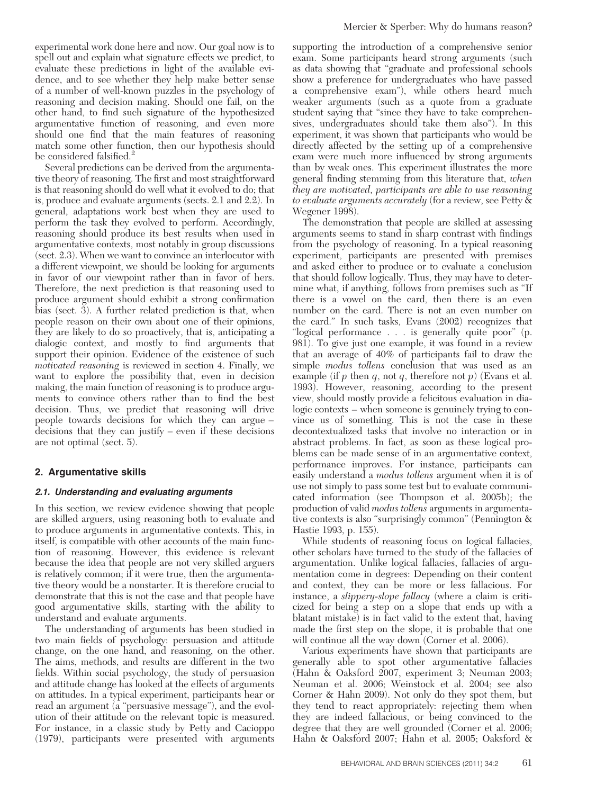experimental work done here and now. Our goal now is to spell out and explain what signature effects we predict, to evaluate these predictions in light of the available evidence, and to see whether they help make better sense of a number of well-known puzzles in the psychology of reasoning and decision making. Should one fail, on the other hand, to find such signature of the hypothesized argumentative function of reasoning, and even more should one find that the main features of reasoning match some other function, then our hypothesis should be considered falsified.<sup>2</sup>

Several predictions can be derived from the argumentative theory of reasoning. The first and most straightforward is that reasoning should do well what it evolved to do; that is, produce and evaluate arguments (sects. 2.1 and 2.2). In general, adaptations work best when they are used to perform the task they evolved to perform. Accordingly, reasoning should produce its best results when used in argumentative contexts, most notably in group discussions (sect. 2.3). When we want to convince an interlocutor with a different viewpoint, we should be looking for arguments in favor of our viewpoint rather than in favor of hers. Therefore, the next prediction is that reasoning used to produce argument should exhibit a strong confirmation bias (sect. 3). A further related prediction is that, when people reason on their own about one of their opinions, they are likely to do so proactively, that is, anticipating a dialogic context, and mostly to find arguments that support their opinion. Evidence of the existence of such motivated reasoning is reviewed in section 4. Finally, we want to explore the possibility that, even in decision making, the main function of reasoning is to produce arguments to convince others rather than to find the best decision. Thus, we predict that reasoning will drive people towards decisions for which they can argue – decisions that they can justify – even if these decisions are not optimal (sect. 5).

## 2. Argumentative skills

#### 2.1. Understanding and evaluating arguments

In this section, we review evidence showing that people are skilled arguers, using reasoning both to evaluate and to produce arguments in argumentative contexts. This, in itself, is compatible with other accounts of the main function of reasoning. However, this evidence is relevant because the idea that people are not very skilled arguers is relatively common; if it were true, then the argumentative theory would be a nonstarter. It is therefore crucial to demonstrate that this is not the case and that people have good argumentative skills, starting with the ability to understand and evaluate arguments.

The understanding of arguments has been studied in two main fields of psychology: persuasion and attitude change, on the one hand, and reasoning, on the other. The aims, methods, and results are different in the two fields. Within social psychology, the study of persuasion and attitude change has looked at the effects of arguments on attitudes. In a typical experiment, participants hear or read an argument (a "persuasive message"), and the evolution of their attitude on the relevant topic is measured. For instance, in a classic study by Petty and Cacioppo (1979), participants were presented with arguments

supporting the introduction of a comprehensive senior exam. Some participants heard strong arguments (such as data showing that "graduate and professional schools show a preference for undergraduates who have passed a comprehensive exam"), while others heard much weaker arguments (such as a quote from a graduate student saying that "since they have to take comprehensives, undergraduates should take them also"). In this experiment, it was shown that participants who would be directly affected by the setting up of a comprehensive exam were much more influenced by strong arguments than by weak ones. This experiment illustrates the more general finding stemming from this literature that, when they are motivated, participants are able to use reasoning to evaluate arguments accurately (for a review, see Petty & Wegener 1998).

The demonstration that people are skilled at assessing arguments seems to stand in sharp contrast with findings from the psychology of reasoning. In a typical reasoning experiment, participants are presented with premises and asked either to produce or to evaluate a conclusion that should follow logically. Thus, they may have to determine what, if anything, follows from premises such as "If there is a vowel on the card, then there is an even number on the card. There is not an even number on the card." In such tasks, Evans (2002) recognizes that "logical performance . . . is generally quite poor" (p. 981). To give just one example, it was found in a review that an average of 40% of participants fail to draw the simple *modus* tollens conclusion that was used as an example (if p then q, not q, therefore not p) (Evans et al. 1993). However, reasoning, according to the present view, should mostly provide a felicitous evaluation in dialogic contexts – when someone is genuinely trying to convince us of something. This is not the case in these decontextualized tasks that involve no interaction or in abstract problems. In fact, as soon as these logical problems can be made sense of in an argumentative context, performance improves. For instance, participants can easily understand a *modus tollens* argument when it is of use not simply to pass some test but to evaluate communicated information (see Thompson et al. 2005b); the production of valid modus tollens arguments in argumentative contexts is also "surprisingly common" (Pennington & Hastie 1993, p. 155).

While students of reasoning focus on logical fallacies, other scholars have turned to the study of the fallacies of argumentation. Unlike logical fallacies, fallacies of argumentation come in degrees: Depending on their content and context, they can be more or less fallacious. For instance, a slippery-slope fallacy (where a claim is criticized for being a step on a slope that ends up with a blatant mistake) is in fact valid to the extent that, having made the first step on the slope, it is probable that one will continue all the way down (Corner et al. 2006).

Various experiments have shown that participants are generally able to spot other argumentative fallacies (Hahn & Oaksford 2007, experiment 3; Neuman 2003; Neuman et al. 2006; Weinstock et al. 2004; see also Corner & Hahn 2009). Not only do they spot them, but they tend to react appropriately: rejecting them when they are indeed fallacious, or being convinced to the degree that they are well grounded (Corner et al. 2006; Hahn & Oaksford 2007; Hahn et al. 2005; Oaksford &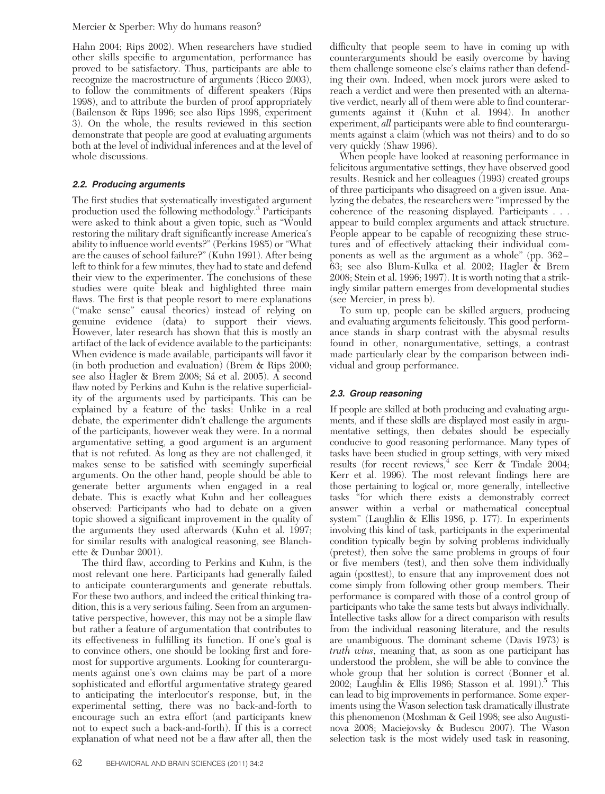Hahn 2004; Rips 2002). When researchers have studied other skills specific to argumentation, performance has proved to be satisfactory. Thus, participants are able to recognize the macrostructure of arguments (Ricco 2003), to follow the commitments of different speakers (Rips 1998), and to attribute the burden of proof appropriately (Bailenson & Rips 1996; see also Rips 1998, experiment 3). On the whole, the results reviewed in this section demonstrate that people are good at evaluating arguments both at the level of individual inferences and at the level of whole discussions.

## 2.2. Producing arguments

The first studies that systematically investigated argument production used the following methodology.<sup>3</sup> Participants were asked to think about a given topic, such as "Would restoring the military draft significantly increase America's ability to influence world events?" (Perkins 1985) or "What are the causes of school failure?" (Kuhn 1991). After being left to think for a few minutes, they had to state and defend their view to the experimenter. The conclusions of these studies were quite bleak and highlighted three main flaws. The first is that people resort to mere explanations ("make sense" causal theories) instead of relying on genuine evidence (data) to support their views. However, later research has shown that this is mostly an artifact of the lack of evidence available to the participants: When evidence is made available, participants will favor it (in both production and evaluation) (Brem & Rips 2000; see also Hagler & Brem 2008; Sá et al. 2005). A second flaw noted by Perkins and Kuhn is the relative superficiality of the arguments used by participants. This can be explained by a feature of the tasks: Unlike in a real debate, the experimenter didn't challenge the arguments of the participants, however weak they were. In a normal argumentative setting, a good argument is an argument that is not refuted. As long as they are not challenged, it makes sense to be satisfied with seemingly superficial arguments. On the other hand, people should be able to generate better arguments when engaged in a real debate. This is exactly what Kuhn and her colleagues observed: Participants who had to debate on a given topic showed a significant improvement in the quality of the arguments they used afterwards (Kuhn et al. 1997; for similar results with analogical reasoning, see Blanchette & Dunbar 2001).

The third flaw, according to Perkins and Kuhn, is the most relevant one here. Participants had generally failed to anticipate counterarguments and generate rebuttals. For these two authors, and indeed the critical thinking tradition, this is a very serious failing. Seen from an argumentative perspective, however, this may not be a simple flaw but rather a feature of argumentation that contributes to its effectiveness in fulfilling its function. If one's goal is to convince others, one should be looking first and foremost for supportive arguments. Looking for counterarguments against one's own claims may be part of a more sophisticated and effortful argumentative strategy geared to anticipating the interlocutor's response, but, in the experimental setting, there was no back-and-forth to encourage such an extra effort (and participants knew not to expect such a back-and-forth). If this is a correct explanation of what need not be a flaw after all, then the

difficulty that people seem to have in coming up with counterarguments should be easily overcome by having them challenge someone else's claims rather than defending their own. Indeed, when mock jurors were asked to reach a verdict and were then presented with an alternative verdict, nearly all of them were able to find counterarguments against it (Kuhn et al. 1994). In another experiment, *all* participants were able to find counterarguments against a claim (which was not theirs) and to do so very quickly (Shaw 1996).

When people have looked at reasoning performance in felicitous argumentative settings, they have observed good results. Resnick and her colleagues (1993) created groups of three participants who disagreed on a given issue. Analyzing the debates, the researchers were "impressed by the coherence of the reasoning displayed. Participants . . . appear to build complex arguments and attack structure. People appear to be capable of recognizing these structures and of effectively attacking their individual components as well as the argument as a whole" (pp. 362 – 63; see also Blum-Kulka et al. 2002; Hagler & Brem 2008; Stein et al. 1996; 1997). It is worth noting that a strikingly similar pattern emerges from developmental studies (see Mercier, in press b).

To sum up, people can be skilled arguers, producing and evaluating arguments felicitously. This good performance stands in sharp contrast with the abysmal results found in other, nonargumentative, settings, a contrast made particularly clear by the comparison between individual and group performance.

## 2.3. Group reasoning

If people are skilled at both producing and evaluating arguments, and if these skills are displayed most easily in argumentative settings, then debates should be especially conducive to good reasoning performance. Many types of tasks have been studied in group settings, with very mixed results (for recent reviews,  $4 \text{ sec}$  Kerr & Tindale 2004; Kerr et al. 1996). The most relevant findings here are those pertaining to logical or, more generally, intellective tasks "for which there exists a demonstrably correct answer within a verbal or mathematical conceptual system" (Laughlin & Ellis 1986, p. 177). In experiments involving this kind of task, participants in the experimental condition typically begin by solving problems individually (pretest), then solve the same problems in groups of four or five members (test), and then solve them individually again (posttest), to ensure that any improvement does not come simply from following other group members. Their performance is compared with those of a control group of participants who take the same tests but always individually. Intellective tasks allow for a direct comparison with results from the individual reasoning literature, and the results are unambiguous. The dominant scheme (Davis 1973) is truth wins, meaning that, as soon as one participant has understood the problem, she will be able to convince the whole group that her solution is correct (Bonner et al. 2002; Laughlin & Ellis 1986; Stasson et al. 1991).<sup>5</sup> This can lead to big improvements in performance. Some experiments using the Wason selection task dramatically illustrate this phenomenon (Moshman & Geil 1998; see also Augustinova 2008; Maciejovsky & Budescu 2007). The Wason selection task is the most widely used task in reasoning,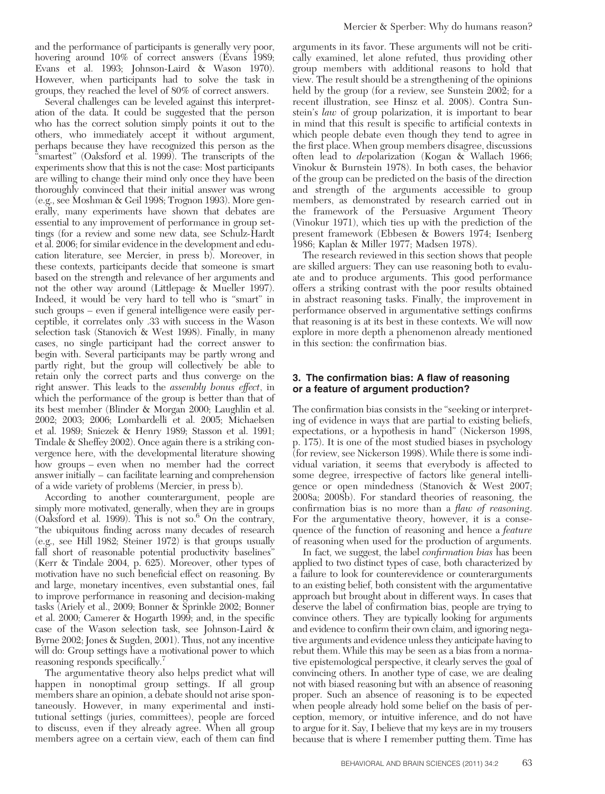and the performance of participants is generally very poor, hovering around 10% of correct answers (Evans 1989; Evans et al. 1993; Johnson-Laird & Wason 1970). However, when participants had to solve the task in groups, they reached the level of 80% of correct answers.

Several challenges can be leveled against this interpretation of the data. It could be suggested that the person who has the correct solution simply points it out to the others, who immediately accept it without argument, perhaps because they have recognized this person as the "smartest" (Oaksford et al. 1999). The transcripts of the experiments show that this is not the case: Most participants are willing to change their mind only once they have been thoroughly convinced that their initial answer was wrong (e.g., see Moshman & Geil 1998; Trognon 1993). More generally, many experiments have shown that debates are essential to any improvement of performance in group settings (for a review and some new data, see Schulz-Hardt et al. 2006; for similar evidence in the development and education literature, see Mercier, in press b). Moreover, in these contexts, participants decide that someone is smart based on the strength and relevance of her arguments and not the other way around (Littlepage & Mueller 1997). Indeed, it would be very hard to tell who is "smart" in such groups – even if general intelligence were easily perceptible, it correlates only .33 with success in the Wason selection task (Stanovich & West 1998). Finally, in many cases, no single participant had the correct answer to begin with. Several participants may be partly wrong and partly right, but the group will collectively be able to retain only the correct parts and thus converge on the right answer. This leads to the assembly bonus effect, in which the performance of the group is better than that of its best member (Blinder & Morgan 2000; Laughlin et al. 2002; 2003; 2006; Lombardelli et al. 2005; Michaelsen et al. 1989; Sniezek & Henry 1989; Stasson et al. 1991; Tindale & Sheffey 2002). Once again there is a striking convergence here, with the developmental literature showing how groups – even when no member had the correct answer initially – can facilitate learning and comprehension of a wide variety of problems (Mercier, in press b).

According to another counterargument, people are simply more motivated, generally, when they are in groups (Oaksford et al. 1999). This is not so. $6$  On the contrary, "the ubiquitous finding across many decades of research (e.g., see Hill 1982; Steiner 1972) is that groups usually fall short of reasonable potential productivity baselines" (Kerr & Tindale 2004, p. 625). Moreover, other types of motivation have no such beneficial effect on reasoning. By and large, monetary incentives, even substantial ones, fail to improve performance in reasoning and decision-making tasks (Ariely et al., 2009; Bonner & Sprinkle 2002; Bonner et al. 2000; Camerer & Hogarth 1999; and, in the specific case of the Wason selection task, see Johnson-Laird & Byrne 2002; Jones & Sugden, 2001). Thus, not any incentive will do: Group settings have a motivational power to which reasoning responds specifically.<sup>7</sup>

The argumentative theory also helps predict what will happen in nonoptimal group settings. If all group members share an opinion, a debate should not arise spontaneously. However, in many experimental and institutional settings (juries, committees), people are forced to discuss, even if they already agree. When all group members agree on a certain view, each of them can find

arguments in its favor. These arguments will not be critically examined, let alone refuted, thus providing other group members with additional reasons to hold that view. The result should be a strengthening of the opinions held by the group (for a review, see Sunstein 2002; for a recent illustration, see Hinsz et al. 2008). Contra Sunstein's law of group polarization, it is important to bear in mind that this result is specific to artificial contexts in which people debate even though they tend to agree in the first place. When group members disagree, discussions often lead to depolarization (Kogan & Wallach 1966; Vinokur & Burnstein 1978). In both cases, the behavior of the group can be predicted on the basis of the direction and strength of the arguments accessible to group members, as demonstrated by research carried out in the framework of the Persuasive Argument Theory (Vinokur 1971), which ties up with the prediction of the present framework (Ebbesen & Bowers 1974; Isenberg 1986; Kaplan & Miller 1977; Madsen 1978).

The research reviewed in this section shows that people are skilled arguers: They can use reasoning both to evaluate and to produce arguments. This good performance offers a striking contrast with the poor results obtained in abstract reasoning tasks. Finally, the improvement in performance observed in argumentative settings confirms that reasoning is at its best in these contexts. We will now explore in more depth a phenomenon already mentioned in this section: the confirmation bias.

## 3. The confirmation bias: A flaw of reasoning or a feature of argument production?

The confirmation bias consists in the "seeking or interpreting of evidence in ways that are partial to existing beliefs, expectations, or a hypothesis in hand" (Nickerson 1998, p. 175). It is one of the most studied biases in psychology (for review, see Nickerson 1998). While there is some individual variation, it seems that everybody is affected to some degree, irrespective of factors like general intelligence or open mindedness (Stanovich & West 2007; 2008a; 2008b). For standard theories of reasoning, the confirmation bias is no more than a flaw of reasoning. For the argumentative theory, however, it is a consequence of the function of reasoning and hence a feature of reasoning when used for the production of arguments.

In fact, we suggest, the label confirmation bias has been applied to two distinct types of case, both characterized by a failure to look for counterevidence or counterarguments to an existing belief, both consistent with the argumentative approach but brought about in different ways. In cases that deserve the label of confirmation bias, people are trying to convince others. They are typically looking for arguments and evidence to confirm their own claim, and ignoring negative arguments and evidence unless they anticipate having to rebut them. While this may be seen as a bias from a normative epistemological perspective, it clearly serves the goal of convincing others. In another type of case, we are dealing not with biased reasoning but with an absence of reasoning proper. Such an absence of reasoning is to be expected when people already hold some belief on the basis of perception, memory, or intuitive inference, and do not have to argue for it. Say, I believe that my keys are in my trousers because that is where I remember putting them. Time has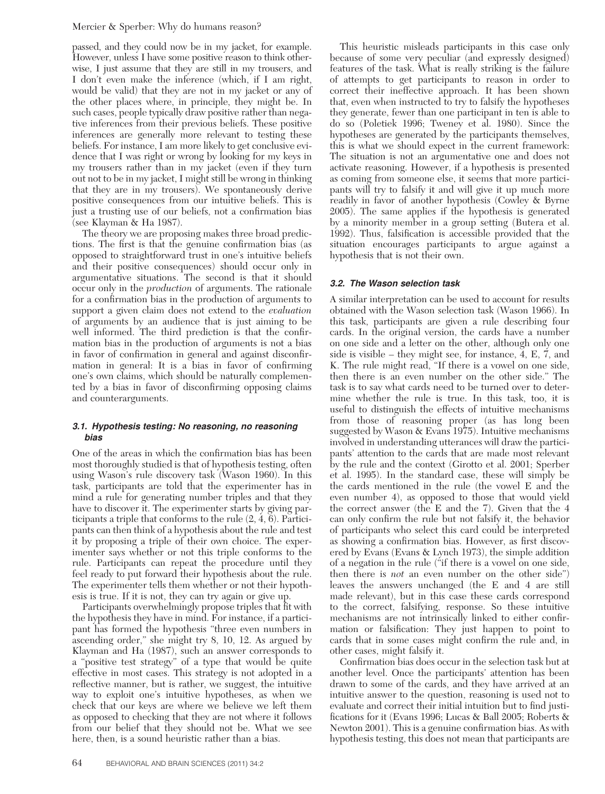passed, and they could now be in my jacket, for example. However, unless I have some positive reason to think otherwise, I just assume that they are still in my trousers, and I don't even make the inference (which, if I am right, would be valid) that they are not in my jacket or any of the other places where, in principle, they might be. In such cases, people typically draw positive rather than negative inferences from their previous beliefs. These positive inferences are generally more relevant to testing these beliefs. For instance, I am more likely to get conclusive evidence that I was right or wrong by looking for my keys in my trousers rather than in my jacket (even if they turn out not to be in my jacket, I might still be wrong in thinking that they are in my trousers). We spontaneously derive positive consequences from our intuitive beliefs. This is just a trusting use of our beliefs, not a confirmation bias (see Klayman & Ha 1987).

The theory we are proposing makes three broad predictions. The first is that the genuine confirmation bias (as opposed to straightforward trust in one's intuitive beliefs and their positive consequences) should occur only in argumentative situations. The second is that it should occur only in the production of arguments. The rationale for a confirmation bias in the production of arguments to support a given claim does not extend to the *evaluation* of arguments by an audience that is just aiming to be well informed. The third prediction is that the confirmation bias in the production of arguments is not a bias in favor of confirmation in general and against disconfirmation in general: It is a bias in favor of confirming one's own claims, which should be naturally complemented by a bias in favor of disconfirming opposing claims and counterarguments.

## 3.1. Hypothesis testing: No reasoning, no reasoning bias

One of the areas in which the confirmation bias has been most thoroughly studied is that of hypothesis testing, often using Wason's rule discovery task (Wason 1960). In this task, participants are told that the experimenter has in mind a rule for generating number triples and that they have to discover it. The experimenter starts by giving participants a triple that conforms to the rule (2, 4, 6). Participants can then think of a hypothesis about the rule and test it by proposing a triple of their own choice. The experimenter says whether or not this triple conforms to the rule. Participants can repeat the procedure until they feel ready to put forward their hypothesis about the rule. The experimenter tells them whether or not their hypothesis is true. If it is not, they can try again or give up.

Participants overwhelmingly propose triples that fit with the hypothesis they have in mind. For instance, if a participant has formed the hypothesis "three even numbers in ascending order," she might try 8, 10, 12. As argued by Klayman and Ha (1987), such an answer corresponds to a "positive test strategy" of a type that would be quite effective in most cases. This strategy is not adopted in a reflective manner, but is rather, we suggest, the intuitive way to exploit one's intuitive hypotheses, as when we check that our keys are where we believe we left them as opposed to checking that they are not where it follows from our belief that they should not be. What we see here, then, is a sound heuristic rather than a bias.

This heuristic misleads participants in this case only because of some very peculiar (and expressly designed) features of the task. What is really striking is the failure of attempts to get participants to reason in order to correct their ineffective approach. It has been shown that, even when instructed to try to falsify the hypotheses they generate, fewer than one participant in ten is able to do so (Poletiek 1996; Tweney et al. 1980). Since the hypotheses are generated by the participants themselves, this is what we should expect in the current framework: The situation is not an argumentative one and does not activate reasoning. However, if a hypothesis is presented as coming from someone else, it seems that more participants will try to falsify it and will give it up much more readily in favor of another hypothesis (Cowley & Byrne 2005). The same applies if the hypothesis is generated by a minority member in a group setting (Butera et al. 1992). Thus, falsification is accessible provided that the situation encourages participants to argue against a hypothesis that is not their own.

## 3.2. The Wason selection task

A similar interpretation can be used to account for results obtained with the Wason selection task (Wason 1966). In this task, participants are given a rule describing four cards. In the original version, the cards have a number on one side and a letter on the other, although only one side is visible – they might see, for instance, 4, E, 7, and K. The rule might read, "If there is a vowel on one side, then there is an even number on the other side." The task is to say what cards need to be turned over to determine whether the rule is true. In this task, too, it is useful to distinguish the effects of intuitive mechanisms from those of reasoning proper (as has long been suggested by Wason & Evans 1975). Intuitive mechanisms involved in understanding utterances will draw the participants' attention to the cards that are made most relevant by the rule and the context (Girotto et al. 2001; Sperber et al. 1995). In the standard case, these will simply be the cards mentioned in the rule (the vowel E and the even number 4), as opposed to those that would yield the correct answer (the E and the 7). Given that the 4 can only confirm the rule but not falsify it, the behavior of participants who select this card could be interpreted as showing a confirmation bias. However, as first discovered by Evans (Evans & Lynch 1973), the simple addition of a negation in the rule ("if there is a vowel on one side, then there is *not* an even number on the other side") leaves the answers unchanged (the E and 4 are still made relevant), but in this case these cards correspond to the correct, falsifying, response. So these intuitive mechanisms are not intrinsically linked to either confirmation or falsification: They just happen to point to cards that in some cases might confirm the rule and, in other cases, might falsify it.

Confirmation bias does occur in the selection task but at another level. Once the participants' attention has been drawn to some of the cards, and they have arrived at an intuitive answer to the question, reasoning is used not to evaluate and correct their initial intuition but to find justifications for it (Evans 1996; Lucas & Ball 2005; Roberts & Newton 2001). This is a genuine confirmation bias. As with hypothesis testing, this does not mean that participants are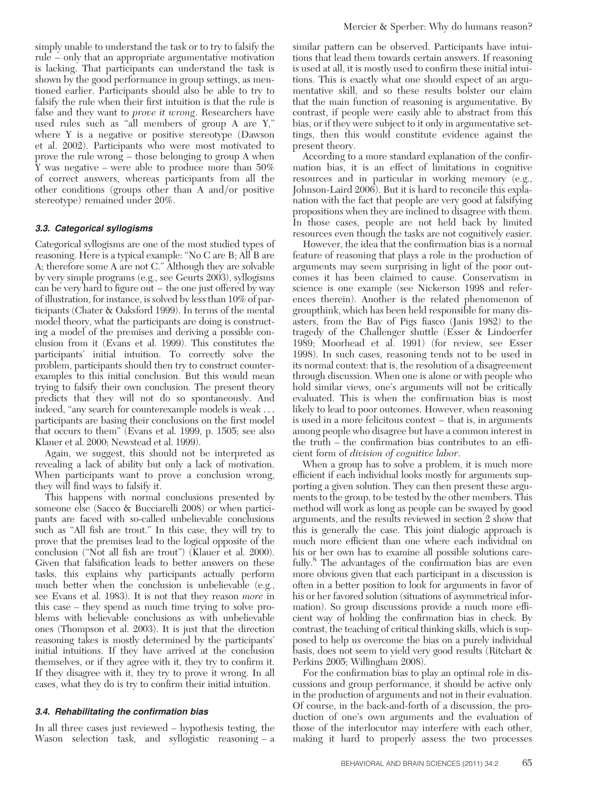simply unable to understand the task or to try to falsify the rule – only that an appropriate argumentative motivation is lacking. That participants can understand the task is shown by the good performance in group settings, as mentioned earlier. Participants should also be able to try to falsify the rule when their first intuition is that the rule is false and they want to *prove it wrong*. Researchers have used rules such as "all members of group A are Y," where Y is a negative or positive stereotype (Dawson et al. 2002). Participants who were most motivated to prove the rule wrong – those belonging to group A when  $\bar{Y}$  was negative – were able to produce more than 50% of correct answers, whereas participants from all the other conditions (groups other than A and/or positive stereotype) remained under 20%.

### 3.3. Categorical syllogisms

Categorical syllogisms are one of the most studied types of reasoning. Here is a typical example: "No C are B; All B are A; therefore some A are not C." Although they are solvable by very simple programs (e.g., see Geurts 2003), syllogisms can be very hard to figure out – the one just offered by way of illustration, for instance, is solved by less than 10% of participants (Chater & Oaksford 1999). In terms of the mental model theory, what the participants are doing is constructing a model of the premises and deriving a possible conclusion from it (Evans et al. 1999). This constitutes the participants' initial intuition. To correctly solve the problem, participants should then try to construct counterexamples to this initial conclusion. But this would mean trying to falsify their own conclusion. The present theory predicts that they will not do so spontaneously. And indeed, "any search for counterexample models is weak... participants are basing their conclusions on the first model that occurs to them" (Evans et al. 1999, p. 1505; see also Klauer et al. 2000; Newstead et al. 1999).

Again, we suggest, this should not be interpreted as revealing a lack of ability but only a lack of motivation. When participants want to prove a conclusion wrong, they will find ways to falsify it.

This happens with normal conclusions presented by someone else (Sacco & Bucciarelli 2008) or when participants are faced with so-called unbelievable conclusions such as "All fish are trout." In this case, they will try to prove that the premises lead to the logical opposite of the conclusion ("Not all fish are trout") (Klauer et al. 2000). Given that falsification leads to better answers on these tasks, this explains why participants actually perform much better when the conclusion is unbelievable (e.g., see Evans et al. 1983). It is not that they reason more in this case – they spend as much time trying to solve problems with believable conclusions as with unbelievable ones (Thompson et al. 2003). It is just that the direction reasoning takes is mostly determined by the participants' initial intuitions. If they have arrived at the conclusion themselves, or if they agree with it, they try to confirm it. If they disagree with it, they try to prove it wrong. In all cases, what they do is try to confirm their initial intuition.

#### 3.4. Rehabilitating the confirmation bias

In all three cases just reviewed – hypothesis testing, the Wason selection task, and syllogistic reasoning  $-$  a similar pattern can be observed. Participants have intuitions that lead them towards certain answers. If reasoning is used at all, it is mostly used to confirm these initial intuitions. This is exactly what one should expect of an argumentative skill, and so these results bolster our claim that the main function of reasoning is argumentative. By contrast, if people were easily able to abstract from this bias, or if they were subject to it only in argumentative settings, then this would constitute evidence against the present theory.

According to a more standard explanation of the confirmation bias, it is an effect of limitations in cognitive resources and in particular in working memory (e.g., Johnson-Laird 2006). But it is hard to reconcile this explanation with the fact that people are very good at falsifying propositions when they are inclined to disagree with them. In those cases, people are not held back by limited resources even though the tasks are not cognitively easier.

However, the idea that the confirmation bias is a normal feature of reasoning that plays a role in the production of arguments may seem surprising in light of the poor outcomes it has been claimed to cause. Conservatism in science is one example (see Nickerson 1998 and references therein). Another is the related phenomenon of groupthink, which has been held responsible for many disasters, from the Bay of Pigs fiasco (Janis 1982) to the tragedy of the Challenger shuttle (Esser & Lindoerfer 1989; Moorhead et al. 1991) (for review, see Esser 1998). In such cases, reasoning tends not to be used in its normal context: that is, the resolution of a disagreement through discussion. When one is alone or with people who hold similar views, one's arguments will not be critically evaluated. This is when the confirmation bias is most likely to lead to poor outcomes. However, when reasoning is used in a more felicitous context – that is, in arguments among people who disagree but have a common interest in the truth – the confirmation bias contributes to an efficient form of division of cognitive labor.

When a group has to solve a problem, it is much more efficient if each individual looks mostly for arguments supporting a given solution. They can then present these arguments to the group, to be tested by the other members. This method will work as long as people can be swayed by good arguments, and the results reviewed in section 2 show that this is generally the case. This joint dialogic approach is much more efficient than one where each individual on his or her own has to examine all possible solutions carefully.<sup>8</sup> The advantages of the confirmation bias are even more obvious given that each participant in a discussion is often in a better position to look for arguments in favor of his or her favored solution (situations of asymmetrical information). So group discussions provide a much more efficient way of holding the confirmation bias in check. By contrast, the teaching of critical thinking skills, which is supposed to help us overcome the bias on a purely individual basis, does not seem to yield very good results (Ritchart & Perkins 2005; Willingham 2008).

For the confirmation bias to play an optimal role in discussions and group performance, it should be active only in the production of arguments and not in their evaluation. Of course, in the back-and-forth of a discussion, the production of one's own arguments and the evaluation of those of the interlocutor may interfere with each other, making it hard to properly assess the two processes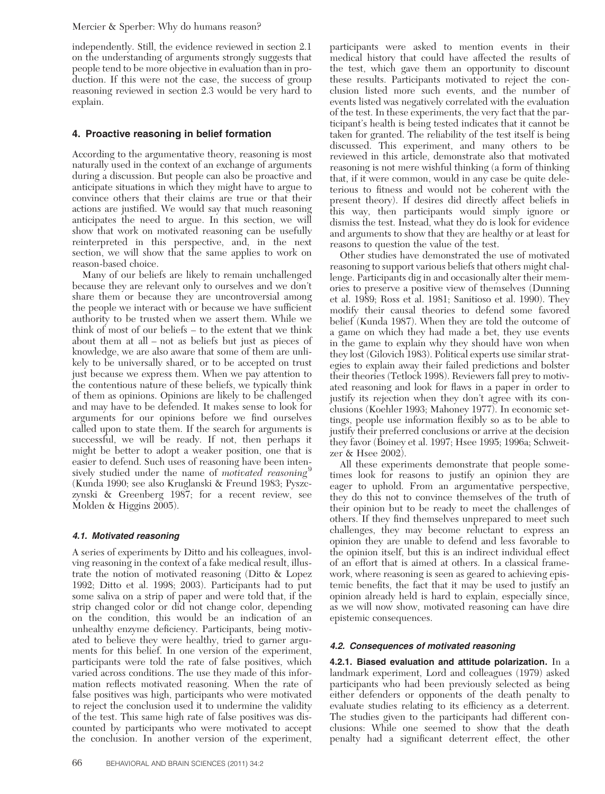### Mercier & Sperber: Why do humans reason?

independently. Still, the evidence reviewed in section 2.1 on the understanding of arguments strongly suggests that people tend to be more objective in evaluation than in production. If this were not the case, the success of group reasoning reviewed in section 2.3 would be very hard to explain.

## 4. Proactive reasoning in belief formation

According to the argumentative theory, reasoning is most naturally used in the context of an exchange of arguments during a discussion. But people can also be proactive and anticipate situations in which they might have to argue to convince others that their claims are true or that their actions are justified. We would say that much reasoning anticipates the need to argue. In this section, we will show that work on motivated reasoning can be usefully reinterpreted in this perspective, and, in the next section, we will show that the same applies to work on reason-based choice.

Many of our beliefs are likely to remain unchallenged because they are relevant only to ourselves and we don't share them or because they are uncontroversial among the people we interact with or because we have sufficient authority to be trusted when we assert them. While we think of most of our beliefs – to the extent that we think about them at all – not as beliefs but just as pieces of knowledge, we are also aware that some of them are unlikely to be universally shared, or to be accepted on trust just because we express them. When we pay attention to the contentious nature of these beliefs, we typically think of them as opinions. Opinions are likely to be challenged and may have to be defended. It makes sense to look for arguments for our opinions before we find ourselves called upon to state them. If the search for arguments is successful, we will be ready. If not, then perhaps it might be better to adopt a weaker position, one that is easier to defend. Such uses of reasoning have been intensively studied under the name of *motivated reasoning*<sup>9</sup> (Kunda 1990; see also Kruglanski & Freund 1983; Pyszczynski & Greenberg 1987; for a recent review, see Molden & Higgins 2005).

## 4.1. Motivated reasoning

A series of experiments by Ditto and his colleagues, involving reasoning in the context of a fake medical result, illustrate the notion of motivated reasoning (Ditto & Lopez 1992; Ditto et al. 1998; 2003). Participants had to put some saliva on a strip of paper and were told that, if the strip changed color or did not change color, depending on the condition, this would be an indication of an unhealthy enzyme deficiency. Participants, being motivated to believe they were healthy, tried to garner arguments for this belief. In one version of the experiment, participants were told the rate of false positives, which varied across conditions. The use they made of this information reflects motivated reasoning. When the rate of false positives was high, participants who were motivated to reject the conclusion used it to undermine the validity of the test. This same high rate of false positives was discounted by participants who were motivated to accept the conclusion. In another version of the experiment,

participants were asked to mention events in their medical history that could have affected the results of the test, which gave them an opportunity to discount these results. Participants motivated to reject the conclusion listed more such events, and the number of events listed was negatively correlated with the evaluation of the test. In these experiments, the very fact that the participant's health is being tested indicates that it cannot be taken for granted. The reliability of the test itself is being discussed. This experiment, and many others to be reviewed in this article, demonstrate also that motivated reasoning is not mere wishful thinking (a form of thinking that, if it were common, would in any case be quite deleterious to fitness and would not be coherent with the present theory). If desires did directly affect beliefs in this way, then participants would simply ignore or dismiss the test. Instead, what they do is look for evidence and arguments to show that they are healthy or at least for reasons to question the value of the test.

Other studies have demonstrated the use of motivated reasoning to support various beliefs that others might challenge. Participants dig in and occasionally alter their memories to preserve a positive view of themselves (Dunning et al. 1989; Ross et al. 1981; Sanitioso et al. 1990). They modify their causal theories to defend some favored belief (Kunda 1987). When they are told the outcome of a game on which they had made a bet, they use events in the game to explain why they should have won when they lost (Gilovich 1983). Political experts use similar strategies to explain away their failed predictions and bolster their theories (Tetlock 1998). Reviewers fall prey to motivated reasoning and look for flaws in a paper in order to justify its rejection when they don't agree with its conclusions (Koehler 1993; Mahoney 1977). In economic settings, people use information flexibly so as to be able to justify their preferred conclusions or arrive at the decision they favor (Boiney et al. 1997; Hsee 1995; 1996a; Schweitzer & Hsee 2002).

All these experiments demonstrate that people sometimes look for reasons to justify an opinion they are eager to uphold. From an argumentative perspective, they do this not to convince themselves of the truth of their opinion but to be ready to meet the challenges of others. If they find themselves unprepared to meet such challenges, they may become reluctant to express an opinion they are unable to defend and less favorable to the opinion itself, but this is an indirect individual effect of an effort that is aimed at others. In a classical framework, where reasoning is seen as geared to achieving epistemic benefits, the fact that it may be used to justify an opinion already held is hard to explain, especially since, as we will now show, motivated reasoning can have dire epistemic consequences.

## 4.2. Consequences of motivated reasoning

4.2.1. Biased evaluation and attitude polarization. In a landmark experiment, Lord and colleagues (1979) asked participants who had been previously selected as being either defenders or opponents of the death penalty to evaluate studies relating to its efficiency as a deterrent. The studies given to the participants had different conclusions: While one seemed to show that the death penalty had a significant deterrent effect, the other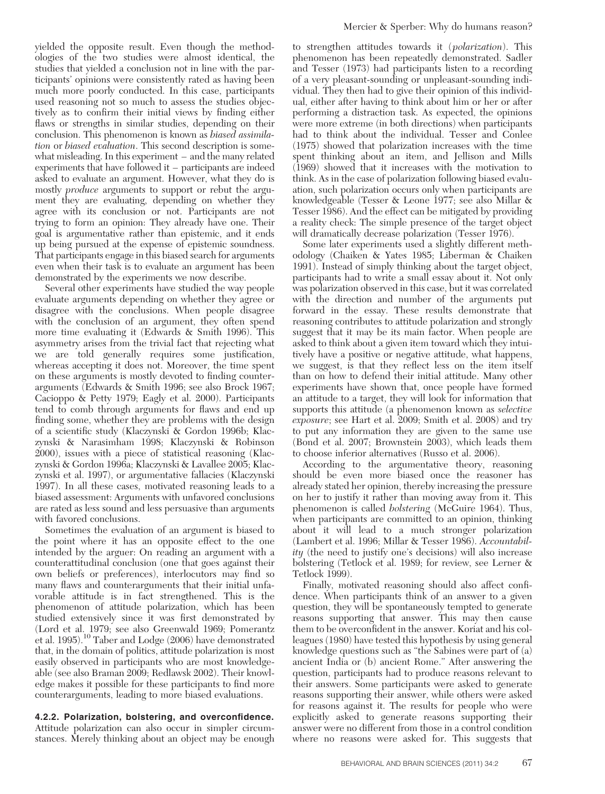yielded the opposite result. Even though the methodologies of the two studies were almost identical, the studies that yielded a conclusion not in line with the participants' opinions were consistently rated as having been much more poorly conducted. In this case, participants used reasoning not so much to assess the studies objectively as to confirm their initial views by finding either flaws or strengths in similar studies, depending on their conclusion. This phenomenon is known as biased assimilation or biased evaluation. This second description is somewhat misleading. In this experiment – and the many related experiments that have followed it – participants are indeed asked to evaluate an argument. However, what they do is mostly produce arguments to support or rebut the argument they are evaluating, depending on whether they agree with its conclusion or not. Participants are not trying to form an opinion: They already have one. Their goal is argumentative rather than epistemic, and it ends up being pursued at the expense of epistemic soundness. That participants engage in this biased search for arguments even when their task is to evaluate an argument has been demonstrated by the experiments we now describe.

Several other experiments have studied the way people evaluate arguments depending on whether they agree or disagree with the conclusions. When people disagree with the conclusion of an argument, they often spend more time evaluating it (Edwards & Smith 1996). This asymmetry arises from the trivial fact that rejecting what we are told generally requires some justification, whereas accepting it does not. Moreover, the time spent on these arguments is mostly devoted to finding counterarguments (Edwards & Smith 1996; see also Brock 1967; Cacioppo & Petty 1979; Eagly et al. 2000). Participants tend to comb through arguments for flaws and end up finding some, whether they are problems with the design of a scientific study (Klaczynski & Gordon 1996b; Klaczynski & Narasimham 1998; Klaczynski & Robinson 2000), issues with a piece of statistical reasoning (Klaczynski & Gordon 1996a; Klaczynski & Lavallee 2005; Klaczynski et al. 1997), or argumentative fallacies (Klaczynski 1997). In all these cases, motivated reasoning leads to a biased assessment: Arguments with unfavored conclusions are rated as less sound and less persuasive than arguments with favored conclusions.

Sometimes the evaluation of an argument is biased to the point where it has an opposite effect to the one intended by the arguer: On reading an argument with a counterattitudinal conclusion (one that goes against their own beliefs or preferences), interlocutors may find so many flaws and counterarguments that their initial unfavorable attitude is in fact strengthened. This is the phenomenon of attitude polarization, which has been studied extensively since it was first demonstrated by (Lord et al. 1979; see also Greenwald 1969; Pomerantz et al. 1995).<sup>10</sup> Taber and Lodge (2006) have demonstrated that, in the domain of politics, attitude polarization is most easily observed in participants who are most knowledgeable (see also Braman 2009; Redlawsk 2002). Their knowledge makes it possible for these participants to find more counterarguments, leading to more biased evaluations.

4.2.2. Polarization, bolstering, and overconfidence. Attitude polarization can also occur in simpler circumstances. Merely thinking about an object may be enough to strengthen attitudes towards it (polarization). This phenomenon has been repeatedly demonstrated. Sadler and Tesser (1973) had participants listen to a recording of a very pleasant-sounding or unpleasant-sounding individual. They then had to give their opinion of this individual, either after having to think about him or her or after performing a distraction task. As expected, the opinions were more extreme (in both directions) when participants had to think about the individual. Tesser and Conlee (1975) showed that polarization increases with the time spent thinking about an item, and Jellison and Mills (1969) showed that it increases with the motivation to think. As in the case of polarization following biased evaluation, such polarization occurs only when participants are knowledgeable (Tesser & Leone 1977; see also Millar & Tesser 1986). And the effect can be mitigated by providing a reality check: The simple presence of the target object will dramatically decrease polarization (Tesser 1976).

Some later experiments used a slightly different methodology (Chaiken & Yates 1985; Liberman & Chaiken 1991). Instead of simply thinking about the target object, participants had to write a small essay about it. Not only was polarization observed in this case, but it was correlated with the direction and number of the arguments put forward in the essay. These results demonstrate that reasoning contributes to attitude polarization and strongly suggest that it may be its main factor. When people are asked to think about a given item toward which they intuitively have a positive or negative attitude, what happens, we suggest, is that they reflect less on the item itself than on how to defend their initial attitude. Many other experiments have shown that, once people have formed an attitude to a target, they will look for information that supports this attitude (a phenomenon known as *selective* exposure; see Hart et al. 2009; Smith et al. 2008) and try to put any information they are given to the same use (Bond et al. 2007; Brownstein 2003), which leads them to choose inferior alternatives (Russo et al. 2006).

According to the argumentative theory, reasoning should be even more biased once the reasoner has already stated her opinion, thereby increasing the pressure on her to justify it rather than moving away from it. This phenomenon is called bolstering (McGuire 1964). Thus, when participants are committed to an opinion, thinking about it will lead to a much stronger polarization (Lambert et al. 1996; Millar & Tesser 1986). Accountability (the need to justify one's decisions) will also increase bolstering (Tetlock et al. 1989; for review, see Lerner & Tetlock 1999).

Finally, motivated reasoning should also affect confidence. When participants think of an answer to a given question, they will be spontaneously tempted to generate reasons supporting that answer. This may then cause them to be overconfident in the answer. Koriat and his colleagues (1980) have tested this hypothesis by using general knowledge questions such as "the Sabines were part of (a) ancient India or (b) ancient Rome." After answering the question, participants had to produce reasons relevant to their answers. Some participants were asked to generate reasons supporting their answer, while others were asked for reasons against it. The results for people who were explicitly asked to generate reasons supporting their answer were no different from those in a control condition where no reasons were asked for. This suggests that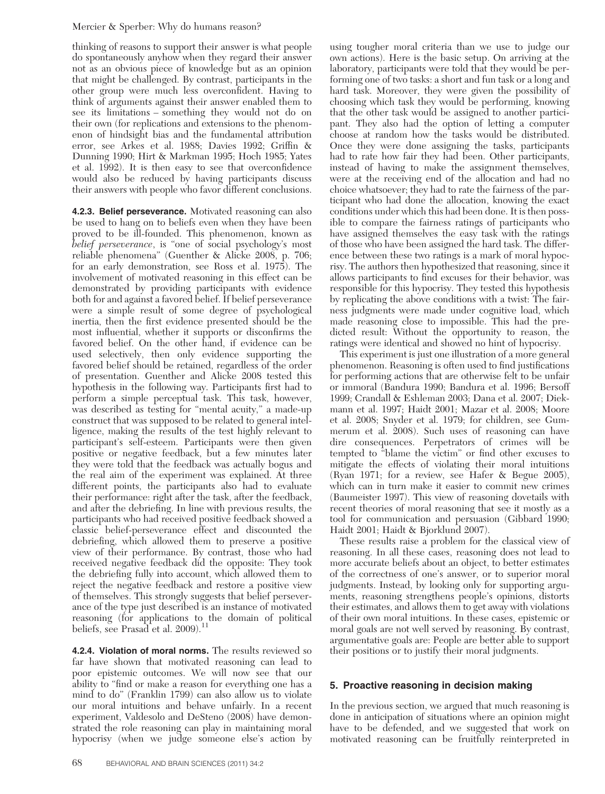thinking of reasons to support their answer is what people do spontaneously anyhow when they regard their answer not as an obvious piece of knowledge but as an opinion that might be challenged. By contrast, participants in the other group were much less overconfident. Having to think of arguments against their answer enabled them to see its limitations – something they would not do on their own (for replications and extensions to the phenomenon of hindsight bias and the fundamental attribution error, see Arkes et al. 1988; Davies 1992; Griffin & Dunning 1990; Hirt & Markman 1995; Hoch 1985; Yates et al. 1992). It is then easy to see that overconfidence would also be reduced by having participants discuss their answers with people who favor different conclusions.

**4.2.3. Belief perseverance.** Motivated reasoning can also be used to hang on to beliefs even when they have been proved to be ill-founded. This phenomenon, known as belief perseverance, is "one of social psychology's most reliable phenomena" (Guenther & Alicke 2008, p. 706; for an early demonstration, see Ross et al. 1975). The involvement of motivated reasoning in this effect can be demonstrated by providing participants with evidence both for and against a favored belief. If belief perseverance were a simple result of some degree of psychological inertia, then the first evidence presented should be the most influential, whether it supports or disconfirms the favored belief. On the other hand, if evidence can be used selectively, then only evidence supporting the favored belief should be retained, regardless of the order of presentation. Guenther and Alicke 2008 tested this hypothesis in the following way. Participants first had to perform a simple perceptual task. This task, however, was described as testing for "mental acuity," a made-up construct that was supposed to be related to general intelligence, making the results of the test highly relevant to participant's self-esteem. Participants were then given positive or negative feedback, but a few minutes later they were told that the feedback was actually bogus and the real aim of the experiment was explained. At three different points, the participants also had to evaluate their performance: right after the task, after the feedback, and after the debriefing. In line with previous results, the participants who had received positive feedback showed a classic belief-perseverance effect and discounted the debriefing, which allowed them to preserve a positive view of their performance. By contrast, those who had received negative feedback did the opposite: They took the debriefing fully into account, which allowed them to reject the negative feedback and restore a positive view of themselves. This strongly suggests that belief perseverance of the type just described is an instance of motivated reasoning (for applications to the domain of political beliefs, see Prasad et al.  $2009$ .<sup>11</sup>

4.2.4. Violation of moral norms. The results reviewed so far have shown that motivated reasoning can lead to poor epistemic outcomes. We will now see that our ability to "find or make a reason for everything one has a mind to do" (Franklin 1799) can also allow us to violate our moral intuitions and behave unfairly. In a recent experiment, Valdesolo and DeSteno (2008) have demonstrated the role reasoning can play in maintaining moral hypocrisy (when we judge someone else's action by

using tougher moral criteria than we use to judge our own actions). Here is the basic setup. On arriving at the laboratory, participants were told that they would be performing one of two tasks: a short and fun task or a long and hard task. Moreover, they were given the possibility of choosing which task they would be performing, knowing that the other task would be assigned to another participant. They also had the option of letting a computer choose at random how the tasks would be distributed. Once they were done assigning the tasks, participants had to rate how fair they had been. Other participants, instead of having to make the assignment themselves, were at the receiving end of the allocation and had no choice whatsoever; they had to rate the fairness of the participant who had done the allocation, knowing the exact conditions under which this had been done. It is then possible to compare the fairness ratings of participants who have assigned themselves the easy task with the ratings of those who have been assigned the hard task. The difference between these two ratings is a mark of moral hypocrisy. The authors then hypothesized that reasoning, since it allows participants to find excuses for their behavior, was responsible for this hypocrisy. They tested this hypothesis by replicating the above conditions with a twist: The fairness judgments were made under cognitive load, which made reasoning close to impossible. This had the predicted result: Without the opportunity to reason, the ratings were identical and showed no hint of hypocrisy.

This experiment is just one illustration of a more general phenomenon. Reasoning is often used to find justifications for performing actions that are otherwise felt to be unfair or immoral (Bandura 1990; Bandura et al. 1996; Bersoff 1999; Crandall & Eshleman 2003; Dana et al. 2007; Diekmann et al. 1997; Haidt 2001; Mazar et al. 2008; Moore et al. 2008; Snyder et al. 1979; for children, see Gummerum et al. 2008). Such uses of reasoning can have dire consequences. Perpetrators of crimes will be tempted to "blame the victim" or find other excuses to mitigate the effects of violating their moral intuitions (Ryan 1971; for a review, see Hafer & Begue 2005), which can in turn make it easier to commit new crimes (Baumeister 1997). This view of reasoning dovetails with recent theories of moral reasoning that see it mostly as a tool for communication and persuasion (Gibbard 1990; Haidt 2001; Haidt & Bjorklund 2007).

These results raise a problem for the classical view of reasoning. In all these cases, reasoning does not lead to more accurate beliefs about an object, to better estimates of the correctness of one's answer, or to superior moral judgments. Instead, by looking only for supporting arguments, reasoning strengthens people's opinions, distorts their estimates, and allows them to get away with violations of their own moral intuitions. In these cases, epistemic or moral goals are not well served by reasoning. By contrast, argumentative goals are: People are better able to support their positions or to justify their moral judgments.

## 5. Proactive reasoning in decision making

In the previous section, we argued that much reasoning is done in anticipation of situations where an opinion might have to be defended, and we suggested that work on motivated reasoning can be fruitfully reinterpreted in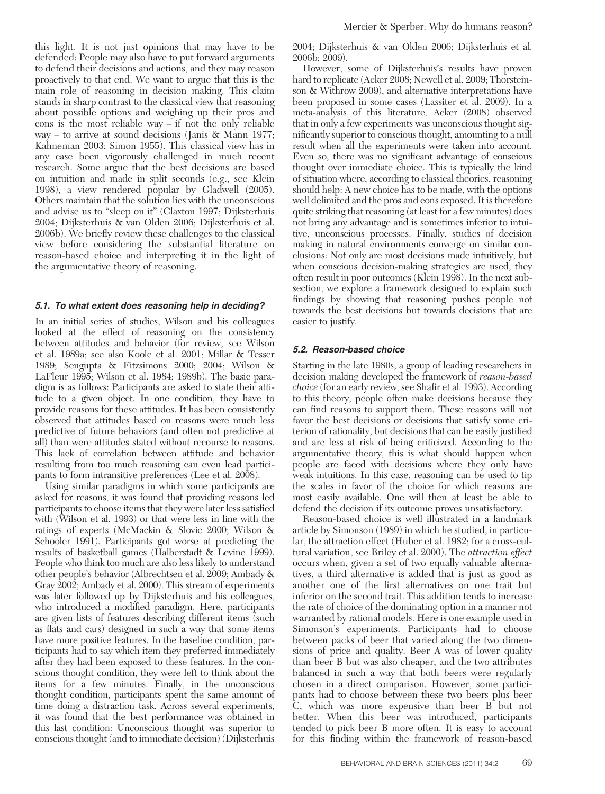this light. It is not just opinions that may have to be defended: People may also have to put forward arguments to defend their decisions and actions, and they may reason proactively to that end. We want to argue that this is the main role of reasoning in decision making. This claim stands in sharp contrast to the classical view that reasoning about possible options and weighing up their pros and cons is the most reliable way – if not the only reliable way – to arrive at sound decisions (Janis & Mann 1977; Kahneman 2003; Simon 1955). This classical view has in any case been vigorously challenged in much recent research. Some argue that the best decisions are based on intuition and made in split seconds (e.g., see Klein 1998), a view rendered popular by Gladwell (2005). Others maintain that the solution lies with the unconscious and advise us to "sleep on it" (Claxton 1997; Dijksterhuis 2004; Dijksterhuis & van Olden 2006; Dijksterhuis et al. 2006b). We briefly review these challenges to the classical view before considering the substantial literature on reason-based choice and interpreting it in the light of the argumentative theory of reasoning.

## 5.1. To what extent does reasoning help in deciding?

In an initial series of studies, Wilson and his colleagues looked at the effect of reasoning on the consistency between attitudes and behavior (for review, see Wilson et al. 1989a; see also Koole et al. 2001; Millar & Tesser 1989; Sengupta & Fitzsimons 2000; 2004; Wilson & LaFleur 1995; Wilson et al. 1984; 1989b). The basic paradigm is as follows: Participants are asked to state their attitude to a given object. In one condition, they have to provide reasons for these attitudes. It has been consistently observed that attitudes based on reasons were much less predictive of future behaviors (and often not predictive at all) than were attitudes stated without recourse to reasons. This lack of correlation between attitude and behavior resulting from too much reasoning can even lead participants to form intransitive preferences (Lee et al. 2008).

Using similar paradigms in which some participants are asked for reasons, it was found that providing reasons led participants to choose items that they were later less satisfied with (Wilson et al. 1993) or that were less in line with the ratings of experts (McMackin & Slovic 2000; Wilson & Schooler 1991). Participants got worse at predicting the results of basketball games (Halberstadt & Levine 1999). People who think too much are also less likely to understand other people's behavior (Albrechtsen et al. 2009; Ambady & Gray 2002; Ambady et al. 2000). This stream of experiments was later followed up by Dijksterhuis and his colleagues, who introduced a modified paradigm. Here, participants are given lists of features describing different items (such as flats and cars) designed in such a way that some items have more positive features. In the baseline condition, participants had to say which item they preferred immediately after they had been exposed to these features. In the conscious thought condition, they were left to think about the items for a few minutes. Finally, in the unconscious thought condition, participants spent the same amount of time doing a distraction task. Across several experiments, it was found that the best performance was obtained in this last condition: Unconscious thought was superior to conscious thought (and to immediate decision) (Dijksterhuis

2004; Dijksterhuis & van Olden 2006; Dijksterhuis et al. 2006b; 2009).

However, some of Dijksterhuis's results have proven hard to replicate (Acker 2008; Newell et al. 2009; Thorsteinson & Withrow 2009), and alternative interpretations have been proposed in some cases (Lassiter et al. 2009). In a meta-analysis of this literature, Acker (2008) observed that in only a few experiments was unconscious thought significantly superior to conscious thought, amounting to a null result when all the experiments were taken into account. Even so, there was no significant advantage of conscious thought over immediate choice. This is typically the kind of situation where, according to classical theories, reasoning should help: A new choice has to be made, with the options well delimited and the pros and cons exposed. It is therefore quite striking that reasoning (at least for a few minutes) does not bring any advantage and is sometimes inferior to intuitive, unconscious processes. Finally, studies of decision making in natural environments converge on similar conclusions: Not only are most decisions made intuitively, but when conscious decision-making strategies are used, they often result in poor outcomes (Klein 1998). In the next subsection, we explore a framework designed to explain such findings by showing that reasoning pushes people not towards the best decisions but towards decisions that are easier to justify.

#### 5.2. Reason-based choice

Starting in the late 1980s, a group of leading researchers in decision making developed the framework of reason-based choice (for an early review, see Shafir et al. 1993). According to this theory, people often make decisions because they can find reasons to support them. These reasons will not favor the best decisions or decisions that satisfy some criterion of rationality, but decisions that can be easily justified and are less at risk of being criticized. According to the argumentative theory, this is what should happen when people are faced with decisions where they only have weak intuitions. In this case, reasoning can be used to tip the scales in favor of the choice for which reasons are most easily available. One will then at least be able to defend the decision if its outcome proves unsatisfactory.

Reason-based choice is well illustrated in a landmark article by Simonson (1989) in which he studied, in particular, the attraction effect (Huber et al. 1982; for a cross-cultural variation, see Briley et al. 2000). The attraction effect occurs when, given a set of two equally valuable alternatives, a third alternative is added that is just as good as another one of the first alternatives on one trait but inferior on the second trait. This addition tends to increase the rate of choice of the dominating option in a manner not warranted by rational models. Here is one example used in Simonson's experiments. Participants had to choose between packs of beer that varied along the two dimensions of price and quality. Beer A was of lower quality than beer B but was also cheaper, and the two attributes balanced in such a way that both beers were regularly chosen in a direct comparison. However, some participants had to choose between these two beers plus beer C, which was more expensive than beer B but not better. When this beer was introduced, participants tended to pick beer B more often. It is easy to account for this finding within the framework of reason-based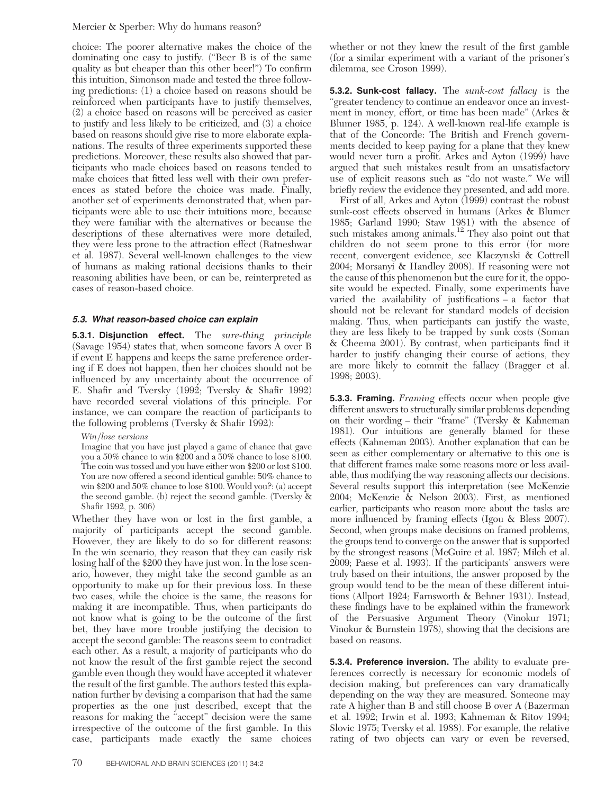choice: The poorer alternative makes the choice of the dominating one easy to justify. ("Beer B is of the same quality as but cheaper than this other beer!") To confirm this intuition, Simonson made and tested the three following predictions: (1) a choice based on reasons should be reinforced when participants have to justify themselves, (2) a choice based on reasons will be perceived as easier to justify and less likely to be criticized, and (3) a choice based on reasons should give rise to more elaborate explanations. The results of three experiments supported these predictions. Moreover, these results also showed that participants who made choices based on reasons tended to make choices that fitted less well with their own preferences as stated before the choice was made. Finally, another set of experiments demonstrated that, when participants were able to use their intuitions more, because they were familiar with the alternatives or because the descriptions of these alternatives were more detailed, they were less prone to the attraction effect (Ratneshwar et al. 1987). Several well-known challenges to the view of humans as making rational decisions thanks to their reasoning abilities have been, or can be, reinterpreted as cases of reason-based choice.

## 5.3. What reason-based choice can explain

**5.3.1. Disjunction effect.** The sure-thing principle (Savage 1954) states that, when someone favors A over B if event E happens and keeps the same preference ordering if E does not happen, then her choices should not be influenced by any uncertainty about the occurrence of E. Shafir and Tversky (1992; Tversky & Shafir 1992) have recorded several violations of this principle. For instance, we can compare the reaction of participants to the following problems (Tversky & Shafir 1992):

Win/lose versions

Imagine that you have just played a game of chance that gave you a 50% chance to win \$200 and a 50% chance to lose \$100. The coin was tossed and you have either won \$200 or lost \$100. You are now offered a second identical gamble: 50% chance to win \$200 and 50% chance to lose \$100. Would you?: (a) accept the second gamble. (b) reject the second gamble. (Tversky & Shafir 1992, p. 306)

Whether they have won or lost in the first gamble, a majority of participants accept the second gamble. However, they are likely to do so for different reasons: In the win scenario, they reason that they can easily risk losing half of the \$200 they have just won. In the lose scenario, however, they might take the second gamble as an opportunity to make up for their previous loss. In these two cases, while the choice is the same, the reasons for making it are incompatible. Thus, when participants do not know what is going to be the outcome of the first bet, they have more trouble justifying the decision to accept the second gamble: The reasons seem to contradict each other. As a result, a majority of participants who do not know the result of the first gamble reject the second gamble even though they would have accepted it whatever the result of the first gamble. The authors tested this explanation further by devising a comparison that had the same properties as the one just described, except that the reasons for making the "accept" decision were the same irrespective of the outcome of the first gamble. In this case, participants made exactly the same choices

whether or not they knew the result of the first gamble (for a similar experiment with a variant of the prisoner's dilemma, see Croson 1999).

5.3.2. Sunk-cost fallacy. The sunk-cost fallacy is the "greater tendency to continue an endeavor once an investment in money, effort, or time has been made" (Arkes & Blumer 1985, p. 124). A well-known real-life example is that of the Concorde: The British and French governments decided to keep paying for a plane that they knew would never turn a profit. Arkes and Ayton (1999) have argued that such mistakes result from an unsatisfactory use of explicit reasons such as "do not waste." We will briefly review the evidence they presented, and add more.

First of all, Arkes and Ayton (1999) contrast the robust sunk-cost effects observed in humans (Arkes & Blumer 1985; Garland 1990; Staw 1981) with the absence of such mistakes among animals.<sup>12</sup> They also point out that children do not seem prone to this error (for more recent, convergent evidence, see Klaczynski & Cottrell 2004; Morsanyi & Handley 2008). If reasoning were not the cause of this phenomenon but the cure for it, the opposite would be expected. Finally, some experiments have varied the availability of justifications – a factor that should not be relevant for standard models of decision making. Thus, when participants can justify the waste, they are less likely to be trapped by sunk costs (Soman & Cheema 2001). By contrast, when participants find it harder to justify changing their course of actions, they are more likely to commit the fallacy (Bragger et al. 1998; 2003).

**5.3.3. Framing.** Framing effects occur when people give different answers to structurally similar problems depending on their wording – their "frame" (Tversky & Kahneman 1981). Our intuitions are generally blamed for these effects (Kahneman 2003). Another explanation that can be seen as either complementary or alternative to this one is that different frames make some reasons more or less available, thus modifying the way reasoning affects our decisions. Several results support this interpretation (see McKenzie 2004; McKenzie & Nelson 2003). First, as mentioned earlier, participants who reason more about the tasks are more influenced by framing effects (Igou & Bless 2007). Second, when groups make decisions on framed problems, the groups tend to converge on the answer that is supported by the strongest reasons (McGuire et al. 1987; Milch et al. 2009; Paese et al. 1993). If the participants' answers were truly based on their intuitions, the answer proposed by the group would tend to be the mean of these different intuitions (Allport 1924; Farnsworth & Behner 1931). Instead, these findings have to be explained within the framework of the Persuasive Argument Theory (Vinokur 1971; Vinokur & Burnstein 1978), showing that the decisions are based on reasons.

**5.3.4. Preference inversion.** The ability to evaluate preferences correctly is necessary for economic models of decision making, but preferences can vary dramatically depending on the way they are measured. Someone may rate A higher than B and still choose B over A (Bazerman et al. 1992; Irwin et al. 1993; Kahneman & Ritov 1994; Slovic 1975; Tversky et al. 1988). For example, the relative rating of two objects can vary or even be reversed,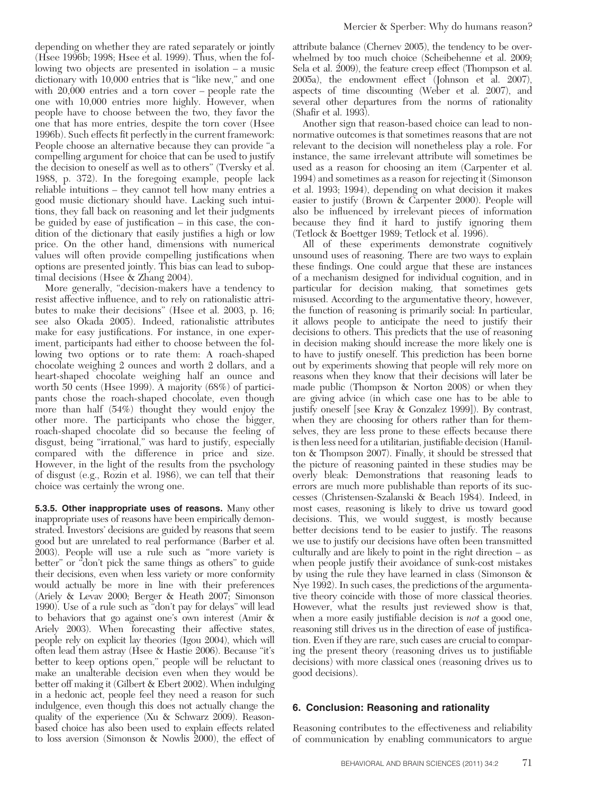depending on whether they are rated separately or jointly (Hsee 1996b; 1998; Hsee et al. 1999). Thus, when the following two objects are presented in isolation – a music dictionary with 10,000 entries that is "like new," and one with 20,000 entries and a torn cover – people rate the one with 10,000 entries more highly. However, when people have to choose between the two, they favor the one that has more entries, despite the torn cover (Hsee 1996b). Such effects fit perfectly in the current framework: People choose an alternative because they can provide "a compelling argument for choice that can be used to justify the decision to oneself as well as to others" (Tversky et al. 1988, p. 372). In the foregoing example, people lack reliable intuitions – they cannot tell how many entries a good music dictionary should have. Lacking such intuitions, they fall back on reasoning and let their judgments be guided by ease of justification – in this case, the condition of the dictionary that easily justifies a high or low price. On the other hand, dimensions with numerical values will often provide compelling justifications when options are presented jointly. This bias can lead to suboptimal decisions (Hsee & Zhang 2004).

More generally, "decision-makers have a tendency to resist affective influence, and to rely on rationalistic attributes to make their decisions" (Hsee et al. 2003, p. 16; see also Okada 2005). Indeed, rationalistic attributes make for easy justifications. For instance, in one experiment, participants had either to choose between the following two options or to rate them: A roach-shaped chocolate weighing 2 ounces and worth 2 dollars, and a heart-shaped chocolate weighing half an ounce and worth 50 cents (Hsee 1999). A majority (68%) of participants chose the roach-shaped chocolate, even though more than half (54%) thought they would enjoy the other more. The participants who chose the bigger, roach-shaped chocolate did so because the feeling of disgust, being "irrational," was hard to justify, especially compared with the difference in price and size. However, in the light of the results from the psychology of disgust (e.g., Rozin et al. 1986), we can tell that their choice was certainly the wrong one.

5.3.5. Other inappropriate uses of reasons. Many other inappropriate uses of reasons have been empirically demonstrated. Investors' decisions are guided by reasons that seem good but are unrelated to real performance (Barber et al. 2003). People will use a rule such as "more variety is better" or "don't pick the same things as others" to guide their decisions, even when less variety or more conformity would actually be more in line with their preferences (Ariely & Levav 2000; Berger & Heath 2007; Simonson 1990). Use of a rule such as "don't pay for delays" will lead to behaviors that go against one's own interest (Amir & Ariely 2003). When forecasting their affective states, people rely on explicit lay theories (Igou 2004), which will often lead them astray (Hsee & Hastie 2006). Because "it's better to keep options open," people will be reluctant to make an unalterable decision even when they would be better off making it (Gilbert & Ebert 2002). When indulging in a hedonic act, people feel they need a reason for such indulgence, even though this does not actually change the quality of the experience (Xu & Schwarz 2009). Reasonbased choice has also been used to explain effects related to loss aversion (Simonson & Nowlis 2000), the effect of

attribute balance (Chernev 2005), the tendency to be overwhelmed by too much choice (Scheibehenne et al. 2009; Sela et al. 2009), the feature creep effect (Thompson et al. 2005a), the endowment effect (Johnson et al. 2007), aspects of time discounting (Weber et al. 2007), and several other departures from the norms of rationality (Shafir et al. 1993).

Another sign that reason-based choice can lead to nonnormative outcomes is that sometimes reasons that are not relevant to the decision will nonetheless play a role. For instance, the same irrelevant attribute will sometimes be used as a reason for choosing an item (Carpenter et al. 1994) and sometimes as a reason for rejecting it (Simonson et al. 1993; 1994), depending on what decision it makes easier to justify (Brown & Carpenter 2000). People will also be influenced by irrelevant pieces of information because they find it hard to justify ignoring them (Tetlock & Boettger 1989; Tetlock et al. 1996).

All of these experiments demonstrate cognitively unsound uses of reasoning. There are two ways to explain these findings. One could argue that these are instances of a mechanism designed for individual cognition, and in particular for decision making, that sometimes gets misused. According to the argumentative theory, however, the function of reasoning is primarily social: In particular, it allows people to anticipate the need to justify their decisions to others. This predicts that the use of reasoning in decision making should increase the more likely one is to have to justify oneself. This prediction has been borne out by experiments showing that people will rely more on reasons when they know that their decisions will later be made public (Thompson & Norton 2008) or when they are giving advice (in which case one has to be able to justify oneself [see Kray & Gonzalez 1999]). By contrast, when they are choosing for others rather than for themselves, they are less prone to these effects because there is then less need for a utilitarian, justifiable decision (Hamilton & Thompson 2007). Finally, it should be stressed that the picture of reasoning painted in these studies may be overly bleak: Demonstrations that reasoning leads to errors are much more publishable than reports of its successes (Christensen-Szalanski & Beach 1984). Indeed, in most cases, reasoning is likely to drive us toward good decisions. This, we would suggest, is mostly because better decisions tend to be easier to justify. The reasons we use to justify our decisions have often been transmitted culturally and are likely to point in the right direction – as when people justify their avoidance of sunk-cost mistakes by using the rule they have learned in class (Simonson & Nye 1992). In such cases, the predictions of the argumentative theory coincide with those of more classical theories. However, what the results just reviewed show is that, when a more easily justifiable decision is *not* a good one, reasoning still drives us in the direction of ease of justification. Even if they are rare, such cases are crucial to comparing the present theory (reasoning drives us to justifiable decisions) with more classical ones (reasoning drives us to good decisions).

## 6. Conclusion: Reasoning and rationality

Reasoning contributes to the effectiveness and reliability of communication by enabling communicators to argue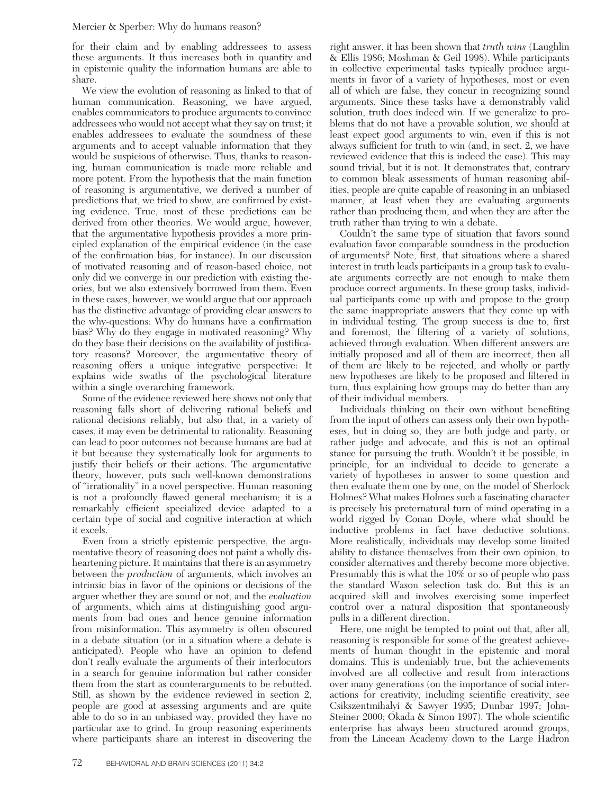for their claim and by enabling addressees to assess these arguments. It thus increases both in quantity and in epistemic quality the information humans are able to share.

We view the evolution of reasoning as linked to that of human communication. Reasoning, we have argued, enables communicators to produce arguments to convince addressees who would not accept what they say on trust; it enables addressees to evaluate the soundness of these arguments and to accept valuable information that they would be suspicious of otherwise. Thus, thanks to reasoning, human communication is made more reliable and more potent. From the hypothesis that the main function of reasoning is argumentative, we derived a number of predictions that, we tried to show, are confirmed by existing evidence. True, most of these predictions can be derived from other theories. We would argue, however, that the argumentative hypothesis provides a more principled explanation of the empirical evidence (in the case of the confirmation bias, for instance). In our discussion of motivated reasoning and of reason-based choice, not only did we converge in our prediction with existing theories, but we also extensively borrowed from them. Even in these cases, however, we would argue that our approach has the distinctive advantage of providing clear answers to the why-questions: Why do humans have a confirmation bias? Why do they engage in motivated reasoning? Why do they base their decisions on the availability of justificatory reasons? Moreover, the argumentative theory of reasoning offers a unique integrative perspective: It explains wide swaths of the psychological literature within a single overarching framework.

Some of the evidence reviewed here shows not only that reasoning falls short of delivering rational beliefs and rational decisions reliably, but also that, in a variety of cases, it may even be detrimental to rationality. Reasoning can lead to poor outcomes not because humans are bad at it but because they systematically look for arguments to justify their beliefs or their actions. The argumentative theory, however, puts such well-known demonstrations of "irrationality" in a novel perspective. Human reasoning is not a profoundly flawed general mechanism; it is a remarkably efficient specialized device adapted to a certain type of social and cognitive interaction at which it excels.

Even from a strictly epistemic perspective, the argumentative theory of reasoning does not paint a wholly disheartening picture. It maintains that there is an asymmetry between the *production* of arguments, which involves an intrinsic bias in favor of the opinions or decisions of the arguer whether they are sound or not, and the *evaluation* of arguments, which aims at distinguishing good arguments from bad ones and hence genuine information from misinformation. This asymmetry is often obscured in a debate situation (or in a situation where a debate is anticipated). People who have an opinion to defend don't really evaluate the arguments of their interlocutors in a search for genuine information but rather consider them from the start as counterarguments to be rebutted. Still, as shown by the evidence reviewed in section 2, people are good at assessing arguments and are quite able to do so in an unbiased way, provided they have no particular axe to grind. In group reasoning experiments where participants share an interest in discovering the

right answer, it has been shown that *truth wins* (Laughlin & Ellis 1986; Moshman & Geil 1998). While participants in collective experimental tasks typically produce arguments in favor of a variety of hypotheses, most or even all of which are false, they concur in recognizing sound arguments. Since these tasks have a demonstrably valid solution, truth does indeed win. If we generalize to problems that do not have a provable solution, we should at least expect good arguments to win, even if this is not always sufficient for truth to win (and, in sect. 2, we have reviewed evidence that this is indeed the case). This may sound trivial, but it is not. It demonstrates that, contrary to common bleak assessments of human reasoning abilities, people are quite capable of reasoning in an unbiased manner, at least when they are evaluating arguments rather than producing them, and when they are after the truth rather than trying to win a debate.

Couldn't the same type of situation that favors sound evaluation favor comparable soundness in the production of arguments? Note, first, that situations where a shared interest in truth leads participants in a group task to evaluate arguments correctly are not enough to make them produce correct arguments. In these group tasks, individual participants come up with and propose to the group the same inappropriate answers that they come up with in individual testing. The group success is due to, first and foremost, the filtering of a variety of solutions, achieved through evaluation. When different answers are initially proposed and all of them are incorrect, then all of them are likely to be rejected, and wholly or partly new hypotheses are likely to be proposed and filtered in turn, thus explaining how groups may do better than any of their individual members.

Individuals thinking on their own without benefiting from the input of others can assess only their own hypotheses, but in doing so, they are both judge and party, or rather judge and advocate, and this is not an optimal stance for pursuing the truth. Wouldn't it be possible, in principle, for an individual to decide to generate a variety of hypotheses in answer to some question and then evaluate them one by one, on the model of Sherlock Holmes? What makes Holmes such a fascinating character is precisely his preternatural turn of mind operating in a world rigged by Conan Doyle, where what should be inductive problems in fact have deductive solutions. More realistically, individuals may develop some limited ability to distance themselves from their own opinion, to consider alternatives and thereby become more objective. Presumably this is what the 10% or so of people who pass the standard Wason selection task do. But this is an acquired skill and involves exercising some imperfect control over a natural disposition that spontaneously pulls in a different direction.

Here, one might be tempted to point out that, after all, reasoning is responsible for some of the greatest achievements of human thought in the epistemic and moral domains. This is undeniably true, but the achievements involved are all collective and result from interactions over many generations (on the importance of social interactions for creativity, including scientific creativity, see Csikszentmihalyi & Sawyer 1995; Dunbar 1997; John-Steiner 2000; Okada & Simon 1997). The whole scientific enterprise has always been structured around groups, from the Lincean Academy down to the Large Hadron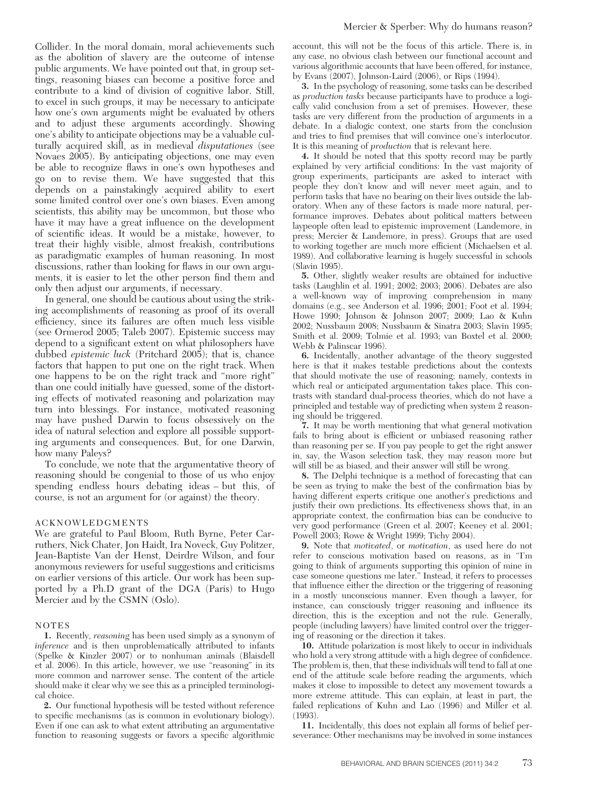Collider. In the moral domain, moral achievements such as the abolition of slavery are the outcome of intense public arguments. We have pointed out that, in group settings, reasoning biases can become a positive force and contribute to a kind of division of cognitive labor. Still, to excel in such groups, it may be necessary to anticipate how one's own arguments might be evaluated by others and to adjust these arguments accordingly. Showing one's ability to anticipate objections may be a valuable culturally acquired skill, as in medieval disputationes (see Novaes 2005). By anticipating objections, one may even be able to recognize flaws in one's own hypotheses and go on to revise them. We have suggested that this depends on a painstakingly acquired ability to exert some limited control over one's own biases. Even among scientists, this ability may be uncommon, but those who have it may have a great influence on the development of scientific ideas. It would be a mistake, however, to treat their highly visible, almost freakish, contributions as paradigmatic examples of human reasoning. In most discussions, rather than looking for flaws in our own arguments, it is easier to let the other person find them and only then adjust our arguments, if necessary.

In general, one should be cautious about using the striking accomplishments of reasoning as proof of its overall efficiency, since its failures are often much less visible (see Ormerod 2005; Taleb 2007). Epistemic success may depend to a significant extent on what philosophers have dubbed epistemic luck (Pritchard 2005); that is, chance factors that happen to put one on the right track. When one happens to be on the right track and "more right" than one could initially have guessed, some of the distorting effects of motivated reasoning and polarization may turn into blessings. For instance, motivated reasoning may have pushed Darwin to focus obsessively on the idea of natural selection and explore all possible supporting arguments and consequences. But, for one Darwin, how many Paleys?

To conclude, we note that the argumentative theory of reasoning should be congenial to those of us who enjoy spending endless hours debating ideas – but this, of course, is not an argument for (or against) the theory.

#### ACKNOWLEDGMENTS

We are grateful to Paul Bloom, Ruth Byrne, Peter Carruthers, Nick Chater, Jon Haidt, Ira Noveck, Guy Politzer, Jean-Baptiste Van der Henst, Deirdre Wilson, and four anonymous reviewers for useful suggestions and criticisms on earlier versions of this article. Our work has been supported by a Ph.D grant of the DGA (Paris) to Hugo Mercier and by the CSMN (Oslo).

#### NOTES

1. Recently, reasoning has been used simply as a synonym of inference and is then unproblematically attributed to infants (Spelke & Kinzler 2007) or to nonhuman animals (Blaisdell et al. 2006). In this article, however, we use "reasoning" in its more common and narrower sense. The content of the article should make it clear why we see this as a principled terminological choice.

2. Our functional hypothesis will be tested without reference to specific mechanisms (as is common in evolutionary biology). Even if one can ask to what extent attributing an argumentative function to reasoning suggests or favors a specific algorithmic account, this will not be the focus of this article. There is, in any case, no obvious clash between our functional account and various algorithmic accounts that have been offered, for instance, by Evans (2007), Johnson-Laird (2006), or Rips (1994).

3. In the psychology of reasoning, some tasks can be described as production tasks because participants have to produce a logically valid conclusion from a set of premises. However, these tasks are very different from the production of arguments in a debate. In a dialogic context, one starts from the conclusion and tries to find premises that will convince one's interlocutor. It is this meaning of production that is relevant here.

4. It should be noted that this spotty record may be partly explained by very artificial conditions: In the vast majority of group experiments, participants are asked to interact with people they don't know and will never meet again, and to perform tasks that have no bearing on their lives outside the laboratory. When any of these factors is made more natural, performance improves. Debates about political matters between laypeople often lead to epistemic improvement (Landemore, in press; Mercier & Landemore, in press). Groups that are used to working together are much more efficient (Michaelsen et al. 1989). And collaborative learning is hugely successful in schools (Slavin 1995).

5. Other, slightly weaker results are obtained for inductive tasks (Laughlin et al. 1991; 2002; 2003; 2006). Debates are also a well-known way of improving comprehension in many domains (e.g., see Anderson et al. 1996; 2001; Foot et al. 1994; Howe 1990; Johnson & Johnson 2007; 2009; Lao & Kuhn 2002; Nussbaum 2008; Nussbaum & Sinatra 2003; Slavin 1995; Smith et al. 2009; Tolmie et al. 1993; van Boxtel et al. 2000; Webb & Palinscar 1996).

6. Incidentally, another advantage of the theory suggested here is that it makes testable predictions about the contexts that should motivate the use of reasoning; namely, contexts in which real or anticipated argumentation takes place. This contrasts with standard dual-process theories, which do not have a principled and testable way of predicting when system 2 reasoning should be triggered.

7. It may be worth mentioning that what general motivation fails to bring about is efficient or unbiased reasoning rather than reasoning per se. If you pay people to get the right answer in, say, the Wason selection task, they may reason more but will still be as biased, and their answer will still be wrong.

8. The Delphi technique is a method of forecasting that can be seen as trying to make the best of the confirmation bias by having different experts critique one another's predictions and justify their own predictions. Its effectiveness shows that, in an appropriate context, the confirmation bias can be conducive to very good performance (Green et al. 2007; Keeney et al. 2001; Powell 2003; Rowe & Wright 1999; Tichy 2004).

**9.** Note that *motivated*, or *motivation*, as used here do not refer to conscious motivation based on reasons, as in "I'm going to think of arguments supporting this opinion of mine in case someone questions me later." Instead, it refers to processes that influence either the direction or the triggering of reasoning in a mostly unconscious manner. Even though a lawyer, for instance, can consciously trigger reasoning and influence its direction, this is the exception and not the rule. Generally, people (including lawyers) have limited control over the triggering of reasoning or the direction it takes.

10. Attitude polarization is most likely to occur in individuals who hold a very strong attitude with a high degree of confidence. The problem is, then, that these individuals will tend to fall at one end of the attitude scale before reading the arguments, which makes it close to impossible to detect any movement towards a more extreme attitude. This can explain, at least in part, the failed replications of Kuhn and Lao (1996) and Miller et al. (1993).

11. Incidentally, this does not explain all forms of belief perseverance: Other mechanisms may be involved in some instances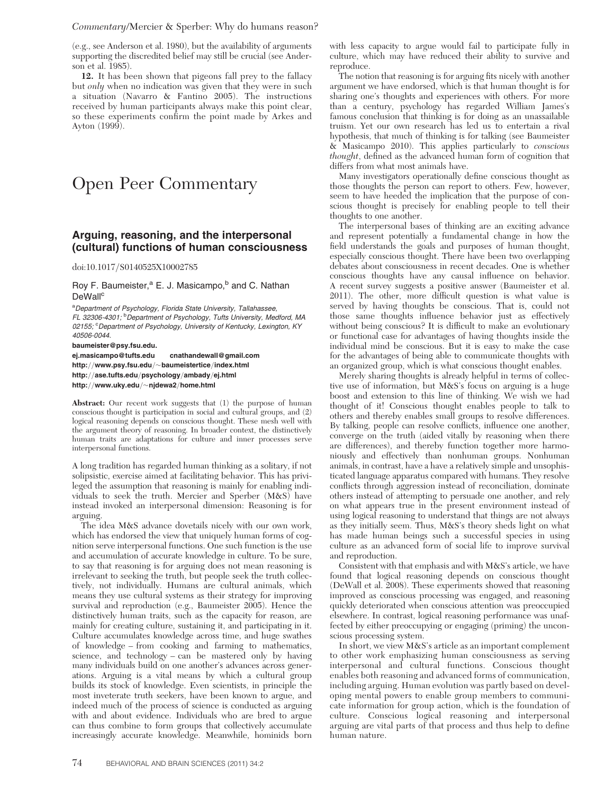Commentary/Mercier & Sperber: Why do humans reason?

(e.g., see Anderson et al. 1980), but the availability of arguments supporting the discredited belief may still be crucial (see Anderson et al. 1985).

12. It has been shown that pigeons fall prey to the fallacy but *only* when no indication was given that they were in such a situation (Navarro & Fantino 2005). The instructions received by human participants always make this point clear, so these experiments confirm the point made by Arkes and Ayton (1999).

## Open Peer Commentary

## Arguing, reasoning, and the interpersonal (cultural) functions of human consciousness

doi:10.1017/S0140525X10002785

Roy F. Baumeister, $^a$  E. J. Masicampo, $^b$  and C. Nathan DeWall<sup>c</sup>

aDepartment of Psychology, Florida State University, Tallahassee, FL 32306-4301; <sup>b</sup>Department of Psychology, Tufts University, Medford, MA 02155; °Department of Psychology, University of Kentucky, Lexington, KY 40506-0044.

baumeister@psy.fsu.edu. ej.masicampo@tufts.edu cnathandewall@gmail.com http://www.psy.fsu.edu/ $\sim$ baumeistertice/index.html http://ase.tufts.edu/psychology/ambady/ej.html http://www.uky.edu/-njdewa2/home.html

Abstract: Our recent work suggests that (1) the purpose of human conscious thought is participation in social and cultural groups, and (2) logical reasoning depends on conscious thought. These mesh well with the argument theory of reasoning. In broader context, the distinctively human traits are adaptations for culture and inner processes serve interpersonal functions.

A long tradition has regarded human thinking as a solitary, if not solipsistic, exercise aimed at facilitating behavior. This has privileged the assumption that reasoning is mainly for enabling individuals to seek the truth. Mercier and Sperber  $(M&S)$  have instead invoked an interpersonal dimension: Reasoning is for arguing.

The idea M&S advance dovetails nicely with our own work, which has endorsed the view that uniquely human forms of cognition serve interpersonal functions. One such function is the use and accumulation of accurate knowledge in culture. To be sure, to say that reasoning is for arguing does not mean reasoning is irrelevant to seeking the truth, but people seek the truth collectively, not individually. Humans are cultural animals, which means they use cultural systems as their strategy for improving survival and reproduction (e.g., Baumeister 2005). Hence the distinctively human traits, such as the capacity for reason, are mainly for creating culture, sustaining it, and participating in it. Culture accumulates knowledge across time, and huge swathes of knowledge – from cooking and farming to mathematics, science, and technology – can be mastered only by having many individuals build on one another's advances across generations. Arguing is a vital means by which a cultural group builds its stock of knowledge. Even scientists, in principle the most inveterate truth seekers, have been known to argue, and indeed much of the process of science is conducted as arguing with and about evidence. Individuals who are bred to argue can thus combine to form groups that collectively accumulate increasingly accurate knowledge. Meanwhile, hominids born

with less capacity to argue would fail to participate fully in culture, which may have reduced their ability to survive and reproduce.

The notion that reasoning is for arguing fits nicely with another argument we have endorsed, which is that human thought is for sharing one's thoughts and experiences with others. For more than a century, psychology has regarded William James's famous conclusion that thinking is for doing as an unassailable truism. Yet our own research has led us to entertain a rival hypothesis, that much of thinking is for talking (see Baumeister & Masicampo 2010). This applies particularly to conscious thought, defined as the advanced human form of cognition that differs from what most animals have.

Many investigators operationally define conscious thought as those thoughts the person can report to others. Few, however, seem to have heeded the implication that the purpose of conscious thought is precisely for enabling people to tell their thoughts to one another.

The interpersonal bases of thinking are an exciting advance and represent potentially a fundamental change in how the field understands the goals and purposes of human thought, especially conscious thought. There have been two overlapping debates about consciousness in recent decades. One is whether conscious thoughts have any causal influence on behavior. A recent survey suggests a positive answer (Baumeister et al. 2011). The other, more difficult question is what value is served by having thoughts be conscious. That is, could not those same thoughts influence behavior just as effectively without being conscious? It is difficult to make an evolutionary or functional case for advantages of having thoughts inside the individual mind be conscious. But it is easy to make the case for the advantages of being able to communicate thoughts with an organized group, which is what conscious thought enables.

Merely sharing thoughts is already helpful in terms of collective use of information, but M&S's focus on arguing is a huge boost and extension to this line of thinking. We wish we had thought of it! Conscious thought enables people to talk to others and thereby enables small groups to resolve differences. By talking, people can resolve conflicts, influence one another, converge on the truth (aided vitally by reasoning when there are differences), and thereby function together more harmoniously and effectively than nonhuman groups. Nonhuman animals, in contrast, have a have a relatively simple and unsophisticated language apparatus compared with humans. They resolve conflicts through aggression instead of reconciliation, dominate others instead of attempting to persuade one another, and rely on what appears true in the present environment instead of using logical reasoning to understand that things are not always as they initially seem. Thus, M&S's theory sheds light on what has made human beings such a successful species in using culture as an advanced form of social life to improve survival and reproduction.

Consistent with that emphasis and with M&S's article, we have found that logical reasoning depends on conscious thought (DeWall et al. 2008). These experiments showed that reasoning improved as conscious processing was engaged, and reasoning quickly deteriorated when conscious attention was preoccupied elsewhere. In contrast, logical reasoning performance was unaffected by either preoccupying or engaging (priming) the unconscious processing system.

In short, we view M&S's article as an important complement to other work emphasizing human consciousness as serving interpersonal and cultural functions. Conscious thought enables both reasoning and advanced forms of communication, including arguing. Human evolution was partly based on developing mental powers to enable group members to communicate information for group action, which is the foundation of culture. Conscious logical reasoning and interpersonal arguing are vital parts of that process and thus help to define human nature.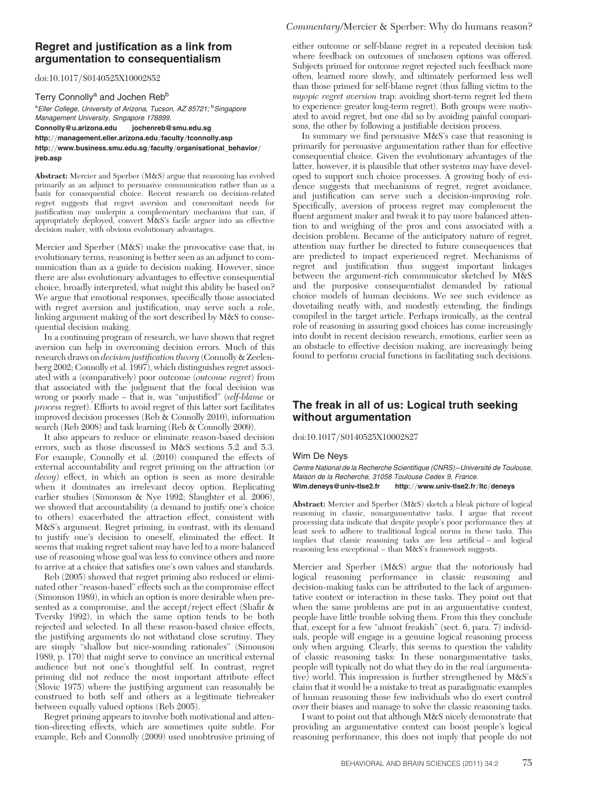## Regret and justification as a link from argumentation to consequentialism

doi:10.1017/S0140525X10002852

#### Terry Connolly<sup>a</sup> and Jochen Reb<sup>b</sup>

<sup>a</sup> Eller College, University of Arizona, Tucson, AZ 85721; <sup>b</sup>Singapore Management University, Singapore 178899.

Connolly@u.arizona.edu jochenreb@smu.edu.sg http://management.eller.arizona.edu/faculty/tconnolly.asp http://www.business.smu.edu.sg/faculty/organisational\_behavior/ jreb.asp

Abstract: Mercier and Sperber (M&S) argue that reasoning has evolved primarily as an adjunct to persuasive communication rather than as a basis for consequential choice. Recent research on decision-related regret suggests that regret aversion and concomitant needs for justification may underpin a complementary mechanism that can, if appropriately deployed, convert M&S's facile arguer into an effective decision maker, with obvious evolutionary advantages.

Mercier and Sperber (M&S) make the provocative case that, in evolutionary terms, reasoning is better seen as an adjunct to communication than as a guide to decision making. However, since there are also evolutionary advantages to effective consequential choice, broadly interpreted, what might this ability be based on? We argue that emotional responses, specifically those associated with regret aversion and justification, may serve such a role, linking argument making of the sort described by M&S to consequential decision making.

In a continuing program of research, we have shown that regret aversion can help in overcoming decision errors. Much of this research draws on decision justification theory (Connolly & Zeelenberg 2002; Connolly et al. 1997), which distinguishes regret associated with a (comparatively) poor outcome (outcome regret) from that associated with the judgment that the focal decision was wrong or poorly made – that is, was "unjustified" (self-blame or process regret). Efforts to avoid regret of this latter sort facilitates improved decision processes (Reb & Connolly 2010), information search (Reb 2008) and task learning (Reb & Connolly 2009).

It also appears to reduce or eliminate reason-based decision errors, such as those discussed in M&S sections 5.2 and 5.3. For example, Connolly et al. (2010) compared the effects of external accountability and regret priming on the attraction (or decoy) effect, in which an option is seen as more desirable when it dominates an irrelevant decoy option. Replicating earlier studies (Simonson & Nye 1992; Slaughter et al. 2006), we showed that accountability (a demand to justify one's choice to others) exacerbated the attraction effect, consistent with M&S's argument. Regret priming, in contrast, with its demand to justify one's decision to oneself, eliminated the effect. It seems that making regret salient may have led to a more balanced use of reasoning whose goal was less to convince others and more to arrive at a choice that satisfies one's own values and standards.

Reb (2005) showed that regret priming also reduced or eliminated other "reason-based" effects such as the compromise effect (Simonson 1989), in which an option is more desirable when presented as a compromise, and the accept/reject effect (Shafir & Tversky 1992), in which the same option tends to be both rejected and selected. In all these reason-based choice effects, the justifying arguments do not withstand close scrutiny. They are simply "shallow but nice-sounding rationales" (Simonson 1989, p. 170) that might serve to convince an uncritical external audience but not one's thoughtful self. In contrast, regret priming did not reduce the most important attribute effect (Slovic 1975) where the justifying argument can reasonably be construed to both self and others as a legitimate tiebreaker between equally valued options (Reb 2005).

Regret priming appears to involve both motivational and attention-directing effects, which are sometimes quite subtle. For example, Reb and Connolly (2009) used unobtrusive priming of

## Commentary/Mercier & Sperber: Why do humans reason?

either outcome or self-blame regret in a repeated decision task where feedback on outcomes of unchosen options was offered. Subjects primed for outcome regret rejected such feedback more often, learned more slowly, and ultimately performed less well than those primed for self-blame regret (thus falling victim to the myopic regret aversion trap: avoiding short-term regret led them to experience greater long-term regret). Both groups were motivated to avoid regret, but one did so by avoiding painful comparisons, the other by following a justifiable decision process.

In summary we find persuasive M&S's case that reasoning is primarily for persuasive argumentation rather than for effective consequential choice. Given the evolutionary advantages of the latter, however, it is plausible that other systems may have developed to support such choice processes. A growing body of evidence suggests that mechanisms of regret, regret avoidance, and justification can serve such a decision-improving role. Specifically, aversion of process regret may complement the fluent argument maker and tweak it to pay more balanced attention to and weighing of the pros and cons associated with a decision problem. Because of the anticipatory nature of regret, attention may further be directed to future consequences that are predicted to impact experienced regret. Mechanisms of regret and justification thus suggest important linkages between the argument-rich communicator sketched by M&S and the purposive consequentialist demanded by rational choice models of human decisions. We see such evidence as dovetailing neatly with, and modestly extending, the findings compiled in the target article. Perhaps ironically, as the central role of reasoning in assuring good choices has come increasingly into doubt in recent decision research, emotions, earlier seen as an obstacle to effective decision making, are increasingly being found to perform crucial functions in facilitating such decisions.

## The freak in all of us: Logical truth seeking without argumentation

doi:10.1017/S0140525X10002827

#### Wim De Neys

Centre National de la Recherche Scientifique (CNRS)-Université de Toulouse, Maison de la Recherche, 31058 Toulouse Cedex 9, France. Wim.deneys@univ-tlse2.fr http://www.univ-tlse2.fr/ltc/deneys

Abstract: Mercier and Sperber (M&S) sketch a bleak picture of logical reasoning in classic, nonargumentative tasks. I argue that recent processing data indicate that despite people's poor performance they at least seek to adhere to traditional logical norms in these tasks. This implies that classic reasoning tasks are less artificial – and logical reasoning less exceptional – than M&S's framework suggests.

Mercier and Sperber (M&S) argue that the notoriously bad logical reasoning performance in classic reasoning and decision-making tasks can be attributed to the lack of argumentative context or interaction in these tasks. They point out that when the same problems are put in an argumentative context, people have little trouble solving them. From this they conclude that, except for a few "almost freakish" (sect. 6, para. 7) individuals, people will engage in a genuine logical reasoning process only when arguing. Clearly, this seems to question the validity of classic reasoning tasks: In these nonargumentative tasks, people will typically not do what they do in the real (argumentative) world. This impression is further strengthened by M&S's claim that it would be a mistake to treat as paradigmatic examples of human reasoning those few individuals who do exert control over their biases and manage to solve the classic reasoning tasks.

I want to point out that although M&S nicely demonstrate that providing an argumentative context can boost people's logical reasoning performance, this does not imply that people do not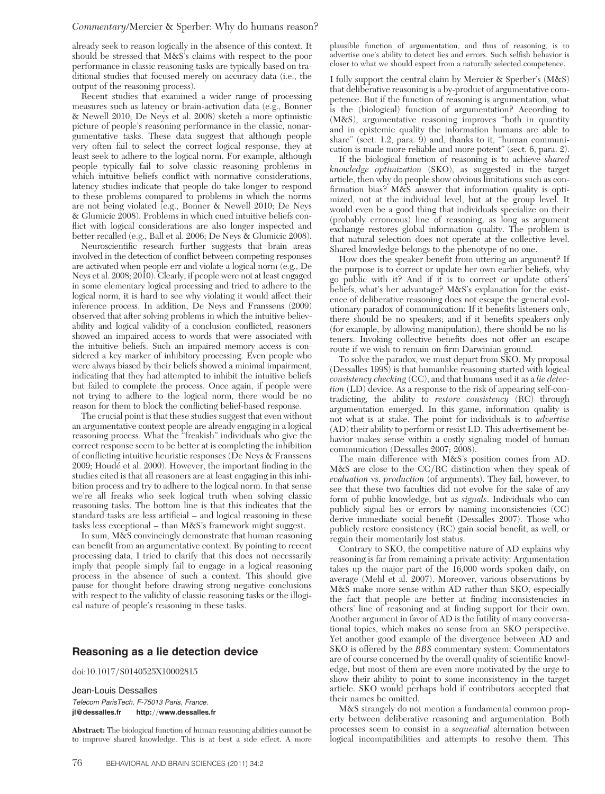already seek to reason logically in the absence of this context. It should be stressed that M&S's claims with respect to the poor performance in classic reasoning tasks are typically based on traditional studies that focused merely on accuracy data (i.e., the output of the reasoning process).

Recent studies that examined a wider range of processing measures such as latency or brain-activation data (e.g., Bonner & Newell 2010; De Neys et al. 2008) sketch a more optimistic picture of people's reasoning performance in the classic, nonargumentative tasks. These data suggest that although people very often fail to select the correct logical response, they at least seek to adhere to the logical norm. For example, although people typically fail to solve classic reasoning problems in which intuitive beliefs conflict with normative considerations, latency studies indicate that people do take longer to respond to these problems compared to problems in which the norms are not being violated (e.g., Bonner & Newell 2010; De Neys & Glumicic 2008). Problems in which cued intuitive beliefs conflict with logical considerations are also longer inspected and better recalled (e.g., Ball et al. 2006; De Neys & Glumicic 2008).

Neuroscientific research further suggests that brain areas involved in the detection of conflict between competing responses are activated when people err and violate a logical norm (e.g., De Neys et al. 2008; 2010). Clearly, if people were not at least engaged in some elementary logical processing and tried to adhere to the logical norm, it is hard to see why violating it would affect their inference process. In addition, De Neys and Franssens (2009) observed that after solving problems in which the intuitive believability and logical validity of a conclusion conflicted, reasoners showed an impaired access to words that were associated with the intuitive beliefs. Such an impaired memory access is considered a key marker of inhibitory processing. Even people who were always biased by their beliefs showed a minimal impairment, indicating that they had attempted to inhibit the intuitive beliefs but failed to complete the process. Once again, if people were not trying to adhere to the logical norm, there would be no reason for them to block the conflicting belief-based response.

The crucial point is that these studies suggest that even without an argumentative context people are already engaging in a logical reasoning process. What the "freakish" individuals who give the correct response seem to be better at is completing the inhibition of conflicting intuitive heuristic responses (De Neys & Franssens  $2009$ ; Houde et al.  $2000$ ). However, the important finding in the studies cited is that all reasoners are at least engaging in this inhibition process and try to adhere to the logical norm. In that sense we're all freaks who seek logical truth when solving classic reasoning tasks. The bottom line is that this indicates that the standard tasks are less artificial – and logical reasoning in these tasks less exceptional – than M&S's framework might suggest.

In sum, M&S convincingly demonstrate that human reasoning can benefit from an argumentative context. By pointing to recent processing data, I tried to clarify that this does not necessarily imply that people simply fail to engage in a logical reasoning process in the absence of such a context. This should give pause for thought before drawing strong negative conclusions with respect to the validity of classic reasoning tasks or the illogical nature of people's reasoning in these tasks.

## Reasoning as a lie detection device

doi:10.1017/S0140525X10002815

Jean-Louis Dessalles Telecom ParisTech, F-75013 Paris, France. jl@dessalles.fr http://www.dessalles.fr

Abstract: The biological function of human reasoning abilities cannot be to improve shared knowledge. This is at best a side effect. A more

reasoning is far from remaining a private activity: Argumentation takes up the major part of the 16,000 words spoken daily, on average (Mehl et al. 2007). Moreover, various observations by M&S make more sense within AD rather than SKO, especially the fact that people are better at finding inconsistencies in others' line of reasoning and at finding support for their own. Another argument in favor of AD is the futility of many conversational topics, which makes no sense from an SKO perspective. Yet another good example of the divergence between AD and SKO is offered by the BBS commentary system: Commentators are of course concerned by the overall quality of scientific knowledge, but most of them are even more motivated by the urge to show their ability to point to some inconsistency in the target article. SKO would perhaps hold if contributors accepted that their names be omitted.

M&S strangely do not mention a fundamental common property between deliberative reasoning and argumentation. Both processes seem to consist in a sequential alternation between logical incompatibilities and attempts to resolve them. This

76 BEHAVIORAL AND BRAIN SCIENCES (2011) 34:2

plausible function of argumentation, and thus of reasoning, is to advertise one's ability to detect lies and errors. Such selfish behavior is closer to what we should expect from a naturally selected competence.

I fully support the central claim by Mercier & Sperber's (M&S) that deliberative reasoning is a by-product of argumentative competence. But if the function of reasoning is argumentation, what is the (biological) function of argumentation? According to (M&S), argumentative reasoning improves "both in quantity and in epistemic quality the information humans are able to share" (sect. 1.2, para. 9) and, thanks to it, "human communication is made more reliable and more potent" (sect. 6, para. 2).

If the biological function of reasoning is to achieve shared knowledge optimization (SKO), as suggested in the target article, then why do people show obvious limitations such as confirmation bias? M&S answer that information quality is optimized, not at the individual level, but at the group level. It would even be a good thing that individuals specialize on their (probably erroneous) line of reasoning, as long as argument exchange restores global information quality. The problem is that natural selection does not operate at the collective level. Shared knowledge belongs to the phenotype of no one.

How does the speaker benefit from uttering an argument? If the purpose is to correct or update her own earlier beliefs, why go public with it? And if it is to correct or update others' beliefs, what's her advantage? M&S's explanation for the existence of deliberative reasoning does not escape the general evolutionary paradox of communication: If it benefits listeners only, there should be no speakers; and if it benefits speakers only (for example, by allowing manipulation), there should be no listeners. Invoking collective benefits does not offer an escape route if we wish to remain on firm Darwinian ground.

To solve the paradox, we must depart from SKO. My proposal (Dessalles 1998) is that humanlike reasoning started with logical consistency checking (CC), and that humans used it as a lie detection (LD) device. As a response to the risk of appearing self-contradicting, the ability to restore consistency (RC) through argumentation emerged. In this game, information quality is not what is at stake. The point for individuals is to advertise (AD) their ability to perform or resist LD. This advertisement behavior makes sense within a costly signaling model of human communication (Dessalles 2007; 2008).

The main difference with M&S's position comes from AD. M&S are close to the CC/RC distinction when they speak of evaluation vs. production (of arguments). They fail, however, to see that these two faculties did not evolve for the sake of any form of public knowledge, but as *signals*. Individuals who can publicly signal lies or errors by naming inconsistencies (CC) derive immediate social benefit (Dessalles 2007). Those who publicly restore consistency (RC) gain social benefit, as well, or regain their momentarily lost status.

Contrary to SKO, the competitive nature of AD explains why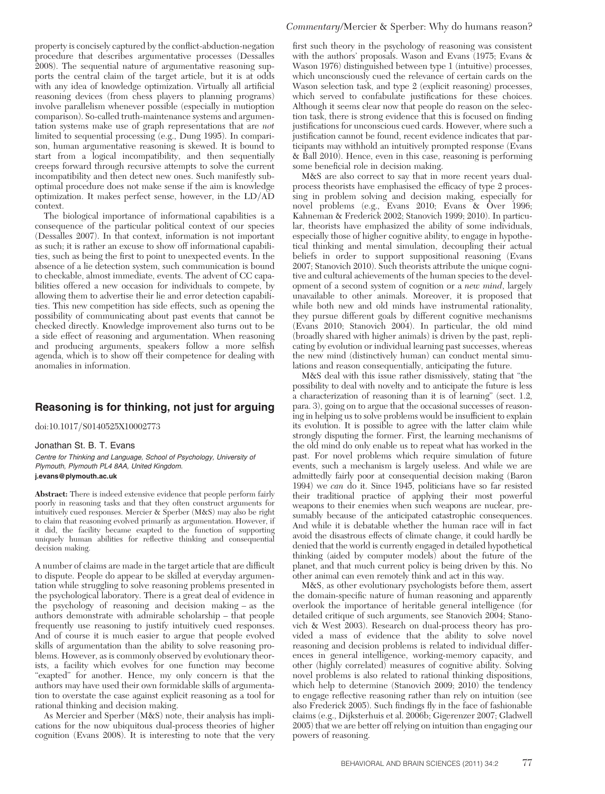property is concisely captured by the conflict-abduction-negation procedure that describes argumentative processes (Dessalles 2008). The sequential nature of argumentative reasoning supports the central claim of the target article, but it is at odds with any idea of knowledge optimization. Virtually all artificial reasoning devices (from chess players to planning programs) involve parallelism whenever possible (especially in mutioption comparison). So-called truth-maintenance systems and argumentation systems make use of graph representations that are not limited to sequential processing (e.g., Dung 1995). In comparison, human argumentative reasoning is skewed. It is bound to start from a logical incompatibility, and then sequentially creeps forward through recursive attempts to solve the current incompatibility and then detect new ones. Such manifestly suboptimal procedure does not make sense if the aim is knowledge optimization. It makes perfect sense, however, in the LD/AD context.

The biological importance of informational capabilities is a consequence of the particular political context of our species (Dessalles 2007). In that context, information is not important as such; it is rather an excuse to show off informational capabilities, such as being the first to point to unexpected events. In the absence of a lie detection system, such communication is bound to checkable, almost immediate, events. The advent of CC capabilities offered a new occasion for individuals to compete, by allowing them to advertise their lie and error detection capabilities. This new competition has side effects, such as opening the possibility of communicating about past events that cannot be checked directly. Knowledge improvement also turns out to be a side effect of reasoning and argumentation. When reasoning and producing arguments, speakers follow a more selfish agenda, which is to show off their competence for dealing with anomalies in information.

## Reasoning is for thinking, not just for arguing

doi:10.1017/S0140525X10002773

#### Jonathan St. B. T. Evans

Centre for Thinking and Language, School of Psychology, University of Plymouth, Plymouth PL4 8AA, United Kingdom. j.evans@plymouth.ac.uk

Abstract: There is indeed extensive evidence that people perform fairly poorly in reasoning tasks and that they often construct arguments for intuitively cued responses. Mercier & Sperber (M&S) may also be right to claim that reasoning evolved primarily as argumentation. However, if it did, the facility became exapted to the function of supporting uniquely human abilities for reflective thinking and consequential decision making.

A number of claims are made in the target article that are difficult to dispute. People do appear to be skilled at everyday argumentation while struggling to solve reasoning problems presented in the psychological laboratory. There is a great deal of evidence in the psychology of reasoning and decision making – as the authors demonstrate with admirable scholarship – that people frequently use reasoning to justify intuitively cued responses. And of course it is much easier to argue that people evolved skills of argumentation than the ability to solve reasoning problems. However, as is commonly observed by evolutionary theorists, a facility which evolves for one function may become "exapted" for another. Hence, my only concern is that the authors may have used their own formidable skills of argumentation to overstate the case against explicit reasoning as a tool for rational thinking and decision making.

As Mercier and Sperber (M&S) note, their analysis has implications for the now ubiquitous dual-process theories of higher cognition (Evans 2008). It is interesting to note that the very

## Commentary/Mercier & Sperber: Why do humans reason?

first such theory in the psychology of reasoning was consistent with the authors' proposals. Wason and Evans (1975; Evans & Wason 1976) distinguished between type 1 (intuitive) processes, which unconsciously cued the relevance of certain cards on the Wason selection task, and type 2 (explicit reasoning) processes, which served to confabulate justifications for these choices. Although it seems clear now that people do reason on the selection task, there is strong evidence that this is focused on finding justifications for unconscious cued cards. However, where such a justification cannot be found, recent evidence indicates that participants may withhold an intuitively prompted response (Evans & Ball 2010). Hence, even in this case, reasoning is performing some beneficial role in decision making.

M&S are also correct to say that in more recent years dualprocess theorists have emphasised the efficacy of type 2 processing in problem solving and decision making, especially for novel problems (e.g., Evans 2010; Evans & Over 1996; Kahneman & Frederick 2002; Stanovich 1999; 2010). In particular, theorists have emphasized the ability of some individuals, especially those of higher cognitive ability, to engage in hypothetical thinking and mental simulation, decoupling their actual beliefs in order to support suppositional reasoning (Evans 2007; Stanovich 2010). Such theorists attribute the unique cognitive and cultural achievements of the human species to the development of a second system of cognition or a new mind, largely unavailable to other animals. Moreover, it is proposed that while both new and old minds have instrumental rationality, they pursue different goals by different cognitive mechanisms (Evans 2010; Stanovich 2004). In particular, the old mind (broadly shared with higher animals) is driven by the past, replicating by evolution or individual learning past successes, whereas the new mind (distinctively human) can conduct mental simulations and reason consequentially, anticipating the future.

M&S deal with this issue rather dismissively, stating that "the possibility to deal with novelty and to anticipate the future is less a characterization of reasoning than it is of learning" (sect. 1.2, para. 3), going on to argue that the occasional successes of reasoning in helping us to solve problems would be insufficient to explain its evolution. It is possible to agree with the latter claim while strongly disputing the former. First, the learning mechanisms of the old mind do only enable us to repeat what has worked in the past. For novel problems which require simulation of future events, such a mechanism is largely useless. And while we are admittedly fairly poor at consequential decision making (Baron 1994) we can do it. Since 1945, politicians have so far resisted their traditional practice of applying their most powerful weapons to their enemies when such weapons are nuclear, presumably because of the anticipated catastrophic consequences. And while it is debatable whether the human race will in fact avoid the disastrous effects of climate change, it could hardly be denied that the world is currently engaged in detailed hypothetical thinking (aided by computer models) about the future of the planet, and that much current policy is being driven by this. No other animal can even remotely think and act in this way.

M&S, as other evolutionary psychologists before them, assert the domain-specific nature of human reasoning and apparently overlook the importance of heritable general intelligence (for detailed critique of such arguments, see Stanovich 2004; Stanovich & West 2003). Research on dual-process theory has provided a mass of evidence that the ability to solve novel reasoning and decision problems is related to individual differences in general intelligence, working-memory capacity, and other (highly correlated) measures of cognitive ability. Solving novel problems is also related to rational thinking dispositions, which help to determine (Stanovich 2009; 2010) the tendency to engage reflective reasoning rather than rely on intuition (see also Frederick 2005). Such findings fly in the face of fashionable claims (e.g., Dijksterhuis et al. 2006b; Gigerenzer 2007; Gladwell 2005) that we are better off relying on intuition than engaging our powers of reasoning.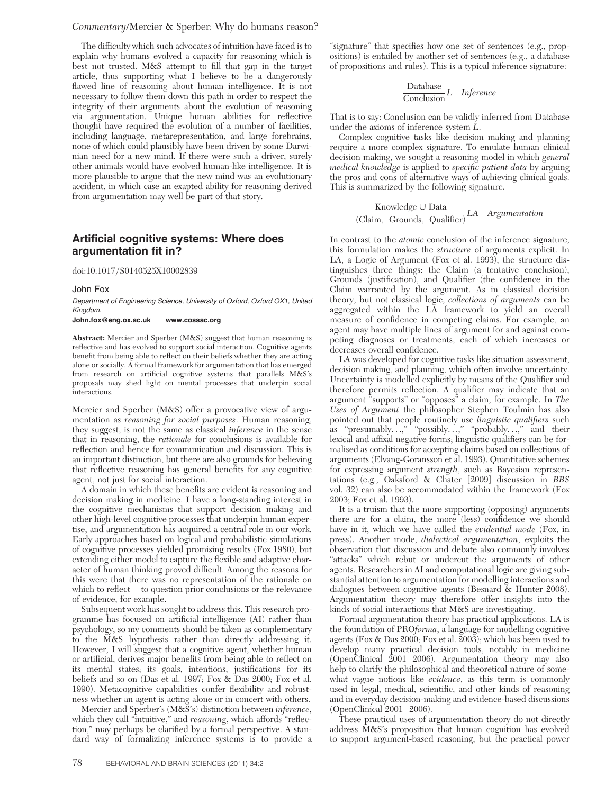The difficulty which such advocates of intuition have faced is to explain why humans evolved a capacity for reasoning which is best not trusted. M&S attempt to fill that gap in the target article, thus supporting what I believe to be a dangerously flawed line of reasoning about human intelligence. It is not necessary to follow them down this path in order to respect the integrity of their arguments about the evolution of reasoning via argumentation. Unique human abilities for reflective thought have required the evolution of a number of facilities, including language, metarepresentation, and large forebrains, none of which could plausibly have been driven by some Darwinian need for a new mind. If there were such a driver, surely other animals would have evolved human-like intelligence. It is more plausible to argue that the new mind was an evolutionary accident, in which case an exapted ability for reasoning derived from argumentation may well be part of that story.

## Artificial cognitive systems: Where does argumentation fit in?

doi:10.1017/S0140525X10002839

John Fox

Department of Engineering Science, University of Oxford, Oxford OX1, United Kingdom.

John.fox@eng.ox.ac.uk www.cossac.org

Abstract: Mercier and Sperber (M&S) suggest that human reasoning is reflective and has evolved to support social interaction. Cognitive agents benefit from being able to reflect on their beliefs whether they are acting alone or socially. A formal framework for argumentation that has emerged from research on artificial cognitive systems that parallels M&S's proposals may shed light on mental processes that underpin social interactions.

Mercier and Sperber (M&S) offer a provocative view of argumentation as *reasoning for social purposes*. Human reasoning, they suggest, is not the same as classical *inference* in the sense that in reasoning, the rationale for conclusions is available for reflection and hence for communication and discussion. This is an important distinction, but there are also grounds for believing that reflective reasoning has general benefits for any cognitive agent, not just for social interaction.

A domain in which these benefits are evident is reasoning and decision making in medicine. I have a long-standing interest in the cognitive mechanisms that support decision making and other high-level cognitive processes that underpin human expertise, and argumentation has acquired a central role in our work. Early approaches based on logical and probabilistic simulations of cognitive processes yielded promising results (Fox 1980), but extending either model to capture the flexible and adaptive character of human thinking proved difficult. Among the reasons for this were that there was no representation of the rationale on which to reflect – to question prior conclusions or the relevance of evidence, for example.

Subsequent work has sought to address this. This research programme has focused on artificial intelligence (AI) rather than psychology, so my comments should be taken as complementary to the M&S hypothesis rather than directly addressing it. However, I will suggest that a cognitive agent, whether human or artificial, derives major benefits from being able to reflect on its mental states; its goals, intentions, justifications for its beliefs and so on (Das et al. 1997; Fox & Das 2000; Fox et al. 1990). Metacognitive capabilities confer flexibility and robustness whether an agent is acting alone or in concert with others.

Mercier and Sperber's (M&S's) distinction between inference, which they call "intuitive," and *reasoning*, which affords "reflection," may perhaps be clarified by a formal perspective. A standard way of formalizing inference systems is to provide a

"signature" that specifies how one set of sentences (e.g., propositions) is entailed by another set of sentences (e.g., a database of propositions and rules). This is a typical inference signature:

$$
\frac{\text{Database}}{\text{Conclusion}}L \quad Inference
$$

That is to say: Conclusion can be validly inferred from Database under the axioms of inference system L.

Complex cognitive tasks like decision making and planning require a more complex signature. To emulate human clinical decision making, we sought a reasoning model in which general medical knowledge is applied to specific patient data by arguing the pros and cons of alternative ways of achieving clinical goals. This is summarized by the following signature.

$$
\frac{\text{Knowledge} \cup \text{Data}}{\text{(Claim, Grounds, Qualifier)}} LA \quad Argumentation
$$

In contrast to the atomic conclusion of the inference signature, this formulation makes the *structure* of arguments explicit. In LA, a Logic of Argument (Fox et al. 1993), the structure distinguishes three things: the Claim (a tentative conclusion), Grounds (justification), and Qualifier (the confidence in the Claim warranted by the argument. As in classical decision theory, but not classical logic, collections of arguments can be aggregated within the LA framework to yield an overall measure of confidence in competing claims. For example, an agent may have multiple lines of argument for and against competing diagnoses or treatments, each of which increases or decreases overall confidence.

LA was developed for cognitive tasks like situation assessment, decision making, and planning, which often involve uncertainty. Uncertainty is modelled explicitly by means of the Qualifier and therefore permits reflection. A qualifier may indicate that an argument "supports" or "opposes" a claim, for example. In The Uses of Argument the philosopher Stephen Toulmin has also pointed out that people routinely use linguistic qualifiers such as "presumably...," "possibly...," "probably...," and their lexical and affixal negative forms; linguistic qualifiers can be formalised as conditions for accepting claims based on collections of arguments (Elvang-Goransson et al. 1993). Quantitative schemes for expressing argument *strength*, such as Bayesian representations (e.g., Oaksford & Chater [2009] discussion in BBS vol. 32) can also be accommodated within the framework (Fox 2003; Fox et al. 1993).

It is a truism that the more supporting (opposing) arguments there are for a claim, the more (less) confidence we should have in it, which we have called the evidential mode (Fox, in press). Another mode, dialectical argumentation, exploits the observation that discussion and debate also commonly involves "attacks" which rebut or undercut the arguments of other agents. Researchers in AI and computational logic are giving substantial attention to argumentation for modelling interactions and dialogues between cognitive agents (Besnard & Hunter 2008). Argumentation theory may therefore offer insights into the kinds of social interactions that M&S are investigating.

Formal argumentation theory has practical applications. LA is the foundation of PROforma, a language for modelling cognitive agents (Fox & Das 2000; Fox et al. 2003); which has been used to develop many practical decision tools, notably in medicine (OpenClinical 2001– 2006). Argumentation theory may also help to clarify the philosophical and theoretical nature of somewhat vague notions like *evidence*, as this term is commonly used in legal, medical, scientific, and other kinds of reasoning and in everyday decision-making and evidence-based discussions (OpenClinical 2001– 2006).

These practical uses of argumentation theory do not directly address M&S's proposition that human cognition has evolved to support argument-based reasoning, but the practical power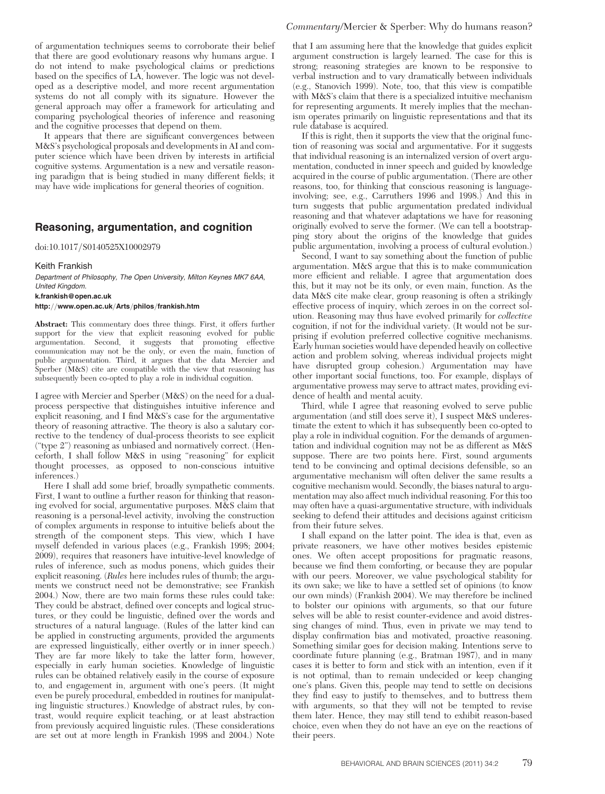of argumentation techniques seems to corroborate their belief that there are good evolutionary reasons why humans argue. I do not intend to make psychological claims or predictions based on the specifics of LA, however. The logic was not developed as a descriptive model, and more recent argumentation systems do not all comply with its signature. However the general approach may offer a framework for articulating and comparing psychological theories of inference and reasoning and the cognitive processes that depend on them.

It appears that there are significant convergences between M&S's psychological proposals and developments in AI and computer science which have been driven by interests in artificial cognitive systems. Argumentation is a new and versatile reasoning paradigm that is being studied in many different fields; it may have wide implications for general theories of cognition.

## Reasoning, argumentation, and cognition

doi:10.1017/S0140525X10002979

#### Keith Frankish

Department of Philosophy, The Open University, Milton Keynes MK7 6AA, United Kingdom.

k.frankish@open.ac.uk

#### http://www.open.ac.uk/Arts/philos/frankish.htm

Abstract: This commentary does three things. First, it offers further support for the view that explicit reasoning evolved for public argumentation. Second, it suggests that promoting effective communication may not be the only, or even the main, function of public argumentation. Third, it argues that the data Mercier and Sperber (M&S) cite are compatible with the view that reasoning has subsequently been co-opted to play a role in individual cognition.

I agree with Mercier and Sperber (M&S) on the need for a dualprocess perspective that distinguishes intuitive inference and explicit reasoning, and I find M&S's case for the argumentative theory of reasoning attractive. The theory is also a salutary corrective to the tendency of dual-process theorists to see explicit ("type 2") reasoning as unbiased and normatively correct. (Henceforth, I shall follow M&S in using "reasoning" for explicit thought processes, as opposed to non-conscious intuitive inferences.)

Here I shall add some brief, broadly sympathetic comments. First, I want to outline a further reason for thinking that reasoning evolved for social, argumentative purposes. M&S claim that reasoning is a personal-level activity, involving the construction of complex arguments in response to intuitive beliefs about the strength of the component steps. This view, which I have myself defended in various places (e.g., Frankish 1998; 2004; 2009), requires that reasoners have intuitive-level knowledge of rules of inference, such as modus ponens, which guides their explicit reasoning. (Rules here includes rules of thumb; the arguments we construct need not be demonstrative; see Frankish 2004.) Now, there are two main forms these rules could take: They could be abstract, defined over concepts and logical structures, or they could be linguistic, defined over the words and structures of a natural language. (Rules of the latter kind can be applied in constructing arguments, provided the arguments are expressed linguistically, either overtly or in inner speech.) They are far more likely to take the latter form, however, especially in early human societies. Knowledge of linguistic rules can be obtained relatively easily in the course of exposure to, and engagement in, argument with one's peers. (It might even be purely procedural, embedded in routines for manipulating linguistic structures.) Knowledge of abstract rules, by contrast, would require explicit teaching, or at least abstraction from previously acquired linguistic rules. (These considerations are set out at more length in Frankish 1998 and 2004.) Note

that I am assuming here that the knowledge that guides explicit argument construction is largely learned. The case for this is strong; reasoning strategies are known to be responsive to verbal instruction and to vary dramatically between individuals (e.g., Stanovich 1999). Note, too, that this view is compatible with M&S's claim that there is a specialized intuitive mechanism for representing arguments. It merely implies that the mechanism operates primarily on linguistic representations and that its rule database is acquired.

If this is right, then it supports the view that the original function of reasoning was social and argumentative. For it suggests that individual reasoning is an internalized version of overt argumentation, conducted in inner speech and guided by knowledge acquired in the course of public argumentation. (There are other reasons, too, for thinking that conscious reasoning is languageinvolving; see, e.g., Carruthers 1996 and 1998.) And this in turn suggests that public argumentation predated individual reasoning and that whatever adaptations we have for reasoning originally evolved to serve the former. (We can tell a bootstrapping story about the origins of the knowledge that guides public argumentation, involving a process of cultural evolution.)

Second, I want to say something about the function of public argumentation. M&S argue that this is to make communication more efficient and reliable. I agree that argumentation does this, but it may not be its only, or even main, function. As the data M&S cite make clear, group reasoning is often a strikingly effective process of inquiry, which zeroes in on the correct solution. Reasoning may thus have evolved primarily for collective cognition, if not for the individual variety. (It would not be surprising if evolution preferred collective cognitive mechanisms. Early human societies would have depended heavily on collective action and problem solving, whereas individual projects might have disrupted group cohesion.) Argumentation may have other important social functions, too. For example, displays of argumentative prowess may serve to attract mates, providing evidence of health and mental acuity.

Third, while I agree that reasoning evolved to serve public argumentation (and still does serve it), I suspect M&S underestimate the extent to which it has subsequently been co-opted to play a role in individual cognition. For the demands of argumentation and individual cognition may not be as different as M&S suppose. There are two points here. First, sound arguments tend to be convincing and optimal decisions defensible, so an argumentative mechanism will often deliver the same results a cognitive mechanism would. Secondly, the biases natural to argumentation may also affect much individual reasoning. For this too may often have a quasi-argumentative structure, with individuals seeking to defend their attitudes and decisions against criticism from their future selves.

I shall expand on the latter point. The idea is that, even as private reasoners, we have other motives besides epistemic ones. We often accept propositions for pragmatic reasons, because we find them comforting, or because they are popular with our peers. Moreover, we value psychological stability for its own sake; we like to have a settled set of opinions (to know our own minds) (Frankish 2004). We may therefore be inclined to bolster our opinions with arguments, so that our future selves will be able to resist counter-evidence and avoid distressing changes of mind. Thus, even in private we may tend to display confirmation bias and motivated, proactive reasoning. Something similar goes for decision making. Intentions serve to coordinate future planning (e.g., Bratman 1987), and in many cases it is better to form and stick with an intention, even if it is not optimal, than to remain undecided or keep changing one's plans. Given this, people may tend to settle on decisions they find easy to justify to themselves, and to buttress them with arguments, so that they will not be tempted to revise them later. Hence, they may still tend to exhibit reason-based choice, even when they do not have an eye on the reactions of their peers.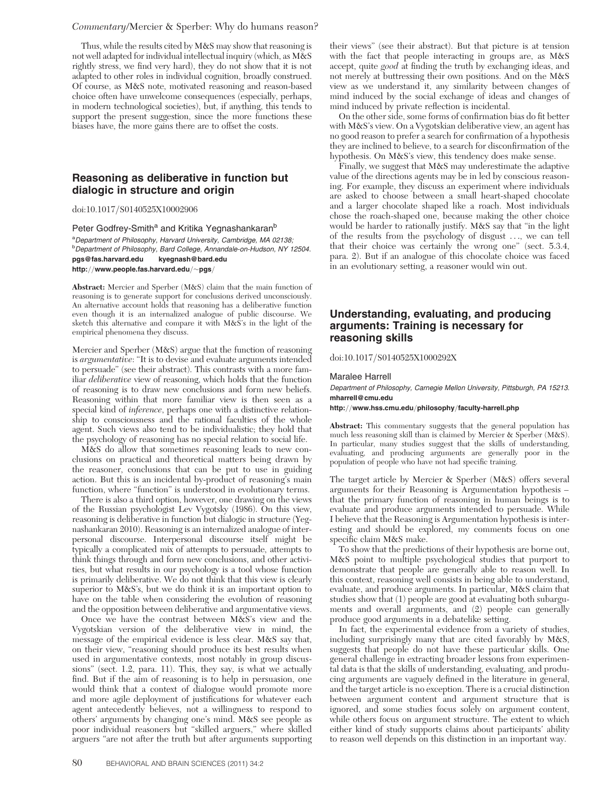#### Commentary/Mercier & Sperber: Why do humans reason?

Thus, while the results cited by M&S may show that reasoning is not well adapted for individual intellectual inquiry (which, as M&S rightly stress, we find very hard), they do not show that it is not adapted to other roles in individual cognition, broadly construed. Of course, as M&S note, motivated reasoning and reason-based choice often have unwelcome consequences (especially, perhaps, in modern technological societies), but, if anything, this tends to support the present suggestion, since the more functions these biases have, the more gains there are to offset the costs.

## Reasoning as deliberative in function but dialogic in structure and origin

#### doi:10.1017/S0140525X10002906

Peter Godfrey-Smith<sup>a</sup> and Kritika Yegnashankaran<sup>b</sup>

<sup>a</sup> Department of Philosophy, Harvard University, Cambridge, MA 02138; <sup>b</sup>Department of Philosophy, Bard College, Annandale-on-Hudson, NY 12504. pgs@fas.harvard.edu kyegnash@bard.edu http://www.people.fas.harvard.edu/ $\sim$ pgs/

Abstract: Mercier and Sperber (M&S) claim that the main function of reasoning is to generate support for conclusions derived unconsciously. An alternative account holds that reasoning has a deliberative function even though it is an internalized analogue of public discourse. We sketch this alternative and compare it with M&S's in the light of the empirical phenomena they discuss.

Mercier and Sperber (M&S) argue that the function of reasoning is *argumentative*: "It is to devise and evaluate arguments intended to persuade" (see their abstract). This contrasts with a more familiar deliberative view of reasoning, which holds that the function of reasoning is to draw new conclusions and form new beliefs. Reasoning within that more familiar view is then seen as a special kind of *inference*, perhaps one with a distinctive relationship to consciousness and the rational faculties of the whole agent. Such views also tend to be individualistic; they hold that the psychology of reasoning has no special relation to social life.

M&S do allow that sometimes reasoning leads to new conclusions on practical and theoretical matters being drawn by the reasoner, conclusions that can be put to use in guiding action. But this is an incidental by-product of reasoning's main function, where "function" is understood in evolutionary terms.

There is also a third option, however, one drawing on the views of the Russian psychologist Lev Vygotsky (1986). On this view, reasoning is deliberative in function but dialogic in structure (Yegnashankaran 2010). Reasoning is an internalized analogue of interpersonal discourse. Interpersonal discourse itself might be typically a complicated mix of attempts to persuade, attempts to think things through and form new conclusions, and other activities, but what results in our psychology is a tool whose function is primarily deliberative. We do not think that this view is clearly superior to M&S's, but we do think it is an important option to have on the table when considering the evolution of reasoning and the opposition between deliberative and argumentative views.

Once we have the contrast between M&S's view and the Vygotskian version of the deliberative view in mind, the message of the empirical evidence is less clear. M&S say that, on their view, "reasoning should produce its best results when used in argumentative contexts, most notably in group discussions" (sect. 1.2, para. 11). This, they say, is what we actually find. But if the aim of reasoning is to help in persuasion, one would think that a context of dialogue would promote more and more agile deployment of justifications for whatever each agent antecedently believes, not a willingness to respond to others' arguments by changing one's mind. M&S see people as poor individual reasoners but "skilled arguers," where skilled arguers "are not after the truth but after arguments supporting

their views" (see their abstract). But that picture is at tension with the fact that people interacting in groups are, as M&S accept, quite good at finding the truth by exchanging ideas, and not merely at buttressing their own positions. And on the M&S view as we understand it, any similarity between changes of mind induced by the social exchange of ideas and changes of mind induced by private reflection is incidental.

On the other side, some forms of confirmation bias do fit better with M&S's view. On a Vygotskian deliberative view, an agent has no good reason to prefer a search for confirmation of a hypothesis they are inclined to believe, to a search for disconfirmation of the hypothesis. On M&S's view, this tendency does make sense.

Finally, we suggest that M&S may underestimate the adaptive value of the directions agents may be in led by conscious reasoning. For example, they discuss an experiment where individuals are asked to choose between a small heart-shaped chocolate and a larger chocolate shaped like a roach. Most individuals chose the roach-shaped one, because making the other choice would be harder to rationally justify. M&S say that "in the light of the results from the psychology of disgust ..., we can tell that their choice was certainly the wrong one" (sect. 5.3.4, para. 2). But if an analogue of this chocolate choice was faced in an evolutionary setting, a reasoner would win out.

## Understanding, evaluating, and producing arguments: Training is necessary for reasoning skills

doi:10.1017/S0140525X1000292X

#### Maralee Harrell

Department of Philosophy, Carnegie Mellon University, Pittsburgh, PA 15213. mharrell@cmu.edu

http://www.hss.cmu.edu/philosophy/faculty-harrell.php

Abstract: This commentary suggests that the general population has much less reasoning skill than is claimed by Mercier & Sperber (M&S). In particular, many studies suggest that the skills of understanding, evaluating, and producing arguments are generally poor in the population of people who have not had specific training.

The target article by Mercier & Sperber (M&S) offers several arguments for their Reasoning is Argumentation hypothesis – that the primary function of reasoning in human beings is to evaluate and produce arguments intended to persuade. While I believe that the Reasoning is Argumentation hypothesis is interesting and should be explored, my comments focus on one specific claim M&S make.

To show that the predictions of their hypothesis are borne out, M&S point to multiple psychological studies that purport to demonstrate that people are generally able to reason well. In this context, reasoning well consists in being able to understand, evaluate, and produce arguments. In particular, M&S claim that studies show that (1) people are good at evaluating both subarguments and overall arguments, and (2) people can generally produce good arguments in a debatelike setting.

In fact, the experimental evidence from a variety of studies, including surprisingly many that are cited favorably by M&S, suggests that people do not have these particular skills. One general challenge in extracting broader lessons from experimental data is that the skills of understanding, evaluating, and producing arguments are vaguely defined in the literature in general, and the target article is no exception. There is a crucial distinction between argument content and argument structure that is ignored, and some studies focus solely on argument content, while others focus on argument structure. The extent to which either kind of study supports claims about participants' ability to reason well depends on this distinction in an important way.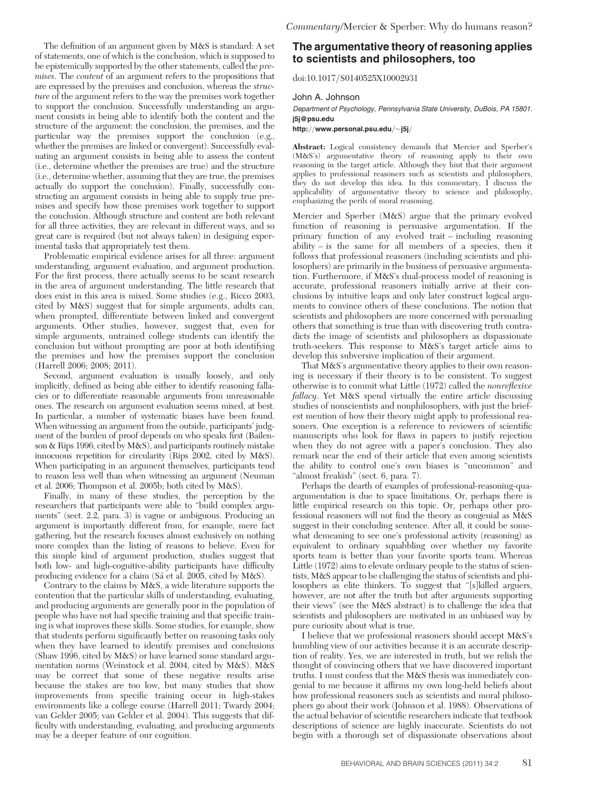The definition of an argument given by M&S is standard: A set of statements, one of which is the conclusion, which is supposed to be epistemically supported by the other statements, called the premises. The content of an argument refers to the propositions that are expressed by the premises and conclusion, whereas the structure of the argument refers to the way the premises work together to support the conclusion. Successfully understanding an argument consists in being able to identify both the content and the structure of the argument: the conclusion, the premises, and the particular way the premises support the conclusion (e.g., whether the premises are linked or convergent). Successfully evaluating an argument consists in being able to assess the content (i.e., determine whether the premises are true) and the structure (i.e., determine whether, assuming that they are true, the premises actually do support the conclusion). Finally, successfully constructing an argument consists in being able to supply true premises and specify how those premises work together to support the conclusion. Although structure and content are both relevant for all three activities, they are relevant in different ways, and so great care is required (but not always taken) in designing experimental tasks that appropriately test them.

Problematic empirical evidence arises for all three: argument understanding, argument evaluation, and argument production. For the first process, there actually seems to be scant research in the area of argument understanding. The little research that does exist in this area is mixed. Some studies (e.g., Ricco 2003, cited by M&S) suggest that for simple arguments, adults can, when prompted, differentiate between linked and convergent arguments. Other studies, however, suggest that, even for simple arguments, untrained college students can identify the conclusion but without prompting are poor at both identifying the premises and how the premises support the conclusion (Harrell 2006; 2008; 2011).

Second, argument evaluation is usually loosely, and only implicitly, defined as being able either to identify reasoning fallacies or to differentiate reasonable arguments from unreasonable ones. The research on argument evaluation seems mixed, at best. In particular, a number of systematic biases have been found. When witnessing an argument from the outside, participants' judgment of the burden of proof depends on who speaks first (Bailenson & Rips 1996, cited by M&S), and participants routinely mistake innocuous repetition for circularity (Rips 2002, cited by M&S). When participating in an argument themselves, participants tend to reason less well than when witnessing an argument (Neuman et al. 2006; Thompson et al. 2005b; both cited by M&S).

Finally, in many of these studies, the perception by the researchers that participants were able to "build complex arguments" (sect. 2.2, para. 3) is vague or ambiguous. Producing an argument is importantly different from, for example, mere fact gathering, but the research focuses almost exclusively on nothing more complex than the listing of reasons to believe. Even for this simple kind of argument production, studies suggest that both low- and high-cognitive-ability participants have difficulty producing evidence for a claim (Sá et al. 2005, cited by M&S).

Contrary to the claims by M&S, a wide literature supports the contention that the particular skills of understanding, evaluating, and producing arguments are generally poor in the population of people who have not had specific training and that specific training is what improves these skills. Some studies, for example, show that students perform significantly better on reasoning tasks only when they have learned to identify premises and conclusions (Shaw 1996, cited by M&S) or have learned some standard argumentation norms (Weinstock et al. 2004, cited by M&S). M&S may be correct that some of these negative results arise because the stakes are too low, but many studies that show improvements from specific training occur in high-stakes environments like a college course (Harrell 2011; Twardy 2004; van Gelder 2005; van Gelder et al. 2004). This suggests that difficulty with understanding, evaluating, and producing arguments may be a deeper feature of our cognition.

## The argumentative theory of reasoning applies to scientists and philosophers, too

doi:10.1017/S0140525X10002931

#### John A. Johnson

Department of Psychology, Pennsylvania State University, DuBois, PA 15801. j5j@psu.edu

http://www.personal.psu.edu/ $\sim$ j5j/

Abstract: Logical consistency demands that Mercier and Sperber's (M&S's) argumentative theory of reasoning apply to their own reasoning in the target article. Although they hint that their argument applies to professional reasoners such as scientists and philosophers, they do not develop this idea. In this commentary, I discuss the applicability of argumentative theory to science and philosophy, emphasizing the perils of moral reasoning.

Mercier and Sperber (M&S) argue that the primary evolved function of reasoning is persuasive argumentation. If the primary function of any evolved trait – including reasoning ability – is the same for all members of a species, then it follows that professional reasoners (including scientists and philosophers) are primarily in the business of persuasive argumentation. Furthermore, if M&S's dual-process model of reasoning is accurate, professional reasoners initially arrive at their conclusions by intuitive leaps and only later construct logical arguments to convince others of these conclusions. The notion that scientists and philosophers are more concerned with persuading others that something is true than with discovering truth contradicts the image of scientists and philosophers as dispassionate truth-seekers. This response to M&S's target article aims to develop this subversive implication of their argument.

That M&S's argumentative theory applies to their own reasoning is necessary if their theory is to be consistent. To suggest otherwise is to commit what Little (1972) called the nonreflexive fallacy. Yet M&S spend virtually the entire article discussing studies of nonscientists and nonphilosophers, with just the briefest mention of how their theory might apply to professional reasoners. One exception is a reference to reviewers of scientific manuscripts who look for flaws in papers to justify rejection when they do not agree with a paper's conclusion. They also remark near the end of their article that even among scientists the ability to control one's own biases is "uncommon" and "almost freakish" (sect. 6, para. 7).

Perhaps the dearth of examples of professional-reasoning-quaargumentation is due to space limitations. Or, perhaps there is little empirical research on this topic. Or, perhaps other professional reasoners will not find the theory as congenial as M&S suggest in their concluding sentence. After all, it could be somewhat demeaning to see one's professional activity (reasoning) as equivalent to ordinary squabbling over whether my favorite sports team is better than your favorite sports team. Whereas Little (1972) aims to elevate ordinary people to the status of scientists, M&S appear to be challenging the status of scientists and philosophers as elite thinkers. To suggest that "[s]killed arguers, however, are not after the truth but after arguments supporting their views" (see the M&S abstract) is to challenge the idea that scientists and philosophers are motivated in an unbiased way by pure curiosity about what is true.

I believe that we professional reasoners should accept M&S's humbling view of our activities because it is an accurate description of reality. Yes, we are interested in truth, but we relish the thought of convincing others that we have discovered important truths. I must confess that the M&S thesis was immediately congenial to me because it affirms my own long-held beliefs about how professional reasoners such as scientists and moral philosophers go about their work (Johnson et al. 1988). Observations of the actual behavior of scientific researchers indicate that textbook descriptions of science are highly inaccurate. Scientists do not begin with a thorough set of dispassionate observations about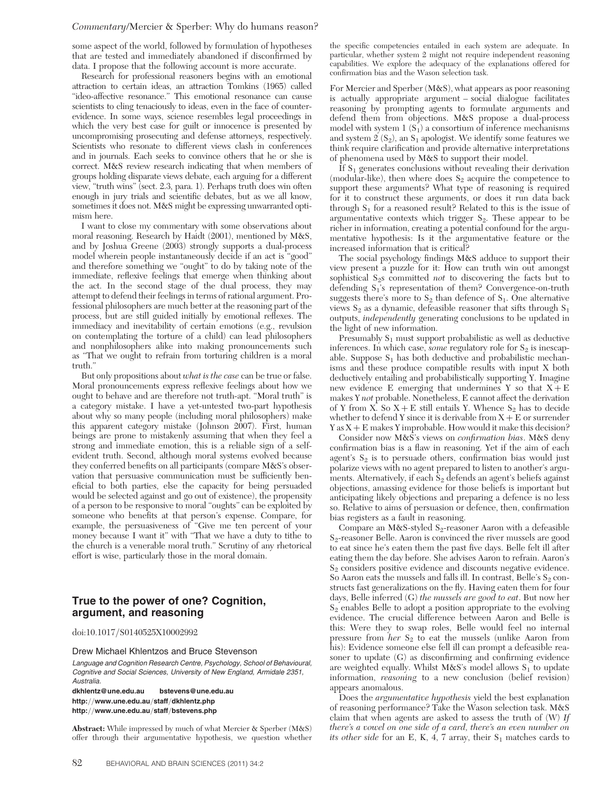some aspect of the world, followed by formulation of hypotheses that are tested and immediately abandoned if disconfirmed by data. I propose that the following account is more accurate.

Research for professional reasoners begins with an emotional attraction to certain ideas, an attraction Tomkins (1965) called "ideo-affective resonance." This emotional resonance can cause scientists to cling tenaciously to ideas, even in the face of counterevidence. In some ways, science resembles legal proceedings in which the very best case for guilt or innocence is presented by uncompromising prosecuting and defense attorneys, respectively. Scientists who resonate to different views clash in conferences and in journals. Each seeks to convince others that he or she is correct. M&S review research indicating that when members of groups holding disparate views debate, each arguing for a different view, "truth wins" (sect. 2.3, para. 1). Perhaps truth does win often enough in jury trials and scientific debates, but as we all know, sometimes it does not. M&S might be expressing unwarranted optimism here.

I want to close my commentary with some observations about moral reasoning. Research by Haidt (2001), mentioned by M&S, and by Joshua Greene (2003) strongly supports a dual-process model wherein people instantaneously decide if an act is "good" and therefore something we "ought" to do by taking note of the immediate, reflexive feelings that emerge when thinking about the act. In the second stage of the dual process, they may attempt to defend their feelings in terms of rational argument. Professional philosophers are much better at the reasoning part of the process, but are still guided initially by emotional reflexes. The immediacy and inevitability of certain emotions (e.g., revulsion on contemplating the torture of a child) can lead philosophers and nonphilosophers alike into making pronouncements such as "That we ought to refrain from torturing children is a moral truth."

But only propositions about *what is the case* can be true or false. Moral pronouncements express reflexive feelings about how we ought to behave and are therefore not truth-apt. "Moral truth" is a category mistake. I have a yet-untested two-part hypothesis about why so many people (including moral philosophers) make this apparent category mistake (Johnson 2007). First, human beings are prone to mistakenly assuming that when they feel a strong and immediate emotion, this is a reliable sign of a selfevident truth. Second, although moral systems evolved because they conferred benefits on all participants (compare M&S's observation that persuasive communication must be sufficiently beneficial to both parties, else the capacity for being persuaded would be selected against and go out of existence), the propensity of a person to be responsive to moral "oughts" can be exploited by someone who benefits at that person's expense. Compare, for example, the persuasiveness of "Give me ten percent of your money because I want it" with "That we have a duty to tithe to the church is a venerable moral truth." Scrutiny of any rhetorical effort is wise, particularly those in the moral domain.

## True to the power of one? Cognition, argument, and reasoning

doi:10.1017/S0140525X10002992

#### Drew Michael Khlentzos and Bruce Stevenson

Language and Cognition Research Centre, Psychology, School of Behavioural, Cognitive and Social Sciences, University of New England, Armidale 2351, Australia.

dkhlentz@une.edu.au bstevens@une.edu.au http://www.une.edu.au/staff/dkhlentz.php http://www.une.edu.au/staff/bstevens.php

Abstract: While impressed by much of what Mercier & Sperber (M&S) offer through their argumentative hypothesis, we question whether

the specific competencies entailed in each system are adequate. In particular, whether system 2 might not require independent reasoning capabilities. We explore the adequacy of the explanations offered for confirmation bias and the Wason selection task.

For Mercier and Sperber (M&S), what appears as poor reasoning is actually appropriate argument – social dialogue facilitates reasoning by prompting agents to formulate arguments and defend them from objections. M&S propose a dual-process model with system  $1(S_1)$  a consortium of inference mechanisms and system  $2(S_2)$ , an  $S_1$  apologist. We identify some features we think require clarification and provide alternative interpretations of phenomena used by M&S to support their model.

If  $S_1$  generates conclusions without revealing their derivation (modular-like), then where does  $S_2$  acquire the competence to support these arguments? What type of reasoning is required for it to construct these arguments, or does it run data back through  $S_1$  for a reasoned result? Related to this is the issue of argumentative contexts which trigger  $S_2$ . These appear to be richer in information, creating a potential confound for the argumentative hypothesis: Is it the argumentative feature or the increased information that is critical?

The social psychology findings M&S adduce to support their view present a puzzle for it: How can truth win out amongst sophistical  $S_{2}$ s committed not to discovering the facts but to defending  $S_1$ 's representation of them? Convergence-on-truth suggests there's more to  $S_2$  than defence of  $S_1$ . One alternative views  $S_2$  as a dynamic, defeasible reasoner that sifts through  $S_1$ outputs, independently generating conclusions to be updated in the light of new information.

Presumably  $S_1$  must support probabilistic as well as deductive inferences. In which case, some regulatory role for  $S_2$  is inescapable. Suppose  $S_1$  has both deductive and probabilistic mechanisms and these produce compatible results with input X both deductively entailing and probabilistically supporting Y. Imagine new evidence E emerging that undermines Y so that  $X + E$ makes Y not probable. Nonetheless, E cannot affect the derivation of Y from X. So  $X + E$  still entails Y. Whence  $S_2$  has to decide whether to defend Y since it is derivable from  $X + E$  or surrender  $Y$  as  $X + E$  makes Y improbable. How would it make this decision?

Consider now M&S's views on confirmation bias. M&S deny confirmation bias is a flaw in reasoning. Yet if the aim of each agent's  $S_2$  is to persuade others, confirmation bias would just polarize views with no agent prepared to listen to another's arguments. Alternatively, if each  $S_2$  defends an agent's beliefs against objections, amassing evidence for those beliefs is important but anticipating likely objections and preparing a defence is no less so. Relative to aims of persuasion or defence, then, confirmation bias registers as a fault in reasoning.

Compare an M&S-styled  $S_2$ -reasoner Aaron with a defeasible S2-reasoner Belle. Aaron is convinced the river mussels are good to eat since he's eaten them the past five days. Belle felt ill after eating them the day before. She advises Aaron to refrain. Aaron's S2 considers positive evidence and discounts negative evidence. So Aaron eats the mussels and falls ill. In contrast, Belle's  $S_2$  constructs fast generalizations on the fly. Having eaten them for four days, Belle inferred (G) the mussels are good to eat. But now her  $S_2$  enables Belle to adopt a position appropriate to the evolving evidence. The crucial difference between Aaron and Belle is this: Were they to swap roles, Belle would feel no internal pressure from  $her S_2$  to eat the mussels (unlike Aaron from his): Evidence someone else fell ill can prompt a defeasible reasoner to update (G) as disconfirming and confirming evidence are weighted equally. Whilst  $M&S's$  model allows  $S<sub>1</sub>$  to update information, reasoning to a new conclusion (belief revision) appears anomalous.

Does the argumentative hypothesis yield the best explanation of reasoning performance? Take the Wason selection task. M&S claim that when agents are asked to assess the truth of (W) If there's a vowel on one side of a card, there's an even number on its other side for an E, K, 4, 7 array, their  $S_1$  matches cards to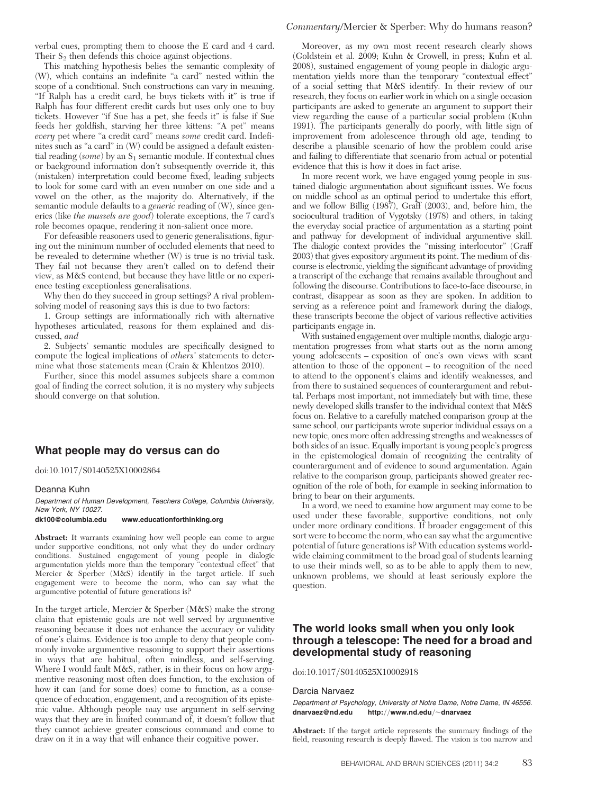verbal cues, prompting them to choose the E card and 4 card. Their S<sub>2</sub> then defends this choice against objections.

This matching hypothesis belies the semantic complexity of (W), which contains an indefinite "a card" nested within the scope of a conditional. Such constructions can vary in meaning. "If Ralph has a credit card, he buys tickets with it" is true if Ralph has four different credit cards but uses only one to buy tickets. However "if Sue has a pet, she feeds it" is false if Sue feeds her goldfish, starving her three kittens: "A pet" means every pet where "a credit card" means some credit card. Indefinites such as "a card" in (W) could be assigned a default existential reading (some) by an  $S_1$  semantic module. If contextual clues or background information don't subsequently override it, this (mistaken) interpretation could become fixed, leading subjects to look for some card with an even number on one side and a vowel on the other, as the majority do. Alternatively, if the semantic module defaults to a *generic* reading of  $(W)$ , since generics (like the mussels are good) tolerate exceptions, the 7 card's role becomes opaque, rendering it non-salient once more.

For defeasible reasoners used to generic generalisations, figuring out the minimum number of occluded elements that need to be revealed to determine whether (W) is true is no trivial task. They fail not because they aren't called on to defend their view, as M&S contend, but because they have little or no experience testing exceptionless generalisations.

Why then do they succeed in group settings? A rival problemsolving model of reasoning says this is due to two factors:

1. Group settings are informationally rich with alternative hypotheses articulated, reasons for them explained and discussed, and

2. Subjects' semantic modules are specifically designed to compute the logical implications of others' statements to determine what those statements mean (Crain & Khlentzos 2010).

Further, since this model assumes subjects share a common goal of finding the correct solution, it is no mystery why subjects should converge on that solution.

## What people may do versus can do

doi:10.1017/S0140525X10002864

#### Deanna Kuhn

Department of Human Development, Teachers College, Columbia University, New York, NY 10027.

#### dk100@columbia.edu www.educationforthinking.org

Abstract: It warrants examining how well people can come to argue under supportive conditions, not only what they do under ordinary conditions. Sustained engagement of young people in dialogic argumentation yields more than the temporary "contextual effect" that Mercier & Sperber (M&S) identify in the target article. If such engagement were to become the norm, who can say what the argumentive potential of future generations is?

In the target article, Mercier & Sperber (M&S) make the strong claim that epistemic goals are not well served by argumentive reasoning because it does not enhance the accuracy or validity of one's claims. Evidence is too ample to deny that people commonly invoke argumentive reasoning to support their assertions in ways that are habitual, often mindless, and self-serving. Where I would fault M&S, rather, is in their focus on how argumentive reasoning most often does function, to the exclusion of how it can (and for some does) come to function, as a consequence of education, engagement, and a recognition of its epistemic value. Although people may use argument in self-serving ways that they are in limited command of, it doesn't follow that they cannot achieve greater conscious command and come to draw on it in a way that will enhance their cognitive power.

Moreover, as my own most recent research clearly shows (Goldstein et al. 2009; Kuhn & Crowell, in press; Kuhn et al. 2008), sustained engagement of young people in dialogic argumentation yields more than the temporary "contextual effect" of a social setting that M&S identify. In their review of our research, they focus on earlier work in which on a single occasion participants are asked to generate an argument to support their view regarding the cause of a particular social problem (Kuhn 1991). The participants generally do poorly, with little sign of improvement from adolescence through old age, tending to describe a plausible scenario of how the problem could arise and failing to differentiate that scenario from actual or potential evidence that this is how it does in fact arise.

In more recent work, we have engaged young people in sustained dialogic argumentation about significant issues. We focus on middle school as an optimal period to undertake this effort, and we follow Billig (1987), Graff (2003), and, before him, the sociocultural tradition of Vygotsky (1978) and others, in taking the everyday social practice of argumentation as a starting point and pathway for development of individual argumentive skill. The dialogic context provides the "missing interlocutor" (Graff 2003) that gives expository argument its point. The medium of discourse is electronic, yielding the significant advantage of providing a transcript of the exchange that remains available throughout and following the discourse. Contributions to face-to-face discourse, in contrast, disappear as soon as they are spoken. In addition to serving as a reference point and framework during the dialogs, these transcripts become the object of various reflective activities participants engage in.

With sustained engagement over multiple months, dialogic argumentation progresses from what starts out as the norm among young adolescents – exposition of one's own views with scant attention to those of the opponent – to recognition of the need to attend to the opponent's claims and identify weaknesses, and from there to sustained sequences of counterargument and rebuttal. Perhaps most important, not immediately but with time, these newly developed skills transfer to the individual context that M&S focus on. Relative to a carefully matched comparison group at the same school, our participants wrote superior individual essays on a new topic, ones more often addressing strengths and weaknesses of both sides of an issue. Equally important is young people's progress in the epistemological domain of recognizing the centrality of counterargument and of evidence to sound argumentation. Again relative to the comparison group, participants showed greater recognition of the role of both, for example in seeking information to bring to bear on their arguments.

In a word, we need to examine how argument may come to be used under these favorable, supportive conditions, not only under more ordinary conditions. If broader engagement of this sort were to become the norm, who can say what the argumentive potential of future generations is? With education systems worldwide claiming commitment to the broad goal of students learning to use their minds well, so as to be able to apply them to new, unknown problems, we should at least seriously explore the question.

## The world looks small when you only look through a telescope: The need for a broad and developmental study of reasoning

doi:10.1017/S0140525X10002918

#### Darcia Narvaez

Department of Psychology, University of Notre Dame, Notre Dame, IN 46556. dnarvaez@nd.edu http://www.nd.edu/ $\sim$ dnarvaez

Abstract: If the target article represents the summary findings of the field, reasoning research is deeply flawed. The vision is too narrow and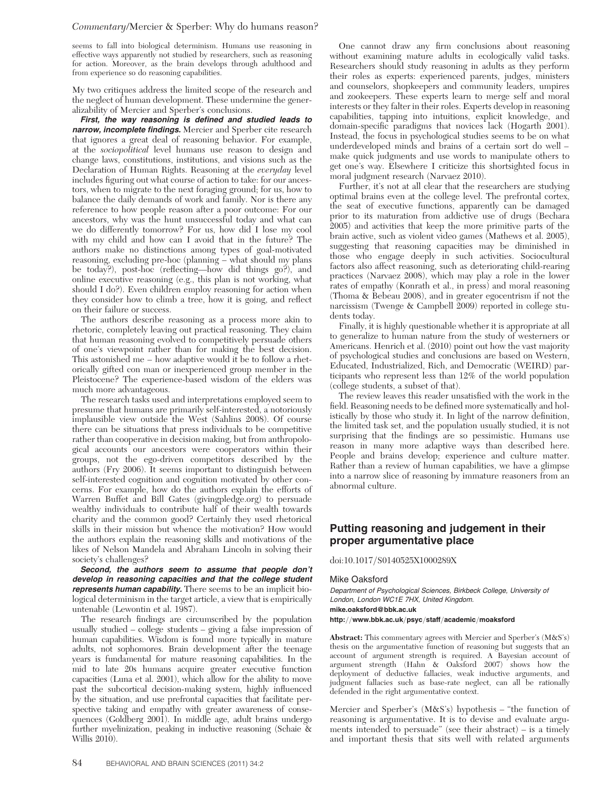## Commentary/Mercier & Sperber: Why do humans reason?

seems to fall into biological determinism. Humans use reasoning in effective ways apparently not studied by researchers, such as reasoning for action. Moreover, as the brain develops through adulthood and from experience so do reasoning capabilities.

My two critiques address the limited scope of the research and the neglect of human development. These undermine the generalizability of Mercier and Sperber's conclusions.

First, the way reasoning is defined and studied leads to narrow, incomplete findings. Mercier and Sperber cite research that ignores a great deal of reasoning behavior. For example, at the sociopolitical level humans use reason to design and change laws, constitutions, institutions, and visions such as the Declaration of Human Rights. Reasoning at the everyday level includes figuring out what course of action to take: for our ancestors, when to migrate to the next foraging ground; for us, how to balance the daily demands of work and family. Nor is there any reference to how people reason after a poor outcome: For our ancestors, why was the hunt unsuccessful today and what can we do differently tomorrow? For us, how did I lose my cool with my child and how can I avoid that in the future? The authors make no distinctions among types of goal-motivated reasoning, excluding pre-hoc (planning – what should my plans be today?), post-hoc (reflecting—how did things go?), and online executive reasoning (e.g., this plan is not working, what should I do?). Even children employ reasoning for action when they consider how to climb a tree, how it is going, and reflect on their failure or success.

The authors describe reasoning as a process more akin to rhetoric, completely leaving out practical reasoning. They claim that human reasoning evolved to competitively persuade others of one's viewpoint rather than for making the best decision. This astonished me – how adaptive would it be to follow a rhetorically gifted con man or inexperienced group member in the Pleistocene? The experience-based wisdom of the elders was much more advantageous.

The research tasks used and interpretations employed seem to presume that humans are primarily self-interested, a notoriously implausible view outside the West (Sahlins 2008). Of course there can be situations that press individuals to be competitive rather than cooperative in decision making, but from anthropological accounts our ancestors were cooperators within their groups, not the ego-driven competitors described by the authors (Fry 2006). It seems important to distinguish between self-interested cognition and cognition motivated by other concerns. For example, how do the authors explain the efforts of Warren Buffet and Bill Gates (givingpledge.org) to persuade wealthy individuals to contribute half of their wealth towards charity and the common good? Certainly they used rhetorical skills in their mission but whence the motivation? How would the authors explain the reasoning skills and motivations of the likes of Nelson Mandela and Abraham Lincoln in solving their society's challenges?

Second, the authors seem to assume that people don't develop in reasoning capacities and that the college student represents human capability. There seems to be an implicit biological determinism in the target article, a view that is empirically untenable (Lewontin et al. 1987).

The research findings are circumscribed by the population usually studied – college students – giving a false impression of human capabilities. Wisdom is found more typically in mature adults, not sophomores. Brain development after the teenage years is fundamental for mature reasoning capabilities. In the mid to late 20s humans acquire greater executive function capacities (Luna et al. 2001), which allow for the ability to move past the subcortical decision-making system, highly influenced by the situation, and use prefrontal capacities that facilitate perspective taking and empathy with greater awareness of consequences (Goldberg 2001). In middle age, adult brains undergo further myelinization, peaking in inductive reasoning (Schaie & Willis 2010).

One cannot draw any firm conclusions about reasoning without examining mature adults in ecologically valid tasks. Researchers should study reasoning in adults as they perform their roles as experts: experienced parents, judges, ministers and counselors, shopkeepers and community leaders, umpires and zookeepers. These experts learn to merge self and moral interests or they falter in their roles. Experts develop in reasoning capabilities, tapping into intuitions, explicit knowledge, and domain-specific paradigms that novices lack (Hogarth 2001). Instead, the focus in psychological studies seems to be on what underdeveloped minds and brains of a certain sort do well – make quick judgments and use words to manipulate others to get one's way. Elsewhere I criticize this shortsighted focus in moral judgment research (Narvaez 2010).

Further, it's not at all clear that the researchers are studying optimal brains even at the college level. The prefrontal cortex, the seat of executive functions, apparently can be damaged prior to its maturation from addictive use of drugs (Bechara 2005) and activities that keep the more primitive parts of the brain active, such as violent video games (Mathews et al. 2005), suggesting that reasoning capacities may be diminished in those who engage deeply in such activities. Sociocultural factors also affect reasoning, such as deteriorating child-rearing practices (Narvaez 2008), which may play a role in the lower rates of empathy (Konrath et al., in press) and moral reasoning (Thoma & Bebeau 2008), and in greater egocentrism if not the narcissism (Twenge & Campbell 2009) reported in college students today.

Finally, it is highly questionable whether it is appropriate at all to generalize to human nature from the study of westerners or Americans. Henrich et al. (2010) point out how the vast majority of psychological studies and conclusions are based on Western, Educated, Industrialized, Rich, and Democratic (WEIRD) participants who represent less than 12% of the world population (college students, a subset of that).

The review leaves this reader unsatisfied with the work in the field. Reasoning needs to be defined more systematically and holistically by those who study it. In light of the narrow definition, the limited task set, and the population usually studied, it is not surprising that the findings are so pessimistic. Humans use reason in many more adaptive ways than described here. People and brains develop; experience and culture matter. Rather than a review of human capabilities, we have a glimpse into a narrow slice of reasoning by immature reasoners from an abnormal culture.

## Putting reasoning and judgement in their proper argumentative place

doi:10.1017/S0140525X1000289X

#### Mike Oaksford

Department of Psychological Sciences, Birkbeck College, University of London, London WC1E 7HX, United Kingdom.

mike.oaksford@bbk.ac.uk

#### http://www.bbk.ac.uk/psyc/staff/academic/moaksford

Abstract: This commentary agrees with Mercier and Sperber's (M&S's) thesis on the argumentative function of reasoning but suggests that an account of argument strength is required. A Bayesian account of argument strength (Hahn & Oaksford 2007) shows how the deployment of deductive fallacies, weak inductive arguments, and judgment fallacies such as base-rate neglect, can all be rationally defended in the right argumentative context.

Mercier and Sperber's (M&S's) hypothesis – "the function of reasoning is argumentative. It is to devise and evaluate arguments intended to persuade" (see their abstract) – is a timely and important thesis that sits well with related arguments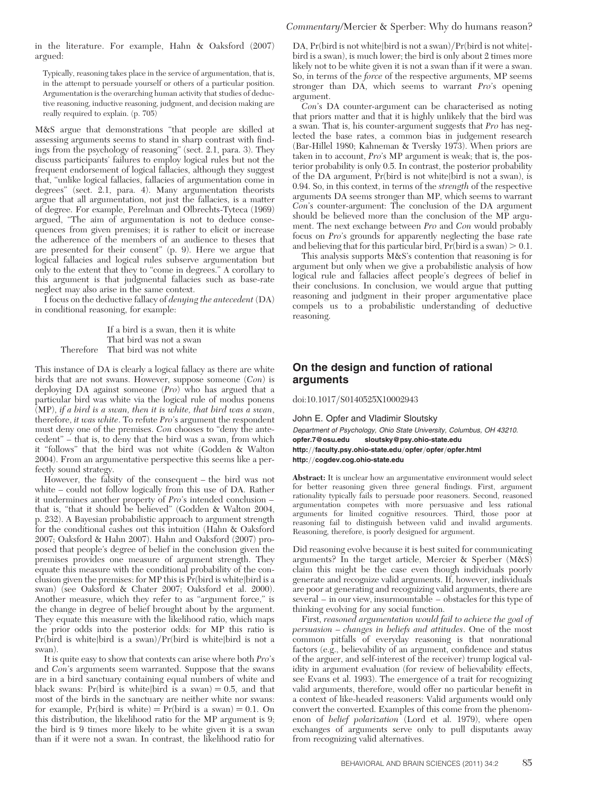in the literature. For example, Hahn & Oaksford (2007) argued:

Typically, reasoning takes place in the service of argumentation, that is, in the attempt to persuade yourself or others of a particular position. Argumentation is the overarching human activity that studies of deductive reasoning, inductive reasoning, judgment, and decision making are really required to explain. (p. 705)

M&S argue that demonstrations "that people are skilled at assessing arguments seems to stand in sharp contrast with findings from the psychology of reasoning" (sect. 2.1, para. 3). They discuss participants' failures to employ logical rules but not the frequent endorsement of logical fallacies, although they suggest that, "unlike logical fallacies, fallacies of argumentation come in degrees" (sect. 2.1, para. 4). Many argumentation theorists argue that all argumentation, not just the fallacies, is a matter of degree. For example, Perelman and Olbrechts-Tyteca (1969) argued, "The aim of argumentation is not to deduce consequences from given premises; it is rather to elicit or increase the adherence of the members of an audience to theses that are presented for their consent" (p. 9). Here we argue that logical fallacies and logical rules subserve argumentation but only to the extent that they to "come in degrees." A corollary to this argument is that judgmental fallacies such as base-rate neglect may also arise in the same context.

I focus on the deductive fallacy of *denying the antecedent*  $(DA)$ in conditional reasoning, for example:

> If a bird is a swan, then it is white That bird was not a swan Therefore That bird was not white

This instance of DA is clearly a logical fallacy as there are white birds that are not swans. However, suppose someone (Con) is deploying DA against someone (Pro) who has argued that a particular bird was white via the logical rule of modus ponens (MP), if a bird is a swan, then it is white, that bird was a swan, therefore, it was white. To refute Pro's argument the respondent must deny one of the premises. Con chooses to "deny the antecedent" – that is, to deny that the bird was a swan, from which it "follows" that the bird was not white (Godden & Walton 2004). From an argumentative perspective this seems like a perfectly sound strategy.

However, the falsity of the consequent – the bird was not white – could not follow logically from this use of DA. Rather it undermines another property of Pro's intended conclusion – that is, "that it should be believed" (Godden & Walton 2004, p. 232). A Bayesian probabilistic approach to argument strength for the conditional cashes out this intuition (Hahn & Oaksford 2007; Oaksford & Hahn 2007). Hahn and Oaksford (2007) proposed that people's degree of belief in the conclusion given the premises provides one measure of argument strength. They equate this measure with the conditional probability of the conclusion given the premises: for MP this is Pr(bird is white | bird is a swan) (see Oaksford & Chater 2007; Oaksford et al. 2000). Another measure, which they refer to as "argument force," is the change in degree of belief brought about by the argument. They equate this measure with the likelihood ratio, which maps the prior odds into the posterior odds: for MP this ratio is Pr(bird is whitejbird is a swan)/Pr(bird is whitejbird is not a swan).

It is quite easy to show that contexts can arise where both Pro's and Con's arguments seem warranted. Suppose that the swans are in a bird sanctuary containing equal numbers of white and black swans: Pr(bird is white|bird is a swan)  $= 0.5$ , and that most of the birds in the sanctuary are neither white nor swans: for example, Pr(bird is white) = Pr(bird is a swan) = 0.1. On this distribution, the likelihood ratio for the MP argument is 9; the bird is 9 times more likely to be white given it is a swan than if it were not a swan. In contrast, the likelihood ratio for DA, Pr(bird is not white|bird is not a swan)/Pr(bird is not white|bird is a swan), is much lower; the bird is only about 2 times more likely not to be white given it is not a swan than if it were a swan. So, in terms of the force of the respective arguments, MP seems stronger than DA, which seems to warrant Pro's opening argument.

Con's DA counter-argument can be characterised as noting that priors matter and that it is highly unlikely that the bird was a swan. That is, his counter-argument suggests that Pro has neglected the base rates, a common bias in judgement research (Bar-Hillel 1980; Kahneman & Tversky 1973). When priors are taken in to account, Pro's MP argument is weak; that is, the posterior probability is only 0.5. In contrast, the posterior probability of the DA argument, Pr(bird is not whitejbird is not a swan), is 0.94. So, in this context, in terms of the strength of the respective arguments DA seems stronger than MP, which seems to warrant  $C\overline{o}n$ 's counter-argument: The conclusion of the DA argument should be believed more than the conclusion of the MP argument. The next exchange between Pro and Con would probably focus on Pro's grounds for apparently neglecting the base rate and believing that for this particular bird,  $Pr(\text{bird is a swan}) > 0.1$ .

This analysis supports M&S's contention that reasoning is for argument but only when we give a probabilistic analysis of how logical rule and fallacies affect people's degrees of belief in their conclusions. In conclusion, we would argue that putting reasoning and judgment in their proper argumentative place compels us to a probabilistic understanding of deductive reasoning.

## On the design and function of rational arguments

doi:10.1017/S0140525X10002943

John E. Opfer and Vladimir Sloutsky Department of Psychology, Ohio State University, Columbus, OH 43210. opfer.7@osu.edu sloutsky@psy.ohio-state.edu http://faculty.psy.ohio-state.edu/opfer/opfer/opfer.html http://cogdev.cog.ohio-state.edu

Abstract: It is unclear how an argumentative environment would select for better reasoning given three general findings. First, argument rationality typically fails to persuade poor reasoners. Second, reasoned argumentation competes with more persuasive and less rational arguments for limited cognitive resources. Third, those poor at reasoning fail to distinguish between valid and invalid arguments. Reasoning, therefore, is poorly designed for argument.

Did reasoning evolve because it is best suited for communicating arguments? In the target article, Mercier & Sperber (M&S) claim this might be the case even though individuals poorly generate and recognize valid arguments. If, however, individuals are poor at generating and recognizing valid arguments, there are several – in our view, insurmountable – obstacles for this type of thinking evolving for any social function.

First, reasoned argumentation would fail to achieve the goal of persuasion – changes in beliefs and attitudes. One of the most common pitfalls of everyday reasoning is that nonrational factors (e.g., believability of an argument, confidence and status of the arguer, and self-interest of the receiver) trump logical validity in argument evaluation (for review of believability effects, see Evans et al. 1993). The emergence of a trait for recognizing valid arguments, therefore, would offer no particular benefit in a context of like-headed reasoners: Valid arguments would only convert the converted. Examples of this come from the phenomenon of belief polarization (Lord et al. 1979), where open exchanges of arguments serve only to pull disputants away from recognizing valid alternatives.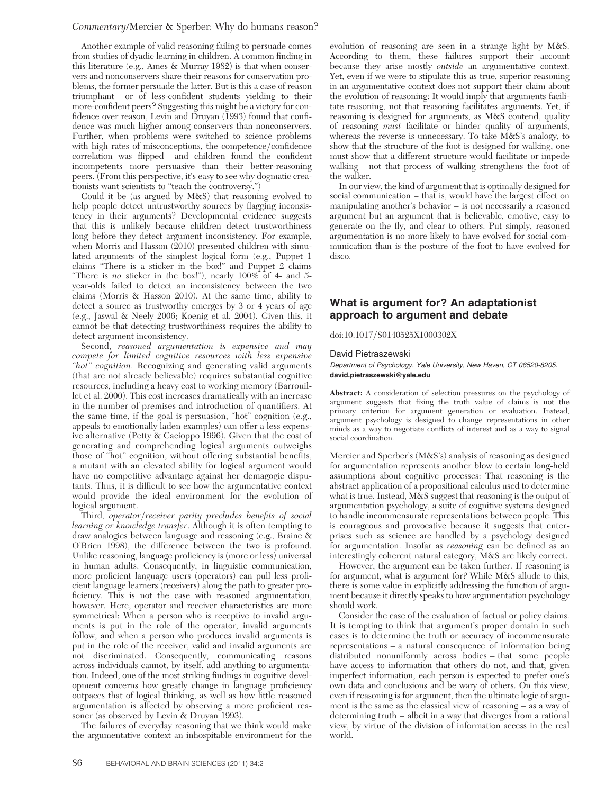## Commentary/Mercier & Sperber: Why do humans reason?

Another example of valid reasoning failing to persuade comes from studies of dyadic learning in children. A common finding in this literature (e.g., Ames & Murray 1982) is that when conservers and nonconservers share their reasons for conservation problems, the former persuade the latter. But is this a case of reason triumphant – or of less-confident students yielding to their more-confident peers? Suggesting this might be a victory for confidence over reason, Levin and Druyan (1993) found that confidence was much higher among conservers than nonconservers. Further, when problems were switched to science problems with high rates of misconceptions, the competence/confidence correlation was flipped – and children found the confident incompetents more persuasive than their better-reasoning peers. (From this perspective, it's easy to see why dogmatic creationists want scientists to "teach the controversy.")

Could it be (as argued by M&S) that reasoning evolved to help people detect untrustworthy sources by flagging inconsistency in their arguments? Developmental evidence suggests that this is unlikely because children detect trustworthiness long before they detect argument inconsistency. For example, when Morris and Hasson (2010) presented children with simulated arguments of the simplest logical form (e.g., Puppet 1 claims "There is a sticker in the box!" and Puppet 2 claims "There is no sticker in the box!"), nearly 100% of 4- and 5 year-olds failed to detect an inconsistency between the two claims (Morris & Hasson 2010). At the same time, ability to detect a source as trustworthy emerges by 3 or 4 years of age (e.g., Jaswal & Neely 2006; Koenig et al. 2004). Given this, it cannot be that detecting trustworthiness requires the ability to detect argument inconsistency.

Second, reasoned argumentation is expensive and may compete for limited cognitive resources with less expensive "hot" cognition. Recognizing and generating valid arguments (that are not already believable) requires substantial cognitive resources, including a heavy cost to working memory (Barrouillet et al. 2000). This cost increases dramatically with an increase in the number of premises and introduction of quantifiers. At the same time, if the goal is persuasion, "hot" cognition (e.g., appeals to emotionally laden examples) can offer a less expensive alternative (Petty & Cacioppo 1996). Given that the cost of generating and comprehending logical arguments outweighs those of "hot" cognition, without offering substantial benefits, a mutant with an elevated ability for logical argument would have no competitive advantage against her demagogic disputants. Thus, it is difficult to see how the argumentative context would provide the ideal environment for the evolution of logical argument.

Third, operator/receiver parity precludes benefits of social learning or knowledge transfer. Although it is often tempting to draw analogies between language and reasoning (e.g., Braine & O'Brien 1998), the difference between the two is profound. Unlike reasoning, language proficiency is (more or less) universal in human adults. Consequently, in linguistic communication, more proficient language users (operators) can pull less proficient language learners (receivers) along the path to greater proficiency. This is not the case with reasoned argumentation, however. Here, operator and receiver characteristics are more symmetrical: When a person who is receptive to invalid arguments is put in the role of the operator, invalid arguments follow, and when a person who produces invalid arguments is put in the role of the receiver, valid and invalid arguments are not discriminated. Consequently, communicating reasons across individuals cannot, by itself, add anything to argumentation. Indeed, one of the most striking findings in cognitive development concerns how greatly change in language proficiency outpaces that of logical thinking, as well as how little reasoned argumentation is affected by observing a more proficient reasoner (as observed by Levin & Druyan 1993).

The failures of everyday reasoning that we think would make the argumentative context an inhospitable environment for the

evolution of reasoning are seen in a strange light by M&S. According to them, these failures support their account because they arise mostly *outside* an argumentative context. Yet, even if we were to stipulate this as true, superior reasoning in an argumentative context does not support their claim about the evolution of reasoning: It would imply that arguments facilitate reasoning, not that reasoning facilitates arguments. Yet, if reasoning is designed for arguments, as M&S contend, quality of reasoning must facilitate or hinder quality of arguments, whereas the reverse is unnecessary. To take M&S's analogy, to show that the structure of the foot is designed for walking, one must show that a different structure would facilitate or impede walking – not that process of walking strengthens the foot of the walker.

In our view, the kind of argument that is optimally designed for social communication – that is, would have the largest effect on manipulating another's behavior – is not necessarily a reasoned argument but an argument that is believable, emotive, easy to generate on the fly, and clear to others. Put simply, reasoned argumentation is no more likely to have evolved for social communication than is the posture of the foot to have evolved for disco.

## What is argument for? An adaptationist approach to argument and debate

doi:10.1017/S0140525X1000302X

#### David Pietraszewski

Department of Psychology, Yale University, New Haven, CT 06520-8205. david.pietraszewski@yale.edu

Abstract: A consideration of selection pressures on the psychology of argument suggests that fixing the truth value of claims is not the primary criterion for argument generation or evaluation. Instead, argument psychology is designed to change representations in other minds as a way to negotiate conflicts of interest and as a way to signal social coordination.

Mercier and Sperber's (M&S's) analysis of reasoning as designed for argumentation represents another blow to certain long-held assumptions about cognitive processes: That reasoning is the abstract application of a propositional calculus used to determine what is true. Instead,  $M\&S$  suggest that reasoning is the output of argumentation psychology, a suite of cognitive systems designed to handle incommensurate representations between people. This is courageous and provocative because it suggests that enterprises such as science are handled by a psychology designed for argumentation. Insofar as *reasoning* can be defined as an interestingly coherent natural category, M&S are likely correct.

However, the argument can be taken further. If reasoning is for argument, what is argument for? While M&S allude to this, there is some value in explicitly addressing the function of argument because it directly speaks to how argumentation psychology should work.

Consider the case of the evaluation of factual or policy claims. It is tempting to think that argument's proper domain in such cases is to determine the truth or accuracy of incommensurate representations – a natural consequence of information being distributed nonuniformly across bodies – that some people have access to information that others do not, and that, given imperfect information, each person is expected to prefer one's own data and conclusions and be wary of others. On this view, even if reasoning is for argument, then the ultimate logic of argument is the same as the classical view of reasoning – as a way of determining truth – albeit in a way that diverges from a rational view, by virtue of the division of information access in the real world.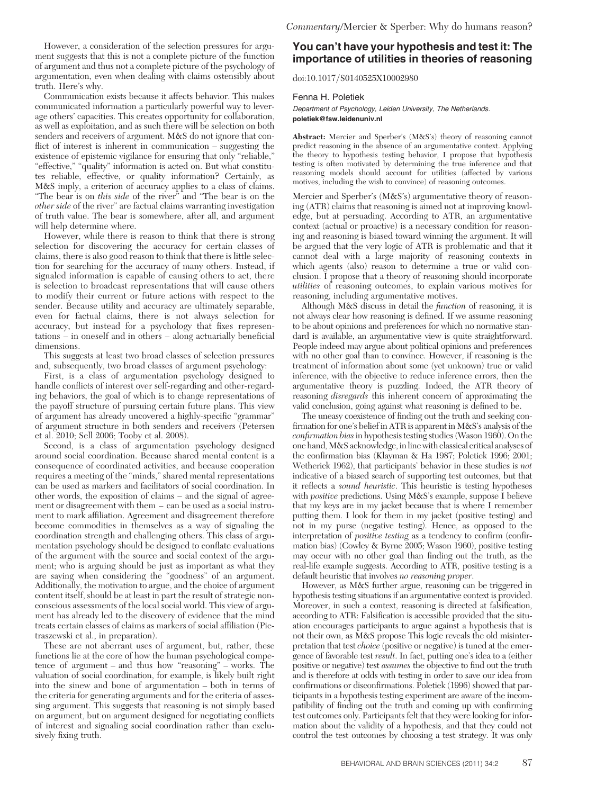However, a consideration of the selection pressures for argument suggests that this is not a complete picture of the function of argument and thus not a complete picture of the psychology of argumentation, even when dealing with claims ostensibly about truth. Here's why.

Communication exists because it affects behavior. This makes communicated information a particularly powerful way to leverage others' capacities. This creates opportunity for collaboration, as well as exploitation, and as such there will be selection on both senders and receivers of argument. M&S do not ignore that conflict of interest is inherent in communication – suggesting the existence of epistemic vigilance for ensuring that only "reliable," "effective," "quality" information is acted on. But what constitutes reliable, effective, or quality information? Certainly, as M&S imply, a criterion of accuracy applies to a class of claims. "The bear is on this side of the river" and "The bear is on the other side of the river" are factual claims warranting investigation of truth value. The bear is somewhere, after all, and argument will help determine where.

However, while there is reason to think that there is strong selection for discovering the accuracy for certain classes of claims, there is also good reason to think that there is little selection for searching for the accuracy of many others. Instead, if signaled information is capable of causing others to act, there is selection to broadcast representations that will cause others to modify their current or future actions with respect to the sender. Because utility and accuracy are ultimately separable, even for factual claims, there is not always selection for accuracy, but instead for a psychology that fixes representations – in oneself and in others – along actuarially beneficial dimensions.

This suggests at least two broad classes of selection pressures and, subsequently, two broad classes of argument psychology:

First, is a class of argumentation psychology designed to handle conflicts of interest over self-regarding and other-regarding behaviors, the goal of which is to change representations of the payoff structure of pursuing certain future plans. This view of argument has already uncovered a highly-specific "grammar" of argument structure in both senders and receivers (Petersen et al. 2010; Sell 2006; Tooby et al. 2008).

Second, is a class of argumentation psychology designed around social coordination. Because shared mental content is a consequence of coordinated activities, and because cooperation requires a meeting of the "minds," shared mental representations can be used as markers and facilitators of social coordination. In other words, the exposition of claims – and the signal of agreement or disagreement with them – can be used as a social instrument to mark affiliation. Agreement and disagreement therefore become commodities in themselves as a way of signaling the coordination strength and challenging others. This class of argumentation psychology should be designed to conflate evaluations of the argument with the source and social context of the argument; who is arguing should be just as important as what they are saying when considering the "goodness" of an argument. Additionally, the motivation to argue, and the choice of argument content itself, should be at least in part the result of strategic nonconscious assessments of the local social world. This view of argument has already led to the discovery of evidence that the mind treats certain classes of claims as markers of social affiliation (Pietraszewski et al., in preparation).

These are not aberrant uses of argument, but, rather, these functions lie at the core of how the human psychological competence of argument – and thus how "reasoning" – works. The valuation of social coordination, for example, is likely built right into the sinew and bone of argumentation – both in terms of the criteria for generating arguments and for the criteria of assessing argument. This suggests that reasoning is not simply based on argument, but on argument designed for negotiating conflicts of interest and signaling social coordination rather than exclusively fixing truth.

## You can't have your hypothesis and test it: The importance of utilities in theories of reasoning

doi:10.1017/S0140525X10002980

#### Fenna H. Poletiek

Department of Psychology, Leiden University, The Netherlands. poletiek@fsw.leidenuniv.nl

Abstract: Mercier and Sperber's (M&S's) theory of reasoning cannot predict reasoning in the absence of an argumentative context. Applying the theory to hypothesis testing behavior, I propose that hypothesis testing is often motivated by determining the true inference and that reasoning models should account for utilities (affected by various motives, including the wish to convince) of reasoning outcomes.

Mercier and Sperber's (M&S's) argumentative theory of reasoning (ATR) claims that reasoning is aimed not at improving knowledge, but at persuading. According to ATR, an argumentative context (actual or proactive) is a necessary condition for reasoning and reasoning is biased toward winning the argument. It will be argued that the very logic of ATR is problematic and that it cannot deal with a large majority of reasoning contexts in which agents (also) reason to determine a true or valid conclusion. I propose that a theory of reasoning should incorporate utilities of reasoning outcomes, to explain various motives for reasoning, including argumentative motives.

Although M&S discuss in detail the function of reasoning, it is not always clear how reasoning is defined. If we assume reasoning to be about opinions and preferences for which no normative standard is available, an argumentative view is quite straightforward. People indeed may argue about political opinions and preferences with no other goal than to convince. However, if reasoning is the treatment of information about some (yet unknown) true or valid inference, with the objective to reduce inference errors, then the argumentative theory is puzzling. Indeed, the ATR theory of reasoning disregards this inherent concern of approximating the valid conclusion, going against what reasoning is defined to be.

The uneasy coexistence of finding out the truth and seeking confirmation for one's belief in ATR is apparent in M&S's analysis of the confirmation bias in hypothesis testing studies (Wason 1960). On the one hand,M&S acknowledge, in line with classical critical analyses of the confirmation bias (Klayman & Ha 1987; Poletiek 1996; 2001; Wetherick 1962), that participants' behavior in these studies is not indicative of a biased search of supporting test outcomes, but that it reflects a sound heuristic. This heuristic is testing hypotheses with positive predictions. Using M&S's example, suppose I believe that my keys are in my jacket because that is where I remember putting them. I look for them in my jacket (positive testing) and not in my purse (negative testing). Hence, as opposed to the interpretation of positive testing as a tendency to confirm (confirmation bias) (Cowley & Byrne 2005; Wason 1960), positive testing may occur with no other goal than finding out the truth, as the real-life example suggests. According to ATR, positive testing is a default heuristic that involves no reasoning proper.

However, as M&S further argue, reasoning can be triggered in hypothesis testing situations if an argumentative context is provided. Moreover, in such a context, reasoning is directed at falsification, according to ATR: Falsification is accessible provided that the situation encourages participants to argue against a hypothesis that is not their own, as M&S propose This logic reveals the old misinterpretation that test choice (positive or negative) is tuned at the emergence of favorable test result. In fact, putting one's idea to a (either positive or negative) test assumes the objective to find out the truth and is therefore at odds with testing in order to save our idea from confirmations or disconfirmations. Poletiek (1996) showed that participants in a hypothesis testing experiment are aware of the incompatibility of finding out the truth and coming up with confirming test outcomes only. Participants felt that they were looking for information about the validity of a hypothesis, and that they could not control the test outcomes by choosing a test strategy. It was only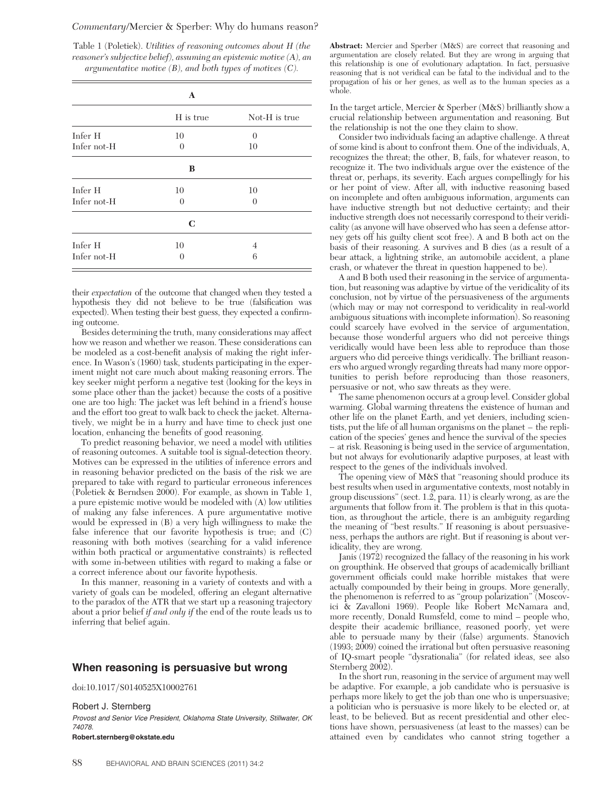#### Commentary/Mercier & Sperber: Why do humans reason?

Table 1 (Poletiek). Utilities of reasoning outcomes about H (the reasoner's subjective belief), assuming an epistemic motive (A), an argumentative motive  $(B)$ , and both types of motives  $(C)$ .

|             | $\mathbf{A}$ |               |
|-------------|--------------|---------------|
|             | H is true    | Not-H is true |
| Infer H     | 10           | $\theta$      |
| Infer not-H | $\theta$     | 10            |
|             | B            |               |
| Infer $H$   | 10           | 10            |
| Infer not-H | $\Omega$     | $\theta$      |
|             | $\mathbf C$  |               |
| Infer H     | 10           | 4             |
| Infer not-H | $\Omega$     | 6             |

their expectation of the outcome that changed when they tested a hypothesis they did not believe to be true (falsification was expected). When testing their best guess, they expected a confirming outcome.

Besides determining the truth, many considerations may affect how we reason and whether we reason. These considerations can be modeled as a cost-benefit analysis of making the right inference. In Wason's (1960) task, students participating in the experiment might not care much about making reasoning errors. The key seeker might perform a negative test (looking for the keys in some place other than the jacket) because the costs of a positive one are too high: The jacket was left behind in a friend's house and the effort too great to walk back to check the jacket. Alternatively, we might be in a hurry and have time to check just one location, enhancing the benefits of good reasoning.

To predict reasoning behavior, we need a model with utilities of reasoning outcomes. A suitable tool is signal-detection theory. Motives can be expressed in the utilities of inference errors and in reasoning behavior predicted on the basis of the risk we are prepared to take with regard to particular erroneous inferences (Poletiek & Berndsen 2000). For example, as shown in Table 1, a pure epistemic motive would be modeled with (A) low utilities of making any false inferences. A pure argumentative motive would be expressed in (B) a very high willingness to make the false inference that our favorite hypothesis is true; and (C) reasoning with both motives (searching for a valid inference within both practical or argumentative constraints) is reflected with some in-between utilities with regard to making a false or a correct inference about our favorite hypothesis.

In this manner, reasoning in a variety of contexts and with a variety of goals can be modeled, offering an elegant alternative to the paradox of the ATR that we start up a reasoning trajectory about a prior belief if and only if the end of the route leads us to inferring that belief again.

## When reasoning is persuasive but wrong

doi:10.1017/S0140525X10002761

#### Robert J. Sternberg

Provost and Senior Vice President, Oklahoma State University, Stillwater, OK 74078.

Robert.sternberg@okstate.edu

Abstract: Mercier and Sperber (M&S) are correct that reasoning and argumentation are closely related. But they are wrong in arguing that this relationship is one of evolutionary adaptation. In fact, persuasive reasoning that is not veridical can be fatal to the individual and to the propagation of his or her genes, as well as to the human species as a whole.

In the target article, Mercier & Sperber (M&S) brilliantly show a crucial relationship between argumentation and reasoning. But the relationship is not the one they claim to show.

Consider two individuals facing an adaptive challenge. A threat of some kind is about to confront them. One of the individuals, A, recognizes the threat; the other, B, fails, for whatever reason, to recognize it. The two individuals argue over the existence of the threat or, perhaps, its severity. Each argues compellingly for his or her point of view. After all, with inductive reasoning based on incomplete and often ambiguous information, arguments can have inductive strength but not deductive certainty; and their inductive strength does not necessarily correspond to their veridicality (as anyone will have observed who has seen a defense attorney gets off his guilty client scot free). A and B both act on the basis of their reasoning. A survives and B dies (as a result of a bear attack, a lightning strike, an automobile accident, a plane crash, or whatever the threat in question happened to be).

A and B both used their reasoning in the service of argumentation, but reasoning was adaptive by virtue of the veridicality of its conclusion, not by virtue of the persuasiveness of the arguments (which may or may not correspond to veridicality in real-world ambiguous situations with incomplete information). So reasoning could scarcely have evolved in the service of argumentation, because those wonderful arguers who did not perceive things veridically would have been less able to reproduce than those arguers who did perceive things veridically. The brilliant reasoners who argued wrongly regarding threats had many more opportunities to perish before reproducing than those reasoners, persuasive or not, who saw threats as they were.

The same phenomenon occurs at a group level. Consider global warming. Global warming threatens the existence of human and other life on the planet Earth, and yet deniers, including scientists, put the life of all human organisms on the planet – the replication of the species' genes and hence the survival of the species – at risk. Reasoning is being used in the service of argumentation, but not always for evolutionarily adaptive purposes, at least with respect to the genes of the individuals involved.

The opening view of M&S that "reasoning should produce its best results when used in argumentative contexts, most notably in group discussions" (sect. 1.2, para. 11) is clearly wrong, as are the arguments that follow from it. The problem is that in this quotation, as throughout the article, there is an ambiguity regarding the meaning of "best results." If reasoning is about persuasiveness, perhaps the authors are right. But if reasoning is about veridicality, they are wrong.

Janis (1972) recognized the fallacy of the reasoning in his work on groupthink. He observed that groups of academically brilliant government officials could make horrible mistakes that were actually compounded by their being in groups. More generally, the phenomenon is referred to as "group polarization" (Moscovici & Zavalloni 1969). People like Robert McNamara and, more recently, Donald Rumsfeld, come to mind – people who, despite their academic brilliance, reasoned poorly, yet were able to persuade many by their (false) arguments. Stanovich (1993; 2009) coined the irrational but often persuasive reasoning of IQ-smart people "dysrationalia" (for related ideas, see also Sternberg 2002).

In the short run, reasoning in the service of argument may well be adaptive. For example, a job candidate who is persuasive is perhaps more likely to get the job than one who is unpersuasive; a politician who is persuasive is more likely to be elected or, at least, to be believed. But as recent presidential and other elections have shown, persuasiveness (at least to the masses) can be attained even by candidates who cannot string together a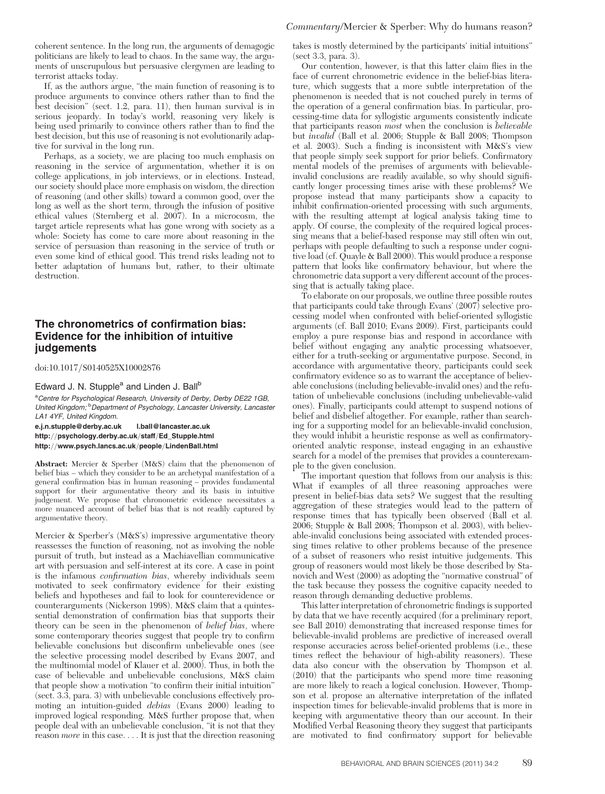coherent sentence. In the long run, the arguments of demagogic politicians are likely to lead to chaos. In the same way, the arguments of unscrupulous but persuasive clergymen are leading to terrorist attacks today.

If, as the authors argue, "the main function of reasoning is to produce arguments to convince others rather than to find the best decision" (sect. 1.2, para. 11), then human survival is in serious jeopardy. In today's world, reasoning very likely is being used primarily to convince others rather than to find the best decision, but this use of reasoning is not evolutionarily adaptive for survival in the long run.

Perhaps, as a society, we are placing too much emphasis on reasoning in the service of argumentation, whether it is on college applications, in job interviews, or in elections. Instead, our society should place more emphasis on wisdom, the direction of reasoning (and other skills) toward a common good, over the long as well as the short term, through the infusion of positive ethical values (Sternberg et al. 2007). In a microcosm, the target article represents what has gone wrong with society as a whole: Society has come to care more about reasoning in the service of persuasion than reasoning in the service of truth or even some kind of ethical good. This trend risks leading not to better adaptation of humans but, rather, to their ultimate destruction.

## The chronometrics of confirmation bias: Evidence for the inhibition of intuitive judgements

doi:10.1017/S0140525X10002876

#### Edward J. N. Stupple<sup>a</sup> and Linden J. Ball<sup>b</sup>

<sup>a</sup> Centre for Psychological Research, University of Derby, Derby DE22 1GB, United Kingdom; <sup>b</sup>Department of Psychology, Lancaster University, Lancaster LA1 4YF, United Kingdom.

e.j.n.stupple@derby.ac.uk l.ball@lancaster.ac.uk http://psychology.derby.ac.uk/staff/Ed\_Stupple.html http://www.psych.lancs.ac.uk/people/LindenBall.html

Abstract: Mercier & Sperber (M&S) claim that the phenomenon of belief bias – which they consider to be an archetypal manifestation of a general confirmation bias in human reasoning – provides fundamental support for their argumentative theory and its basis in intuitive judgement. We propose that chronometric evidence necessitates a more nuanced account of belief bias that is not readily captured by argumentative theory.

Mercier & Sperber's (M&S's) impressive argumentative theory reassesses the function of reasoning, not as involving the noble pursuit of truth, but instead as a Machiavellian communicative art with persuasion and self-interest at its core. A case in point is the infamous confirmation bias, whereby individuals seem motivated to seek confirmatory evidence for their existing beliefs and hypotheses and fail to look for counterevidence or counterarguments (Nickerson 1998). M&S claim that a quintessential demonstration of confirmation bias that supports their theory can be seen in the phenomenon of belief bias, where some contemporary theories suggest that people try to confirm believable conclusions but disconfirm unbelievable ones (see the selective processing model described by Evans 2007, and the multinomial model of Klauer et al. 2000). Thus, in both the case of believable and unbelievable conclusions, M&S claim that people show a motivation "to confirm their initial intuition" (sect. 3.3, para. 3) with unbelievable conclusions effectively promoting an intuition-guided debias (Evans 2000) leading to improved logical responding. M&S further propose that, when people deal with an unbelievable conclusion, "it is not that they reason more in this case. . . . It is just that the direction reasoning

takes is mostly determined by the participants' initial intuitions" (sect 3.3, para. 3).

Our contention, however, is that this latter claim flies in the face of current chronometric evidence in the belief-bias literature, which suggests that a more subtle interpretation of the phenomenon is needed that is not couched purely in terms of the operation of a general confirmation bias. In particular, processing-time data for syllogistic arguments consistently indicate that participants reason most when the conclusion is believable but invalid (Ball et al. 2006; Stupple & Ball 2008; Thompson et al. 2003). Such a finding is inconsistent with M&S's view that people simply seek support for prior beliefs. Confirmatory mental models of the premises of arguments with believableinvalid conclusions are readily available, so why should significantly longer processing times arise with these problems? We propose instead that many participants show a capacity to inhibit confirmation-oriented processing with such arguments, with the resulting attempt at logical analysis taking time to apply. Of course, the complexity of the required logical processing means that a belief-based response may still often win out, perhaps with people defaulting to such a response under cognitive load (cf. Quayle & Ball 2000). This would produce a response pattern that looks like confirmatory behaviour, but where the chronometric data support a very different account of the processing that is actually taking place.

To elaborate on our proposals, we outline three possible routes that participants could take through Evans' (2007) selective processing model when confronted with belief-oriented syllogistic arguments (cf. Ball 2010; Evans 2009). First, participants could employ a pure response bias and respond in accordance with belief without engaging any analytic processing whatsoever, either for a truth-seeking or argumentative purpose. Second, in accordance with argumentative theory, participants could seek confirmatory evidence so as to warrant the acceptance of believable conclusions (including believable-invalid ones) and the refutation of unbelievable conclusions (including unbelievable-valid ones). Finally, participants could attempt to suspend notions of belief and disbelief altogether. For example, rather than searching for a supporting model for an believable-invalid conclusion, they would inhibit a heuristic response as well as confirmatoryoriented analytic response, instead engaging in an exhaustive search for a model of the premises that provides a counterexample to the given conclusion.

The important question that follows from our analysis is this: What if examples of all three reasoning approaches were present in belief-bias data sets? We suggest that the resulting aggregation of these strategies would lead to the pattern of response times that has typically been observed (Ball et al. 2006; Stupple & Ball 2008; Thompson et al. 2003), with believable-invalid conclusions being associated with extended processing times relative to other problems because of the presence of a subset of reasoners who resist intuitive judgements. This group of reasoners would most likely be those described by Stanovich and West (2000) as adopting the "normative construal" of the task because they possess the cognitive capacity needed to reason through demanding deductive problems.

This latter interpretation of chronometric findings is supported by data that we have recently acquired (for a preliminary report, see Ball 2010) demonstrating that increased response times for believable-invalid problems are predictive of increased overall response accuracies across belief-oriented problems (i.e., these times reflect the behaviour of high-ability reasoners). These data also concur with the observation by Thompson et al. (2010) that the participants who spend more time reasoning are more likely to reach a logical conclusion. However, Thompson et al. propose an alternative interpretation of the inflated inspection times for believable-invalid problems that is more in keeping with argumentative theory than our account. In their Modified Verbal Reasoning theory they suggest that participants are motivated to find confirmatory support for believable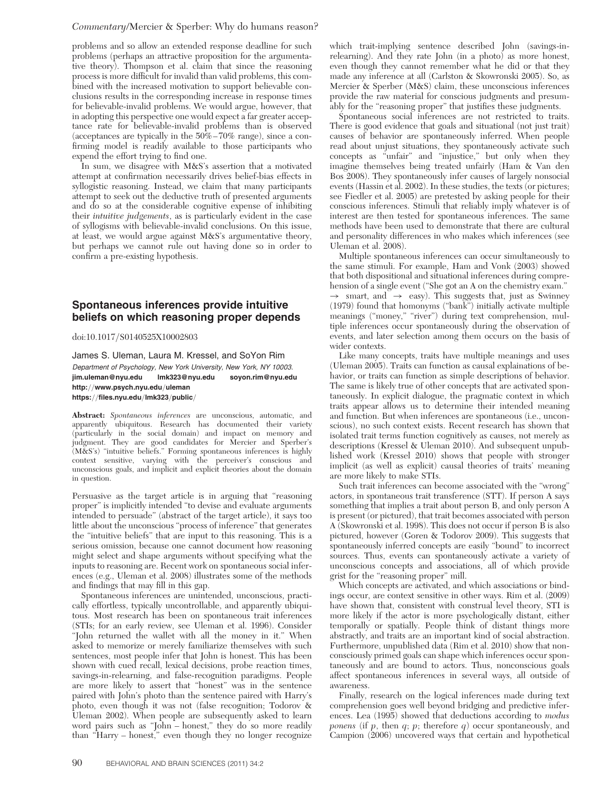## Commentary/Mercier & Sperber: Why do humans reason?

problems and so allow an extended response deadline for such problems (perhaps an attractive proposition for the argumentative theory). Thompson et al. claim that since the reasoning process is more difficult for invalid than valid problems, this combined with the increased motivation to support believable conclusions results in the corresponding increase in response times for believable-invalid problems. We would argue, however, that in adopting this perspective one would expect a far greater acceptance rate for believable-invalid problems than is observed (acceptances are typically in the 50% –70% range), since a confirming model is readily available to those participants who expend the effort trying to find one.

In sum, we disagree with M&S's assertion that a motivated attempt at confirmation necessarily drives belief-bias effects in syllogistic reasoning. Instead, we claim that many participants attempt to seek out the deductive truth of presented arguments and do so at the considerable cognitive expense of inhibiting their intuitive judgements, as is particularly evident in the case of syllogisms with believable-invalid conclusions. On this issue, at least, we would argue against M&S's argumentative theory, but perhaps we cannot rule out having done so in order to confirm a pre-existing hypothesis.

## Spontaneous inferences provide intuitive beliefs on which reasoning proper depends

doi:10.1017/S0140525X10002803

James S. Uleman, Laura M. Kressel, and SoYon Rim Department of Psychology, New York University, New York, NY 10003. jim.uleman@nyu.edu lmk323@nyu.edu soyon.rim@nyu.edu http://www.psych.nyu.edu/uleman

https://files.nyu.edu/lmk323/public/

Abstract: Spontaneous inferences are unconscious, automatic, and apparently ubiquitous. Research has documented their variety (particularly in the social domain) and impact on memory and judgment. They are good candidates for Mercier and Sperber's (M&S's) "intuitive beliefs." Forming spontaneous inferences is highly context sensitive, varying with the perceiver's conscious and unconscious goals, and implicit and explicit theories about the domain in question.

Persuasive as the target article is in arguing that "reasoning proper" is implicitly intended "to devise and evaluate arguments intended to persuade" (abstract of the target article), it says too little about the unconscious "process of inference" that generates the "intuitive beliefs" that are input to this reasoning. This is a serious omission, because one cannot document how reasoning might select and shape arguments without specifying what the inputs to reasoning are. Recent work on spontaneous social inferences (e.g., Uleman et al. 2008) illustrates some of the methods and findings that may fill in this gap.

Spontaneous inferences are unintended, unconscious, practically effortless, typically uncontrollable, and apparently ubiquitous. Most research has been on spontaneous trait inferences (STIs; for an early review, see Uleman et al. 1996). Consider "John returned the wallet with all the money in it." When asked to memorize or merely familiarize themselves with such sentences, most people infer that John is honest. This has been shown with cued recall, lexical decisions, probe reaction times, savings-in-relearning, and false-recognition paradigms. People are more likely to assert that "honest" was in the sentence paired with John's photo than the sentence paired with Harry's photo, even though it was not (false recognition; Todorov & Uleman 2002). When people are subsequently asked to learn word pairs such as "John – honest," they do so more readily than "Harry – honest," even though they no longer recognize

which trait-implying sentence described John (savings-inrelearning). And they rate John (in a photo) as more honest, even though they cannot remember what he did or that they made any inference at all (Carlston & Skowronski 2005). So, as Mercier & Sperber (M&S) claim, these unconscious inferences provide the raw material for conscious judgments and presumably for the "reasoning proper" that justifies these judgments.

Spontaneous social inferences are not restricted to traits. There is good evidence that goals and situational (not just trait) causes of behavior are spontaneously inferred. When people read about unjust situations, they spontaneously activate such concepts as "unfair" and "injustice," but only when they imagine themselves being treated unfairly (Ham & Van den Bos 2008). They spontaneously infer causes of largely nonsocial events (Hassin et al. 2002). In these studies, the texts (or pictures; see Fiedler et al. 2005) are pretested by asking people for their conscious inferences. Stimuli that reliably imply whatever is of interest are then tested for spontaneous inferences. The same methods have been used to demonstrate that there are cultural and personality differences in who makes which inferences (see Uleman et al. 2008).

Multiple spontaneous inferences can occur simultaneously to the same stimuli. For example, Ham and Vonk (2003) showed that both dispositional and situational inferences during comprehension of a single event ("She got an A on the chemistry exam."  $\rightarrow$  smart, and  $\rightarrow$  easy). This suggests that, just as Swinney (1979) found that homonyms ("bank") initially activate multiple meanings ("money," "river") during text comprehension, multiple inferences occur spontaneously during the observation of events, and later selection among them occurs on the basis of wider contexts.

Like many concepts, traits have multiple meanings and uses (Uleman 2005). Traits can function as causal explainations of behavior, or traits can function as simple descriptions of behavior. The same is likely true of other concepts that are activated spontaneously. In explicit dialogue, the pragmatic context in which traits appear allows us to determine their intended meaning and function. But when inferences are spontaneous (i.e., unconscious), no such context exists. Recent research has shown that isolated trait terms function cognitively as causes, not merely as descriptions (Kressel & Uleman 2010). And subsequent unpublished work (Kressel 2010) shows that people with stronger implicit (as well as explicit) causal theories of traits' meaning are more likely to make STIs.

Such trait inferences can become associated with the "wrong" actors, in spontaneous trait transference (STT). If person A says something that implies a trait about person B, and only person A is present (or pictured), that trait becomes associated with person A (Skowronski et al. 1998). This does not occur if person B is also pictured, however (Goren & Todorov 2009). This suggests that spontaneously inferred concepts are easily "bound" to incorrect sources. Thus, events can spontaneously activate a variety of unconscious concepts and associations, all of which provide grist for the "reasoning proper" mill.

Which concepts are activated, and which associations or bindings occur, are context sensitive in other ways. Rim et al. (2009) have shown that, consistent with construal level theory, STI is more likely if the actor is more psychologically distant, either temporally or spatially. People think of distant things more abstractly, and traits are an important kind of social abstraction. Furthermore, unpublished data (Rim et al. 2010) show that nonconsciously primed goals can shape which inferences occur spontaneously and are bound to actors. Thus, nonconscious goals affect spontaneous inferences in several ways, all outside of awareness.

Finally, research on the logical inferences made during text comprehension goes well beyond bridging and predictive inferences. Lea (1995) showed that deductions according to modus *ponens* (if  $p$ , then  $q$ ;  $p$ ; therefore  $q$ ) occur spontaneously, and Campion (2006) uncovered ways that certain and hypothetical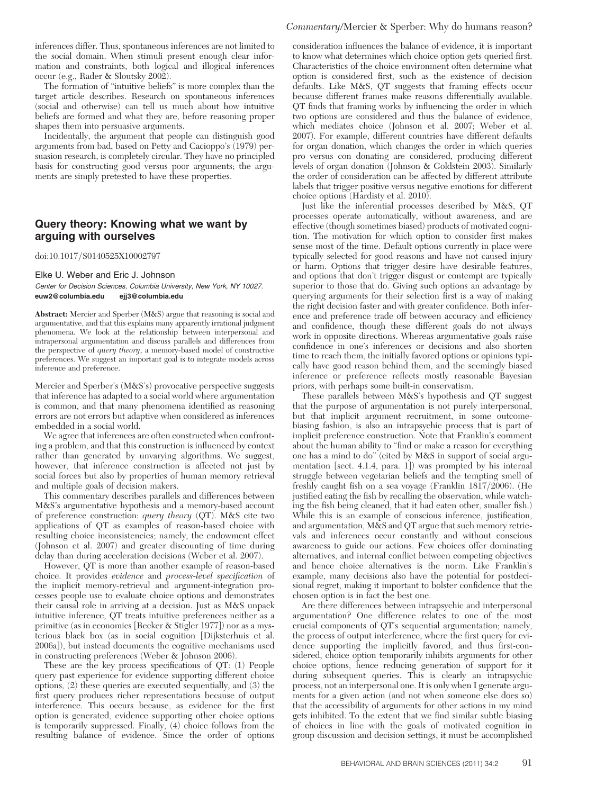inferences differ. Thus, spontaneous inferences are not limited to the social domain. When stimuli present enough clear information and constraints, both logical and illogical inferences occur (e.g., Rader & Sloutsky 2002).

The formation of "intuitive beliefs" is more complex than the target article describes. Research on spontaneous inferences (social and otherwise) can tell us much about how intuitive beliefs are formed and what they are, before reasoning proper shapes them into persuasive arguments.

Incidentally, the argument that people can distinguish good arguments from bad, based on Petty and Cacioppo's (1979) persuasion research, is completely circular. They have no principled basis for constructing good versus poor arguments; the arguments are simply pretested to have these properties.

## Query theory: Knowing what we want by arguing with ourselves

doi:10.1017/S0140525X10002797

Elke U. Weber and Eric J. Johnson

Center for Decision Sciences, Columbia University, New York, NY 10027. euw2@columbia.edu ejj3@columbia.edu

Abstract: Mercier and Sperber (M&S) argue that reasoning is social and argumentative, and that this explains many apparently irrational judgment phenomena. We look at the relationship between interpersonal and intrapersonal argumentation and discuss parallels and differences from the perspective of query theory, a memory-based model of constructive preferences. We suggest an important goal is to integrate models across inference and preference.

Mercier and Sperber's (M&S's) provocative perspective suggests that inference has adapted to a social world where argumentation is common, and that many phenomena identified as reasoning errors are not errors but adaptive when considered as inferences embedded in a social world.

We agree that inferences are often constructed when confronting a problem, and that this construction is influenced by context rather than generated by unvarying algorithms. We suggest, however, that inference construction is affected not just by social forces but also by properties of human memory retrieval and multiple goals of decision makers.

This commentary describes parallels and differences between M&S's argumentative hypothesis and a memory-based account of preference construction: query theory (QT). M&S cite two applications of QT as examples of reason-based choice with resulting choice inconsistencies; namely, the endowment effect (Johnson et al. 2007) and greater discounting of time during delay than during acceleration decisions (Weber et al. 2007).

However, QT is more than another example of reason-based choice. It provides evidence and process-level specification of the implicit memory-retrieval and argument-integration processes people use to evaluate choice options and demonstrates their causal role in arriving at a decision. Just as M&S unpack intuitive inference, QT treats intuitive preferences neither as a primitive (as in economics [Becker & Stigler 1977]) nor as a mysterious black box (as in social cognition [Dijksterhuis et al. 2006a]), but instead documents the cognitive mechanisms used in constructing preferences (Weber & Johnson 2006).

These are the key process specifications of QT: (1) People query past experience for evidence supporting different choice options, (2) these queries are executed sequentially, and (3) the first query produces richer representations because of output interference. This occurs because, as evidence for the first option is generated, evidence supporting other choice options is temporarily suppressed. Finally, (4) choice follows from the resulting balance of evidence. Since the order of options consideration influences the balance of evidence, it is important to know what determines which choice option gets queried first. Characteristics of the choice environment often determine what option is considered first, such as the existence of decision defaults. Like M&S, QT suggests that framing effects occur because different frames make reasons differentially available. QT finds that framing works by influencing the order in which two options are considered and thus the balance of evidence, which mediates choice (Johnson et al. 2007; Weber et al. 2007). For example, different countries have different defaults for organ donation, which changes the order in which queries pro versus con donating are considered, producing different levels of organ donation (Johnson & Goldstein 2003). Similarly the order of consideration can be affected by different attribute labels that trigger positive versus negative emotions for different choice options (Hardisty et al. 2010).

Just like the inferential processes described by M&S, QT processes operate automatically, without awareness, and are effective (though sometimes biased) products of motivated cognition. The motivation for which option to consider first makes sense most of the time. Default options currently in place were typically selected for good reasons and have not caused injury or harm. Options that trigger desire have desirable features, and options that don't trigger disgust or contempt are typically superior to those that do. Giving such options an advantage by querying arguments for their selection first is a way of making the right decision faster and with greater confidence. Both inference and preference trade off between accuracy and efficiency and confidence, though these different goals do not always work in opposite directions. Whereas argumentative goals raise confidence in one's inferences or decisions and also shorten time to reach them, the initially favored options or opinions typically have good reason behind them, and the seemingly biased inference or preference reflects mostly reasonable Bayesian priors, with perhaps some built-in conservatism.

These parallels between M&S's hypothesis and QT suggest that the purpose of argumentation is not purely interpersonal, but that implicit argument recruitment, in some outcomebiasing fashion, is also an intrapsychic process that is part of implicit preference construction. Note that Franklin's comment about the human ability to "find or make a reason for everything one has a mind to do" (cited by M&S in support of social argumentation [sect. 4.1.4, para. 1]) was prompted by his internal struggle between vegetarian beliefs and the tempting smell of freshly caught fish on a sea voyage (Franklin 1817/2006). (He justified eating the fish by recalling the observation, while watching the fish being cleaned, that it had eaten other, smaller fish.) While this is an example of conscious inference, justification, and argumentation, M&S and QT argue that such memory retrievals and inferences occur constantly and without conscious awareness to guide our actions. Few choices offer dominating alternatives, and internal conflict between competing objectives and hence choice alternatives is the norm. Like Franklin's example, many decisions also have the potential for postdecisional regret, making it important to bolster confidence that the chosen option is in fact the best one.

Are there differences between intrapsychic and interpersonal argumentation? One difference relates to one of the most crucial components of QT's sequential argumentation; namely, the process of output interference, where the first query for evidence supporting the implicitly favored, and thus first-considered, choice option temporarily inhibits arguments for other choice options, hence reducing generation of support for it during subsequent queries. This is clearly an intrapsychic process, not an interpersonal one. It is only when I generate arguments for a given action (and not when someone else does so) that the accessibility of arguments for other actions in my mind gets inhibited. To the extent that we find similar subtle biasing of choices in line with the goals of motivated cognition in group discussion and decision settings, it must be accomplished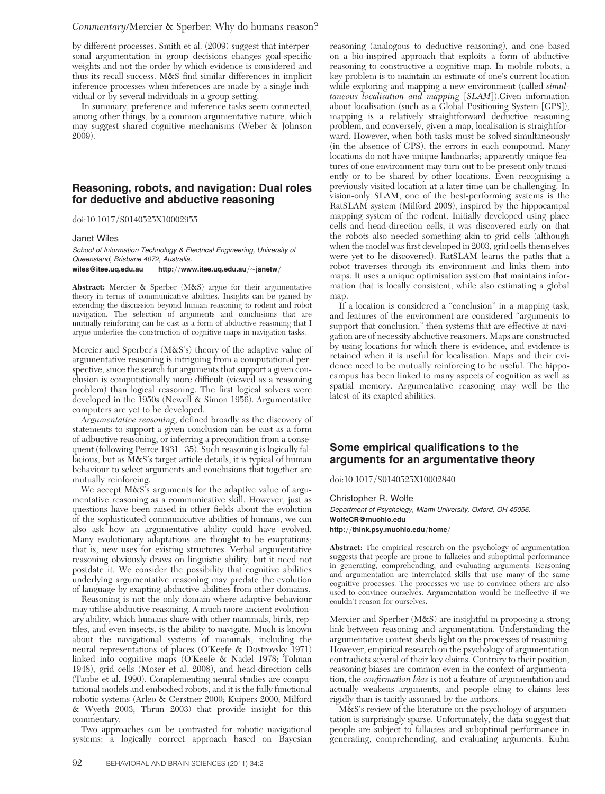#### Commentary/Mercier & Sperber: Why do humans reason?

by different processes. Smith et al. (2009) suggest that interpersonal argumentation in group decisions changes goal-specific weights and not the order by which evidence is considered and thus its recall success. M&S find similar differences in implicit inference processes when inferences are made by a single individual or by several individuals in a group setting.

In summary, preference and inference tasks seem connected, among other things, by a common argumentative nature, which may suggest shared cognitive mechanisms (Weber & Johnson 2009).

## Reasoning, robots, and navigation: Dual roles for deductive and abductive reasoning

#### doi:10.1017/S0140525X10002955

Janet Wiles

School of Information Technology & Electrical Engineering, University of Queensland, Brisbane 4072, Australia. wiles@itee.uq.edu.au http://www.itee.uq.edu.au/ $\sim$ janetw/

Abstract: Mercier & Sperber (M&S) argue for their argumentative theory in terms of communicative abilities. Insights can be gained by extending the discussion beyond human reasoning to rodent and robot navigation. The selection of arguments and conclusions that are mutually reinforcing can be cast as a form of abductive reasoning that I argue underlies the construction of cognitive maps in navigation tasks.

Mercier and Sperber's (M&S's) theory of the adaptive value of argumentative reasoning is intriguing from a computational perspective, since the search for arguments that support a given conclusion is computationally more difficult (viewed as a reasoning problem) than logical reasoning. The first logical solvers were developed in the 1950s (Newell & Simon 1956). Argumentative computers are yet to be developed.

Argumentative reasoning, defined broadly as the discovery of statements to support a given conclusion can be cast as a form of adbuctive reasoning, or inferring a precondition from a consequent (following Peirce 1931–35). Such reasoning is logically fallacious, but as M&S's target article details, it is typical of human behaviour to select arguments and conclusions that together are mutually reinforcing.

We accept M&S's arguments for the adaptive value of argumentative reasoning as a communicative skill. However, just as questions have been raised in other fields about the evolution of the sophisticated communicative abilities of humans, we can also ask how an argumentative ability could have evolved. Many evolutionary adaptations are thought to be exaptations; that is, new uses for existing structures. Verbal argumentative reasoning obviously draws on linguistic ability, but it need not postdate it. We consider the possibility that cognitive abilities underlying argumentative reasoning may predate the evolution of language by exapting abductive abilities from other domains.

Reasoning is not the only domain where adaptive behaviour may utilise abductive reasoning. A much more ancient evolutionary ability, which humans share with other mammals, birds, reptiles, and even insects, is the ability to navigate. Much is known about the navigational systems of mammals, including the neural representations of places (O'Keefe & Dostrovsky 1971) linked into cognitive maps (O'Keefe & Nadel 1978; Tolman 1948), grid cells (Moser et al. 2008), and head-direction cells (Taube et al. 1990). Complementing neural studies are computational models and embodied robots, and it is the fully functional robotic systems (Arleo & Gerstner 2000; Kuipers 2000; Milford & Wyeth 2003; Thrun 2003) that provide insight for this commentary.

Two approaches can be contrasted for robotic navigational systems: a logically correct approach based on Bayesian

reasoning (analogous to deductive reasoning), and one based on a bio-inspired approach that exploits a form of abductive reasoning to constructive a cognitive map. In mobile robots, a key problem is to maintain an estimate of one's current location while exploring and mapping a new environment (called *simul*taneous localisation and mapping [SLAM]).Given information about localisation (such as a Global Positioning System [GPS]), mapping is a relatively straightforward deductive reasoning problem, and conversely, given a map, localisation is straightforward. However, when both tasks must be solved simultaneously (in the absence of GPS), the errors in each compound. Many locations do not have unique landmarks; apparently unique features of one environment may turn out to be present only transiently or to be shared by other locations. Even recognising a previously visited location at a later time can be challenging. In vision-only SLAM, one of the best-performing systems is the RatSLAM system (Milford 2008), inspired by the hippocampal mapping system of the rodent. Initially developed using place cells and head-direction cells, it was discovered early on that the robots also needed something akin to grid cells (although when the model was first developed in 2003, grid cells themselves were yet to be discovered). RatSLAM learns the paths that a robot traverses through its environment and links them into maps. It uses a unique optimisation system that maintains information that is locally consistent, while also estimating a global map

If a location is considered a "conclusion" in a mapping task, and features of the environment are considered "arguments to support that conclusion," then systems that are effective at navigation are of necessity abductive reasoners. Maps are constructed by using locations for which there is evidence, and evidence is retained when it is useful for localisation. Maps and their evidence need to be mutually reinforcing to be useful. The hippocampus has been linked to many aspects of cognition as well as spatial memory. Argumentative reasoning may well be the latest of its exapted abilities.

## Some empirical qualifications to the arguments for an argumentative theory

doi:10.1017/S0140525X10002840

#### Christopher R. Wolfe

Department of Psychology, Miami University, Oxford, OH 45056. WolfeCR@muohio.edu http://think.psy.muohio.edu/home/

Abstract: The empirical research on the psychology of argumentation suggests that people are prone to fallacies and suboptimal performance in generating, comprehending, and evaluating arguments. Reasoning and argumentation are interrelated skills that use many of the same cognitive processes. The processes we use to convince others are also used to convince ourselves. Argumentation would be ineffective if we couldn't reason for ourselves.

Mercier and Sperber (M&S) are insightful in proposing a strong link between reasoning and argumentation. Understanding the argumentative context sheds light on the processes of reasoning. However, empirical research on the psychology of argumentation contradicts several of their key claims. Contrary to their position, reasoning biases are common even in the context of argumentation, the confirmation bias is not a feature of argumentation and actually weakens arguments, and people cling to claims less rigidly than is tacitly assumed by the authors.

M&S's review of the literature on the psychology of argumentation is surprisingly sparse. Unfortunately, the data suggest that people are subject to fallacies and suboptimal performance in generating, comprehending, and evaluating arguments. Kuhn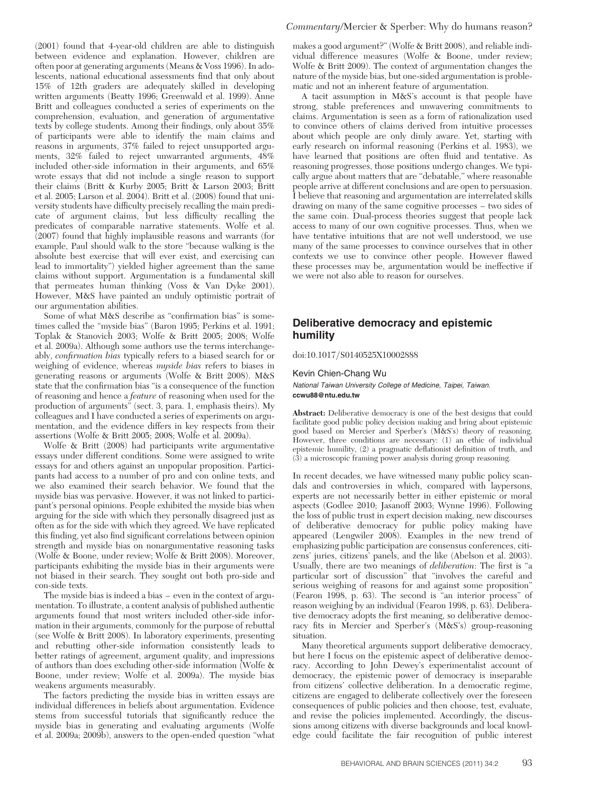(2001) found that 4-year-old children are able to distinguish between evidence and explanation. However, children are often poor at generating arguments (Means & Voss 1996). In adolescents, national educational assessments find that only about 15% of 12th graders are adequately skilled in developing written arguments (Beatty 1996; Greenwald et al. 1999). Anne Britt and colleagues conducted a series of experiments on the comprehension, evaluation, and generation of argumentative texts by college students. Among their findings, only about 35% of participants were able to identify the main claims and reasons in arguments, 37% failed to reject unsupported arguments, 32% failed to reject unwarranted arguments, 48% included other-side information in their arguments, and 65% wrote essays that did not include a single reason to support their claims (Britt & Kurby 2005; Britt & Larson 2003; Britt et al. 2005; Larson et al. 2004). Britt et al. (2008) found that university students have difficulty precisely recalling the main predicate of argument claims, but less difficulty recalling the predicates of comparable narrative statements. Wolfe et al. (2007) found that highly implausible reasons and warrants (for example, Paul should walk to the store "because walking is the absolute best exercise that will ever exist, and exercising can lead to immortality") yielded higher agreement than the same claims without support. Argumentation is a fundamental skill that permeates human thinking (Voss & Van Dyke 2001). However, M&S have painted an unduly optimistic portrait of our argumentation abilities.

Some of what M&S describe as "confirmation bias" is sometimes called the "myside bias" (Baron 1995; Perkins et al. 1991; Toplak & Stanovich 2003; Wolfe & Britt 2005; 2008; Wolfe et al. 2009a). Although some authors use the terms interchangeably, confirmation bias typically refers to a biased search for or weighing of evidence, whereas myside bias refers to biases in generating reasons or arguments (Wolfe & Britt 2008). M&S state that the confirmation bias "is a consequence of the function of reasoning and hence a feature of reasoning when used for the production of arguments" (sect. 3, para. 1, emphasis theirs). My colleagues and I have conducted a series of experiments on argumentation, and the evidence differs in key respects from their assertions (Wolfe & Britt 2005; 2008; Wolfe et al. 2009a).

Wolfe & Britt (2008) had participants write argumentative essays under different conditions. Some were assigned to write essays for and others against an unpopular proposition. Participants had access to a number of pro and con online texts, and we also examined their search behavior. We found that the myside bias was pervasive. However, it was not linked to participant's personal opinions. People exhibited the myside bias when arguing for the side with which they personally disagreed just as often as for the side with which they agreed. We have replicated this finding, yet also find significant correlations between opinion strength and myside bias on nonargumentative reasoning tasks (Wolfe & Boone, under review; Wolfe & Britt 2008). Moreover, participants exhibiting the myside bias in their arguments were not biased in their search. They sought out both pro-side and con-side texts.

The myside bias is indeed a bias – even in the context of argumentation. To illustrate, a content analysis of published authentic arguments found that most writers included other-side information in their arguments, commonly for the purpose of rebuttal (see Wolfe & Britt 2008). In laboratory experiments, presenting and rebutting other-side information consistently leads to better ratings of agreement, argument quality, and impressions of authors than does excluding other-side information (Wolfe & Boone, under review; Wolfe et al. 2009a). The myside bias weakens arguments measurably.

The factors predicting the myside bias in written essays are individual differences in beliefs about argumentation. Evidence stems from successful tutorials that significantly reduce the myside bias in generating and evaluating arguments (Wolfe et al. 2009a; 2009b), answers to the open-ended question "what makes a good argument?" (Wolfe & Britt 2008), and reliable individual difference measures (Wolfe & Boone, under review; Wolfe & Britt 2009). The context of argumentation changes the nature of the myside bias, but one-sided argumentation is problematic and not an inherent feature of argumentation.

A tacit assumption in M&S's account is that people have strong, stable preferences and unwavering commitments to claims. Argumentation is seen as a form of rationalization used to convince others of claims derived from intuitive processes about which people are only dimly aware. Yet, starting with early research on informal reasoning (Perkins et al. 1983), we have learned that positions are often fluid and tentative. As reasoning progresses, those positions undergo changes. We typically argue about matters that are "debatable," where reasonable people arrive at different conclusions and are open to persuasion. I believe that reasoning and argumentation are interrelated skills drawing on many of the same cognitive processes – two sides of the same coin. Dual-process theories suggest that people lack access to many of our own cognitive processes. Thus, when we have tentative intuitions that are not well understood, we use many of the same processes to convince ourselves that in other contexts we use to convince other people. However flawed these processes may be, argumentation would be ineffective if we were not also able to reason for ourselves.

## Deliberative democracy and epistemic humility

doi:10.1017/S0140525X10002888

#### Kevin Chien-Chang Wu National Taiwan University College of Medicine, Taipei, Taiwan. ccwu88@ntu.edu.tw

Abstract: Deliberative democracy is one of the best designs that could facilitate good public policy decision making and bring about epistemic good based on Mercier and Sperber's (M&S's) theory of reasoning. However, three conditions are necessary: (1) an ethic of individual epistemic humility, (2) a pragmatic deflationist definition of truth, and (3) a microscopic framing power analysis during group reasoning.

In recent decades, we have witnessed many public policy scandals and controversies in which, compared with laypersons, experts are not necessarily better in either epistemic or moral aspects (Godlee 2010; Jasanoff 2003; Wynne 1996). Following the loss of public trust in expert decision making, new discourses of deliberative democracy for public policy making have appeared (Lengwiler 2008). Examples in the new trend of emphasizing public participation are consensus conferences, citizens' juries, citizens' panels, and the like (Abelson et al. 2003). Usually, there are two meanings of deliberation: The first is "a particular sort of discussion" that "involves the careful and serious weighing of reasons for and against some proposition" (Fearon 1998, p. 63). The second is "an interior process" of reason weighing by an individual (Fearon 1998, p. 63). Deliberative democracy adopts the first meaning, so deliberative democracy fits in Mercier and Sperber's (M&S's) group-reasoning situation.

Many theoretical arguments support deliberative democracy, but here I focus on the epistemic aspect of deliberative democracy. According to John Dewey's experimentalist account of democracy, the epistemic power of democracy is inseparable from citizens' collective deliberation. In a democratic regime, citizens are engaged to deliberate collectively over the foreseen consequences of public policies and then choose, test, evaluate, and revise the policies implemented. Accordingly, the discussions among citizens with diverse backgrounds and local knowledge could facilitate the fair recognition of public interest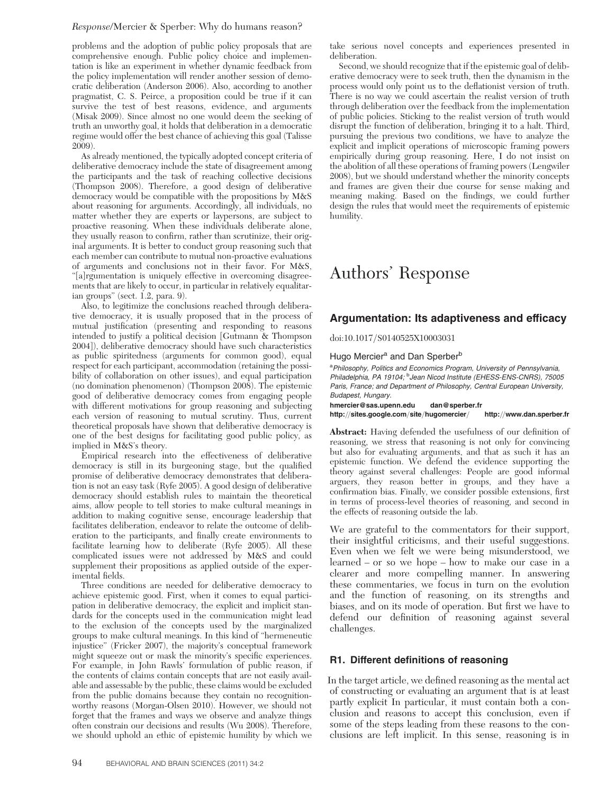#### Response/Mercier & Sperber: Why do humans reason?

problems and the adoption of public policy proposals that are comprehensive enough. Public policy choice and implementation is like an experiment in whether dynamic feedback from the policy implementation will render another session of democratic deliberation (Anderson 2006). Also, according to another pragmatist, C. S. Peirce, a proposition could be true if it can survive the test of best reasons, evidence, and arguments (Misak 2009). Since almost no one would deem the seeking of truth an unworthy goal, it holds that deliberation in a democratic regime would offer the best chance of achieving this goal (Talisse 2009).

As already mentioned, the typically adopted concept criteria of deliberative democracy include the state of disagreement among the participants and the task of reaching collective decisions (Thompson 2008). Therefore, a good design of deliberative democracy would be compatible with the propositions by M&S about reasoning for arguments. Accordingly, all individuals, no matter whether they are experts or laypersons, are subject to proactive reasoning. When these individuals deliberate alone, they usually reason to confirm, rather than scrutinize, their original arguments. It is better to conduct group reasoning such that each member can contribute to mutual non-proactive evaluations of arguments and conclusions not in their favor. For M&S, "[a]rgumentation is uniquely effective in overcoming disagreements that are likely to occur, in particular in relatively equalitarian groups" (sect. 1.2, para. 9).

Also, to legitimize the conclusions reached through deliberative democracy, it is usually proposed that in the process of mutual justification (presenting and responding to reasons intended to justify a political decision [Gutmann & Thompson 2004]), deliberative democracy should have such characteristics as public spiritedness (arguments for common good), equal respect for each participant, accommodation (retaining the possibility of collaboration on other issues), and equal participation (no domination phenomenon) (Thompson 2008). The epistemic good of deliberative democracy comes from engaging people with different motivations for group reasoning and subjecting each version of reasoning to mutual scrutiny. Thus, current theoretical proposals have shown that deliberative democracy is one of the best designs for facilitating good public policy, as implied in M&S's theory.

Empirical research into the effectiveness of deliberative democracy is still in its burgeoning stage, but the qualified promise of deliberative democracy demonstrates that deliberation is not an easy task (Ryfe 2005). A good design of deliberative democracy should establish rules to maintain the theoretical aims, allow people to tell stories to make cultural meanings in addition to making cognitive sense, encourage leadership that facilitates deliberation, endeavor to relate the outcome of deliberation to the participants, and finally create environments to facilitate learning how to deliberate (Ryfe 2005). All these complicated issues were not addressed by M&S and could supplement their propositions as applied outside of the experimental fields.

Three conditions are needed for deliberative democracy to achieve epistemic good. First, when it comes to equal participation in deliberative democracy, the explicit and implicit standards for the concepts used in the communication might lead to the exclusion of the concepts used by the marginalized groups to make cultural meanings. In this kind of "hermeneutic injustice" (Fricker 2007), the majority's conceptual framework might squeeze out or mask the minority's specific experiences. For example, in John Rawls' formulation of public reason, if the contents of claims contain concepts that are not easily available and assessable by the public, these claims would be excluded from the public domains because they contain no recognitionworthy reasons (Morgan-Olsen 2010). However, we should not forget that the frames and ways we observe and analyze things often constrain our decisions and results (Wu 2008). Therefore, we should uphold an ethic of epistemic humility by which we

take serious novel concepts and experiences presented in deliberation.

Second, we should recognize that if the epistemic goal of deliberative democracy were to seek truth, then the dynamism in the process would only point us to the deflationist version of truth. There is no way we could ascertain the realist version of truth through deliberation over the feedback from the implementation of public policies. Sticking to the realist version of truth would disrupt the function of deliberation, bringing it to a halt. Third, pursuing the previous two conditions, we have to analyze the explicit and implicit operations of microscopic framing powers empirically during group reasoning. Here, I do not insist on the abolition of all these operations of framing powers (Lengwiler 2008), but we should understand whether the minority concepts and frames are given their due course for sense making and meaning making. Based on the findings, we could further design the rules that would meet the requirements of epistemic humility.

## Authors' Response

## Argumentation: Its adaptiveness and efficacy

doi:10.1017/S0140525X10003031

Hugo Mercier<sup>a</sup> and Dan Sperber<sup>b</sup>

a Philosophy, Politics and Economics Program, University of Pennsylvania, Philadelphia, PA 19104; <sup>b</sup>Jean Nicod Institute (EHESS-ENS-CNRS), 75005 Paris, France; and Department of Philosophy, Central European University, Budapest, Hungary.

hmercier@sas.upenn.edu dan@sperber.fr http://sites.google.com/site/hugomercier/ http://www.dan.sperber.fr

Abstract: Having defended the usefulness of our definition of reasoning, we stress that reasoning is not only for convincing but also for evaluating arguments, and that as such it has an epistemic function. We defend the evidence supporting the theory against several challenges: People are good informal arguers, they reason better in groups, and they have a confirmation bias. Finally, we consider possible extensions, first in terms of process-level theories of reasoning, and second in the effects of reasoning outside the lab.

We are grateful to the commentators for their support, their insightful criticisms, and their useful suggestions. Even when we felt we were being misunderstood, we learned – or so we hope – how to make our case in a clearer and more compelling manner. In answering these commentaries, we focus in turn on the evolution and the function of reasoning, on its strengths and biases, and on its mode of operation. But first we have to defend our definition of reasoning against several challenges.

## R1. Different definitions of reasoning

In the target article, we defined reasoning as the mental act of constructing or evaluating an argument that is at least partly explicit In particular, it must contain both a conclusion and reasons to accept this conclusion, even if some of the steps leading from these reasons to the conclusions are left implicit. In this sense, reasoning is in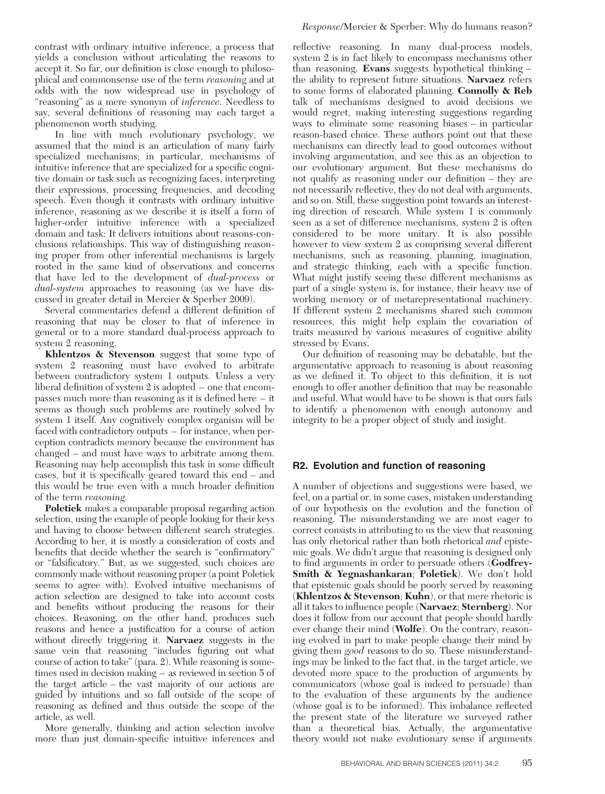contrast with ordinary intuitive inference, a process that yields a conclusion without articulating the reasons to accept it. So far, our definition is close enough to philosophical and commonsense use of the term reasoning and at odds with the now widespread use in psychology of "reasoning" as a mere synonym of inference. Needless to say, several definitions of reasoning may each target a phenomenon worth studying.

In line with much evolutionary psychology, we assumed that the mind is an articulation of many fairly specialized mechanisms; in particular, mechanisms of intuitive inference that are specialized for a specific cognitive domain or task such as recognizing faces, interpreting their expressions, processing frequencies, and decoding speech. Even though it contrasts with ordinary intuitive inference, reasoning as we describe it is itself a form of higher-order intuitive inference with a specialized domain and task: It delivers intuitions about reasons-conclusions relationships. This way of distinguishing reasoning proper from other inferential mechanisms is largely rooted in the same kind of observations and concerns that have led to the development of dual-process or dual-system approaches to reasoning (as we have discussed in greater detail in Mercier & Sperber 2009).

Several commentaries defend a different definition of reasoning that may be closer to that of inference in general or to a more standard dual-process approach to system 2 reasoning.

Khlentzos & Stevenson suggest that some type of system 2 reasoning must have evolved to arbitrate between contradictory system 1 outputs. Unless a very liberal definition of system 2 is adopted – one that encompasses much more than reasoning as it is defined here – it seems as though such problems are routinely solved by system 1 itself. Any cognitively complex organism will be faced with contradictory outputs – for instance, when perception contradicts memory because the environment has changed – and must have ways to arbitrate among them. Reasoning may help accomplish this task in some difficult cases, but it is specifically geared toward this end – and this would be true even with a much broader definition of the term reasoning.

Poletiek makes a comparable proposal regarding action selection, using the example of people looking for their keys and having to choose between different search strategies. According to her, it is mostly a consideration of costs and benefits that decide whether the search is "confirmatory" or "falsificatory." But, as we suggested, such choices are commonly made without reasoning proper (a point Poletiek seems to agree with). Evolved intuitive mechanisms of action selection are designed to take into account costs and benefits without producing the reasons for their choices. Reasoning, on the other hand, produces such reasons and hence a justification for a course of action without directly triggering it. Narvaez suggests in the same vein that reasoning "includes figuring out what course of action to take" (para. 2). While reasoning is sometimes used in decision making – as reviewed in section 5 of the target article – the vast majority of our actions are guided by intuitions and so fall outside of the scope of reasoning as defined and thus outside the scope of the article, as well.

More generally, thinking and action selection involve more than just domain-specific intuitive inferences and reflective reasoning. In many dual-process models, system 2 is in fact likely to encompass mechanisms other than reasoning. **Evans** suggests hypothetical thinking  $$ the ability to represent future situations. Narvaez refers to some forms of elaborated planning. Connolly & Reb talk of mechanisms designed to avoid decisions we would regret, making interesting suggestions regarding ways to eliminate some reasoning biases – in particular reason-based choice. These authors point out that these mechanisms can directly lead to good outcomes without involving argumentation, and see this as an objection to our evolutionary argument. But these mechanisms do not qualify as reasoning under our definition – they are not necessarily reflective, they do not deal with arguments, and so on. Still, these suggestion point towards an interesting direction of research. While system 1 is commonly seen as a set of difference mechanisms, system 2 is often considered to be more unitary. It is also possible however to view system 2 as comprising several different mechanisms, such as reasoning, planning, imagination, and strategic thinking, each with a specific function. What might justify seeing these different mechanisms as part of a single system is, for instance, their heavy use of working memory or of metarepresentational machinery. If different system 2 mechanisms shared such common resources, this might help explain the covariation of traits measured by various measures of cognitive ability stressed by Evans.

Our definition of reasoning may be debatable, but the argumentative approach to reasoning is about reasoning as we defined it. To object to this definition, it is not enough to offer another definition that may be reasonable and useful. What would have to be shown is that ours fails to identify a phenomenon with enough autonomy and integrity to be a proper object of study and insight.

## R2. Evolution and function of reasoning

A number of objections and suggestions were based, we feel, on a partial or, in some cases, mistaken understanding of our hypothesis on the evolution and the function of reasoning. The misunderstanding we are most eager to correct consists in attributing to us the view that reasoning has only rhetorical rather than both rhetorical and epistemic goals. We didn't argue that reasoning is designed only to find arguments in order to persuade others (Godfrey-Smith & Yegnashankaran; Poletiek). We don't hold that epistemic goals should be poorly served by reasoning (Khlentzos & Stevenson; Kuhn), or that mere rhetoric is all it takes to influence people (Narvaez; Sternberg). Nor does it follow from our account that people should hardly ever change their mind (Wolfe). On the contrary, reasoning evolved in part to make people change their mind by giving them good reasons to do so. These misunderstandings may be linked to the fact that, in the target article, we devoted more space to the production of arguments by communicators (whose goal is indeed to persuade) than to the evaluation of these arguments by the audience (whose goal is to be informed). This imbalance reflected the present state of the literature we surveyed rather than a theoretical bias. Actually, the argumentative theory would not make evolutionary sense if arguments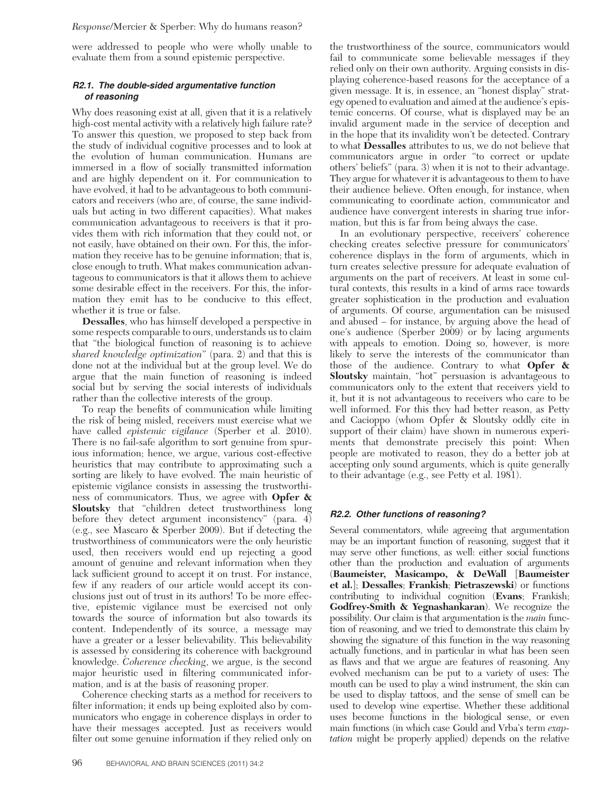## Response/Mercier & Sperber: Why do humans reason?

were addressed to people who were wholly unable to evaluate them from a sound epistemic perspective.

## R2.1. The double-sided argumentative function of reasoning

Why does reasoning exist at all, given that it is a relatively high-cost mental activity with a relatively high failure rate? To answer this question, we proposed to step back from the study of individual cognitive processes and to look at the evolution of human communication. Humans are immersed in a flow of socially transmitted information and are highly dependent on it. For communication to have evolved, it had to be advantageous to both communicators and receivers (who are, of course, the same individuals but acting in two different capacities). What makes communication advantageous to receivers is that it provides them with rich information that they could not, or not easily, have obtained on their own. For this, the information they receive has to be genuine information; that is, close enough to truth. What makes communication advantageous to communicators is that it allows them to achieve some desirable effect in the receivers. For this, the information they emit has to be conducive to this effect, whether it is true or false.

Dessalles, who has himself developed a perspective in some respects comparable to ours, understands us to claim that "the biological function of reasoning is to achieve shared knowledge optimization" (para. 2) and that this is done not at the individual but at the group level. We do argue that the main function of reasoning is indeed social but by serving the social interests of individuals rather than the collective interests of the group.

To reap the benefits of communication while limiting the risk of being misled, receivers must exercise what we have called *epistemic vigilance* (Sperber et al. 2010). There is no fail-safe algorithm to sort genuine from spurious information; hence, we argue, various cost-effective heuristics that may contribute to approximating such a sorting are likely to have evolved. The main heuristic of epistemic vigilance consists in assessing the trustworthiness of communicators. Thus, we agree with **Opfer &** Sloutsky that "children detect trustworthiness long before they detect argument inconsistency" (para. 4) (e.g., see Mascaro & Sperber 2009). But if detecting the trustworthiness of communicators were the only heuristic used, then receivers would end up rejecting a good amount of genuine and relevant information when they lack sufficient ground to accept it on trust. For instance, few if any readers of our article would accept its conclusions just out of trust in its authors! To be more effective, epistemic vigilance must be exercised not only towards the source of information but also towards its content. Independently of its source, a message may have a greater or a lesser believability. This believability is assessed by considering its coherence with background knowledge. Coherence checking, we argue, is the second major heuristic used in filtering communicated information, and is at the basis of reasoning proper.

Coherence checking starts as a method for receivers to filter information; it ends up being exploited also by communicators who engage in coherence displays in order to have their messages accepted. Just as receivers would filter out some genuine information if they relied only on

the trustworthiness of the source, communicators would fail to communicate some believable messages if they relied only on their own authority. Arguing consists in displaying coherence-based reasons for the acceptance of a given message. It is, in essence, an "honest display" strategy opened to evaluation and aimed at the audience's epistemic concerns. Of course, what is displayed may be an invalid argument made in the service of deception and in the hope that its invalidity won't be detected. Contrary to what Dessalles attributes to us, we do not believe that communicators argue in order "to correct or update others' beliefs" (para. 3) when it is not to their advantage. They argue for whatever it is advantageous to them to have their audience believe. Often enough, for instance, when communicating to coordinate action, communicator and audience have convergent interests in sharing true information, but this is far from being always the case.

In an evolutionary perspective, receivers' coherence checking creates selective pressure for communicators' coherence displays in the form of arguments, which in turn creates selective pressure for adequate evaluation of arguments on the part of receivers. At least in some cultural contexts, this results in a kind of arms race towards greater sophistication in the production and evaluation of arguments. Of course, argumentation can be misused and abused – for instance, by arguing above the head of one's audience (Sperber 2009) or by lacing arguments with appeals to emotion. Doing so, however, is more likely to serve the interests of the communicator than those of the audience. Contrary to what Opfer  $\&$ Sloutsky maintain, "hot" persuasion is advantageous to communicators only to the extent that receivers yield to it, but it is not advantageous to receivers who care to be well informed. For this they had better reason, as Petty and Cacioppo (whom Opfer & Sloutsky oddly cite in support of their claim) have shown in numerous experiments that demonstrate precisely this point: When people are motivated to reason, they do a better job at accepting only sound arguments, which is quite generally to their advantage (e.g., see Petty et al. 1981).

## R2.2. Other functions of reasoning?

Several commentators, while agreeing that argumentation may be an important function of reasoning, suggest that it may serve other functions, as well: either social functions other than the production and evaluation of arguments (Baumeister, Masicampo, & DeWall [Baumeister et al.]; Dessalles; Frankish; Pietraszewski) or functions contributing to individual cognition (Evans; Frankish; Godfrey-Smith & Yegnashankaran). We recognize the possibility. Our claim is that argumentation is the *main* function of reasoning, and we tried to demonstrate this claim by showing the signature of this function in the way reasoning actually functions, and in particular in what has been seen as flaws and that we argue are features of reasoning. Any evolved mechanism can be put to a variety of uses: The mouth can be used to play a wind instrument, the skin can be used to display tattoos, and the sense of smell can be used to develop wine expertise. Whether these additional uses become functions in the biological sense, or even main functions (in which case Gould and Vrba's term exaptation might be properly applied) depends on the relative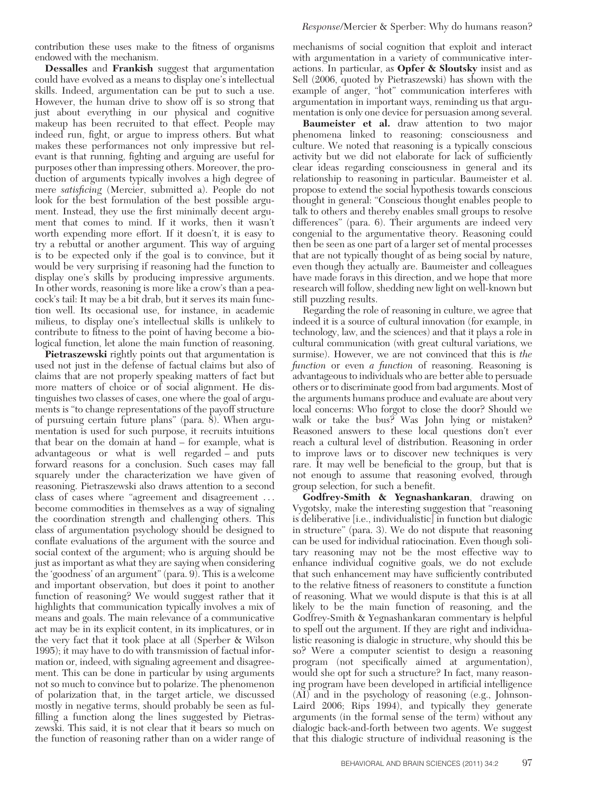contribution these uses make to the fitness of organisms endowed with the mechanism.

Dessalles and Frankish suggest that argumentation could have evolved as a means to display one's intellectual skills. Indeed, argumentation can be put to such a use. However, the human drive to show off is so strong that just about everything in our physical and cognitive makeup has been recruited to that effect. People may indeed run, fight, or argue to impress others. But what makes these performances not only impressive but relevant is that running, fighting and arguing are useful for purposes other than impressing others. Moreover, the production of arguments typically involves a high degree of mere satisficing (Mercier, submitted a). People do not look for the best formulation of the best possible argument. Instead, they use the first minimally decent argument that comes to mind. If it works, then it wasn't worth expending more effort. If it doesn't, it is easy to try a rebuttal or another argument. This way of arguing is to be expected only if the goal is to convince, but it would be very surprising if reasoning had the function to display one's skills by producing impressive arguments. In other words, reasoning is more like a crow's than a peacock's tail: It may be a bit drab, but it serves its main function well. Its occasional use, for instance, in academic milieus, to display one's intellectual skills is unlikely to contribute to fitness to the point of having become a biological function, let alone the main function of reasoning.

Pietraszewski rightly points out that argumentation is used not just in the defense of factual claims but also of claims that are not properly speaking matters of fact but more matters of choice or of social alignment. He distinguishes two classes of cases, one where the goal of arguments is "to change representations of the payoff structure of pursuing certain future plans" (para. 8). When argumentation is used for such purpose, it recruits intuitions that bear on the domain at hand – for example, what is advantageous or what is well regarded – and puts forward reasons for a conclusion. Such cases may fall squarely under the characterization we have given of reasoning. Pietraszewski also draws attention to a second class of cases where "agreement and disagreement ... become commodities in themselves as a way of signaling the coordination strength and challenging others. This class of argumentation psychology should be designed to conflate evaluations of the argument with the source and social context of the argument; who is arguing should be just as important as what they are saying when considering the 'goodness' of an argument" (para. 9). This is a welcome and important observation, but does it point to another function of reasoning? We would suggest rather that it highlights that communication typically involves a mix of means and goals. The main relevance of a communicative act may be in its explicit content, in its implicatures, or in the very fact that it took place at all (Sperber & Wilson 1995); it may have to do with transmission of factual information or, indeed, with signaling agreement and disagreement. This can be done in particular by using arguments not so much to convince but to polarize. The phenomenon of polarization that, in the target article, we discussed mostly in negative terms, should probably be seen as fulfilling a function along the lines suggested by Pietraszewski. This said, it is not clear that it bears so much on the function of reasoning rather than on a wider range of mechanisms of social cognition that exploit and interact with argumentation in a variety of communicative interactions. In particular, as Opfer & Sloutsky insist and as Sell (2006, quoted by Pietraszewski) has shown with the example of anger, "hot" communication interferes with argumentation in important ways, reminding us that argumentation is only one device for persuasion among several.

**Baumeister et al.** draw attention to two major phenomena linked to reasoning: consciousness and culture. We noted that reasoning is a typically conscious activity but we did not elaborate for lack of sufficiently clear ideas regarding consciousness in general and its relationship to reasoning in particular. Baumeister et al. propose to extend the social hypothesis towards conscious thought in general: "Conscious thought enables people to talk to others and thereby enables small groups to resolve differences" (para. 6). Their arguments are indeed very congenial to the argumentative theory. Reasoning could then be seen as one part of a larger set of mental processes that are not typically thought of as being social by nature, even though they actually are. Baumeister and colleagues have made forays in this direction, and we hope that more research will follow, shedding new light on well-known but still puzzling results.

Regarding the role of reasoning in culture, we agree that indeed it is a source of cultural innovation (for example, in technology, law, and the sciences) and that it plays a role in cultural communication (with great cultural variations, we surmise). However, we are not convinced that this is the function or even *a* function of reasoning. Reasoning is advantageous to individuals who are better able to persuade others or to discriminate good from bad arguments. Most of the arguments humans produce and evaluate are about very local concerns: Who forgot to close the door? Should we walk or take the bus? Was John lying or mistaken? Reasoned answers to these local questions don't ever reach a cultural level of distribution. Reasoning in order to improve laws or to discover new techniques is very rare. It may well be beneficial to the group, but that is not enough to assume that reasoning evolved, through group selection, for such a benefit.

Godfrey-Smith & Yegnashankaran, drawing on Vygotsky, make the interesting suggestion that "reasoning is deliberative [i.e., individualistic] in function but dialogic in structure" (para. 3). We do not dispute that reasoning can be used for individual ratiocination. Even though solitary reasoning may not be the most effective way to enhance individual cognitive goals, we do not exclude that such enhancement may have sufficiently contributed to the relative fitness of reasoners to constitute a function of reasoning. What we would dispute is that this is at all likely to be the main function of reasoning, and the Godfrey-Smith & Yegnashankaran commentary is helpful to spell out the argument. If they are right and individualistic reasoning is dialogic in structure, why should this be so? Were a computer scientist to design a reasoning program (not specifically aimed at argumentation), would she opt for such a structure? In fact, many reasoning program have been developed in artificial intelligence (AI) and in the psychology of reasoning (e.g., Johnson-Laird 2006; Rips 1994), and typically they generate arguments (in the formal sense of the term) without any dialogic back-and-forth between two agents. We suggest that this dialogic structure of individual reasoning is the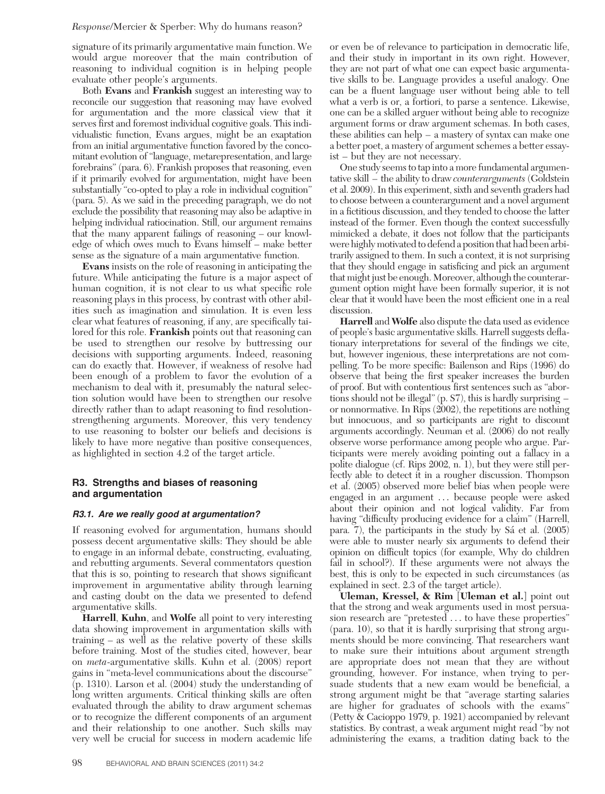signature of its primarily argumentative main function. We would argue moreover that the main contribution of reasoning to individual cognition is in helping people evaluate other people's arguments.

Both Evans and Frankish suggest an interesting way to reconcile our suggestion that reasoning may have evolved for argumentation and the more classical view that it serves first and foremost individual cognitive goals. This individualistic function, Evans argues, might be an exaptation from an initial argumentative function favored by the concomitant evolution of "language, metarepresentation, and large forebrains" (para. 6). Frankish proposes that reasoning, even if it primarily evolved for argumentation, might have been substantially "co-opted to play a role in individual cognition" (para. 5). As we said in the preceding paragraph, we do not exclude the possibility that reasoning may also be adaptive in helping individual ratiocination. Still, our argument remains that the many apparent failings of reasoning – our knowledge of which owes much to Evans himself – make better sense as the signature of a main argumentative function.

Evans insists on the role of reasoning in anticipating the future. While anticipating the future is a major aspect of human cognition, it is not clear to us what specific role reasoning plays in this process, by contrast with other abilities such as imagination and simulation. It is even less clear what features of reasoning, if any, are specifically tailored for this role. **Frankish** points out that reasoning can be used to strengthen our resolve by buttressing our decisions with supporting arguments. Indeed, reasoning can do exactly that. However, if weakness of resolve had been enough of a problem to favor the evolution of a mechanism to deal with it, presumably the natural selection solution would have been to strengthen our resolve directly rather than to adapt reasoning to find resolutionstrengthening arguments. Moreover, this very tendency to use reasoning to bolster our beliefs and decisions is likely to have more negative than positive consequences, as highlighted in section 4.2 of the target article.

## R3. Strengths and biases of reasoning and argumentation

## R3.1. Are we really good at argumentation?

If reasoning evolved for argumentation, humans should possess decent argumentative skills: They should be able to engage in an informal debate, constructing, evaluating, and rebutting arguments. Several commentators question that this is so, pointing to research that shows significant improvement in argumentative ability through learning and casting doubt on the data we presented to defend argumentative skills.

Harrell, Kuhn, and Wolfe all point to very interesting data showing improvement in argumentation skills with training – as well as the relative poverty of these skills before training. Most of the studies cited, however, bear on meta-argumentative skills. Kuhn et al. (2008) report gains in "meta-level communications about the discourse" (p. 1310). Larson et al. (2004) study the understanding of long written arguments. Critical thinking skills are often evaluated through the ability to draw argument schemas or to recognize the different components of an argument and their relationship to one another. Such skills may very well be crucial for success in modern academic life

or even be of relevance to participation in democratic life, and their study in important in its own right. However, they are not part of what one can expect basic argumentative skills to be. Language provides a useful analogy. One can be a fluent language user without being able to tell what a verb is or, a fortiori, to parse a sentence. Likewise, one can be a skilled arguer without being able to recognize argument forms or draw argument schemas. In both cases, these abilities can help – a mastery of syntax can make one a better poet, a mastery of argument schemes a better essayist – but they are not necessary.

One study seems to tap into a more fundamental argumentative skill – the ability to draw *counterarguments* (Goldstein et al. 2009). In this experiment, sixth and seventh graders had to choose between a counterargument and a novel argument in a fictitious discussion, and they tended to choose the latter instead of the former. Even though the context successfully mimicked a debate, it does not follow that the participants were highly motivated to defend a position that had been arbitrarily assigned to them. In such a context, it is not surprising that they should engage in satisficing and pick an argument that might just be enough.Moreover, although the counterargument option might have been formally superior, it is not clear that it would have been the most efficient one in a real discussion.

**Harrell** and **Wolfe** also dispute the data used as evidence of people's basic argumentative skills. Harrell suggests deflationary interpretations for several of the findings we cite, but, however ingenious, these interpretations are not compelling. To be more specific: Bailenson and Rips (1996) do observe that being the first speaker increases the burden of proof. But with contentious first sentences such as "abortions should not be illegal" (p. S7), this is hardly surprising – or nonnormative. In Rips (2002), the repetitions are nothing but innocuous, and so participants are right to discount arguments accordingly. Neuman et al. (2006) do not really observe worse performance among people who argue. Participants were merely avoiding pointing out a fallacy in a polite dialogue (cf. Rips 2002, n. 1), but they were still perfectly able to detect it in a rougher discussion. Thompson et al. (2005) observed more belief bias when people were engaged in an argument ... because people were asked about their opinion and not logical validity. Far from having "difficulty producing evidence for a claim" (Harrell, para.  $\bar{7}$ ), the participants in the study by Sa<sup> $\bar{6}$ </sup> et al. (2005) were able to muster nearly six arguments to defend their opinion on difficult topics (for example, Why do children fail in school?). If these arguments were not always the best, this is only to be expected in such circumstances (as explained in sect. 2.3 of the target article).

Uleman, Kressel, & Rim [Uleman et al.] point out that the strong and weak arguments used in most persuasion research are "pretested ... to have these properties" (para. 10), so that it is hardly surprising that strong arguments should be more convincing. That researchers want to make sure their intuitions about argument strength are appropriate does not mean that they are without grounding, however. For instance, when trying to persuade students that a new exam would be beneficial, a strong argument might be that "average starting salaries are higher for graduates of schools with the exams" (Petty & Cacioppo 1979, p. 1921) accompanied by relevant statistics. By contrast, a weak argument might read "by not administering the exams, a tradition dating back to the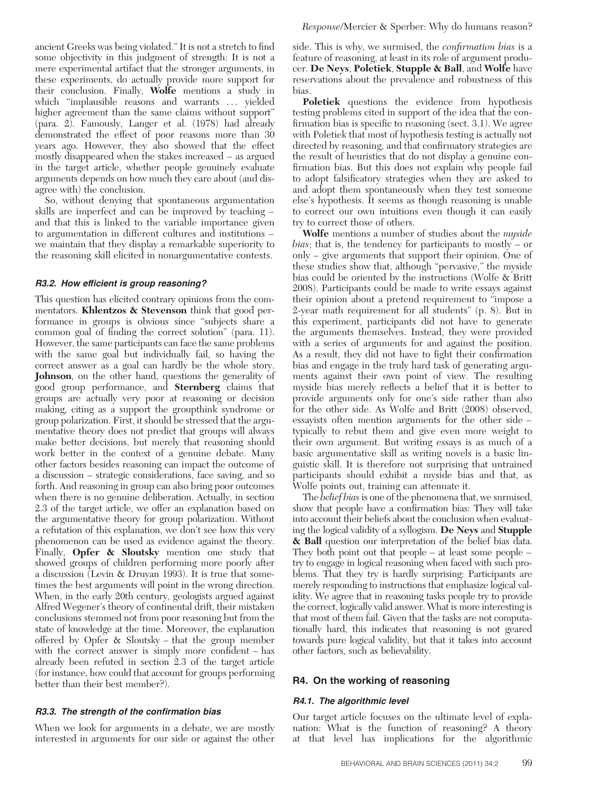ancient Greeks was being violated." It is not a stretch to find some objectivity in this judgment of strength: It is not a mere experimental artifact that the stronger arguments, in these experiments, do actually provide more support for their conclusion. Finally, Wolfe mentions a study in which "implausible reasons and warrants ... yielded higher agreement than the same claims without support" (para. 2). Famously, Langer et al. (1978) had already demonstrated the effect of poor reasons more than 30 years ago. However, they also showed that the effect mostly disappeared when the stakes increased – as argued in the target article, whether people genuinely evaluate arguments depends on how much they care about (and disagree with) the conclusion.

So, without denying that spontaneous argumentation skills are imperfect and can be improved by teaching – and that this is linked to the variable importance given to argumentation in different cultures and institutions – we maintain that they display a remarkable superiority to the reasoning skill elicited in nonargumentative contexts.

#### R3.2. How efficient is group reasoning?

This question has elicited contrary opinions from the commentators. Khlentzos & Stevenson think that good performance in groups is obvious since "subjects share a common goal of finding the correct solution" (para. 11). However, the same participants can face the same problems with the same goal but individually fail, so having the correct answer as a goal can hardly be the whole story. Johnson, on the other hand, questions the generality of good group performance, and Sternberg claims that groups are actually very poor at reasoning or decision making, citing as a support the groupthink syndrome or group polarization. First, it should be stressed that the argumentative theory does not predict that groups will always make better decisions, but merely that reasoning should work better in the context of a genuine debate. Many other factors besides reasoning can impact the outcome of a discussion – strategic considerations, face saving, and so forth. And reasoning in group can also bring poor outcomes when there is no genuine deliberation. Actually, in section 2.3 of the target article, we offer an explanation based on the argumentative theory for group polarization. Without a refutation of this explanation, we don't see how this very phenomenon can be used as evidence against the theory. Finally, **Opfer & Sloutsky** mention one study that showed groups of children performing more poorly after a discussion (Levin & Druyan 1993). It is true that sometimes the best arguments will point in the wrong direction. When, in the early 20th century, geologists argued against Alfred Wegener's theory of continental drift, their mistaken conclusions stemmed not from poor reasoning but from the state of knowledge at the time. Moreover, the explanation offered by Opfer & Sloutsky – that the group member with the correct answer is simply more confident – has already been refuted in section 2.3 of the target article (for instance, how could that account for groups performing better than their best member?).

#### R3.3. The strength of the confirmation bias

When we look for arguments in a debate, we are mostly interested in arguments for our side or against the other side. This is why, we surmised, the *confirmation bias* is a feature of reasoning, at least in its role of argument producer. De Neys, Poletiek, Stupple & Ball, and Wolfe have reservations about the prevalence and robustness of this bias.

Poletiek questions the evidence from hypothesis testing problems cited in support of the idea that the confirmation bias is specific to reasoning (sect. 3.1). We agree with Poletiek that most of hypothesis testing is actually not directed by reasoning, and that confirmatory strategies are the result of heuristics that do not display a genuine confirmation bias. But this does not explain why people fail to adopt falsificatory strategies when they are asked to and adopt them spontaneously when they test someone else's hypothesis. It seems as though reasoning is unable to correct our own intuitions even though it can easily try to correct those of others.

Wolfe mentions a number of studies about the *myside* bias; that is, the tendency for participants to mostly – or only – give arguments that support their opinion. One of these studies show that, although "pervasive," the myside bias could be oriented by the instructions (Wolfe & Britt 2008). Participants could be made to write essays against their opinion about a pretend requirement to "impose a 2-year math requirement for all students" (p. 8). But in this experiment, participants did not have to generate the arguments themselves. Instead, they were provided with a series of arguments for and against the position. As a result, they did not have to fight their confirmation bias and engage in the truly hard task of generating arguments against their own point of view. The resulting myside bias merely reflects a belief that it is better to provide arguments only for one's side rather than also for the other side. As Wolfe and Britt (2008) observed, essayists often mention arguments for the other side – typically to rebut them and give even more weight to their own argument. But writing essays is as much of a basic argumentative skill as writing novels is a basic linguistic skill. It is therefore not surprising that untrained participants should exhibit a myside bias and that, as Wolfe points out, training can attenuate it.

The belief bias is one of the phenomena that, we surmised, show that people have a confirmation bias: They will take into account their beliefs about the conclusion when evaluating the logical validity of a syllogism. De Neys and Stupple & Ball question our interpretation of the belief bias data. They both point out that people – at least some people – try to engage in logical reasoning when faced with such problems. That they try is hardly surprising: Participants are merely responding to instructions that emphasize logical validity. We agree that in reasoning tasks people try to provide the correct, logically valid answer. What is more interesting is that most of them fail. Given that the tasks are not computationally hard, this indicates that reasoning is not geared towards pure logical validity, but that it takes into account other factors, such as believability.

## R4. On the working of reasoning

#### R4.1. The algorithmic level

Our target article focuses on the ultimate level of explanation: What is the function of reasoning? A theory at that level has implications for the algorithmic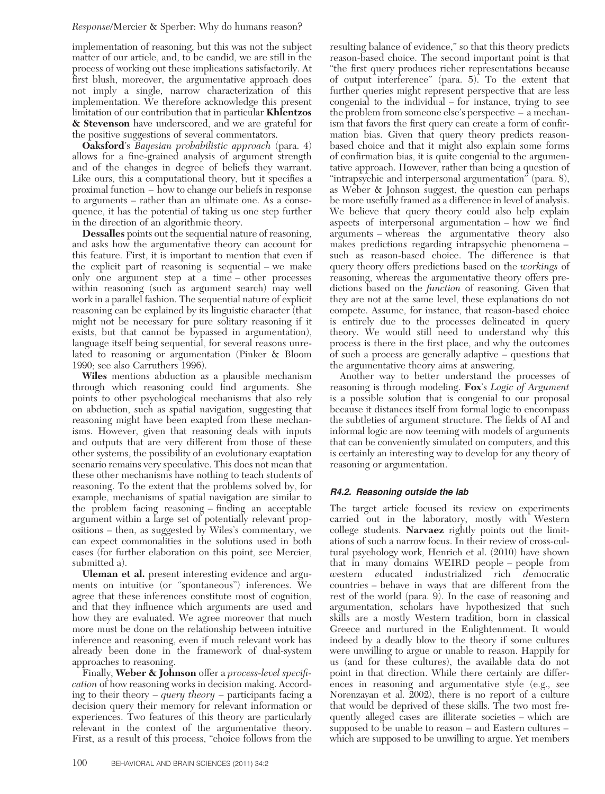implementation of reasoning, but this was not the subject matter of our article, and, to be candid, we are still in the process of working out these implications satisfactorily. At first blush, moreover, the argumentative approach does not imply a single, narrow characterization of this implementation. We therefore acknowledge this present limitation of our contribution that in particular **Khlentzos & Stevenson** have underscored, and we are grateful for the positive suggestions of several commentators.

**Oaksford**'s *Bayesian probabilistic approach* (para. 4) allows for a fine-grained analysis of argument strength and of the changes in degree of beliefs they warrant. Like ours, this a computational theory, but it specifies a proximal function – how to change our beliefs in response to arguments – rather than an ultimate one. As a consequence, it has the potential of taking us one step further in the direction of an algorithmic theory.

Dessalles points out the sequential nature of reasoning, and asks how the argumentative theory can account for this feature. First, it is important to mention that even if the explicit part of reasoning is sequential – we make only one argument step at a time – other processes within reasoning (such as argument search) may well work in a parallel fashion. The sequential nature of explicit reasoning can be explained by its linguistic character (that might not be necessary for pure solitary reasoning if it exists, but that cannot be bypassed in argumentation), language itself being sequential, for several reasons unrelated to reasoning or argumentation (Pinker & Bloom 1990; see also Carruthers 1996).

Wiles mentions abduction as a plausible mechanism through which reasoning could find arguments. She points to other psychological mechanisms that also rely on abduction, such as spatial navigation, suggesting that reasoning might have been exapted from these mechanisms. However, given that reasoning deals with inputs and outputs that are very different from those of these other systems, the possibility of an evolutionary exaptation scenario remains very speculative. This does not mean that these other mechanisms have nothing to teach students of reasoning. To the extent that the problems solved by, for example, mechanisms of spatial navigation are similar to the problem facing reasoning – finding an acceptable argument within a large set of potentially relevant propositions – then, as suggested by Wiles's commentary, we can expect commonalities in the solutions used in both cases (for further elaboration on this point, see Mercier, submitted a).

Uleman et al. present interesting evidence and arguments on intuitive (or "spontaneous") inferences. We agree that these inferences constitute most of cognition, and that they influence which arguments are used and how they are evaluated. We agree moreover that much more must be done on the relationship between intuitive inference and reasoning, even if much relevant work has already been done in the framework of dual-system approaches to reasoning.

Finally, Weber & Johnson offer a process-level specification of how reasoning works in decision making. According to their theory – *query theory* – participants facing a decision query their memory for relevant information or experiences. Two features of this theory are particularly relevant in the context of the argumentative theory. First, as a result of this process, "choice follows from the

resulting balance of evidence," so that this theory predicts reason-based choice. The second important point is that "the first query produces richer representations because of output interference" (para. 5). To the extent that further queries might represent perspective that are less congenial to the individual – for instance, trying to see the problem from someone else's perspective – a mechanism that favors the first query can create a form of confirmation bias. Given that query theory predicts reasonbased choice and that it might also explain some forms of confirmation bias, it is quite congenial to the argumentative approach. However, rather than being a question of "intrapsychic and interpersonal argumentation" (para. 8), as Weber & Johnson suggest, the question can perhaps be more usefully framed as a difference in level of analysis. We believe that query theory could also help explain aspects of interpersonal argumentation – how we find arguments – whereas the argumentative theory also makes predictions regarding intrapsychic phenomena – such as reason-based choice. The difference is that query theory offers predictions based on the *workings* of reasoning, whereas the argumentative theory offers predictions based on the function of reasoning. Given that they are not at the same level, these explanations do not compete. Assume, for instance, that reason-based choice is entirely due to the processes delineated in query theory. We would still need to understand why this process is there in the first place, and why the outcomes of such a process are generally adaptive – questions that the argumentative theory aims at answering.

Another way to better understand the processes of reasoning is through modeling. Fox's Logic of Argument is a possible solution that is congenial to our proposal because it distances itself from formal logic to encompass the subtleties of argument structure. The fields of AI and informal logic are now teeming with models of arguments that can be conveniently simulated on computers, and this is certainly an interesting way to develop for any theory of reasoning or argumentation.

## R4.2. Reasoning outside the lab

The target article focused its review on experiments carried out in the laboratory, mostly with Western college students. Narvaez rightly points out the limitations of such a narrow focus. In their review of cross-cultural psychology work, Henrich et al. (2010) have shown that in many domains WEIRD people – people from western educated industrialized rich democratic countries – behave in ways that are different from the rest of the world (para. 9). In the case of reasoning and argumentation, scholars have hypothesized that such skills are a mostly Western tradition, born in classical Greece and nurtured in the Enlightenment. It would indeed by a deadly blow to the theory if some cultures were unwilling to argue or unable to reason. Happily for us (and for these cultures), the available data do not point in that direction. While there certainly are differences in reasoning and argumentative style (e.g., see Norenzayan et al. 2002), there is no report of a culture that would be deprived of these skills. The two most frequently alleged cases are illiterate societies – which are supposed to be unable to reason – and Eastern cultures – which are supposed to be unwilling to argue. Yet members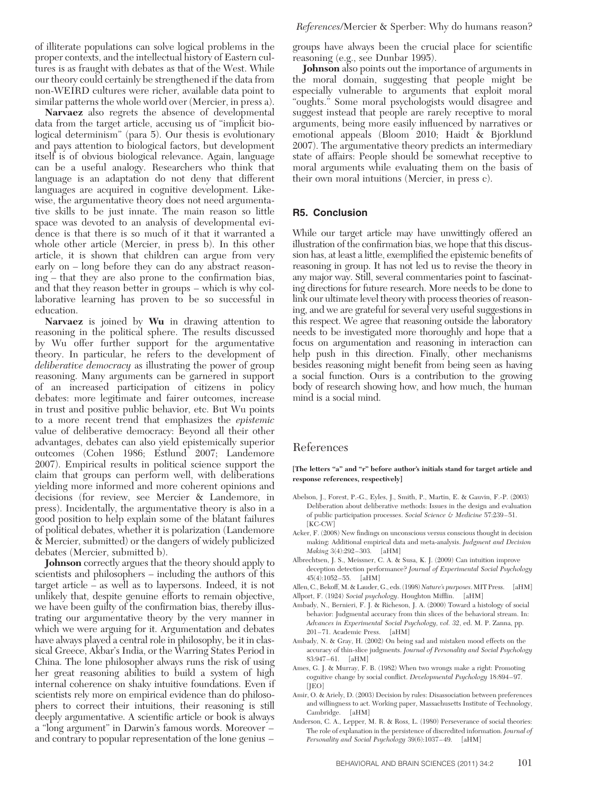of illiterate populations can solve logical problems in the proper contexts, and the intellectual history of Eastern cultures is as fraught with debates as that of the West. While our theory could certainly be strengthened if the data from non-WEIRD cultures were richer, available data point to similar patterns the whole world over (Mercier, in press a).

Narvaez also regrets the absence of developmental data from the target article, accusing us of "implicit biological determinism" (para 5). Our thesis is evolutionary and pays attention to biological factors, but development itself is of obvious biological relevance. Again, language can be a useful analogy. Researchers who think that language is an adaptation do not deny that different languages are acquired in cognitive development. Likewise, the argumentative theory does not need argumentative skills to be just innate. The main reason so little space was devoted to an analysis of developmental evidence is that there is so much of it that it warranted a whole other article (Mercier, in press b). In this other article, it is shown that children can argue from very early on – long before they can do any abstract reasoning – that they are also prone to the confirmation bias, and that they reason better in groups – which is why collaborative learning has proven to be so successful in education.

Narvaez is joined by Wu in drawing attention to reasoning in the political sphere. The results discussed by Wu offer further support for the argumentative theory. In particular, he refers to the development of deliberative democracy as illustrating the power of group reasoning. Many arguments can be garnered in support of an increased participation of citizens in policy debates: more legitimate and fairer outcomes, increase in trust and positive public behavior, etc. But Wu points to a more recent trend that emphasizes the epistemic value of deliberative democracy: Beyond all their other advantages, debates can also yield epistemically superior outcomes (Cohen 1986; Estlund 2007; Landemore 2007). Empirical results in political science support the claim that groups can perform well, with deliberations yielding more informed and more coherent opinions and decisions (for review, see Mercier & Landemore, in press). Incidentally, the argumentative theory is also in a good position to help explain some of the blatant failures of political debates, whether it is polarization (Landemore & Mercier, submitted) or the dangers of widely publicized debates (Mercier, submitted b).

Johnson correctly argues that the theory should apply to scientists and philosophers – including the authors of this target article – as well as to laypersons. Indeed, it is not unlikely that, despite genuine efforts to remain objective, we have been guilty of the confirmation bias, thereby illustrating our argumentative theory by the very manner in which we were arguing for it. Argumentation and debates have always played a central role in philosophy, be it in classical Greece, Akbar's India, or the Warring States Period in China. The lone philosopher always runs the risk of using her great reasoning abilities to build a system of high internal coherence on shaky intuitive foundations. Even if scientists rely more on empirical evidence than do philosophers to correct their intuitions, their reasoning is still deeply argumentative. A scientific article or book is always a "long argument" in Darwin's famous words. Moreover – and contrary to popular representation of the lone genius –

groups have always been the crucial place for scientific reasoning (e.g., see Dunbar 1995).

Johnson also points out the importance of arguments in the moral domain, suggesting that people might be especially vulnerable to arguments that exploit moral "oughts." Some moral psychologists would disagree and suggest instead that people are rarely receptive to moral arguments, being more easily influenced by narratives or emotional appeals (Bloom 2010; Haidt & Bjorklund 2007). The argumentative theory predicts an intermediary state of affairs: People should be somewhat receptive to moral arguments while evaluating them on the basis of their own moral intuitions (Mercier, in press c).

#### R5. Conclusion

While our target article may have unwittingly offered an illustration of the confirmation bias, we hope that this discussion has, at least a little, exemplified the epistemic benefits of reasoning in group. It has not led us to revise the theory in any major way. Still, several commentaries point to fascinating directions for future research. More needs to be done to link our ultimate level theory with process theories of reasoning, and we are grateful for several very useful suggestions in this respect. We agree that reasoning outside the laboratory needs to be investigated more thoroughly and hope that a focus on argumentation and reasoning in interaction can help push in this direction. Finally, other mechanisms besides reasoning might benefit from being seen as having a social function. Ours is a contribution to the growing body of research showing how, and how much, the human mind is a social mind.

## References

[The letters "a" and "r" before author's initials stand for target article and response references, respectively]

- Abelson, J., Forest, P.-G., Eyles, J., Smith, P., Martin, E. & Gauvin, F.-P. (2003) Deliberation about deliberative methods: Issues in the design and evaluation of public participation processes. Social Science  $\&$  Medicine 57:239-51. [KC-CW]
- Acker, F. (2008) New findings on unconscious versus conscious thought in decision making: Additional empirical data and meta-analysis. Judgment and Decision Making 3(4):292-303. [aHM]
- Albrechtsen, J. S., Meissner, C. A. & Susa, K. J. (2009) Can intuition improve deception detection performance? Journal of Experimental Social Psychology  $45(4):1052-55.$  [aHM]
- Allen, C., Bekoff, M. & Lauder, G., eds. (1998) Nature's purposes. MIT Press. [aHM] Allport, F. (1924) Social psychology. Houghton Mifflin. [aHM]
- Ambady, N., Bernieri, F. J. & Richeson, J. A. (2000) Toward a histology of social behavior: Judgmental accuracy from thin slices of the behavioral stream. In: Advances in Experimental Social Psychology, vol. 32, ed. M. P. Zanna, pp. 201-71. Academic Press. [aHM]
- Ambady, N. & Gray, H. (2002) On being sad and mistaken mood effects on the accuracy of thin-slice judgments. Journal of Personality and Social Psychology 83:947-61. [aHM]
- Ames, G. J. & Murray, F. B. (1982) When two wrongs make a right: Promoting cognitive change by social conflict. Developmental Psychology 18:894-97. [IEO]
- Amir, O. & Ariely, D. (2003) Decision by rules: Disassociation between preferences and willingness to act. Working paper, Massachusetts Institute of Technology, Cambridge. [aHM]
- Anderson, C. A., Lepper, M. R. & Ross, L. (1980) Perseverance of social theories: The role of explanation in the persistence of discredited information. Journal of Personality and Social Psychology 39(6):1037-49. [aHM]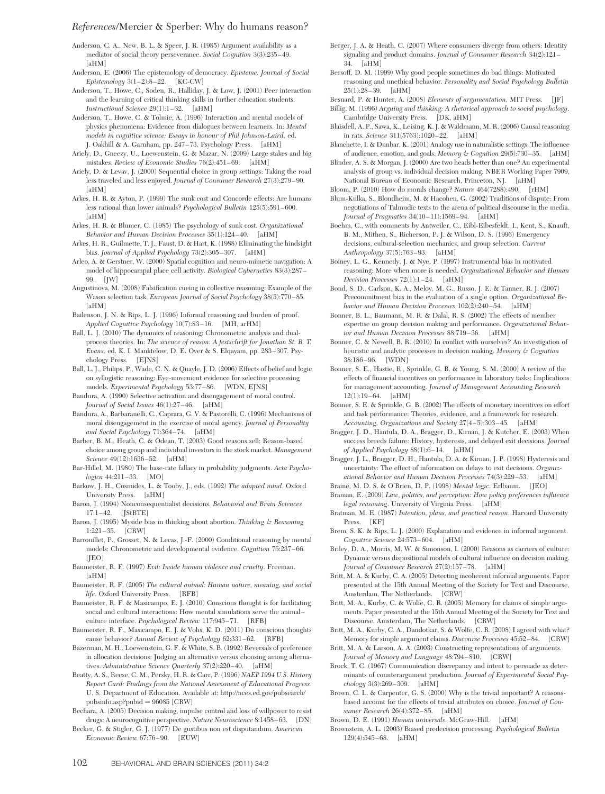Anderson, C. A., New, B. L. & Speer, J. R. (1985) Argument availability as a mediator of social theory perseverance. Social Cognition 3(3):235 – 49. [aHM]

Anderson, E. (2006) The epistemology of democracy. Episteme: Journal of Social Epistemology 3(1-2):8-22. [KC-CW]

Anderson, T., Howe, C., Soden, R., Halliday, J. & Low, J. (2001) Peer interaction and the learning of critical thinking skills in further education students. Instructional Science 29(1):1-32. [aHM]

Anderson, T., Howe, C. & Tolmie, A. (1996) Interaction and mental models of physics phenomena: Evidence from dialogues between learners. In: Mental models in cognitive science: Essays in honour of Phil Johnson-Laird, ed. J. Oakhill & A. Garnham, pp. 247 – 73. Psychology Press. [aHM]

Ariely, D., Gneezy, U., Loewenstein, G. & Mazar, N. (2009) Large stakes and big mistakes. Review of Economic Studies 76(2):451–69. [aHM]

Ariely, D. & Levav, J. (2000) Sequential choice in group settings: Taking the road less traveled and less enjoyed. Journal of Consumer Research 27(3):279 – 90.  $[**aHM**]$ 

Arkes, H. R. & Ayton, P. (1999) The sunk cost and Concorde effects: Are humans less rational than lower animals? Psychological Bulletin 125(5):591 – 600. [aHM]

Arkes, H. R. & Blumer, C. (1985) The psychology of sunk cost. Organizational Behavior and Human Decision Processes 35(1):124-40. [aHM]

Arkes, H. R., Guilmette, T. J., Faust, D. & Hart, K. (1988) Eliminating the hindsight bias. Journal of Applied Psychology 73(2):305-307. [aHM]

Arleo, A. & Gerstner, W. (2000) Spatial cognition and neuro-mimetic navigation: A model of hippocampal place cell activity. Biological Cybernetics 83(3):287– 99. [JW]

Augustinova, M. (2008) Falsification cueing in collective reasoning: Example of the Wason selection task. European Journal of Social Psychology 38(5):770-85. [aHM]

Bailenson, J. N. & Rips, L. J. (1996) Informal reasoning and burden of proof. Applied Cognitive Psychology 10(7):S3-16. [MH, arHM]

Ball, L. J. (2010) The dynamics of reasoning: Chronometric analysis and dualprocess theories. In: The science of reason: A festschrift for Jonathan St. B. T. Evans, ed. K. I. Manktelow, D. E. Over & S. Elqayam, pp. 283 – 307. Psychology Press. [EJNS]

Ball, L. J., Philips, P., Wade, C. N. & Quayle, J. D. (2006) Effects of belief and logic on syllogistic reasoning: Eye-movement evidence for selective processing models. Experimental Psychology 53:77– 86. [WDN, EJNS]

Bandura, A. (1990) Selective activation and disengagement of moral control. Journal of Social Issues 46(1):27 – 46. [aHM]

Bandura, A., Barbaranelli, C., Caprara, G. V. & Pastorelli, C. (1996) Mechanisms of moral disengagement in the exercise of moral agency. Journal of Personality and Social Psychology  $71:364-74.$  [aHM]

Barber, B. M., Heath, C. & Odean, T. (2003) Good reasons sell: Reason-based choice among group and individual investors in the stock market. Management Science 49(12):1636-52. [aHM]

Bar-Hillel, M. (1980) The base-rate fallacy in probability judgments. Acta Psychologica 44:211-33. [MO]

Barkow, J. H., Cosmides, L. & Tooby, J., eds. (1992) The adapted mind. Oxford University Press. [aHM]

Baron, J. (1994) Nonconsequentialist decisions. Behavioral and Brain Sciences 17:1-42. [[StBTE]

Baron, J. (1995) Myside bias in thinking about abortion. Thinking  $\phi$  Reasoning 1:221 –35. [CRW]

Barrouillet, P., Grosset, N. & Lecas, J.-F. (2000) Conditional reasoning by mental models: Chronometric and developmental evidence. Cognition 75:237-66. [JEO]

Baumeister, R. F. (1997) Evil: Inside human violence and cruelty. Freeman. [aHM]

Baumeister, R. F. (2005) The cultural animal: Human nature, meaning, and social life. Oxford University Press. [RFB]

Baumeister, R. F. & Masicampo, E. J. (2010) Conscious thought is for facilitating social and cultural interactions: How mental simulations serve the animal – culture interface. Psychological Review 117:945-71. [RFB]

Baumeister, R. F., Masicampo, E. J. & Vohs, K. D. (2011) Do conscious thoughts cause behavior? Annual Review of Psychology 62:331-62. [RFB]

Bazerman, M. H., Loewenstein, G. F. & White, S. B. (1992) Reversals of preference in allocation decisions: Judging an alternative versus choosing among alternatives. Administrative Science Quarterly 37(2):220-40. [aHM]

Beatty, A. S., Reese, C. M., Persky, H. R. & Carr, P. (1996) NAEP 1994 U.S. History Report Card: Findings from the National Assessment of Educational Progress. U. S. Department of Education. Available at: http://nces.ed.gov/pubsearch/  $\text{pushsinfo}$ .asp?pubid = 96085 [CRW]

Bechara, A. (2005) Decision making, impulse control and loss of willpower to resist drugs: A neurocognitive perspective. Nature Neuroscience 8:1458-63. [DN]

Becker, G. & Stigler, G. J. (1977) De gustibus non est disputandum. American Economic Review 67:76 – 90. [EUW]

Berger, J. A. & Heath, C. (2007) Where consumers diverge from others: Identity signaling and product domains. Journal of Consumer Research 34(2):121– 34. [aHM]

Bersoff, D. M. (1999) Why good people sometimes do bad things: Motivated reasoning and unethical behavior. Personality and Social Psychology Bulletin 25(1):28-39. [aHM]

Besnard, P. & Hunter, A. (2008) Elements of argumentation. MIT Press. [JF]

Billig, M. (1996) Arguing and thinking: A rhetorical approach to social psychology. Cambridge University Press. [DK, aHM]

Blaisdell, A. P., Sawa, K., Leising, K. J. & Waldmann, M. R. (2006) Causal reasoning in rats. Science 311(5763):1020-22. [aHM]

Blanchette, I. & Dunbar, K. (2001) Analogy use in naturalistic settings: The influence of audience, emotion, and goals. Memory & Cognition 29(5):730–35. [aHM]

Blinder, A. S. & Morgan, J. (2000) Are two heads better than one? An experimental analysis of group vs. individual decision making. NBER Working Paper 7909, National Bureau of Economic Research, Princeton, NJ. [aHM]

Bloom, P. (2010) How do morals change? Nature 464(7288):490. [rHM]

Blum-Kulka, S., Blondheim, M. & Hacohen, G. (2002) Traditions of dispute: From negotiations of Talmudic texts to the arena of political discourse in the media. Journal of Pragmatics 34(10-11):1569-94. [aHM]

Boehm, C., with comments by Antweiler, C., Eibl-Eibesfeldt, I., Kent, S., Knauft, B. M., Mithen, S., Richerson, P. J. & Wilson, D. S. (1996) Emergency decisions, cultural-selection mechanics, and group selection. Current Anthropology 37(5):763-93. [aHM]

Boiney, L. G., Kennedy, J. & Nye, P. (1997) Instrumental bias in motivated reasoning: More when more is needed. Organizational Behavior and Human Decision Processes 72(1):1-24. [aHM]

Bond, S. D., Carlson, K. A., Meloy, M. G., Russo, J. E. & Tanner, R. J. (2007) Precommitment bias in the evaluation of a single option. Organizational Behavior and Human Decision Processes 102(2):240-54. [aHM]

Bonner, B. L., Baumann, M. R. & Dalal, R. S. (2002) The effects of member expertise on group decision making and performance. Organizational Behavior and Human Decision Processes 88:719-36. [aHM]

Bonner, C. & Newell, B. R. (2010) In conflict with ourselves? An investigation of heuristic and analytic processes in decision making. Memory & Cognition 38:186-96. [WDN]

Bonner, S. E., Hastie, R., Sprinkle, G. B. & Young, S. M. (2000) A review of the effects of financial incentives on performance in laboratory tasks: Implications for management accounting. Journal of Management Accounting Research  $12(1):19-64.$  [aHM]

Bonner, S. E. & Sprinkle, G. B. (2002) The effects of monetary incentives on effort and task performance: Theories, evidence, and a framework for research. Accounting, Organizations and Society 27(4-5):303-45. [aHM]

Bragger, J. D., Hantula, D. A., Bragger, D., Kirnan, J. & Kutcher, E. (2003) When success breeds failure: History, hysteresis, and delayed exit decisions. Journal of Applied Psychology 88(1):6– 14. [aHM]

Bragger, J. L., Bragger, D. H., Hantula, D. A. & Kirnan, J. P. (1998) Hysteresis and uncertainty: The effect of information on delays to exit decisions. Organizational Behavior and Human Decision Processes 74(3):229 –53. [aHM]

Braine, M. D. S. & O'Brien, D. P. (1998) Mental logic. Erlbaum. [JEO]

Braman, E. (2009) Law, politics, and perception: How policy preferences influence legal reasoning. University of Virginia Press. [aHM]

Bratman, M. E. (1987) Intention, plans, and practical reason. Harvard University Press. [KF]

Brem, S. K. & Rips, L. J. (2000) Explanation and evidence in informal argument. Cognitive Science 24:573-604. [aHM]

Briley, D. A., Morris, M. W. & Simonson, I. (2000) Reasons as carriers of culture: Dynamic versus dispositional models of cultural influence on decision making. Journal of Consumer Research 27(2):157– 78. [aHM]

Britt, M. A. & Kurby, C. A. (2005) Detecting incoherent informal arguments. Paper presented at the 15th Annual Meeting of the Society for Text and Discourse, Amsterdam, The Netherlands. [CRW]

Britt, M. A., Kurby, C. & Wolfe, C. R. (2005) Memory for claims of simple arguments. Paper presented at the 15th Annual Meeting of the Society for Text and Discourse. Amsterdam, The Netherlands. [CRW]

Britt, M. A., Kurby, C. A., Dandotkar, S. & Wolfe, C. R. (2008) I agreed with what? Memory for simple argument claims. Discourse Processes 45:52 – 84. [CRW]

Britt, M. A. & Larson, A. A. (2003) Constructing representations of arguments. Journal of Memory and Language 48:794 – 810. [CRW]

Brock, T. C. (1967) Communication discrepancy and intent to persuade as determinants of counterargument production. Journal of Experimental Social Psychology 3(3):269 – 309. [aHM]

Brown, C. L. & Carpenter, G. S. (2000) Why is the trivial important? A reasonsbased account for the effects of trivial attributes on choice. Journal of Consumer Research 26(4):372-85. [aHM]

Brown, D. E. (1991) Human universals. McGraw-Hill. [aHM]

Brownstein, A. L. (2003) Biased predecision processing. Psychological Bulletin 129(4):545-68. [aHM]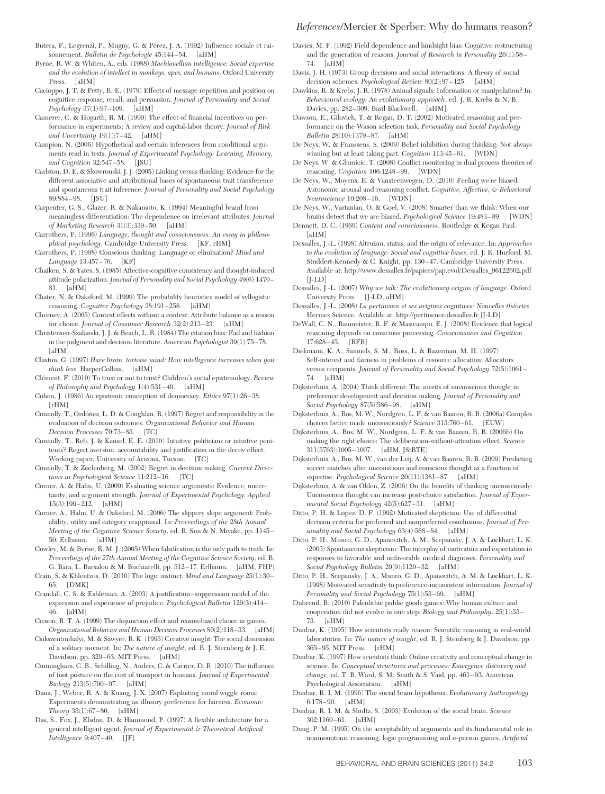- Butera, F., Legrenzi, P., Mugny, G. & Pérez, J. A. (1992) Influence sociale et raisonnement. Bulletin de Psychologie 45:144-54. [aHM]
- Byrne, R. W. & Whiten, A., eds. (1988) Machiavellian intelligence: Social expertise and the evolution of intellect in monkeys, apes, and humans. Oxford University Press. [aHM]
- Cacioppo, J. T. & Petty, R. E. (1979) Effects of message repetition and position on cognitive response, recall, and persuasion. Journal of Personality and Social Psychology 37(1):97 – 109. [aHM]
- Camerer, C. & Hogarth, R. M. (1999) The effect of financial incentives on performance in experiments: A review and capital-labor theory. Journal of Risk and Uncertainty  $19(1):7-42.$  [aHM]
- Campion, N. (2006) Hypothetical and certain inferences from conditional arguments read in texts. Journal of Experimental Psychology: Learning, Memory, and Cognition 32:547-58. [JSU]
- Carlston, D. E. & Skowronski, J. J. (2005) Linking versus thinking: Evidence for the different associative and attributional bases of spontaneous trait transference and spontaneous trait inference. Journal of Personality and Social Psychology 89:884 – 98. [JSU]
- Carpenter, G. S., Glazer, R. & Nakamoto, K. (1994) Meaningful brand from meaningless differentiation: The dependence on irrelevant attributes. Journal of Marketing Research 31(3):339-50. [aHM]
- Carruthers, P. (1996) Language, thought and consciousness: An essay in philosophical psychology. Cambridge University Press. [KF, rHM]
- Carruthers, P. (1998) Conscious thinking: Language or elimination? Mind and Language 13:457-76. [KF]
- Chaiken, S. & Yates, S. (1985) Affective-cognitive consistency and thought-induced attitude polarization. Journal of Personality and Social Psychology 49(6):1470 – 81. [aHM]
- Chater, N. & Oaksford, M. (1999) The probability heuristics model of syllogistic reasoning. Cognitive Psychology 38:191-258. [aHM]
- Chernev, A. (2005) Context effects without a context: Attribute balance as a reason for choice. Journal of Consumer Research 32(2):213-23. [aHM]
- Christensen-Szalanski, J. J. & Beach, L. R. (1984) The citation bias: Fad and fashion in the judgment and decision literature. American Psychologist 39(1):75 –78. [aHM]
- Claxton, G. (1997) Hare brain, tortoise mind: How intelligence increases when you think less. HarperCollins. [aHM]
- Clément, F. (2010) To trust or not to trust? Children's social epistemology. Review of Philosophy and Psychology 1(4):531 – 49. [aHM]
- Cohen, J. (1986) An epistemic conception of democracy. Ethics 97(1):26 38.  $[rHM]$
- Connolly, T., Ordóñez, L. D. & Coughlan, R. (1997) Regret and responsibility in the evaluation of decision outcomes. Organizational Behavior and Human Decision Processes 70:73-85. [TC]
- Connolly, T., Reb, J. & Kausel, E. E. (2010) Intuitive politicians or intuitive penitents? Regret aversion, accountability and justification in the decoy effect. Working paper, University of Arizona, Tucson. [TC]
- Connolly, T. & Zeelenberg, M. (2002) Regret in decision making. Current Directions in Psychological Science 11:212– 16. [TC]
- Corner, A. & Hahn, U. (2009) Evaluating science arguments: Evidence, uncertainty, and argument strength. Journal of Experimental Psychology: Applied  $15(3):199-212.$  [aHM]
- Corner, A., Hahn, U. & Oaksford, M. (2006) The slippery slope argument: Probability, utility and category reappraisal. In: Proceedings of the 28th Annual Meeting of the Cognitive Science Society, ed. R. Sun & N. Miyake, pp. 1145 – 50. Erlbaum. [aHM]
- Cowley, M. & Byrne, R. M. J. (2005) When falsification is the only path to truth. In: Proceedings of the 27th Annual Meeting of the Cognitive Science Society, ed. B. G. Bara, L. Barsalou & M. Buchiarelli, pp. 512 – 17. Erlbaum. [aHM, FHP]
- Crain, S. & Khlentzos, D. (2010) The logic instinct. Mind and Language 25(1):30 65. [DMK]
- Crandall, C. S. & Eshleman, A. (2003) A justification suppression model of the expression and experience of prejudice. Psychological Bulletin 129(3):414 – 46. [aHM]
- Croson, R. T. A. (1999) The disjunction effect and reason-based choice in games. Organizational Behavior and Human Decision Processes 80(2):118–33. [aHM]
- Csikszentmihalyi, M. & Sawyer, R. K. (1995) Creative insight: The social dimension of a solitary moment. In: The nature of insight, ed. R. J. Sternberg & J. E. Davidson, pp. 329–63. MIT Press. [aHM]
- Cunningham, C. B., Schilling, N., Anders, C. & Carrier, D. R. (2010) The influence of foot posture on the cost of transport in humans. Journal of Experimental Biology 213(5):790-97. [aHM]
- Dana, J., Weber, R. A. & Kuang, J. X. (2007) Exploiting moral wiggle room: Experiments demonstrating an illusory preference for fairness. Economic Theory 33(1):67-80. [aHM]
- Das, S., Fox, J., Elsdon, D. & Hammond, P. (1997) A flexible architecture for a general intelligent agent. Journal of Experimental & Theoretical Artificial  $Intelligence 9:407-40.$  [JF]
- Davies, M. F. (1992) Field dependence and hindsight bias: Cognitive restructuring and the generation of reasons. Journal of Research in Personality 26(1):58 – 74. [aHM]
- Davis, J. H. (1973) Group decisions and social interactions: A theory of social decision schemes. Psychological Review 80(2):97-125. [aHM]
- Dawkins, R. & Krebs, J. R. (1978) Animal signals: Information or manipulation? In: Behavioural ecology: An evolutionary approach, ed. J. R. Krebs & N. B. Davies, pp. 282-309. Basil Blackwell. [aHM]
- Dawson, E., Gilovich, T. & Regan, D. T. (2002) Motivated reasoning and performance on the Wason selection task. Personality and Social Psychology Bulletin 28(10):1379 – 87. [aHM]
- De Neys, W. & Franssens, S. (2009) Belief inhibition during thinking: Not always winning but at least taking part. Cognition 113:45-61. [WDN]
- De Neys, W. & Glumicic, T. (2008) Conflict monitoring in dual process theories of reasoning. Cognition 106:1248-99. [WDN]
- De Neys, W., Moyens, E. & Vansteenwegen, D. (2010) Feeling we're biased: Autonomic arousal and reasoning conflict. Cognitive, Affective, & Behavioral Neuroscience 10:208-16. [WDN]
- De Neys, W., Vartanian, O. & Goel, V. (2008) Smarter than we think: When our brains detect that we are biased. Psychological Science 19:483-89. [WDN]
- Dennett, D. C. (1969) Content and consciousness. Routledge & Kegan Paul. [aHM]
- Dessalles, J.-L. (1998) Altruism, status, and the origin of relevance. In: Approaches to the evolution of language: Social and cognitive bases, ed. J. R. Hurford, M. Studdert-Kennedy & C. Knight, pp. 130 –47. Cambridge University Press. Available at: http://www.dessalles.fr/papiers/pap.evol/Dessalles\_96122602.pdf [J-LD]
- Dessalles, J.-L. (2007) Why we talk: The evolutionary origins of language. Oxford University Press. [J-LD, aHM]
- Dessalles, J.-L. (2008) La pertinence et ses origines cognitives: Nouvelles théories. Hermes Science. Available at: http://pertinence.dessalles.fr [J-LD]
- DeWall, C. N., Baumeister, R. F. & Masicampo, E. J. (2008) Evidence that logical reasoning depends on conscious processing. Consciousness and Cognition 17:628-45. [RFB]
- Diekmann, K. A., Samuels, S. M., Ross, L. & Bazerman, M. H. (1997) Self-interest and fairness in problems of resource allocation: Allocators versus recipients. Journal of Personality and Social Psychology 72(5):1061 – 74. [aHM]
- Dijksterhuis, A. (2004) Think different: The merits of unconscious thought in preference development and decision making. Journal of Personality and Social Psychology 87(5):586 –98. [aHM]
- Dijksterhuis, A., Bos, M. W., Nordgren, L. F. & van Baaren, R. B. (2006a) Complex choices better made unconsciously? Science 313:760-61. [EUW]
- Dijksterhuis, A., Bos, M. W., Nordgren, L. F. & van Baaren, R. B. (2006b) On making the right choice: The deliberation-without-attention effect. Science 311(5763):1005 – 1007. [aHM, JStBTE]
- Dijksterhuis, A., Bos, M. W., van der Leij, A. & van Baaren, R. B. (2009) Predicting soccer matches after unconscious and conscious thought as a function of expertise. Psychological Science 20(11):1381 –87. [aHM]
- Dijksterhuis, A. & van Olden, Z. (2006) On the benefits of thinking unconsciously: Unconscious thought can increase post-choice satisfaction. Journal of Exper- $\emph{imental Social Psychology}$ 42(5):627–31. [aHM]
- Ditto, P. H. & Lopez, D. F. (1992) Motivated skepticism: Use of differential decision criteria for preferred and nonpreferred conclusions. Journal of Personality and Social Psychology 63(4):568-84. [aHM]
- Ditto, P. H., Munro, G. D., Apanovitch, A. M., Scepansky, J. A. & Lockhart, L. K. (2003) Spontaneous skepticism: The interplay of motivation and expectation in responses to favorable and unfavorable medical diagnoses. Personality and Social Psychology Bulletin 29(9):1120-32. [aHM]
- Ditto, P. H., Scepansky, J. A., Munro, G. D., Apanovitch, A. M. & Lockhart, L. K. (1998) Motivated sensitivity to preference-inconsistent information. Journal of Personality and Social Psychology 75(1):53-69. [aHM]
- Dubreuil, B. (2010) Paleolithic public goods games: Why human culture and cooperation did not evolve in one step. Biology and Philosophy. 25(1):53 – 73. [aHM]
- Dunbar, K. (1995) How scientists really reason: Scientific reasoning in real-world laboratories. In: The nature of insight, ed. R. J. Steinberg & J. Davidson, pp. 365 – 95. MIT Press. [rHM]
- Dunbar, K. (1997) How scientists think: Online creativity and conceptual change in science. In: Conceptual structures and processes: Emergence discovery and change, ed. T. B. Ward, S. M. Smith & S. Vaid, pp. 461-93. American Psychological Association. [aHM]
- Dunbar, R. I. M. (1996) The social brain hypothesis. Evolutionary Anthropology 6:178-90. [aHM]
- Dunbar, R. I. M. & Shultz, S. (2003) Evolution of the social brain. Science 302:1160-61. [aHM]
- Dung, P. M. (1995) On the acceptability of arguments and its fundamental role in nonmonotonic reasoning, logic programming and n-person games. Artificial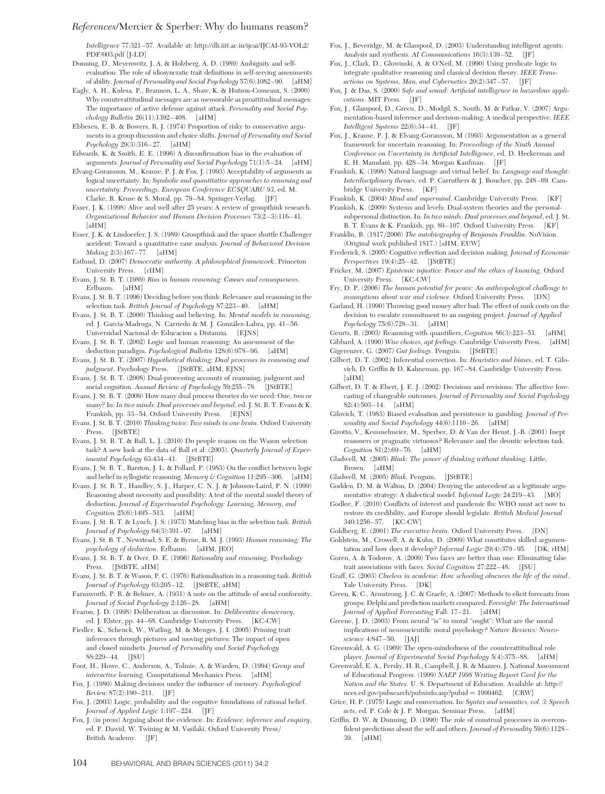Intelligence 77:321 – 57. Available at: http://dli.iiit.ac.in/ijcai/IJCAI-93-VOL2/ PDF/003.pdf [J-LD]

- Dunning, D., Meyerowitz, J. A. & Holzberg, A. D. (1989) Ambiguity and selfevaluation: The role of idiosyncratic trait definitions in self-serving assessments of ability. Journal of Personality and Social Psychology 57(6):1082–90. [aHM]
- Eagly, A. H., Kulesa, P., Brannon, L. A., Shaw, K. & Hutson-Comeaux, S. (2000) Why counterattitudinal messages are as memorable as proattitudinal messages: The importance of active defense against attack. Personality and Social Psychology Bulletin 26(11):1392 – 408. [aHM]
- Ebbesen, E. B. & Bowers, R. J. (1974) Proportion of risky to conservative arguments in a group discussion and choice shifts. Journal of Personality and Social Psychology 29(3):316-27. [aHM]
- Edwards, K. & Smith, E. E. (1996) A disconfirmation bias in the evaluation of arguments. Journal of Personality and Social Psychology 71(1):5– 24. [aHM]
- Elvang-Goransson, M., Krause, P. J. & Fox, J. (1993) Acceptability of arguments as logical uncertainty. In: Sumbolic and quantitative approaches to reasoning and uncertainty: Proceedings, European Conference ECSQUARU 93, ed. M. Clarke, R. Kruse & S. Moral, pp. 79 – 84. Springer-Verlag. [JF]
- Esser, J. K. (1998) Alive and well after 25 years: A review of groupthink research. Organizational Behavior and Human Decision Processes 73(2 – 3):116– 41. [aHM]
- Esser, J. K. & Lindoerfer, J. S. (1989) Groupthink and the space shuttle Challenger accident: Toward a quantitative case analysis. Journal of Behavioral Decision Making 2(3):167-77. [aHM]
- Estlund, D. (2007) Democratic authority. A philosophical framework. Princeton University Press. [rHM]
- Evans, J. St. B. T. (1989) Bias in human reasoning: Causes and consequences. Erlbaum. [aHM]
- Evans, J. St. B. T. (1996) Deciding before you think: Relevance and reasoning in the selection task. British Journal of Psychology 87:223-40. [aHM]
- Evans, J. St. B. T. (2000) Thinking and believing. In: Mental models in reasoning, ed. J. Garcìa-Madruga, N. Carriedo & M. J. González-Labra, pp. 41–56. Universidad Nacional de Educacion a Distanzia. [EJNS]
- Evans, J. St. B. T. (2002) Logic and human reasoning: An assessment of the deduction paradigm. Psychological Bulletin 128(6):978-96. [aHM]
- Evans, J. St. B. T. (2007) Hypothetical thinking: Dual processes in reasoning and judgment. Psychology Press. [JStBTE, aHM, EJNS]
- Evans, J. St. B. T. (2008) Dual-processing accounts of reasoning, judgment and social cognition. Annual Review of Psychology 59:255-78. [JStBTE]
- Evans, J. St. B. T. (2009) How many dual process theories do we need: One, two or many? In: In two minds: Dual processes and beyond, ed. J. St. B. T. Evans & K. Frankish, pp. 33–54. Oxford University Press. [EJNS]
- Evans, J. St. B. T. (2010) Thinking twice: Two minds in one brain. Oxford University Press. [JStBTE]
- Evans, J. St. B. T. & Ball, L. J. (2010) Do people reason on the Wason selection task? A new look at the data of Ball et al. (2003). Quarterly Journal of Experimental Psychology 63:434-41. [JStBTE]
- Evans, J. St. B. T., Barston, J. L. & Pollard, P. (1983) On the conflict between logic and belief in syllogistic reasoning.  $Memory$   $\&$   $Cognition$   $11:295-306.$   $\quad$   $\left[ \text{aHM} \right]$
- Evans, J. St. B. T., Handley, S. J., Harper, C. N. J. & Johnson-Laird, P. N. (1999) Reasoning about necessity and possibility: A test of the mental model theory of deduction. Journal of Experimental Psychology: Learning, Memory, and Cognition 25(6):1495-513. [aHM]
- Evans, J. St. B. T. & Lynch, J. S. (1973) Matching bias in the selection task. British Journal of Psychology  $64(3):391-97.$  [aHM]
- Evans, J. St. B. T., Newstead, S. E. & Byrne, R. M. J. (1993) Human reasoning: The psychology of deduction. Erlbaum. [aHM, JEO]
- Evans, J. St. B. T. & Over, D. E. (1996) Rationality and reasoning. Psychology Press. [JStBTE, aHM]
- Evans, J. St. B. T. & Wason, P. C. (1976) Rationalisation in a reasoning task. British Journal of Psychology 63:205-12. [JStBTE, aHM]
- Farnsworth, P. R. & Behner, A. (1931) A note on the attitude of social conformity. Journal of Social Psychology 2:126-28. [aHM]
- Fearon, J. D. (1998) Deliberation as discussion. In: Deliberative democracy, ed. J. Elster, pp. 44–68. Cambridge University Press. [KC-CW]
- Fiedler, K., Schenck, W., Watling, M. & Menges, J. I. (2005) Priming trait inferences through pictures and moving pictures: The impact of open and closed mindsets. Journal of Personality and Social Psychology 88:229 – 44. [JSU]
- Foot, H., Howe, C., Anderson, A., Tolmie, A. & Warden, D. (1994) Group and interactive learning. Computational Mechanics Press. [aHM]
- Fox, J. (1980) Making decisions under the influence of memory. Psychological Review 87(2):190-211. [JF]
- Fox, J. (2003) Logic, probability and the cognitive foundations of rational belief. Journal of Applied Logic 1:197-224. [JF]
- Fox, J. (in press) Arguing about the evidence. In: Evidence, inference and enquiry, ed. P. Dawid, W. Twining & M. Vasilaki. Oxford University Press/ British Academy. [JF]
- Fox, J., Beveridge, M. & Glasspool, D. (2003) Understanding intelligent agents: Analysis and synthesis. AI Communications 16(3):139-52. [JF]
- Fox, J., Clark, D., Glowinski, A. & O'Neil, M. (1990) Using predicate logic to integrate qualitative reasoning and classical decision theory. IEEE Transactions on Systems, Man, and Cybernetics 20(2):347-57. [JF]
- Fox, J. & Das, S. (2000) Safe and sound: Artificial intelligence in hazardous applications. MIT Press. [JF]
- Fox, J., Glasspool, D., Grecu, D., Modgil, S., South, M. & Patkar, V. (2007) Argumentation-based inference and decision-making: A medical perspective. IEEE Intelligent Systems  $22(6):34-41.$  [JF]
- Fox, J., Krause, P. J. & Elvang-Goransson, M (1993) Argumentation as a general framework for uncertain reasoning. In: Proceedings of the Ninth Annual Conference on Uncertainty in Artificial Intelligence, ed. D. Heckerman and E. H. Mamdani, pp. 428 – 34. Morgan Kaufman. [JF]
- Frankish, K. (1998) Natural language and virtual belief. In: Language and thought: Interdisciplinary themes, ed. P. Carruthers & J. Boucher, pp. 248 – 69. Cambridge University Press. [KF]
- Frankish, K. (2004) Mind and supermind. Cambridge University Press. [KF]
- Frankish, K. (2009) Systems and levels: Dual-system theories and the personalsubpersonal distinction. In: In two minds: Dual processes and beyond, ed. J. St. B. T. Evans & K. Frankish, pp. 89 –107. Oxford University Press. [KF]
- Franklin, B. (1817/2006) The autobiography of Benjamin Franklin. NuVision. (Original work published 1817.) [aHM, EUW]
- Frederick, S. (2005) Cognitive reflection and decision making. Journal of Economic Perspectives 19(4):25-42. [JStBTE]
- Fricker, M. (2007) Epistemic injustice: Power and the ethics of knowing. Oxford University Press. [KC-CW]
- Fry, D. P. (2006) The human potential for peace: An anthropological challenge to assumptions about war and violence. Oxford University Press. [DN]
- Garland, H. (1990) Throwing good money after bad: The effect of sunk costs on the decision to escalate commitment to an ongoing project. Journal of Applied Psychology 75(6):728-31. [aHM]
- Geurts, B. (2003) Reasoning with quantifiers. Cognition 86(3):223-51. [aHM]
- Gibbard, A. (1990) Wise choices, apt feelings. Cambridge University Press. [aHM]
- Gigerenzer, G. (2007) Gut feelings. Penguin. [JStBTE]
- Gilbert, D. T. (2002) Inferential correction. In: Heuristics and biases, ed. T. Gilovich, D. Griffin & D. Kahneman, pp. 167 – 84. Cambridge University Press. [aHM]
- Gilbert, D. T. & Ebert, J. E. J. (2002) Decisions and revisions: The affective forecasting of changeable outcomes. Journal of Personality and Social Psychology 82(4):503-14. [aHM]
- Gilovich, T. (1983) Biased evaluation and persistence in gambling. Journal of Personality and Social Psychology 44(6):1110-26. [aHM]
- Girotto, V., Kemmelmeier, M., Sperber, D. & Van der Henst, J.-B. (2001) Inept reasoners or pragmatic virtuosos? Relevance and the deontic selection task. Cognition  $81(2):69-76$ . [aHM]
- Gladwell, M. (2005) Blink: The power of thinking without thinking. Little, Brown. [aHM]

Gladwell, M. (2005) Blink. Penguin. [JStBTE]

- Godden, D. M. & Walton, D. (2004) Denying the antecedent as a legitimate argumentative strategy: A dialectical model. Informal Logic 24:219–43. [MO]
- Godlee, F. (2010) Conflicts of interest and pandemic flu: WHO must act now to restore its credibility, and Europe should legislate. British Medical Journal 340:1256-57. [KC-CW]
- Goldberg, E. (2001) The executive brain. Oxford University Press. [DN]
- Goldstein, M., Crowell, A. & Kuhn, D. (2009) What constitutes skilled argumentation and how does it develop? Informal Logic 29(4):379 – 95. [DK, rHM]
- Goren, A. & Todorov, A. (2009) Two faces are better than one: Eliminating false trait associations with faces. Social Cognition 27:222-48. [JSU]
- Graff, G. (2003) Clueless in academe: How schooling obscures the life of the mind. Yale University Press. [DK]
- Green, K. C., Armstrong, J. C. & Graefe, A. (2007) Methods to elicit forecasts from groups: Delphi and prediction markets compared. Foresight: The International Journal of Applied Forecasting Fall: 17-21. [aHM]
- Greene, J. D. (2003) From neural "is" to moral "ought": What are the moral implications of neuroscientific moral psychology? Nature Reviews: Neuroscience 4:847-50. [JAJ]
- Greenwald, A. G. (1969) The open-mindedness of the counterattitudinal role player. Journal of Experimental Social Psychology 5(4):375 – 88. [aHM]
- Greenwald, E. A., Persky, H. R., Campbell, J. R. & Mazzeo, J. National Assessment of Educational Progress. (1999) NAEP 1998 Writing Report Card for the Nation and the States. U. S. Department of Education. Available at: http://  $nces. ed.gov/pubsearch/pubsinfo.asp?public = 1999462. [CRW]$
- Grice, H. P. (1975) Logic and conversation. In: Syntax and semantics, vol. 3: Speech acts, ed. P. Cole & J. P. Morgan. Seminar Press. [aHM]
- Griffin, D. W. & Dunning, D. (1990) The role of construal processes in overconfident predictions about the self and others. Journal of Personality 59(6):1128– 39. [aHM]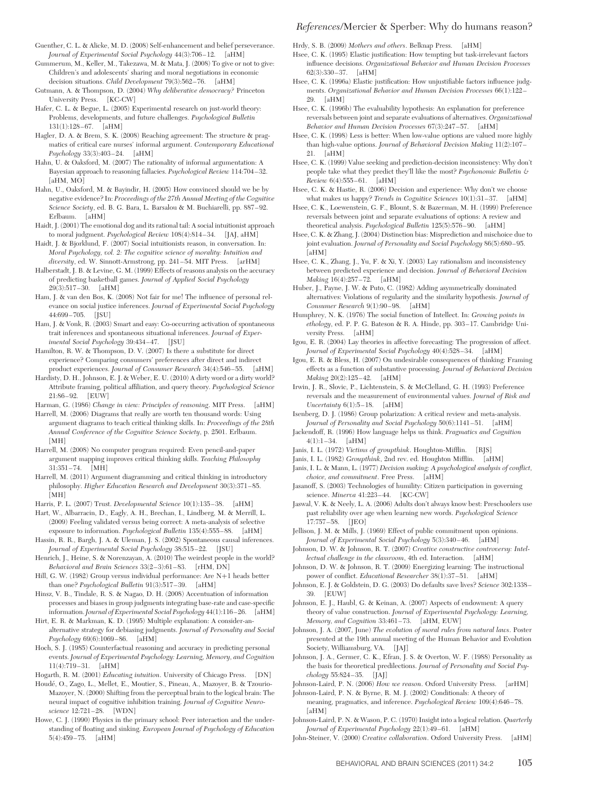- Guenther, C. L. & Alicke, M. D. (2008) Self-enhancement and belief perseverance. Journal of Experimental Social Psychology 44(3):706 – 12. [aHM]
- Gummerum, M., Keller, M., Takezawa, M. & Mata, J. (2008) To give or not to give: Children's and adolescents' sharing and moral negotiations in economic decision situations. Child Development 79(3):562-76. [aHM]
- Gutmann, A. & Thompson, D. (2004) Why deliberative democracy? Princeton University Press. [KC-CW]
- Hafer, C. L. & Begue, L. (2005) Experimental research on just-world theory: Problems, developments, and future challenges. Psychological Bulletin 131(1):128-67. [aHM]
- Hagler, D. A. & Brem, S. K. (2008) Reaching agreement: The structure & pragmatics of critical care nurses' informal argument. Contemporary Educational Psychology 33(3):403-24. [aHM]
- Hahn, U. & Oaksford, M. (2007) The rationality of informal argumentation: A Bayesian approach to reasoning fallacies. Psychological Review 114:704 –32. [aHM, MO]
- Hahn, U., Oaksford, M. & Bayindir, H. (2005) How convinced should we be by negative evidence? In: Proceedings of the 27th Annual Meeting of the Cognitive Science Society, ed. B. G. Bara, L. Barsalou & M. Buchiarelli, pp. 887 – 92. Erlbaum. [aHM]
- Haidt, J. (2001) The emotional dog and its rational tail: A social intuitionist approach to moral judgment. Psychological Review 108(4):814-34. [JAJ, aHM]
- Haidt, J. & Bjorklund, F. (2007) Social intuitionists reason, in conversation. In: Moral Psychology, vol. 2: The cognitive science of morality: Intuition and diversity, ed. W. Sinnott-Armstrong, pp. 241-54. MIT Press. [arHM]
- Halberstadt, J. B. & Levine, G. M. (1999) Effects of reasons analysis on the accuracy of predicting basketball games. Journal of Applied Social Psychology 29(3):517-30. [aHM]
- Ham, J. & van den Bos, K. (2008) Not fair for me! The influence of personal relevance on social justice inferences. Journal of Experimental Social Psychology 44:699 – 705. [JSU]
- Ham, J. & Vonk, R. (2003) Smart and easy: Co-occurring activation of spontaneous trait inferences and spontaneous situational inferences. Journal of Experimental Social Psychology 39:434-47. [JSU]
- Hamilton, R. W. & Thompson, D. V. (2007) Is there a substitute for direct experience? Comparing consumers' preferences after direct and indirect product experiences. Journal of Consumer Research 34(4):546-55. [aHM]
- Hardisty, D. H., Johnson, E. J. & Weber, E. U. (2010) A dirty word or a dirty world? Attribute framing, political affiliation, and query theory. Psychological Science 21:86– 92. [EUW]
- Harman, G. (1986) Change in view: Principles of reasoning. MIT Press. [aHM]
- Harrell, M. (2006) Diagrams that really are worth ten thousand words: Using argument diagrams to teach critical thinking skills. In: Proceedings of the 28th Annual Conference of the Cognitive Science Society, p. 2501. Erlbaum. [MH]
- Harrell, M. (2008) No computer program required: Even pencil-and-paper argument mapping improves critical thinking skills. Teaching Philosophy 31:351-74. [MH]
- Harrell, M. (2011) Argument diagramming and critical thinking in introductory philosophy. Higher Education Research and Development 30(3):371 – 85.  $[MH]$
- Harris, P. L. (2007) Trust. Developmental Science 10(1):135-38. [aHM]
- Hart, W., Albarracin, D., Eagly, A. H., Brechan, I., Lindberg, M. & Merrill, L. (2009) Feeling validated versus being correct: A meta-analysis of selective exposure to information. Psychological Bulletin 135(4):555– 88. [aHM]
- Hassin, R. R., Bargh, J. A. & Uleman, J. S. (2002) Spontaneous causal inferences. Journal of Experimental Social Psychology 38:515-22. [JSU]
- Henrich, J., Heine, S. & Norenzayan, A. (2010) The weirdest people in the world? Behavioral and Brain Sciences 33(2-3):61-83. [rHM, DN]
- Hill, G. W. (1982) Group versus individual performance: Are  $N+1$  heads better than one? Psychological Bulletin 91(3):517-39. [aHM]
- Hinsz, V. B., Tindale, R. S. & Nagao, D. H. (2008) Accentuation of information processes and biases in group judgments integrating base-rate and case-specific information.Journal of Experimental Social Psychology 44(1):116 –26. [aHM]
- Hirt, E. R. & Markman, K. D. (1995) Multiple explanation: A consider-analternative strategy for debiasing judgments. Journal of Personality and Social Psychology 69(6):1069-86. [aHM]
- Hoch, S. J. (1985) Counterfactual reasoning and accuracy in predicting personal events. Journal of Experimental Psychology: Learning, Memory, and Cognition  $11(4):719-31.$  [aHM]
- Hogarth, R. M. (2001) Educating intuition. University of Chicago Press. [DN]
- Houde´, O., Zago, L., Mellet, E., Moutier, S., Pineau, A., Mazoyer, B. & Tzourio-Mazoyer, N. (2000) Shifting from the perceptual brain to the logical brain: The neural impact of cognitive inhibition training. Journal of Cognitive Neuroscience 12:721-28. [WDN]
- Howe, C. J. (1990) Physics in the primary school: Peer interaction and the understanding of floating and sinking. European Journal of Psychology of Education 5(4):459-75. [aHM]

Hrdy, S. B. (2009) Mothers and others. Belknap Press. [aHM]

- Hsee, C. K. (1995) Elastic justification: How tempting but task-irrelevant factors influence decisions. Organizational Behavior and Human Decision Processes 62(3):330-37. [aHM]
- Hsee, C. K. (1996a) Elastic justification: How unjustifiable factors influence judgments. Organizational Behavior and Human Decision Processes 66(1):122 – 29. [aHM]
- Hsee, C. K. (1996b) The evaluability hypothesis: An explanation for preference reversals between joint and separate evaluations of alternatives. Organizational Behavior and Human Decision Processes 67(3):247 –57. [aHM]
- Hsee, C. K. (1998) Less is better: When low-value options are valued more highly than high-value options. Journal of Behavioral Decision Making 11(2):107– 21. [aHM]
- Hsee, C. K. (1999) Value seeking and prediction-decision inconsistency: Why don't people take what they predict they'll like the most? Psychonomic Bulletin  $\uplus$  $Review 6(4):555-61.$  [aHM]
- Hsee, C. K. & Hastie, R. (2006) Decision and experience: Why don't we choose what makes us happy? Trends in Cognitive Sciences 10(1):31-37. [aHM]
- Hsee, C. K., Loewenstein, G. F., Blount, S. & Bazerman, M. H. (1999) Preference reversals between joint and separate evaluations of options: A review and theoretical analysis. Psychological Bulletin 125(5):576-90. [aHM]
- Hsee, C. K. & Zhang, J. (2004) Distinction bias: Misprediction and mischoice due to joint evaluation. Journal of Personality and Social Psychology 86(5):680-95. [aHM]
- Hsee, C. K., Zhang, J., Yu, F. & Xi, Y. (2003) Lay rationalism and inconsistency between predicted experience and decision. Journal of Behavioral Decision Making 16(4):257-72. [aHM]
- Huber, J., Payne, J. W. & Puto, C. (1982) Adding asymmetrically dominated alternatives: Violations of regularity and the similarity hypothesis. Journal of Consumer Research 9(1):90 –98. [aHM]
- Humphrey, N. K. (1976) The social function of Intellect. In: Growing points in ethology, ed. P. P. G. Bateson & R. A. Hinde, pp. 303 – 17. Cambridge University Press. [aHM]
- Igou, E. R. (2004) Lay theories in affective forecasting: The progression of affect. Journal of Experimental Social Psychology 40(4):528 –34. [aHM]
- Igou, E. R. & Bless, H. (2007) On undesirable consequences of thinking: Framing effects as a function of substantive processing. Journal of Behavioral Decision Making 20(2):125-42. [aHM]
- Irwin, J. R., Slovic, P., Lichtenstein, S. & McClelland, G. H. (1993) Preference reversals and the measurement of environmental values. Journal of Risk and Uncertainty  $6(1):5-18.$  [aHM]
- Isenberg, D. J. (1986) Group polarization: A critical review and meta-analysis. Journal of Personality and Social Psychology 50(6):1141-51. [aHM]
- Jackendoff, R. (1996) How language helps us think. Pragmatics and Cognition 4(1):1-34. [aHM]
- Janis, I. L. (1972) Victims of groupthink. Houghton-Mifflin. [RJS]
- Janis, I. L. (1982) Groupthink, 2nd rev. ed. Houghton Mifflin. [aHM]
- Janis, I. L. & Mann, L. (1977) Decision making: A psychological analysis of conflict, choice, and commitment. Free Press. [aHM]
- Jasanoff, S. (2003) Technologies of humility: Citizen participation in governing science. Minerva 41:223-44. [KC-CW]
- Jaswal, V. K. & Neely, L. A. (2006) Adults don't always know best: Preschoolers use past reliability over age when learning new words. Psychological Science 17:757 – 58. [JEO]
- Jellison, J. M. & Mills, J. (1969) Effect of public commitment upon opinions. Journal of Experimental Social Psychology 5(3):340-46. [aHM]
- Johnson, D. W. & Johnson, R. T. (2007) Creative constructive controversy: Intellectual challenge in the classroom, 4th ed. Interaction. [aHM]
- Johnson, D. W. & Johnson, R. T. (2009) Energizing learning: The instructional power of conflict. Educational Researcher 38(1):37 –51. [aHM]
- Johnson, E. J. & Goldstein, D. G. (2003) Do defaults save lives? Science 302:1338 39. [EUW]
- Johnson, E. J., Haubl, G. & Keinan, A. (2007) Aspects of endowment: A query theory of value construction. Journal of Experimental Psychology: Learning, Memory, and Cognition 33:461-73. [aHM, EUW]
- Johnson, J. A. (2007, June) The evolution of moral rules from natural laws. Poster presented at the 19th annual meeting of the Human Behavior and Evolution Society, Williamsburg, VA. [JAJ]
- Johnson, J. A., Germer, C. K., Efran, J. S. & Overton, W. F. (1988) Personality as the basis for theoretical predilections. Journal of Personality and Social Psychology 55:824 – 35. [JAJ]
- Johnson-Laird, P. N. (2006) How we reason. Oxford University Press. [arHM] Johnson-Laird, P. N. & Byrne, R. M. J. (2002) Conditionals: A theory of
- meaning, pragmatics, and inference. Psychological Review 109(4):646 78. [aHM]
- Johnson-Laird, P. N. & Wason, P. C. (1970) Insight into a logical relation. Quarterly Journal of Experimental Psychology 22(1):49-61. [aHM]
- John-Steiner, V. (2000) Creative collaboration. Oxford University Press. [aHM]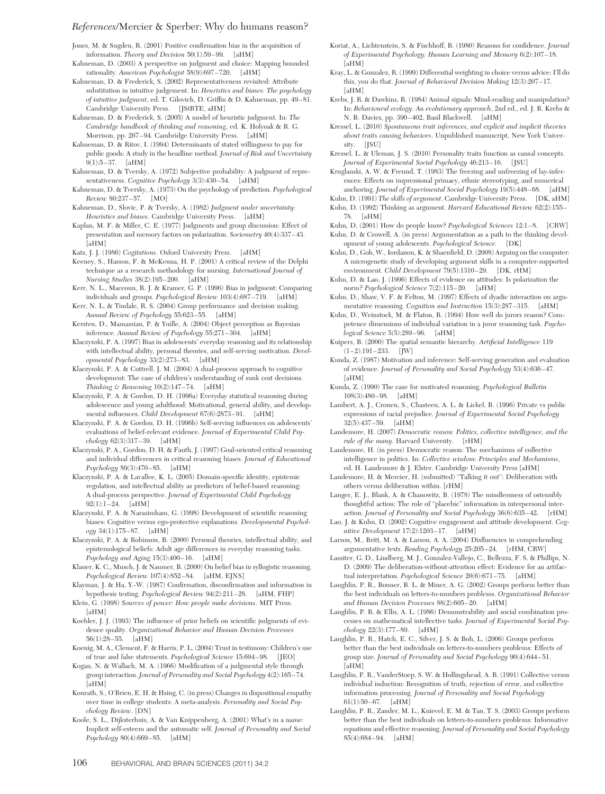Jones, M. & Sugden, R. (2001) Positive confirmation bias in the acquisition of information. Theory and Decision 50(1):59-99. [aHM]

Kahneman, D. (2003) A perspective on judgment and choice: Mapping bounded rationality. American Psychologist 58(9):697 – 720. [aHM]

Kahneman, D. & Frederick, S. (2002) Representativeness revisited: Attribute substitution in intuitive judgement. In: Heuristics and biases: The psychology of intuitive judgment, ed. T. Gilovich, D. Griffin & D. Kahneman, pp. 49 – 81. Cambridge University Press. [JStBTE, aHM]

Kahneman, D. & Frederick, S. (2005) A model of heuristic judgment. In: The Cambridge handbook of thinking and reasoning, ed. K. Holyoak & R. G. Morrison, pp. 267-94. Cambridge University Press. [aHM]

Kahneman, D. & Ritov, I. (1994) Determinants of stated willingness to pay for public goods: A study in the headline method. Journal of Risk and Uncertainty  $9(1):5 - 37.$  [aHM]

- Kahneman, D. & Tversky, A. (1972) Subjective probability: A judgment of representativeness. Cognitive Psychology 3(3):430-54. [aHM]
- Kahneman, D. & Tversky, A. (1973) On the psychology of prediction. Psychological Review 80:237-57. [MO]
- Kahneman, D., Slovic, P. & Tversky, A. (1982) Judgment under uncertainty: Heuristics and biases. Cambridge University Press. [aHM]
- Kaplan, M. F. & Miller, C. E. (1977) Judgments and group discussion: Effect of presentation and memory factors on polarization. Sociometry 40(4):337 – 43. [aHM]
- Katz, J. J. (1986) Cogitations. Oxford University Press. [aHM]
- Keeney, S., Hasson, F. & McKenna, H. P. (2001) A critical review of the Delphi technique as a research methodology for nursing. International Journal of Nursing Studies 38(2):195 – 200. [aHM]
- Kerr, N. L., Maccoun, R. J. & Kramer, G. P. (1996) Bias in judgment: Comparing individuals and groups. Psychological Review 103(4):687-719. [aHM]
- Kerr, N. L. & Tindale, R. S. (2004) Group performance and decision making. Annual Review of Psychology 55:623-55. [aHM]
- Kersten, D., Mamassian, P. & Yuille, A. (2004) Object perception as Bayesian inference. Annual Review of Psychology 55:271-304. [aHM]

Klaczynski, P. A. (1997) Bias in adolescents' everyday reasoning and its relationship with intellectual ability, personal theories, and self-serving motivation. Developmental Psychology 33(2):273 –83. [aHM]

Klaczynski, P. A. & Cottrell, J. M. (2004) A dual-process approach to cognitive development: The case of children's understanding of sunk cost decisions. Thinking  $\&$  Reasoning 10(2):147-74. [aHM]

- Klaczynski, P. A. & Gordon, D. H. (1996a) Everyday statistical reasoning during adolescence and young adulthood: Motivational, general ability, and developmental influences. Child Development 67(6):2873-91. [aHM]
- Klaczynski, P. A. & Gordon, D. H. (1996b) Self-serving influences on adolescents' evaluations of belief-relevant evidence. Journal of Experimental Child Psychology 62(3):317-39. [aHM]
- Klaczynski, P. A., Gordon, D. H. & Fauth, J. (1997) Goal-oriented critical reasoning and individual differences in critical reasoning biases. Journal of Educational Psychology 89(3):470-85. [aHM]
- Klaczynski, P. A. & Lavallee, K. L. (2005) Domain-specific identity, epistemic regulation, and intellectual ability as predictors of belief-based reasoning: A dual-process perspective. Journal of Experimental Child Psychology  $92(1):1 - 24.$  [aHM]

Klaczynski, P. A. & Narasimham, G. (1998) Development of scientific reasoning biases: Cognitive versus ego-protective explanations. Developmental Psychology 34(1):175-87. [aHM]

Klaczynski, P. A. & Robinson, B. (2000) Personal theories, intellectual ability, and epistemological beliefs: Adult age differences in everyday reasoning tasks. Psychology and Aging 15(3):400-16. [aHM]

- Klauer, K. C., Musch, J. & Naumer, B. (2000) On belief bias in syllogistic reasoning. Psychological Review 107(4):852-84. [aHM, EJNS]
- Klayman, J. & Ha, Y.-W. (1987) Confirmation, disconfirmation and information in hypothesis testing. Psychological Review 94(2):211-28. [aHM, FHP]
- Klein, G. (1998) Sources of power: How people make decisions. MIT Press.  $[aHM]$
- Koehler, J. J. (1993) The influence of prior beliefs on scientific judgments of evidence quality. Organizational Behavior and Human Decision Processes 56(1):28-55. [aHM]
- Koenig, M. A., Clement, F. & Harris, P. L. (2004) Trust in testimony: Children's use of true and false statements. Psychological Science 15:694 – 98. [JEO]
- Kogan, N. & Wallach, M. A. (1966) Modification of a judgmental style through group interaction. Journal of Personality and Social Psychology 4(2):165 – 74. [aHM]
- Konrath, S., O'Brien, E. H. & Hsing, C. (in press) Changes in dispositional empathy over time in college students: A meta-analysis. Personality and Social Psychology Review. [DN]

Koole, S. L., Dijksterhuis, A. & Van Knippenberg, A. (2001) What's in a name: Implicit self-esteem and the automatic self. Journal of Personality and Social Psychology 80(4):669-85. [aHM]

- Koriat, A., Lichtenstein, S. & Fischhoff, B. (1980) Reasons for confidence. Journal of Experimental Psychology: Human Learning and Memory 6(2):107 – 18. [aHM]
- Kray, L. & Gonzalez, R. (1999) Differential weighting in choice versus advice: I'll do this, you do that. Journal of Behavioral Decision Making 12(3):207-17. [aHM]
- Krebs, J. R. & Dawkins, R. (1984) Animal signals: Mind-reading and manipulation? In: Behavioural ecology: An evolutionary approach, 2nd ed., ed. J. R. Krebs & N. B. Davies, pp. 390-402. Basil Blackwell. [aHM]
- Kressel, L. (2010) Spontaneous trait inferences, and explicit and implicit theories about traits causing behaviors. Unpublished manuscript, New York University. [JSU]
- Kressel, L. & Uleman, J. S. (2010) Personality traits function as causal concepts. Journal of Experimental Social Psychology 46:213-16. [JSU]

Kruglanski, A. W. & Freund, T. (1983) The freezing and unfreezing of lay-inferences: Effects on impressional primacy, ethnic stereotyping, and numerical anchoring. Journal of Experimental Social Psychology 19(5):448-68. [aHM]

- Kuhn, D. (1991) The skills of argument. Cambridge University Press. [DK, aHM]
- Kuhn, D. (1992) Thinking as argument. Harvard Educational Review 62(2):155-78. [aHM]
- Kuhn, D. (2001) How do people know? Psychological Sciences 12:1-8. [CRW]
- Kuhn, D. & Crowell, A. (in press) Argumentation as a path to the thinking development of young adolescents. Psychological Science. [DK]

Kuhn, D., Goh, W., Iordanou, K. & Shaenfield, D. (2008) Arguing on the computer: A microgenetic study of developing argument skills in a computer-supported environment. Child Development 79(5):1310-29. [DK, rHM]

- Kuhn, D. & Lao, J. (1996) Effects of evidence on attitudes: Is polarization the norm? Psychological Science 7(2):115-20. [aHM]
- Kuhn, D., Shaw, V. F. & Felton, M. (1997) Effects of dyadic interaction on argumentative reasoning. Cognition and Instruction 15(3):287-315. [aHM]
- Kuhn, D., Weinstock, M. & Flaton, R. (1994) How well do jurors reason? Competence dimensions of individual variation in a juror reasoning task. Psychological Science 5(5):289 – 96. [aHM]
- Kuipers, B. (2000) The spatial semantic hierarchy. Artificial Intelligence 119  $(1-2):191-233.$  [JW]

Kunda, Z. (1987) Motivation and inference: Self-serving generation and evaluation of evidence. Journal of Personality and Social Psychology 53(4):636 – 47. [aHM]

- Kunda, Z. (1990) The case for motivated reasoning. Psychological Bulletin 108(3):480-98. [aHM]
- Lambert, A. J., Cronen, S., Chasteen, A. L. & Lickel, B. (1996) Private vs public expressions of racial prejudice. Journal of Experimental Social Psychology 32(5):437-59. [aHM]
- Landemore, H. (2007) Democratic reason: Politics, collective intelligence, and the rule of the many. Harvard University. [rHM]

Landemore, H. (in press) Democratic reason: The mechanisms of collective intelligence in politics. In: Collective wisdom: Principles and Mechanisms, ed. H. Landemore & J. Elster. Cambridge University Press [aHM]

Landemore, H. & Mercier, H. (submitted) "Talking it out": Deliberation with others versus deliberation within. [rHM]

Langer, E. J., Blank, A. & Chanowitz, B. (1978) The mindlessness of ostensibly thoughtful action: The role of "placebic" information in interpersonal interaction. Journal of Personality and Social Psychology 36(6):635-42. [rHM]

- Lao, J. & Kuhn, D. (2002) Cognitive engagement and attitude development. Cognitive Development 17(2):1203-17. [aHM]
- Larson, M., Britt, M. A. & Larson, A. A. (2004) Disfluencies in comprehending argumentative texts. Reading Psychology 25:205–24. [rHM, CRW]
- Lassiter, G. D., Lindberg, M. J., Gonzalez-Vallejo, C., Bellezza, F. S. & Phillips, N. D. (2009) The deliberation-without-attention effect: Evidence for an artifactual interpretation. Psychological Science 20(6):671-75. [aHM]
- Laughlin, P. R., Bonner, B. L. & Miner, A. G. (2002) Groups perform better than the best individuals on letters-to-numbers problems. Organizational Behavior and Human Decision Processes 88(2):605 – 20. [aHM]
- Laughlin, P. R. & Ellis, A. L. (1986) Demonstrability and social combination processes on mathematical intellective tasks. Journal of Experimental Social Psychology 22(3):177 – 89. [aHM]
- Laughlin, P. R., Hatch, E. C., Silver, J. S. & Boh, L. (2006) Groups perform better than the best individuals on letters-to-numbers problems: Effects of group size. Journal of Personality and Social Psychology 90(4):644 – 51. [aHM]
- Laughlin, P. R., VanderStoep, S. W. & Hollingshead, A. B. (1991) Collective versus individual induction: Recognition of truth, rejection of error, and collective information processing. Journal of Personality and Social Psychology  $61(1):50-67.$  [aHM]
- Laughlin, P. R., Zander, M. L., Knievel, E. M. & Tan, T. S. (2003) Groups perform better than the best individuals on letters-to-numbers problems: Informative equations and effective reasoning. Journal of Personality and Social Psychology 85(4):684 – 94. [aHM]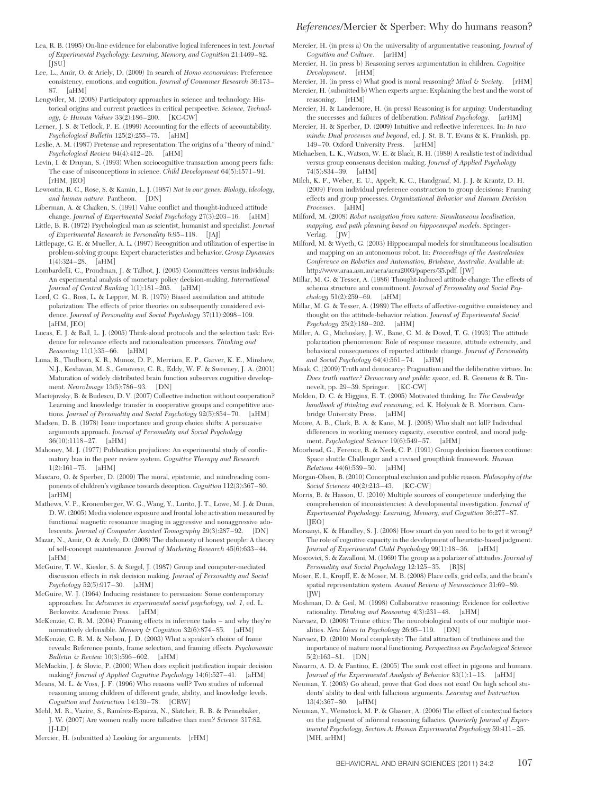- Lea, R. B. (1995) On-line evidence for elaborative logical inferences in text. Journal of Experimental Psychology: Learning, Memory, and Cognition 21:1469 –82.  $[$ [ $S$ U $]$
- Lee, L., Amir, O. & Ariely, D. (2009) In search of Homo economicus: Preference consistency, emotions, and cognition. Journal of Consumer Research 36:173 – 87. [aHM]
- Lengwiler, M. (2008) Participatory approaches in science and technology: Historical origins and current practices in critical perspective. Science, Technology, & Human Values  $33(2):186-200$ .  $[KC-CW]$
- Lerner, J. S. & Tetlock, P. E. (1999) Accounting for the effects of accountability. Psychological Bulletin 125(2):255-75. [aHM]
- Leslie, A. M. (1987) Pretense and representation: The origins of a "theory of mind." Psychological Review 94(4):412-26. [aHM]
- Levin, I. & Druyan, S. (1993) When sociocognitive transaction among peers fails: The case of misconceptions in science. Child Development 64(5):1571 –91. [rHM, IEO]
- Lewontin, R. C., Rose, S. & Kamin, L. J. (1987) Not in our genes: Biology, ideology, and human nature. Pantheon. [DN]
- Liberman, A. & Chaiken, S. (1991) Value conflict and thought-induced attitude change. Journal of Experimental Social Psychology 27(3):203– 16. [aHM]
- Little, B. R. (1972) Psychological man as scientist, humanist and specialist. Journal of Experimental Research in Personality 6:95 – 118. [JAJ]
- Littlepage, G. E. & Mueller, A. L. (1997) Recognition and utilization of expertise in problem-solving groups: Expert characteristics and behavior. Group Dynamics 1(4):324 – 28. [aHM]
- Lombardelli, C., Proudman, J. & Talbot, J. (2005) Committees versus individuals: An experimental analysis of monetary policy decision-making. International Journal of Central Banking 1(1):181 – 205. [aHM]
- Lord, C. G., Ross, L. & Lepper, M. R. (1979) Biased assimilation and attitude polarization: The effects of prior theories on subsequently considered evidence. Journal of Personality and Social Psychology 37(11):2098-109. [aHM, JEO]
- Lucas, E. J. & Ball, L. J. (2005) Think-aloud protocols and the selection task: Evidence for relevance effects and rationalisation processes. Thinking and Reasoning 11(1):35-66. [aHM]
- Luna, B., Thulborn, K. R., Munoz, D. P., Merriam, E. P., Garver, K. E., Minshew, N.J., Keshavan, M. S., Genovese, C. R., Eddy, W. F. & Sweeney, J. A. (2001) Maturation of widely distributed brain function subserves cognitive development. NeuroImage 13(5):786-93. [DN]
- Maciejovsky, B. & Budescu, D. V. (2007) Collective induction without cooperation? Learning and knowledge transfer in cooperative groups and competitive auctions. Journal of Personality and Social Psychology 92(5):854-70. [aHM]
- Madsen, D. B. (1978) Issue importance and group choice shifts: A persuasive arguments approach. Journal of Personality and Social Psychology 36(10):1118-27. [aHM]
- Mahoney, M. J. (1977) Publication prejudices: An experimental study of confirmatory bias in the peer review system. Cognitive Therapy and Research  $1(2):161-75.$  [aHM]
- Mascaro, O. & Sperber, D. (2009) The moral, epistemic, and mindreading components of children's vigilance towards deception. Cognition 112(3):367 –80. [arHM]
- Mathews, V. P., Kronenberger, W. G., Wang, Y., Lurito, J. T., Lowe, M. J. & Dunn, D. W. (2005) Media violence exposure and frontal lobe activation measured by functional magnetic resonance imaging in aggressive and nonaggressive adolescents. Journal of Computer Assisted Tomography 29(3):287-92. [DN]
- Mazar, N., Amir, O. & Ariely, D. (2008) The dishonesty of honest people: A theory of self-concept maintenance.  $Journal$  of  $Marketing$   $Research$   $45(6):633-44.$ [aHM]
- McGuire, T. W., Kiesler, S. & Siegel, J. (1987) Group and computer-mediated discussion effects in risk decision making. Journal of Personality and Social Psychology 52(5):917-30. [aHM]
- McGuire, W. J. (1964) Inducing resistance to persuasion: Some contemporary approaches. In: Advances in experimental social psychology, vol. 1, ed. L. Berkowitz. Academic Press. [aHM]
- McKenzie, C. R. M. (2004) Framing effects in inference tasks and why they're normatively defensible. Memory  $\&$  Cognition 32(6):874-85. [aHM]
- McKenzie, C. R. M. & Nelson, J. D. (2003) What a speaker's choice of frame reveals: Reference points, frame selection, and framing effects. Psychonomic Bulletin  $\&$  Review 10(3):596-602. [aHM]
- McMackin, J. & Slovic, P. (2000) When does explicit justification impair decision making? Journal of Applied Cognitive Psychology 14(6):527-41. [aHM]
- Means, M. L. & Voss, J. F. (1996) Who reasons well? Two studies of informal reasoning among children of different grade, ability, and knowledge levels. Cognition and Instruction 14:139-78. [CRW]
- Mehl, M. R., Vazire, S., Ramı´rez-Esparza, N., Slatcher, R. B. & Pennebaker, J. W. (2007) Are women really more talkative than men? Science 317:82.  $[I-I.D]$
- Mercier, H. (submitted a) Looking for arguments. [rHM]

- Mercier, H. (in press a) On the universality of argumentative reasoning. Journal of Cognition and Culture. [arHM]
- Mercier, H. (in press b) Reasoning serves argumentation in children. Cognitive Development. [rHM]

Mercier, H. (in press c) What good is moral reasoning?  $Mind \&$  Society. [rHM] Mercier, H. (submitted b) When experts argue: Explaining the best and the worst of reasoning. [rHM]

- Mercier, H. & Landemore, H. (in press) Reasoning is for arguing: Understanding the successes and failures of deliberation. Political Psychology. [arHM]
- Mercier, H. & Sperber, D. (2009) Intuitive and reflective inferences. In: In two minds: Dual processes and beyond, ed. J. St. B. T. Evans & K. Frankish, pp. 149-70. Oxford University Press. [arHM]
- Michaelsen, L. K., Watson, W. E. & Black, R. H. (1989) A realistic test of individual versus group consensus decision making. Journal of Applied Psychology 74(5):834 – 39. [aHM]
- Milch, K. F., Weber, E. U., Appelt, K. C., Handgraaf, M. J. J. & Krantz, D. H. (2009) From individual preference construction to group decisions: Framing effects and group processes. Organizational Behavior and Human Decision Processes. [aHM]
- Milford, M. (2008) Robot navigation from nature: Simultaneous localisation, mapping, and path planning based on hippocampal models. Springer-Verlag. [JW]
- Milford, M. & Wyeth, G. (2003) Hippocampal models for simultaneous localisation and mapping on an autonomous robot. In: Proceedings of the Australasian Conference on Robotics and Automation, Brisbane, Australia. Available at: http://www.araa.asn.au/acra/acra2003/papers/35.pdf. [JW]
- Millar, M. G. & Tesser, A. (1986) Thought-induced attitude change: The effects of schema structure and commitment. Journal of Personality and Social Psy $chology 51(2):259-69.$  [aHM]
- Millar, M. G. & Tesser, A. (1989) The effects of affective-cognitive consistency and thought on the attitude-behavior relation. Journal of Experimental Social Psychology 25(2):189-202. [aHM]
- Miller, A. G., Michoskey, J. W., Bane, C. M. & Dowd, T. G. (1993) The attitude polarization phenomenon: Role of response measure, attitude extremity, and behavioral consequences of reported attitude change. Journal of Personality and Social Psychology 64(4):561-74. [aHM]
- Misak, C. (2009) Truth and democarcy: Pragmatism and the deliberative virtues. In: Does truth matter? Democracy and public space, ed. R. Geenens & R. Tinnevelt, pp. 29 – 39. Springer. [KC-CW]
- Molden, D. C. & Higgins, E. T. (2005) Motivated thinking. In: The Cambridge handbook of thinking and reasoning, ed. K. Holyoak & R. Morrison. Cambridge University Press. [aHM]
- Moore, A. B., Clark, B. A. & Kane, M. J. (2008) Who shalt not kill? Individual differences in working memory capacity, executive control, and moral judgment. Psychological Science 19(6):549-57. [aHM]
- Moorhead, G., Ference, R. & Neck, C. P. (1991) Group decision fiascoes continue: Space shuttle Challenger and a revised groupthink framework. Human Relations 44(6):539-50. [aHM]
- Morgan-Olsen, B. (2010) Conceptual exclusion and public reason. Philosophy of the Social Sciences 40(2):213-43. [KC-CW]
- Morris, B. & Hasson, U. (2010) Multiple sources of competence underlying the comprehension of inconsistencies: A developmental investigation. Journal of Experimental Psychology: Learning, Memory, and Cognition 36:277 – 87.  $[IEO]$
- Morsanyi, K. & Handley, S. J. (2008) How smart do you need to be to get it wrong? The role of cognitive capacity in the development of heuristic-based judgment.  $Journal \ of \ Experimental \ Child \ Psychology \ 99(1): 18-36. \quad \ \ \text{[aHM]}$
- Moscovici, S. & Zavalloni, M. (1969) The group as a polarizer of attitudes. Journal of Personality and Social Psychology 12:125-35. [RJS]
- Moser, E. I., Kropff, E. & Moser, M. B. (2008) Place cells, grid cells, and the brain's spatial representation system. Annual Review of Neuroscience 31:69-89. [JW]
- Moshman, D. & Geil, M. (1998) Collaborative reasoning: Evidence for collective rationality. Thinking and Reasoning 4(3):231-48. [aHM]
- Narvaez, D. (2008) Triune ethics: The neurobiological roots of our multiple moralities. New Ideas in Psychology 26:95-119. [DN]
- Narvaez, D. (2010) Moral complexity: The fatal attraction of truthiness and the importance of mature moral functioning. Perspectives on Psychological Science  $5(2):163-81.$  [DN]
- Navarro, A. D. & Fantino, E. (2005) The sunk cost effect in pigeons and humans. Journal of the Experimental Analysis of Behavior 83(1):1-13. [aHM]
- Neuman, Y. (2003) Go ahead, prove that God does not exist! On high school students' ability to deal with fallacious arguments. Learning and Instruction 13(4):367-80. [aHM]
- Neuman, Y., Weinstock, M. P. & Glasner, A. (2006) The effect of contextual factors on the judgment of informal reasoning fallacies. Quarterly Journal of Experimental Psychology, Section A: Human Experimental Psychology 59:411– 25. [MH, arHM]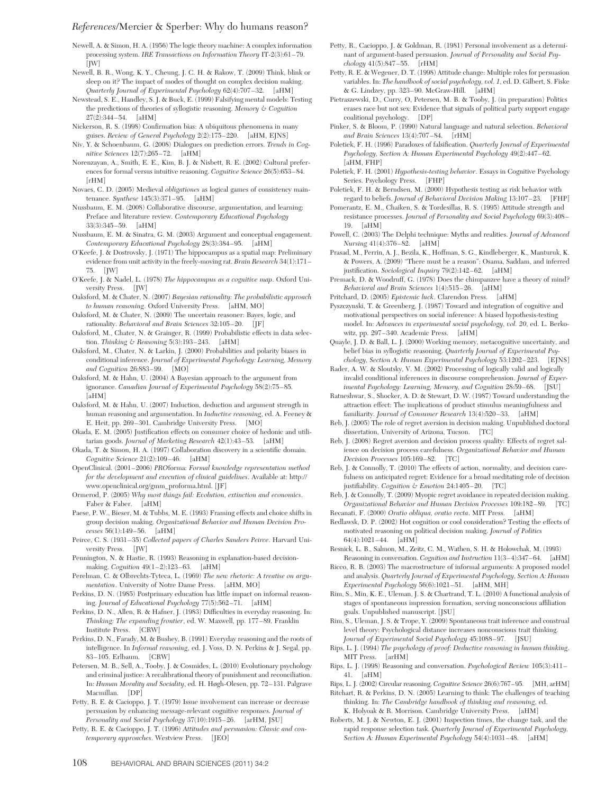Newell, A. & Simon, H. A. (1956) The logic theory machine: A complex information processing system. IRE Transactions on Information Theory IT-2(3):61 – 79. [JW]

Newell, B. R., Wong, K. Y., Cheung, J. C. H. & Rakow, T. (2009) Think, blink or sleep on it? The impact of modes of thought on complex decision making. Quarterly Journal of Experimental Psychology 62(4):707 – 32. [aHM]

Newstead, S. E., Handley, S. J. & Buck, E. (1999) Falsifying mental models: Testing the predictions of theories of syllogistic reasoning. Memory  $\&$  Cognition  $27(2):344 - 54.$  [aHM]

- Nickerson, R. S. (1998) Confirmation bias: A ubiquitous phenomena in many guises. Review of General Psychology 2(2):175-220. [aHM, EJNS]
- Niv, Y. & Schoenbaum, G. (2008) Dialogues on prediction errors. Trends in Cognitive Sciences 12(7):265 – 72. [aHM]
- Norenzayan, A., Smith, E. E., Kim, B. J. & Nisbett, R. E. (2002) Cultural preferences for formal versus intuitive reasoning. Cognitive Science 26(5):653 – 84.  $[rHM]$
- Novaes, C. D. (2005) Medieval obligationes as logical games of consistency maintenance. Synthese 145(3):371-95. [aHM]
- Nussbaum, E. M. (2008) Collaborative discourse, argumentation, and learning: Preface and literature review. Contemporary Educational Psychology 33(3):345 – 59. [aHM]
- Nussbaum, E. M. & Sinatra, G. M. (2003) Argument and conceptual engagement. Contemporary Educational Psychology 28(3):384-95. [aHM]
- O'Keefe, J. & Dostrovsky, J. (1971) The hippocampus as a spatial map: Preliminary evidence from unit activity in the freely-moving rat. Brain Research 34(1):171 – 75. [JW]
- O'Keefe, J. & Nadel, L. (1978) The hippocampus as a cognitive map. Oxford University Press. [JW]
- Oaksford, M. & Chater, N. (2007) Bayesian rationality: The probabilistic approach to human reasoning. Oxford University Press. [aHM, MO]
- Oaksford, M. & Chater, N. (2009) The uncertain reasoner: Bayes, logic, and rationality. Behavioral and Brain Sciences 32:105-20. [JF]
- Oaksford, M., Chater, N. & Grainger, R. (1999) Probabilistic effects in data selection. Thinking  $\&$  Reasoning 5(3):193-243. [aHM]
- Oaksford, M., Chater, N. & Larkin, J. (2000) Probabilities and polarity biases in conditional inference. Journal of Experimental Psychology: Learning, Memory and Cognition 26:883 – 99. [MO]
- Oaksford, M. & Hahn, U. (2004) A Bayesian approach to the argument from ignorance. Canadian Journal of Experimental Psychology 58(2):75 – 85. [aHM]
- Oaksford, M. & Hahn, U. (2007) Induction, deduction and argument strength in human reasoning and argumentation. In Inductive reasoning, ed. A. Feeney & E. Heit, pp. 269 – 301. Cambridge University Press. [MO]
- Okada, E. M. (2005) Justification effects on consumer choice of hedonic and utilitarian goods. Journal of Marketing Research 42(1):43-53. [aHM]
- Okada, T. & Simon, H. A. (1997) Collaboration discovery in a scientific domain. Cognitive Science 21(2):109-46. [aHM]
- OpenClinical. (2001–2006) PROforma: Formal knowledge representation method for the development and execution of clinical guidelines. Available at: http:// www.openclinical.org/gmm\_proforma.html. [JF]
- Ormerod, P. (2005) Why most things fail: Evolution, extinction and economics. Faber & Faber. [aHM]
- Paese, P. W., Bieser, M. & Tubbs, M. E. (1993) Framing effects and choice shifts in group decision making. Organizational Behavior and Human Decision Processes 56(1):149-56. [aHM]
- Peirce, C. S. (1931-35) Collected papers of Charles Sanders Peirce. Harvard University Press. [JW]
- Pennington, N. & Hastie, R. (1993) Reasoning in explanation-based decisionmaking. Cognition 49(1-2):123-63. [aHM]
- Perelman, C. & Olbrechts-Tyteca, L. (1969) The new rhetoric: A treatise on argumentation. University of Notre Dame Press. [aHM, MO]
- Perkins, D. N. (1985) Postprimary education has little impact on informal reasoning. Journal of Educational Psychology 77(5):562-71. [aHM]
- Perkins, D. N., Allen, R. & Hafner, J. (1983) Difficulties in everyday reasoning. In: Thinking: The expanding frontier, ed. W. Maxwell, pp. 177 – 89. Franklin Institute Press. [CRW]
- Perkins, D. N., Farady, M. & Bushey, B. (1991) Everyday reasoning and the roots of intelligence. In Informal reasoning, ed. J. Voss, D. N. Perkins & J. Segal, pp. 83 –105. Erlbaum. [CRW]
- Petersen, M. B., Sell, A., Tooby, J. & Cosmides, L. (2010) Evolutionary psychology and criminal justice: A recalibrational theory of punishment and reconciliation. In: Human Morality and Sociality, ed. H. Høgh-Olesen, pp. 72 – 131. Palgrave Macmillan. [DP]
- Petty, R. E. & Cacioppo, J. T. (1979) Issue involvement can increase or decrease persuasion by enhancing message-relevant cognitive responses. Journal of Personality and Social Psychology 37(10):1915-26. [arHM, JSU]
- Petty, R. E. & Cacioppo, J. T. (1996) Attitudes and persuasion: Classic and contemporary approaches. Westview Press. [JEO]
- Petty, R., Cacioppo, J. & Goldman, R. (1981) Personal involvement as a determinant of argument-based persuasion. Journal of Personality and Social Psychology 41(5):847-55. [rHM]
- Petty, R. E. & Wegener, D. T. (1998) Attitude change: Multiple roles for persuasion variables. In: The handbook of social psychology, vol. 1, ed. D. Gilbert, S. Fiske  $\&$  G. Lindzey, pp. 323–90. McGraw-Hill.  $\quad$  [aHM]
- Pietraszewski, D., Curry, O, Petersen, M. B. & Tooby, J. (in preparation) Politics erases race but not sex: Evidence that signals of political party support engage coalitional psychology. [DP]
- Pinker, S. & Bloom, P. (1990) Natural language and natural selection. Behavioral and Brain Sciences 13(4):707-84. [rHM]
- Poletiek, F. H. (1996) Paradoxes of falsification. Quarterly Journal of Experimental Psychology, Section A: Human Experimental Psychology 49(2):447 – 62. [aHM, FHP]
- Poletiek, F. H. (2001) Hypothesis-testing behavior. Essays in Cognitive Psychology Series. Psychology Press. [FHP]
- Poletiek, F. H. & Berndsen, M. (2000) Hypothesis testing as risk behavior with regard to beliefs. Journal of Behavioral Decision Making 13:107-23. [FHP]
- Pomerantz, E. M., Chaiken, S. & Tordesillas, R. S. (1995) Attitude strength and resistance processes. Journal of Personality and Social Psychology 69(3):408– 19. [aHM]
- Powell, C. (2003) The Delphi technique: Myths and realities. Journal of Advanced Nursing 41(4):376-82. [aHM]
- Prasad, M., Perrin, A. J., Bezila, K., Hoffman, S. G., Kindleberger, K., Manturuk, K. & Powers, A. (2009) "There must be a reason": Osama, Saddam, and inferred justification. Sociological Inquiry 79(2):142-62. [aHM]
- Premack, D. & Woodruff, G. (1978) Does the chimpanzee have a theory of mind? Behavioral and Brain Sciences 1(4):515-26. [aHM]
- Pritchard, D. (2005) Epistemic luck. Clarendon Press. [aHM]
- Pyszczynski, T. & Greenberg, J. (1987) Toward and integration of cognitive and motivational perspectives on social inference: A biased hypothesis-testing model. In: Advances in experimental social psychology, vol. 20, ed. L. Berkowitz, pp. 297-340. Academic Press. [aHM]
- Quayle, J. D. & Ball, L. J. (2000) Working memory, metacognitive uncertainty, and belief bias in syllogistic reasoning. Quarterly Journal of Experimental Psychology, Section A: Human Experimental Psychology 53:1202– 223. [EJNS]
- Rader, A. W. & Sloutsky, V. M. (2002) Processing of logically valid and logically invalid conditional inferences in discourse comprehension. Journal of Experimental Psychology: Learning, Memory, and Cognition 28:59-68. [JSU]
- Ratneshwar, S., Shocker, A. D. & Stewart, D. W. (1987) Toward understanding the attraction effect: The implications of product stimulus meaningfulness and familiarity. Journal of Consumer Research 13(4):520-33. [aHM]
- Reb, J. (2005) The role of regret aversion in decision making. Unpublished doctoral dissertation, University of Arizona, Tucson. [TC]
- Reb, J. (2008) Regret aversion and decision process quality: Effects of regret salience on decision process carefulness. Organizational Behavior and Human Decision Processes 105:169-82. [TC]
- Reb, J. & Connolly, T. (2010) The effects of action, normality, and decision carefulness on anticipated regret: Evidence for a broad meditating role of decision justifiability. Cognition  $\&$  Emotion 24:1405-20. [TC]
- Reb, J. & Connolly, T. (2009) Myopic regret avoidance in repeated decision making. Organizational Behavior and Human Decision Processes 109:182 – 89. [TC] Recanati, F. (2000) Oratio obliqua, oratio recta. MIT Press. [aHM]
- Redlawsk, D. P. (2002) Hot cognition or cool consideration? Testing the effects of motivated reasoning on political decision making. Journal of Politics 64(4):1021-44. [aHM]
- Resnick, L. B., Salmon, M., Zeitz, C. M., Wathen, S. H. & Holowchak, M. (1993) Reasoning in conversation. Cognition and Instruction 11(3–4):347–64. [aHM]
- Ricco, R. B. (2003) The macrostructure of informal arguments: A proposed model and analysis. Quarterly Journal of Experimental Psychology, Section A: Human Experimental Psychology 56(6):1021-51. [aHM, MH]
- Rim, S., Min, K. E., Uleman, J. S. & Chartrand, T. L. (2010) A functional analysis of stages of spontaneous impression formation, serving nonconscious affiliation goals. Unpublished manuscript. [JSU]
- Rim, S., Uleman, J. S. & Trope, Y. (2009) Spontaneous trait inference and construal level theory: Psychological distance increases nonconscious trait thinking. Journal of Experimental Social Psychology 45:1088-97. [JSU]
- Rips, L. J. (1994) The psychology of proof: Deductive reasoning in human thinking. MIT Press. [arHM]
- Rips, L. J. (1998) Reasoning and conversation. Psychological Review 105(3):411 41. [aHM]
- Rips, L. J. (2002) Circular reasoning. Cognitive Science 26(6):767–95. [MH, arHM]
- Ritchart, R. & Perkins, D. N. (2005) Learning to think: The challenges of teaching thinking. In: The Cambridge handbook of thinking and reasoning, ed. K. Holyoak & R. Morrison. Cambridge University Press. [aHM]
- Roberts, M. J. & Newton, E. J. (2001) Inspection times, the change task, and the rapid response selection task. Quarterly Journal of Experimental Psychology, Section A: Human Experimental Psychology 54(4):1031-48. [aHM]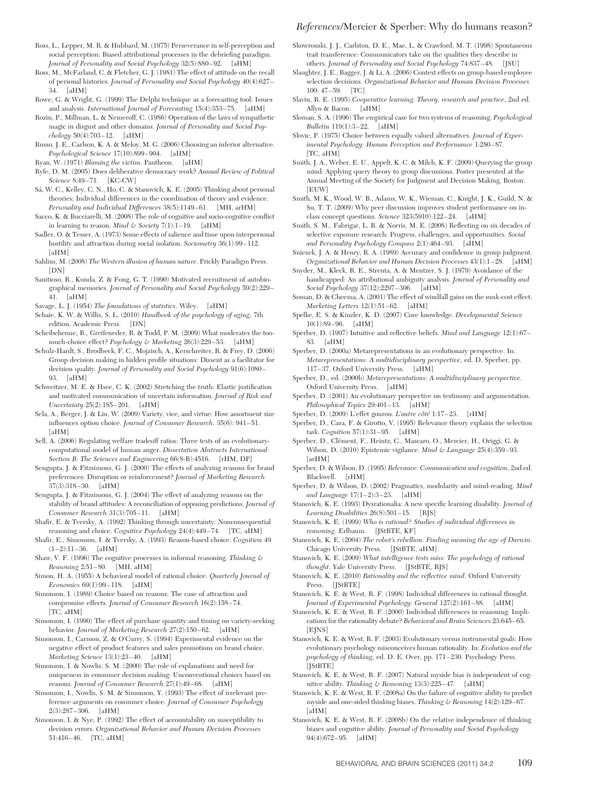- Ross, L., Lepper, M. R. & Hubbard, M. (1975) Perseverance in self-perception and social perception: Biased attributional processes in the debriefing paradigm. Journal of Personality and Social Psychology 32(5):880-92. [aHM]
- Ross, M., McFarland, C. & Fletcher, G. J. (1981) The effect of attitude on the recall of personal histories. Journal of Personality and Social Psychology 40(4):627 – 34. [aHM]
- Rowe, G. & Wright, G. (1999) The Delphi technique as a forecasting tool: Issues and analysis. International Journal of Forecasting 15(4):353-75. [aHM]
- Rozin, P., Millman, L. & Nemeroff, C. (1986) Operation of the laws of sympathetic magic in disgust and other domains. Journal of Personality and Social Psy $chology 50(4):703-12.$  [aHM]
- Russo, J. E., Carlson, K. A. & Meloy, M. G. (2006) Choosing an inferior alternative. Psychological Science 17(10):899-904. [aHM]
- Ryan, W. (1971) Blaming the victim. Pantheon. [aHM]
- Ryfe, D. M. (2005) Does deliberative democracy work? Annual Review of Political Science 8:49-71. [KC-CW]
- Sa´, W. C., Kelley, C. N., Ho, C. & Stanovich, K. E. (2005) Thinking about personal theories: Individual differences in the coordination of theory and evidence. Personality and Individual Differences 38(5):1149-61. [MH, arHM]
- Sacco, K. & Bucciarelli, M. (2008) The role of cognitive and socio-cognitive conflict in learning to reason. Mind  $\&$  Society 7(1):1-19. [aHM]
- Sadler, O. & Tesser, A. (1973) Some effects of salience and time upon interpersonal hostility and attraction during social isolation. Sociometry 36(1):99-112. [aHM]
- Sahlins, M. (2008) The Western illusion of human nature. Prickly Paradigm Press. [DN]
- Sanitioso, R., Kunda, Z. & Fong, G. T. (1990) Motivated recruitment of autobiographical memories. Journal of Personality and Social Psychology 59(2):229 – 41. [aHM]
- Savage, L. J. (1954) The foundations of statistics. Wiley. [aHM]
- Schaie, K. W. & Willis, S. L. (2010) Handbook of the psychology of aging, 7th edition. Academic Press. [DN]
- Scheibehenne, B., Greifeneder, R. & Todd, P. M. (2009) What moderates the toomuch-choice effect? Psychology & Marketing 26(3):229-53. [aHM]
- Schulz-Hardt, S., Brodbeck, F. C., Mojzisch, A., Kerschreiter, R. & Frey, D. (2006) Group decision making in hidden profile situations: Dissent as a facilitator for decision quality. Journal of Personality and Social Psychology 91(6):1080 – 93. [aHM]
- Schweitzer, M. E. & Hsee, C. K. (2002) Stretching the truth: Elastic justification and motivated communication of uncertain information. Journal of Risk and Uncertainty 25(2):185-201. [aHM]
- Sela, A., Berger, J. & Liu, W. (2009) Variety, vice, and virtue: How assortment size influences option choice. Journal of Consumer Research. 35(6): 941-51.  $[aHM]$
- Sell, A. (2006) Regulating welfare tradeoff ratios: Three tests of an evolutionarycomputational model of human anger. Dissertation Abstracts International: Section B: The Sciences and Engineering 66(8-B):4516. [rHM, DP]
- Sengupta, J. & Fitzsimons, G. J. (2000) The effects of analyzing reasons for brand preferences: Disruption or reinforcement? Journal of Marketing Research  $37(3):318-30.$  [aHM]
- Sengupta, J. & Fitzsimons, G. J. (2004) The effect of analyzing reasons on the stability of brand attitudes: A reconciliation of opposing predictions. Journal of Consumer Research 31(3):705 – 11. [aHM]
- Shafir, E. & Tversky, A. (1992) Thinking through uncertainty: Nonconsequential reasoning and choice. Cognitive Psychology 24(4):449-74. [TC, aHM]
- Shafir, E., Simonson, I. & Tversky, A. (1993) Reason-based choice. Cognition 49  $(1-2):11-36.$  [aHM]
- Shaw, V. F. (1996) The cognitive processes in informal reasoning. Thinking  $\phi$  $Reasoning 2:51-80.$  [MH, aHM]
- Simon, H. A. (1955) A behavioral model of rational choice. Quarterly Journal of Economics 69(1):99-118. [aHM]
- Simonson, I. (1989) Choice based on reasons: The case of attraction and compromise effects. Journal of Consumer Research 16(2):158-74. [TC, aHM]
- Simonson, I. (1990) The effect of purchase quantity and timing on variety-seeking behavior. Journal of Marketing Research 27(2):150-62. [aHM]
- Simonson, I., Carmon, Z. & O'Curry, S. (1994) Experimental evidence on the negative effect of product features and sales promotions on brand choice. Marketing Science 13(1):23-40. [aHM]
- Simonson, I. & Nowlis, S. M. (2000) The role of explanations and need for uniqueness in consumer decision making: Unconventional choices based on reasons. Journal of Consumer Research 27(1):49-68. [aHM]
- Simonson, I., Nowlis, S. M. & Simonson, Y. (1993) The effect of irrelevant preference arguments on consumer choice. Journal of Consumer Psychology  $2(3):287-306.$  [aHM]
- Simonson, I. & Nye, P. (1992) The effect of accountability on susceptibility to decision errors. Organizational Behavior and Human Decision Processes 51:416-46. [TC, aHM]

- Skowronski, J. J., Carlston, D. E., Mae, L. & Crawford, M. T. (1998) Spontaneous trait transference: Communicators take on the qualities they describe in others. Journal of Personality and Social Psychology 74:837 – 48. [JSU]
- Slaughter, J. E., Bagger, J. & Li, A. (2006) Context effects on group-based employee selection decisions. Organizational Behavior and Human Decision Processes 100: 47-59. **[TC]**
- Slavin, R. E. (1995) Cooperative learning: Theory, research and practice, 2nd ed. Allyn & Bacon. [aHM]
- Sloman, S. A. (1996) The empirical case for two systems of reasoning. Psychological Bulletin 119(1):3-22. [aHM]
- Slovic, P. (1975) Choice between equally valued alternatives. Journal of Experimental Psychology: Human Perception and Performance 1:280 – 87. [TC, aHM]
- Smith, J. A., Weber, E. U., Appelt, K. C. & Milch, K. F. (2009) Querying the group mind: Applying query theory to group discussions. Poster presented at the Annual Meeting of the Society for Judgment and Decision Making, Boston. [EUW]
- Smith, M. K., Wood, W. B., Adams, W. K., Wieman, C., Knight, J. K., Guild, N. & Su, T. T. (2009) Why peer discussion improves student performance on inclass concept questions. Science 323(5910):122 – 24. [aHM]
- Smith, S. M., Fabrigar, L. R. & Norris, M. E. (2008) Reflecting on six decades of selective exposure research: Progress, challenges, and opportunities. Social and Personality Psychology Compass 2(1):464-93. [aHM]
- Sniezek, J. A. & Henry, R. A. (1989) Accuracy and confidence in group judgment. Organizational Behavior and Human Decision Processes 43(1):1 – 28. [aHM]
- Snyder, M., Kleck, R. E., Strenta, A. & Mentzer, S. J. (1979) Avoidance of the handicapped: An attributional ambiguity analysis. Journal of Personality and Social Psychology 37(12):2297 – 306. [aHM]
- Soman, D. & Cheema, A. (2001) The effect of windfall gains on the sunk-cost effect. Marketing Letters 12(1):51-62. [aHM]
- Spelke, E. S. & Kinzler, K. D. (2007) Core knowledge. Developmental Science  $10(1):89-96.$  [aHM]
- Sperber, D. (1997) Intuitive and reflective beliefs. Mind and Language 12(1):67 83. [aHM]
- Sperber, D. (2000a) Metarepresentations in an evolutionary perspective. In: Metarepresentations: A multidisciplinary perspective, ed. D. Sperber, pp. 117-37. Oxford University Press. [aHM]
- Sperber, D., ed. (2000b) Metarepresentations: A multidisciplinary perspective. Oxford University Press. [aHM]
- Sperber, D. (2001) An evolutionary perspective on testimony and argumentation. Philosophical Topics 29:401-13. [aHM]
- Sperber, D. (2009) L'effet gourou. L'autre côté 1:17-23. [rHM]
- Sperber, D., Cara, F. & Girotto, V. (1995) Relevance theory explains the selection task. Cognition  $57(1):31-95$ . [aHM]
- Sperber, D., Clément, F., Heintz, C., Mascaro, O., Mercier, H., Origgi, G. & Wilson, D. (2010) Epistemic vigilance. Mind & Language  $25(4):359-93$ . [arHM]
- Sperber, D. & Wilson, D. (1995) Relevance: Communication and cognition, 2nd ed. Blackwell. [rHM]
- Sperber, D. & Wilson, D. (2002) Pragmatics, modularity and mind-reading. Mind and Language  $17(1-2):3-23$ . [aHM]
- Stanovich, K. E. (1993) Dysrationalia: A new specific learning disability. Journal of Learning Disabilities 26(8):501-15. [RJS]
- Stanovich, K. E. (1999) Who is rational? Studies of individual differences in reasoning. Erlbaum. [JStBTE, KF]
- Stanovich, K. E. (2004) The robot's rebellion: Finding meaning the age of Darwin. Chicago University Press. [JStBTE, aHM]
- Stanovich, K. E. (2009) What intelligence tests miss: The psychology of rational thought. Yale University Press. [JStBTE, RJS]
- Stanovich, K. E. (2010) Rationality and the reflective mind. Oxford University Press. [JStBTE]
- Stanovich, K. E. & West, R. F. (1998) Individual differences in rational thought. Journal of Experimental Psychology: General 127(2):161 –88. [aHM]
- Stanovich, K. E. & West, R. F. (2000) Individual differences in reasoning: Implications for the rationality debate? Behavioral and Brain Sciences 23:645– 65. [EJNS]
- Stanovich, K. E. & West, R. F. (2003) Evolutionary versus instrumental goals: How evolutionary psychology misconceives human rationality. In: Evolution and the psychology of thinking, ed. D. E. Over, pp. 171 – 230. Psychology Press. [JStBTE]
- Stanovich, K. E. & West, R. F. (2007) Natural myside bias is independent of cognitive ability. Thinking  $\&$  Reasoning 13(3):225-47. [aHM]
- Stanovich, K. E. & West, R. F. (2008a) On the failure of cognitive ability to predict myside and one-sided thinking biases. Thinking  $\&$  Reasoning 14(2):129-67. [aHM]
- Stanovich, K. E. & West, R. F. (2008b) On the relative independence of thinking biases and cognitive ability. Journal of Personality and Social Psychology 94(4):672-95. [aHM]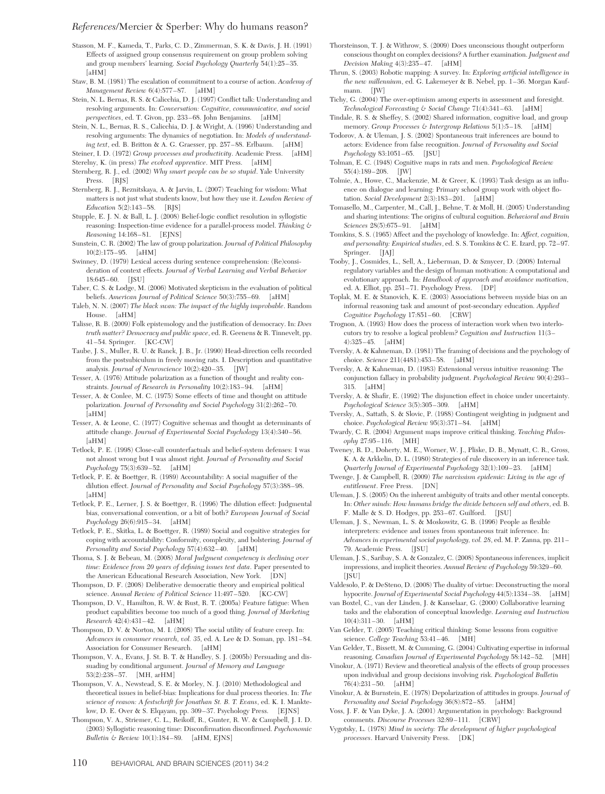- Stasson, M. F., Kameda, T., Parks, C. D., Zimmerman, S. K. & Davis, J. H. (1991) Effects of assigned group consensus requirement on group problem solving and group members' learning. Social Psychology Quarterly 54(1):25 – 35. [aHM]
- Staw, B. M. (1981) The escalation of commitment to a course of action. Academy of Management Review 6(4):577-87. [aHM]
- Stein, N. L. Bernas, R. S. & Calicchia, D. J. (1997) Conflict talk: Understanding and resolving arguments. In: Conversation: Cognitive, communicative, and social perspectives, ed. T. Givon, pp. 233-68. John Benjamins. [aHM]
- Stein, N. L., Bernas, R. S., Calicchia, D. J. & Wright, A. (1996) Understanding and resolving arguments: The dynamics of negotiation. In: Models of understanding text, ed. B. Britton & A. G. Graesser, pp. 257 – 88. Erlbaum. [aHM]
- Steiner, I. D. (1972) Group processes and productivity. Academic Press. [aHM] Sterelny, K. (in press) The evolved apprentice. MIT Press. [aHM]
- Sternberg, R. J., ed. (2002) Why smart people can be so stupid. Yale University Press. [RJS]
- Sternberg, R. J., Reznitskaya, A. & Jarvin, L. (2007) Teaching for wisdom: What matters is not just what students know, but how they use it. London Review of Education  $5(2):143-58.$  [RJS]
- Stupple, E. J. N. & Ball, L. J. (2008) Belief-logic conflict resolution in syllogistic reasoning: Inspection-time evidence for a parallel-process model. Thinking  $\uplus$ Reasoning 14:168-81. [EJNS]
- Sunstein, C. R. (2002) The law of group polarization. Journal of Political Philosophy  $10(2):175-95.$  [aHM]
- Swinney, D. (1979) Lexical access during sentence comprehension: (Re)consideration of context effects. Journal of Verbal Learning and Verbal Behavior 18:645-60. [JSU]
- Taber, C. S. & Lodge, M. (2006) Motivated skepticism in the evaluation of political beliefs. American Journal of Political Science 50(3):755-69. [aHM]
- Taleb, N. N. (2007) The black swan: The impact of the highly improbable. Random House. [aHM]
- Talisse, R. B. (2009) Folk epistemology and the justification of democracy. In: Does truth matter? Democracy and public space, ed. R. Geenens & R. Tinnevelt, pp. 41 –54. Springer. [KC-CW]
- Taube, J. S., Muller, R. U. & Ranck, J. B., Jr. (1990) Head-direction cells recorded from the postsubiculum in freely moving rats. I. Description and quantitative analysis. Journal of Neuroscience 10(2):420-35. [JW]
- Tesser, A. (1976) Attitude polarization as a function of thought and reality constraints. Journal of Research in Personality 10(2):183-94. [aHM]
- Tesser, A. & Conlee, M. C. (1975) Some effects of time and thought on attitude polarization. Journal of Personality and Social Psychology 31(2):262-70. [aHM]
- Tesser, A. & Leone, C. (1977) Cognitive schemas and thought as determinants of attitude change. Journal of Experimental Social Psychology 13(4):340 –56. [aHM]
- Tetlock, P. E. (1998) Close-call counterfactuals and belief-system defenses: I was not almost wrong but I was almost right. Journal of Personality and Social Psychology 75(3):639-52. [aHM]
- Tetlock, P. E. & Boettger, R. (1989) Accountability: A social magnifier of the dilution effect. Journal of Personality and Social Psychology 57(3):388– 98. [aHM]
- Tetlock, P. E., Lerner, J. S. & Boettger, R. (1996) The dilution effect: Judgmental bias, conversational convention, or a bit of both? European Journal of Social Psychology 26(6):915-34. [aHM]
- Tetlock, P. E., Skitka, L. & Boettger, R. (1989) Social and cognitive strategies for coping with accountability: Conformity, complexity, and bolstering. Journal of  $Personality$  and  $Social$   $Psychology$   $57(4):632-40. \quad$   $\left[ \mathrm{aHM} \right]$
- Thoma, S. J. & Bebeau, M. (2008) Moral Judgment competency is declining over time: Evidence from 20 years of defining issues test data. Paper presented to the American Educational Research Association, New York. [DN]
- Thompson, D. F. (2008) Deliberative democratic theory and empirical political science. Annual Review of Political Science 11:497-520. [KC-CW]
- Thompson, D. V., Hamilton, R. W. & Rust, R. T. (2005a) Feature fatigue: When product capabilities become too much of a good thing. Journal of Marketing Research 42(4):431-42. [aHM]
- Thompson, D. V. & Norton, M. I. (2008) The social utility of feature creep. In: Advances in consumer research, vol. 35, ed. A. Lee & D. Soman, pp. 181 – 84. Association for Consumer Research. [aHM]
- Thompson, V. A., Evans, J. St. B. T. & Handley, S. J. (2005b) Persuading and dissuading by conditional argument. Journal of Memory and Language 53(2):238-57. [MH, arHM]
- Thompson, V. A., Newstead, S. E. & Morley, N. J. (2010) Methodological and theoretical issues in belief-bias: Implications for dual process theories. In: The science of reason: A festschrift for Jonathan St. B. T. Evans, ed. K. I. Manktelow, D. E. Over & S. Elqayam, pp. 309-37. Psychology Press. [EJNS]
- Thompson, V. A., Striemer, C. L., Reikoff, R., Gunter, R. W. & Campbell, J. I. D. (2003) Syllogistic reasoning time: Disconfirmation disconfirmed. Psychonomic Bulletin  $\&$  Review 10(1):184-89. [aHM, EJNS]
- Thorsteinson, T. J. & Withrow, S. (2009) Does unconscious thought outperform conscious thought on complex decisions? A further examination. Judgment and Decision Making 4(3):235-47. [aHM]
- Thrun, S. (2003) Robotic mapping: A survey. In: Exploring artificial intelligence in the new millennium, ed. G. Lakemeyer & B. Nebel, pp. 1 – 36. Morgan Kaufmann. [W]
- Tichy, G. (2004) The over-optimism among experts in assessment and foresight. Technological Forecasting  $\&$  Social Change 71(4):341-63. [aHM]
- Tindale, R. S. & Sheffey, S. (2002) Shared information, cognitive load, and group memory. Group Processes & Intergroup Relations 5(1):5-18. [aHM]
- Todorov, A. & Uleman, J. S. (2002) Spontaneous trait inferences are bound to actors: Evidence from false recognition. Journal of Personality and Social Psychology 83:1051-65. [JSU]
- Tolman, E. C. (1948) Cognitive maps in rats and men. Psychological Review 55(4):189 – 208. [JW]
- Tolmie, A., Howe, C., Mackenzie, M. & Greer, K. (1993) Task design as an influence on dialogue and learning: Primary school group work with object flotation. Social Development 2(3):183-201. [aHM]
- Tomasello, M., Carpenter, M., Call, J., Behne, T. & Moll, H. (2005) Understanding and sharing intentions: The origins of cultural cognition. Behavioral and Brain Sciences 28(5):675-91. [aHM]
- Tomkins, S. S. (1965) Affect and the psychology of knowledge. In: Affect, cognition, and personality: Empirical studies, ed. S. S. Tomkins & C. E. Izard, pp. 72 –97. Springer. [JAJ]
- Tooby, J., Cosmides, L., Sell, A., Lieberman, D. & Sznycer, D. (2008) Internal regulatory variables and the design of human motivation: A computational and evolutionary approach. In: Handbook of approach and avoidance motivation, ed. A. Elliot, pp. 251-71. Psychology Press. [DP]
- Toplak, M. E. & Stanovich, K. E. (2003) Associations between myside bias on an informal reasoning task and amount of post-secondary education. Applied Cognitive Psychology 17:851-60. [CRW]
- Trognon, A. (1993) How does the process of interaction work when two interlocutors try to resolve a logical problem? Cognition and Instruction 11(3 – 4):325– 45. [aHM]
- Tversky, A. & Kahneman, D. (1981) The framing of decisions and the psychology of choice. Science 211(4481):453-58. [aHM]
- Tversky, A. & Kahneman, D. (1983) Extensional versus intuitive reasoning: The conjunction fallacy in probability judgment. Psychological Review 90(4):293– 315. [aHM]
- Tversky, A. & Shafir, E. (1992) The disjunction effect in choice under uncertainty. Psychological Science 3(5):305-309. [aHM]
- Tversky, A., Sattath, S. & Slovic, P. (1988) Contingent weighting in judgment and choice. Psychological Review 95(3):371-84. [aHM]
- Twardy, C. R. (2004) Argument maps improve critical thinking. Teaching Philosophy 27:95– 116. [MH]
- Tweney, R. D., Doherty, M. E., Worner, W. J., Pliske, D. B., Mynatt, C. R., Gross, K. A. & Arkkelin, D. L. (1980) Strategies of rule discovery in an inference task. Quarterly Journal of Experimental Psychology 32(1):109-23. [aHM]
- Twenge, J. & Campbell, R. (2009) The narcissism epidemic: Living in the age of entitlement. Free Press. [DN]
- Uleman, J. S. (2005) On the inherent ambiguity of traits and other mental concepts. In: Other minds: How humans bridge the divide between self and others, ed. B. F. Malle & S. D. Hodges, pp. 253-67. Guilford. [JSU]
- Uleman, J. S., Newman, L. S. & Moskowitz, G. B. (1996) People as flexible interpreters: evidence and issues from spontaneous trait inference. In: Advances in experimental social psychology, vol. 28, ed. M. P. Zanna, pp. 211 – 79. Academic Press. [JSU]
- Uleman, J. S., Saribay, S. A. & Gonzalez, C. (2008) Spontaneous inferences, implicit impressions, and implicit theories. Annual Review of Psychology 59:329– 60.  $[$ [ $|SU|$ ]
- Valdesolo, P. & DeSteno, D. (2008) The duality of virtue: Deconstructing the moral hypocrite. Journal of Experimental Social Psychology 44(5):1334 – 38. [aHM]
- van Boxtel, C., van der Linden, J. & Kanselaar, G. (2000) Collaborative learning tasks and the elaboration of conceptual knowledge. Learning and Instruction 10(4):311-30. [aHM]
- Van Gelder, T. (2005) Teaching critical thinking: Some lessons from cognitive science. College Teaching 53:41-46. [MH]
- Van Gelder, T., Bissett, M. & Cumming, G. (2004) Cultivating expertise in informal reasoning. Canadian Journal of Experimental Psychology 58:142-52. [MH]
- Vinokur, A. (1971) Review and theoretical analysis of the effects of group processes upon individual and group decisions involving risk. Psychological Bulletin  $76(4):231-50.$  [aHM]
- Vinokur, A. & Burnstein, E. (1978) Depolarization of attitudes in groups. Journal of Personality and Social Psychology 36(8):872-85. [aHM]
- Voss, J. F. & Van Dyke, J. A. (2001) Argumentation in psychology: Background comments. Discourse Processes 32:89-111. [CRW]
- Vygotsky, L. (1978) Mind in society: The development of higher psychological processes. Harvard University Press. [DK]